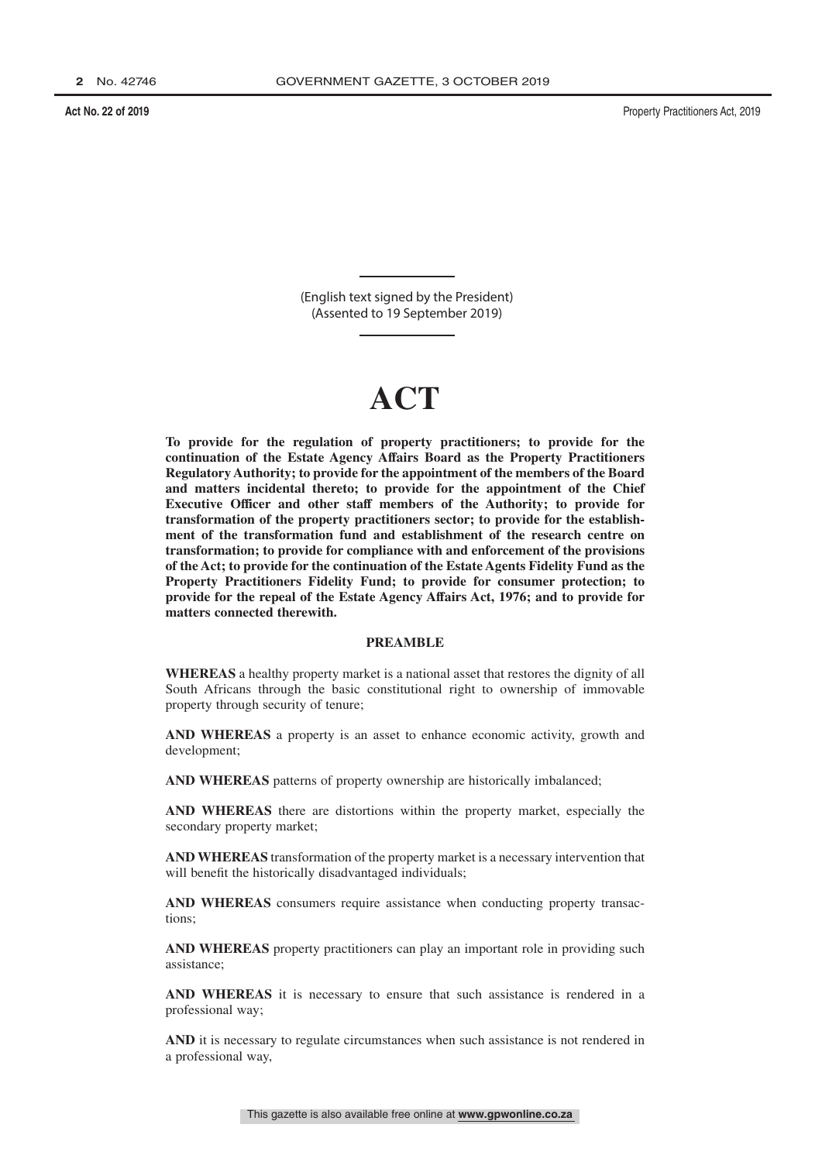(English text signed by the President) (Assented to 19 September 2019)

# **ACT**

**To provide for the regulation of property practitioners; to provide for the continuation of the Estate Agency Affairs Board as the Property Practitioners Regulatory Authority; to provide for the appointment of the members of the Board and matters incidental thereto; to provide for the appointment of the Chief Executive Officer and other staff members of the Authority; to provide for transformation of the property practitioners sector; to provide for the establishment of the transformation fund and establishment of the research centre on transformation; to provide for compliance with and enforcement of the provisions of the Act; to provide for the continuation of the Estate Agents Fidelity Fund as the Property Practitioners Fidelity Fund; to provide for consumer protection; to provide for the repeal of the Estate Agency Affairs Act, 1976; and to provide for matters connected therewith.**

### **PREAMBLE**

**WHEREAS** a healthy property market is a national asset that restores the dignity of all South Africans through the basic constitutional right to ownership of immovable property through security of tenure;

**AND WHEREAS** a property is an asset to enhance economic activity, growth and development;

**AND WHEREAS** patterns of property ownership are historically imbalanced;

**AND WHEREAS** there are distortions within the property market, especially the secondary property market;

**AND WHEREAS** transformation of the property market is a necessary intervention that will benefit the historically disadvantaged individuals;

**AND WHEREAS** consumers require assistance when conducting property transactions;

**AND WHEREAS** property practitioners can play an important role in providing such assistance;

**AND WHEREAS** it is necessary to ensure that such assistance is rendered in a professional way;

**AND** it is necessary to regulate circumstances when such assistance is not rendered in a professional way,

This gazette is also available free online at **www.gpwonline.co.za**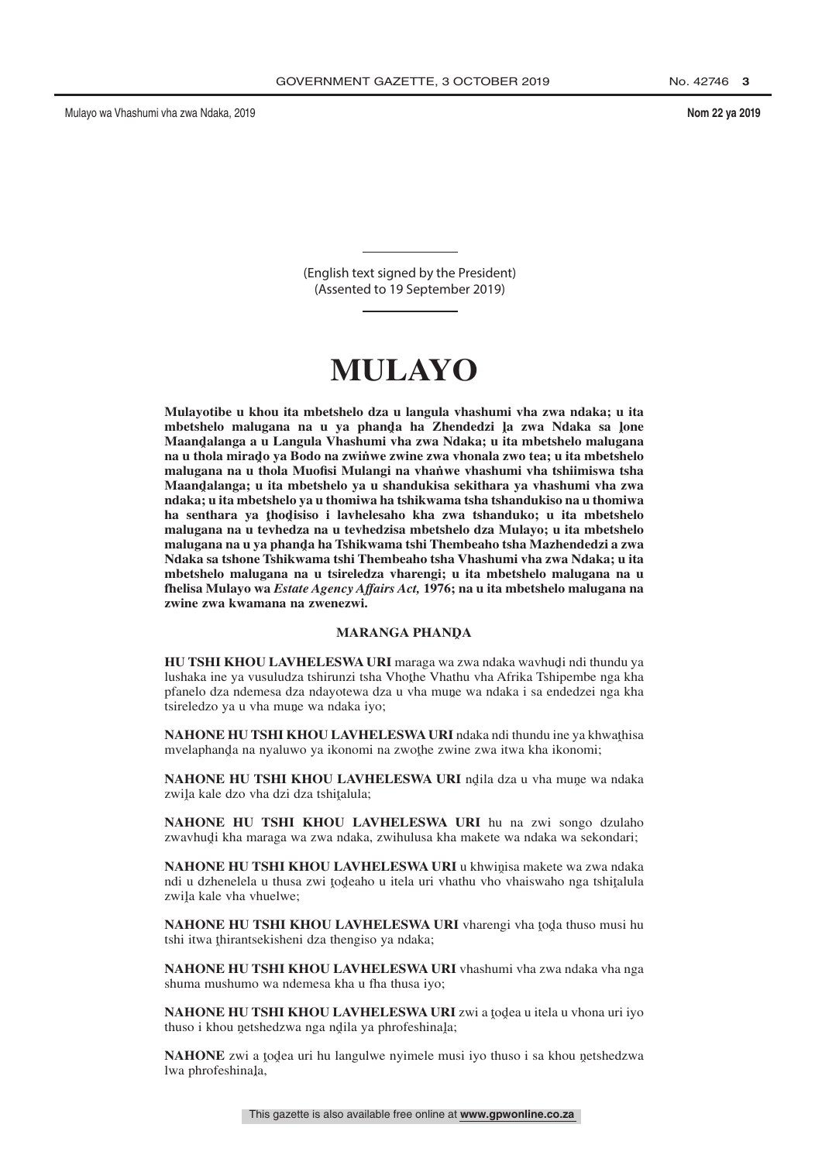(English text signed by the President) (Assented to 19 September 2019)

# $\bf MULAYO$

**Mulayotibe u khou ita mbetshelo dza u langula vhashumi vha zwa ndaka; u ita** mbetshelo malugana na u ya phanda ha Zhendedzi la zwa Ndaka sa lone<br>Maandalanga a.u.**Langula Vhashumi yha zwa Ndaka: u.ita m**betshelo malugana **Maandˆ alanga a u Langula Vhashumi vha zwa Ndaka; u ita mbetshelo malugana** na u thola mirado ya Bodo na zwińwe zwine zwa vhonala zwo tea; u ita mbetshelo<br>malugana na u thola Muofisi Mulangi na yhanwe yhashumi yha tshiimiswa tsha **malugana na u thola Muofisi Mulangi na vhan˙ we vhashumi vha tshiimiswa tsha Maandˆ alanga; u ita mbetshelo ya u shandukisa sekithara ya vhashumi vha zwa ndaka; u ita mbetshelo ya u thomiwa ha tshikwama tsha tshandukiso na u thomiwa** ha senthara ya <u>thod</u>isiso i lavhelesaho kha zwa tshanduko; u ita mbetshelo<br>malugana na u tavhedza na u teyhedzisa mbetshelo dza Mulayo; u ita mbetshelo **malugana na u tevhedza na u tevhedzisa mbetshelo dza Mulayo; u ita mbetshelo** malugana na u ya phanda ha Tshikwama tshi Thembeaho tsha Mazhendedzi a zwa<br>Ndaka sa tshone Tshikwama tshi Thembeaho tsha Vhashumi yha zwa Ndaka: u ita **Ndaka sa tshone Tshikwama tshi Thembeaho tsha Vhashumi vha zwa Ndaka; u ita mbetshelo malugana na u tsireledza vharengi; u ita mbetshelo malugana na u fhelisa Mulayo wa** *Estate Agency Affairs Act,* **1976; na u ita mbetshelo malugana na zwine zwa kwamana na zwenezwi.**

## MARANGA PHAN<mark>D</mark>A

**HU TSHI KHOU LAVHELESWA URI** maraga wa zwa ndaka wavhudi ndi thundu ya<br>lushaka ine ya yusuludza tshirunzi tsha Vhothe Vhathu yha Afrika Tshinembe nga kha lushaka ine ya vusuludza tshirunzi tsha Vhothe Vhathu vha Afrika Tshipembe nga kha<br>pfanelo dza ndemesa dza ndavotewa dza u vha mune wa ndaka i sa endedzej nga kha pfanelo dza ndemesa dza ndayotewa dza u vha mune wa ndaka i sa endedzei nga kha<br>tsireledzo va u vha mune wa ndaka ivo: tsireledzo ya u vha mune wa ndaka iyo;

**NAHONE HU TSHI KHOU LAVHELESWA URI** ndaka ndi thundu ine ya khwathisa<br>mvelanhanda na nyaluwo ya ikonomi na zwothe zwine zwa itwa kha ikonomi: mvelaphanda na nyaluwo ya ikonomi na zwothe zwine zwa itwa kha ikonomi;

**NAHONE HU TSHI KHOU LAVHELESWA URI** ndila dza u vha mune wa ndaka<br>zwila kale dzo vha dzi dza tshitalula: zwiļa kale dzo vha dzi dza tshiţalula;

**NAHONE HU TSHI KHOU LAVHELESWA URI** hu na zwi songo dzulaho zwavhud̥i kha maraga wa zwa ndaka, zwihulusa kha makete wa ndaka wa sekondari;

**NAHONE HU TSHI KHOU LAVHELESWA URI** u khwinisa makete wa zwa ndaka<br>ndi u dzhenelela u thusa zwi todeabo u itela uri yhathu ybo yhaiswabo nga tshitalula ndi u dzhenelela u thusa zwi todeaho u itela uri vhathu vho vhaiswaho nga tshitalula<br>zwila kale yba yhuelwe: zwiļa kale vha vhuelwe;

**NAHONE HU TSHI KHOU LAVHELESWA URI** vharengi vha toda thuso musi hu<br>tshi itwa thirantsekisheni dza thengiso va ndaka: tshi itwa <u>t</u>hirantsekisheni dza thengiso ya ndaka;

**NAHONE HU TSHI KHOU LAVHELESWA URI** vhashumi vha zwa ndaka vha nga shuma mushumo wa ndemesa kha u fha thusa iyo;

**NAHONE HU TSHI KHOU LAVHELESWA URI** zwi a todea u itela u vhona uri iyo thuso i khou netshedzwa nga ndila ya phrofeshinala: thuso i khou netshedzwa nga ndila ya phrofeshina<mark>l</mark>a;

**NAHONE** zwi a todea uri hu langulwe nyimele musi iyo thuso i sa khou netshedzwa<br>lwa phrofeshinala lwa phrofeshina<mark>l</mark>a,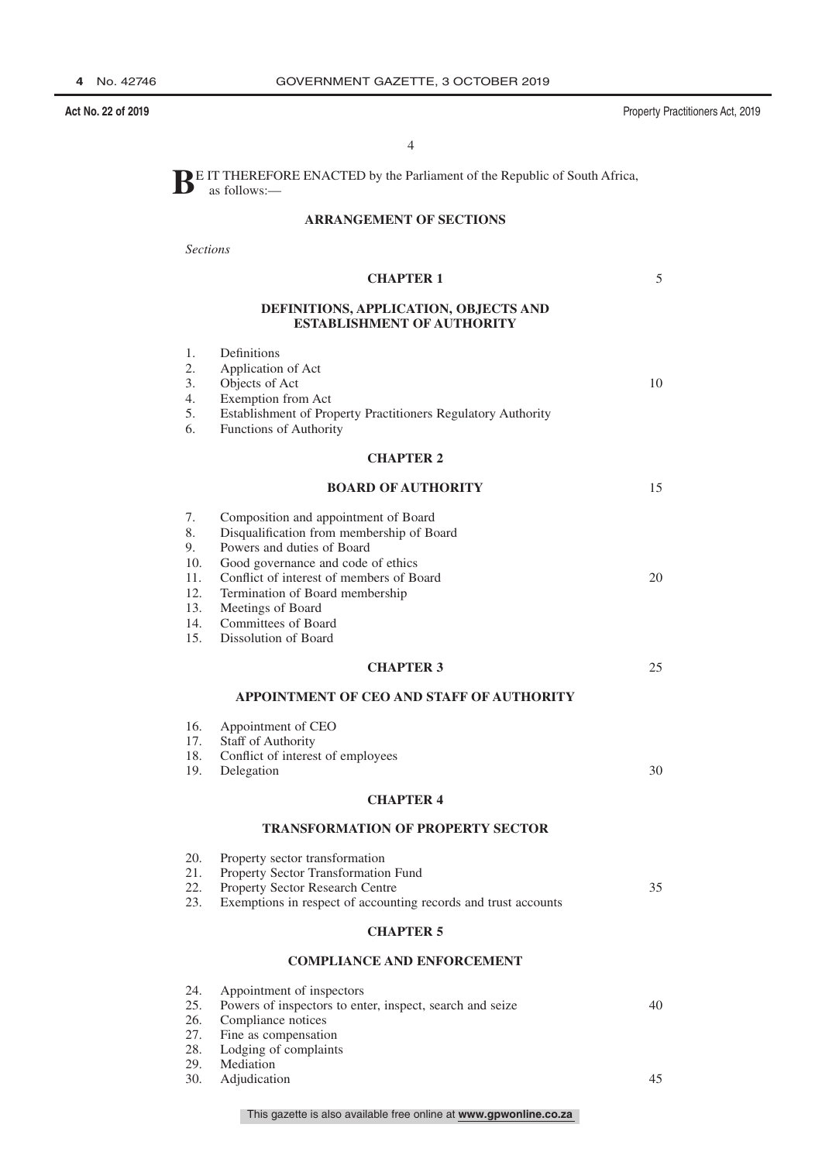**Act No. 22 of 2019** Property Practitioners Act, 2019

5

10

15

20

25

30

35

4

**BE** IT THEREFORE ENACTED by the Parliament of the Republic of South Africa, as follows:—

### **ARRANGEMENT OF SECTIONS**

*Sections*

| <b>CHAPTER 1</b>                                                           |                                                                                                                                                                                                                                                                                                          |  |  |  |
|----------------------------------------------------------------------------|----------------------------------------------------------------------------------------------------------------------------------------------------------------------------------------------------------------------------------------------------------------------------------------------------------|--|--|--|
| DEFINITIONS, APPLICATION, OBJECTS AND<br><b>ESTABLISHMENT OF AUTHORITY</b> |                                                                                                                                                                                                                                                                                                          |  |  |  |
| 1.<br>2.<br>3.<br>4.<br>5.<br>6.                                           | Definitions<br>Application of Act<br>Objects of Act<br>Exemption from Act<br>Establishment of Property Practitioners Regulatory Authority<br>Functions of Authority                                                                                                                                      |  |  |  |
|                                                                            | <b>CHAPTER 2</b>                                                                                                                                                                                                                                                                                         |  |  |  |
|                                                                            | <b>BOARD OF AUTHORITY</b>                                                                                                                                                                                                                                                                                |  |  |  |
| 7.<br>8.<br>9.<br>10.<br>11.<br>12.<br>13.<br>14.<br>15.                   | Composition and appointment of Board<br>Disqualification from membership of Board<br>Powers and duties of Board<br>Good governance and code of ethics<br>Conflict of interest of members of Board<br>Termination of Board membership<br>Meetings of Board<br>Committees of Board<br>Dissolution of Board |  |  |  |
|                                                                            | <b>CHAPTER 3</b>                                                                                                                                                                                                                                                                                         |  |  |  |
|                                                                            | APPOINTMENT OF CEO AND STAFF OF AUTHORITY                                                                                                                                                                                                                                                                |  |  |  |
| 16.<br>17.<br>18.<br>19.                                                   | Appointment of CEO<br>Staff of Authority<br>Conflict of interest of employees<br>Delegation                                                                                                                                                                                                              |  |  |  |
|                                                                            | <b>CHAPTER 4</b>                                                                                                                                                                                                                                                                                         |  |  |  |
|                                                                            | <b>TRANSFORMATION OF PROPERTY SECTOR</b>                                                                                                                                                                                                                                                                 |  |  |  |
| 20.<br>21.<br>22.<br>23.                                                   | Property sector transformation<br>Property Sector Transformation Fund<br>Property Sector Research Centre<br>Exemptions in respect of accounting records and trust accounts                                                                                                                               |  |  |  |
| <b>CHAPTER 5</b>                                                           |                                                                                                                                                                                                                                                                                                          |  |  |  |
|                                                                            | <b>COMPLIANCE AND ENFORCEMENT</b>                                                                                                                                                                                                                                                                        |  |  |  |
| 24.<br>25.<br>26.<br>27.                                                   | Appointment of inspectors<br>Powers of inspectors to enter, inspect, search and seize<br>Compliance notices<br>Fine as compensation                                                                                                                                                                      |  |  |  |

- 28. Lodging of complaints
- 29. Mediation
- 
- 30. Adjudication

45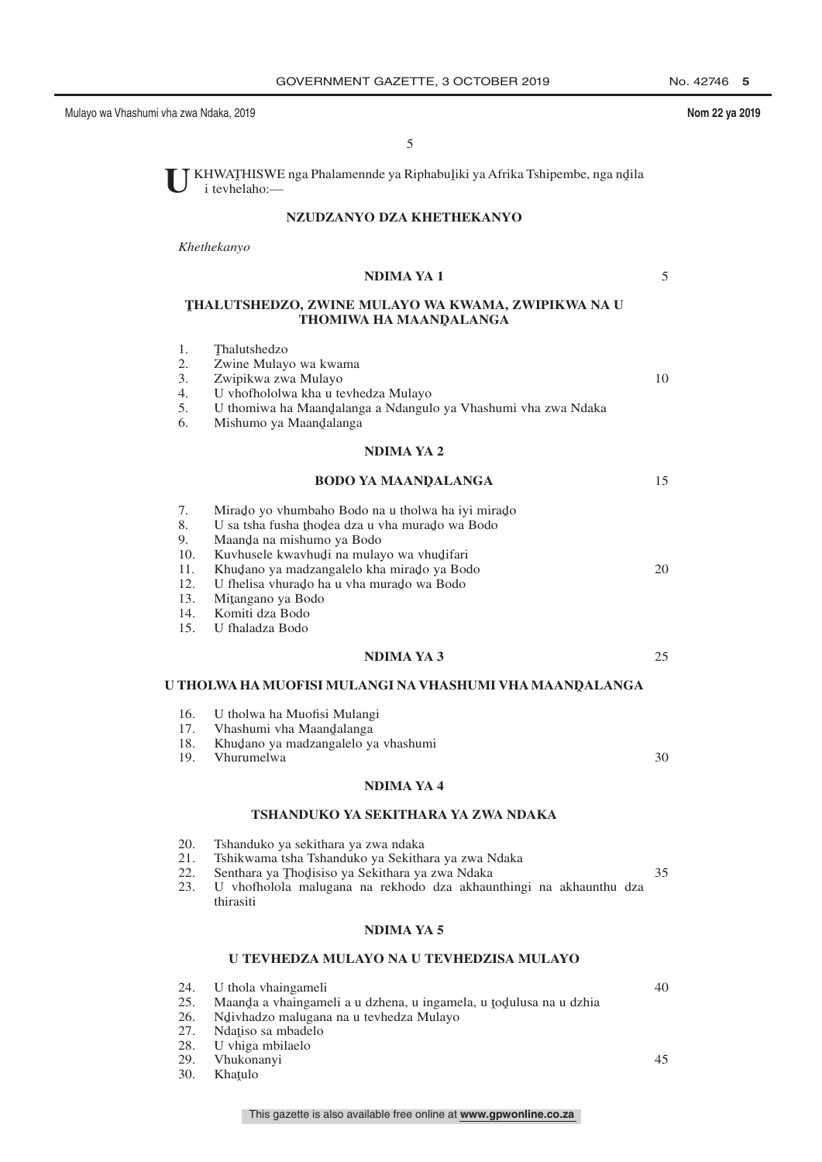Mulayo wa Vhashumi vha zwa Ndaka, 2019 **Nom 22 ya 2019** Nom 22 ya 2019

5

10

5

U KHWATHISWE nga Phalamennde ya Riphabuļiki ya Afrika Tshipembe, nga ndila i tevhelaho: i tevhelaho:—

### **NZUDZANYO DZA KHETHEKANYO**

*Khethekanyo*

halutshedzo

2. Zwine Mulayo wa kwama<br>3. Zwipikwa zwa Mulayo 3. Zwipikwa zwa Mulayo

U vhofhololwa kha u tevhedza Mulayo

 $\frac{1}{2}$ .

### **NDIMA YA 1**

### **T ˆ HALUTSHEDZO, ZWINE MULAYO WA KWAMA, ZWIPIKWA NA U THOMIWA HA MAANQALANGA**

5. U thomiwa ha Maandalanga a Ndangulo ya Vhashumi vha zwa Ndaka<br>6 Mishumo ya Maandalanga

| 6.                                                       | Mishumo ya Maandalanga                                                                                                                                                                                                                                                                                                               |    |
|----------------------------------------------------------|--------------------------------------------------------------------------------------------------------------------------------------------------------------------------------------------------------------------------------------------------------------------------------------------------------------------------------------|----|
|                                                          | <b>NDIMA YA 2</b>                                                                                                                                                                                                                                                                                                                    |    |
|                                                          | <b>BODO YA MAANDALANGA</b>                                                                                                                                                                                                                                                                                                           | 15 |
| 7.<br>8.<br>9.<br>10.<br>11.<br>12.<br>13.<br>14.<br>15. | Mirado yo vhumbaho Bodo na u tholwa ha iyi mirado<br>U sa tsha fusha thodea dza u vha murado wa Bodo<br>Maanda na mishumo ya Bodo<br>Kuvhusele kwavhudi na mulayo wa vhudifari<br>Khudano ya madzangalelo kha mirado ya Bodo<br>U fhelisa vhurado ha u vha murado wa Bodo<br>Mitangano ya Bodo<br>Komiti dza Bodo<br>U fhaladza Bodo | 20 |
|                                                          | <b>NDIMA YA 3</b>                                                                                                                                                                                                                                                                                                                    | 25 |
|                                                          | U THOLWA HA MUOFISI MULANGI NA VHASHUMI VHA MAANDALANGA                                                                                                                                                                                                                                                                              |    |
| 16.<br>17.<br>18.<br>19.                                 | U tholwa ha Muofisi Mulangi<br>Vhashumi vha Maandalanga<br>Khudano ya madzangalelo ya vhashumi<br>Vhurumelwa                                                                                                                                                                                                                         | 30 |
|                                                          | <b>NDIMA YA 4</b>                                                                                                                                                                                                                                                                                                                    |    |
|                                                          | TSHANDUKO YA SEKITHARA YA ZWA NDAKA                                                                                                                                                                                                                                                                                                  |    |
| 20.<br>21.<br>22.<br>23.                                 | Tshanduko ya sekithara ya zwa ndaka<br>Tshikwama tsha Tshanduko ya Sekithara ya zwa Ndaka<br>Senthara ya Thodisiso ya Sekithara ya zwa Ndaka<br>U vhofholola malugana na rekhodo dza akhaunthingi na akhaunthu dza<br>thirasiti                                                                                                      | 35 |
|                                                          | <b>NDIMA YA 5</b>                                                                                                                                                                                                                                                                                                                    |    |
|                                                          | U TEVHEDZA MULAYO NA U TEVHEDZISA MULAYO                                                                                                                                                                                                                                                                                             |    |
| 24.                                                      | U thola vhaingameli                                                                                                                                                                                                                                                                                                                  | 40 |

- 24. U thola vhaingameli
- 25. Maanda a vhaingameli a u dzhena, u ingamela, u todulusa na u dzhia<br>26. Maiyhadzo malugana na u teyhedza Mulayo
- 26. Ndivhadzo malugana na u tevhedza Mulayo<br>27. Ndatiso sa mbadelo
- 27. Ndațiso sa mbadelo<br>28. U vhiga mbilaelo
- 28. U vhiga mbilaelo
- 
- 29. Vhukonanyi 30. Khaţulo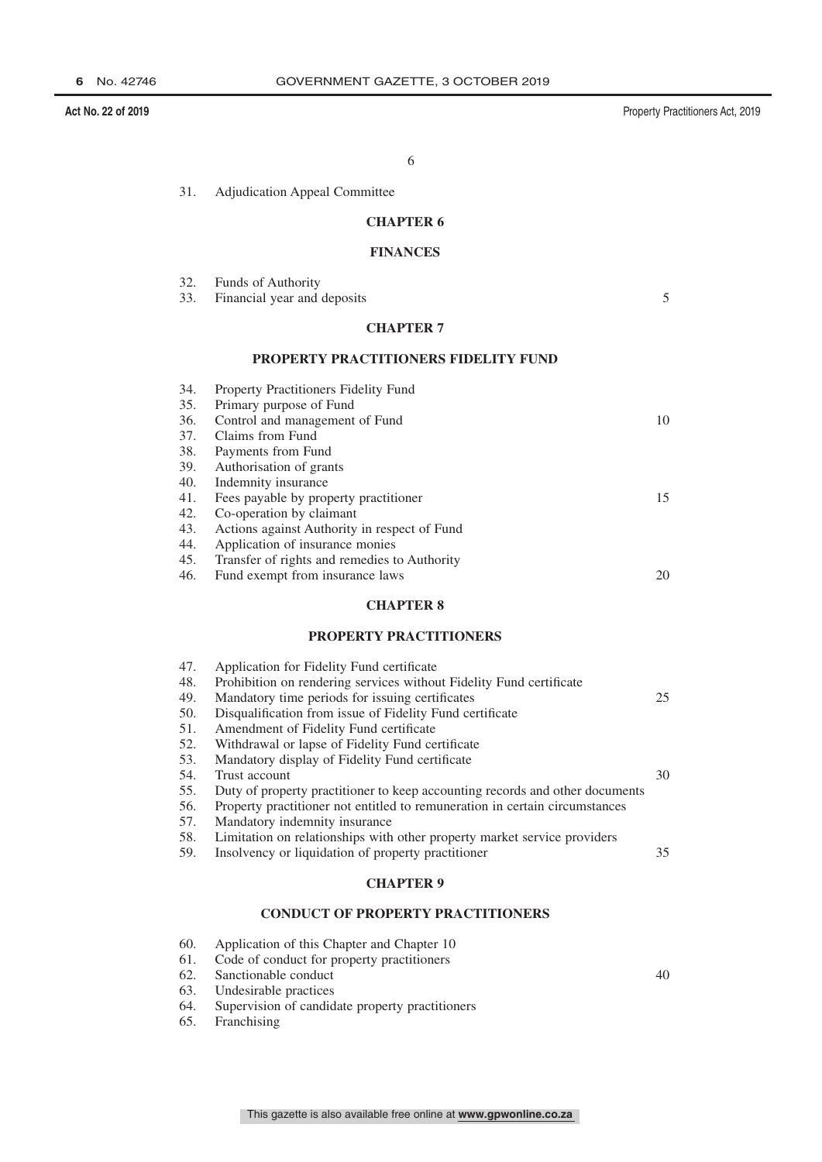**Act No. 22 of 2019** Property Practitioners Act, 2019

40

6

31. Adjudication Appeal Committee

### **CHAPTER 6**

### **FINANCES**

|                  | 32. Funds of Authority          |  |
|------------------|---------------------------------|--|
|                  | 33. Financial year and deposits |  |
| <b>CHAPTER 7</b> |                                 |  |

### **PROPERTY PRACTITIONERS FIDELITY FUND**

| Property Practitioners Fidelity Fund         |    |
|----------------------------------------------|----|
| Primary purpose of Fund                      |    |
| Control and management of Fund               | 10 |
| Claims from Fund                             |    |
| Payments from Fund                           |    |
| Authorisation of grants                      |    |
| Indemnity insurance                          |    |
| Fees payable by property practitioner        | 15 |
| Co-operation by claimant                     |    |
| Actions against Authority in respect of Fund |    |
| Application of insurance monies              |    |
| Transfer of rights and remedies to Authority |    |
| Fund exempt from insurance laws              | 20 |
|                                              |    |

### **CHAPTER 8**

### **PROPERTY PRACTITIONERS**

| 47. | Application for Fidelity Fund certificate                                    |    |
|-----|------------------------------------------------------------------------------|----|
| 48. | Prohibition on rendering services without Fidelity Fund certificate          |    |
| 49. | Mandatory time periods for issuing certificates                              | 25 |
| 50. | Disqualification from issue of Fidelity Fund certificate                     |    |
| 51. | Amendment of Fidelity Fund certificate                                       |    |
| 52. | Withdrawal or lapse of Fidelity Fund certificate                             |    |
| 53. | Mandatory display of Fidelity Fund certificate                               |    |
| 54. | Trust account                                                                | 30 |
| 55. | Duty of property practitioner to keep accounting records and other documents |    |
| 56. | Property practitioner not entitled to remuneration in certain circumstances  |    |
| 57. | Mandatory indemnity insurance                                                |    |
| 58. | Limitation on relationships with other property market service providers     |    |
| 59. | Insolvency or liquidation of property practitioner                           | 35 |
|     |                                                                              |    |

### **CHAPTER 9**

### **CONDUCT OF PROPERTY PRACTITIONERS**

- 60. Application of this Chapter and Chapter 10
- 61. Code of conduct for property practitioners
- 62. Sanctionable conduct<br>63. Undesirable practices
- Undesirable practices
- 64. Supervision of candidate property practitioners
- 65. Franchising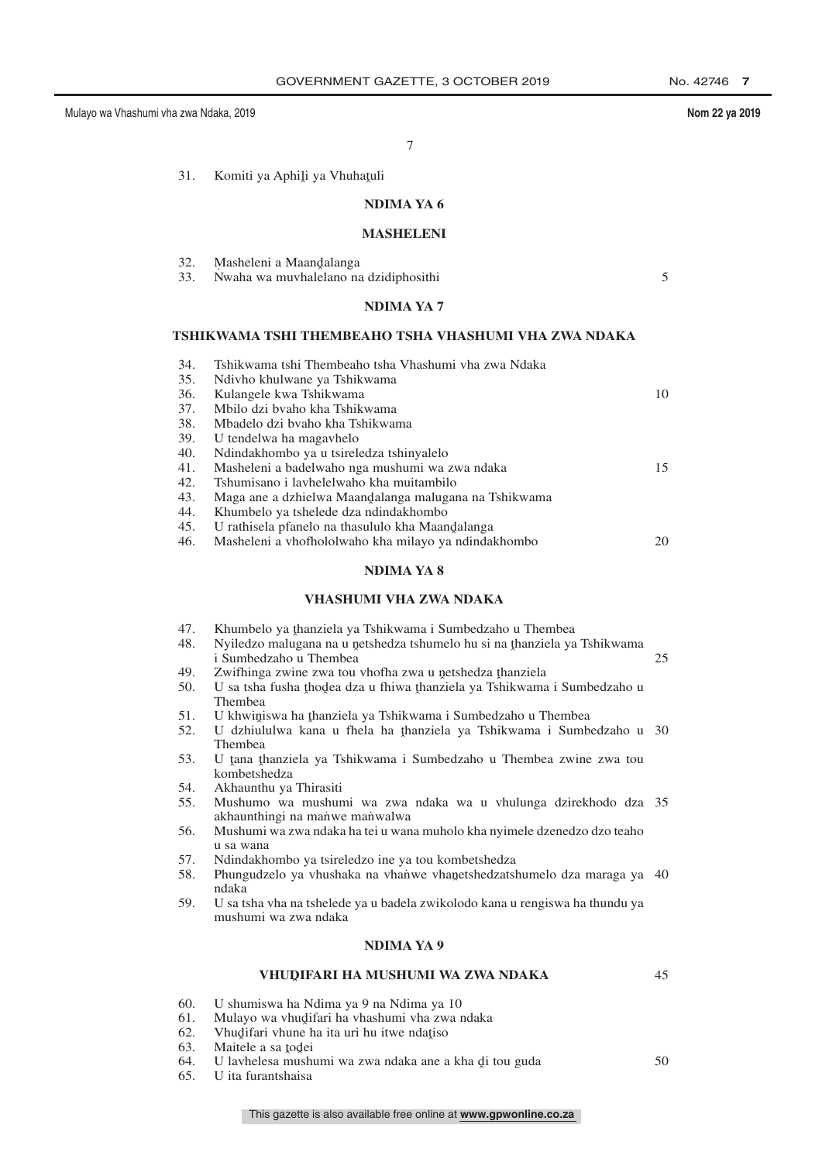5

45

7

31. Komiti ya Aphili ya Vhuhatuli

### **NDIMA YA 6**

### **MASHELENI**

| 32. |  | Masheleni a Maandalanga |  |
|-----|--|-------------------------|--|
|     |  |                         |  |

32. Masheleni a Maandalanga<br>33. Nwaha wa muvhalelano na dzidiphosithi

### **NDIMA YA 7**

#### **TSHIKWAMA TSHI THEMBEAHO TSHA VHASHUMI VHA ZWA NDAKA**

| 34. | Tshikwama tshi Thembeaho tsha Vhashumi yha zwa Ndaka  |    |
|-----|-------------------------------------------------------|----|
| 35. | Ndivho khulwane ya Tshikwama                          |    |
| 36. | Kulangele kwa Tshikwama                               | 10 |
| 37. | Mbilo dzi byaho kha Tshikwama                         |    |
| 38. | Mbadelo dzi byaho kha Tshikwama                       |    |
| 39. | U tendelwa ha magavhelo                               |    |
| 40. | Ndindakhombo ya u tsireledza tshinyalelo              |    |
| 41. | Masheleni a badelwaho nga mushumi wa zwa ndaka        | 15 |
| 42. | Tshumisano i lavhelelwaho kha muitambilo              |    |
| 43. | Maga ane a dzhielwa Maandalanga malugana na Tshikwama |    |
| 44. | Khumbelo ya tshelede dza ndindakhombo                 |    |
| 45. | U rathisela pfanelo na thasululo kha Maandalanga      |    |
| 46. | Masheleni a vhofhololwaho kha milayo ya ndindakhombo  | 20 |
|     |                                                       |    |

### **NDIMA YA 8**

### **VHASHUMI VHA ZWA NDAKA**

- 47. Khumbelo ya thanziela ya Tshikwama i Sumbedzaho u Thembea<br>48. Nyiledzo malugana na u netshedza tshumelo bu si na thanziela ya
- 48. Nyiledzo malugana na u netshedza tshumelo hu si na thanziela ya Tshikwama<br>i Sumbedzaho u Thembea i Sumbedzaho u Thembea 25
- 49. Zwifhinga zwine zwa tou vhofha zwa u netshedza thanziela<br>50. LLsa tsha fusha thodea dza u fhiwa thanziela va Tshikwami 50. U sa tsha fusha thodea dza u fhiwa thanziela ya Tshikwama i Sumbedzaho u Thembea Thembea
- 51. U khwiniswa ha thanziela ya Tshikwama i Sumbedzaho u Thembea<br>52. U dzhinlulwa kana u thela ha thanziela ya Tshikwama i Sumb
- 52. U dzhiululwa kana u fhela ha thanziela ya Tshikwama i Sumbedzaho u 30<br>Thembes Thembea
- 53. U tana thanziela ya Tshikwama i Sumbedzaho u Thembea zwine zwa tou<br>kombetshedza kombetshedza
- 54. Akhaunthu ya Thirasiti
- 55. Mushumo wa mushumi wa zwa ndaka wa u vhulunga dzirekhodo dza 35 akhaunthingi na manwe manwalwa
- 56. Mushumi wa zwa ndaka ha tei u wana muholo kha nyimele dzenedzo dzo teaho u sa wana
- 57. Ndindakhombo ya tsireledzo ine ya tou kombetshedza
- 58. Phungudzelo ya vhushaka na vhanu vhanetshedzatshumelo dza maraga ya 40 ndaka
- 59. U sa tsha vha na tshelede ya u badela zwikolodo kana u rengiswa ha thundu ya mushumi wa zwa ndaka

### **NDIMA YA 9**

## **VHUDˆ IFARI HA MUSHUMI WA ZWA NDAKA**

- 60. U shumiswa ha Ndima ya 9 na Ndima ya 10
- 61. Mulayo wa vhudifari ha vhashumi vha zwa ndaka<br>62. Mudifari yhune ha ita uri hu itwe ndatiso.
- 62. Vhudifari vhune ha ita uri hu itwe ndațiso $\overline{63}$  Maitele a sa todei
- 63. Maitele a sa todei<br>64. Il laybelesa mush
- 64. U lavhelesa mushumi wa zwa ndaka ane a kha di tou guda<br>65. Ulita furantshaisa 50
- 65. U ita furantshaisa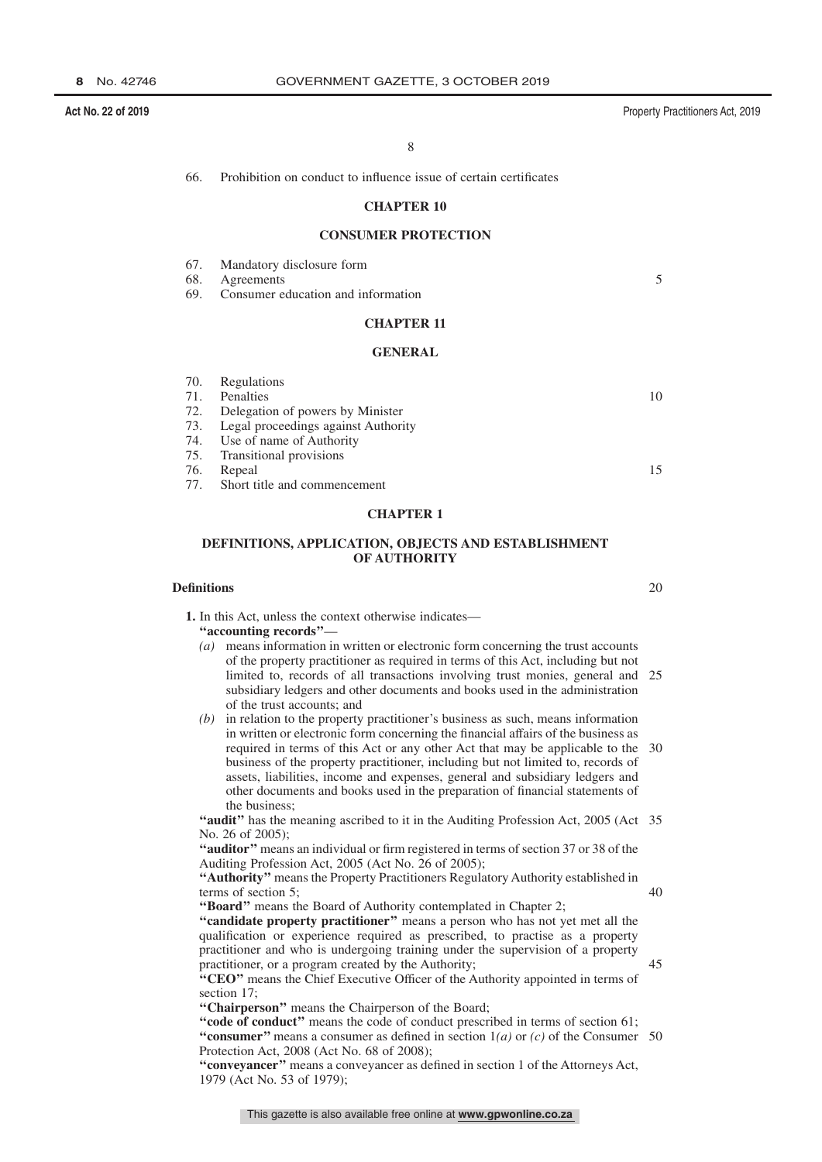**Act No. 22 of 2019** Property Practitioners Act, 2019

8

66. Prohibition on conduct to influence issue of certain certificates

### **CHAPTER 10**

### **CONSUMER PROTECTION**

67. Mandatory disclosure form

68. Agreements

69. Consumer education and information

### **CHAPTER 11**

#### **GENERAL**

|     | 70. Regulations                         |    |
|-----|-----------------------------------------|----|
| 71. | Penalties                               | 10 |
|     | 72. Delegation of powers by Minister    |    |
|     | 73. Legal proceedings against Authority |    |
|     | 74. Use of name of Authority            |    |
|     | 75. Transitional provisions             |    |
| 76. | Repeal                                  | 15 |
|     | 77. Short title and commencement        |    |

#### **CHAPTER 1**

### **DEFINITIONS, APPLICATION, OBJECTS AND ESTABLISHMENT OF AUTHORITY**

### **Definitions**

**1.** In this Act, unless the context otherwise indicates—

**''accounting records''**—

- *(a)* means information in written or electronic form concerning the trust accounts of the property practitioner as required in terms of this Act, including but not limited to, records of all transactions involving trust monies, general and 25 subsidiary ledgers and other documents and books used in the administration of the trust accounts; and
- *(b)* in relation to the property practitioner's business as such, means information in written or electronic form concerning the financial affairs of the business as required in terms of this Act or any other Act that may be applicable to the 30 business of the property practitioner, including but not limited to, records of assets, liabilities, income and expenses, general and subsidiary ledgers and other documents and books used in the preparation of financial statements of the business;

"audit" has the meaning ascribed to it in the Auditing Profession Act, 2005 (Act 35 No. 26 of 2005);

**''auditor''** means an individual or firm registered in terms of section 37 or 38 of the Auditing Profession Act, 2005 (Act No. 26 of 2005);

**''Authority''** means the Property Practitioners Regulatory Authority established in terms of section 5;

**''Board''** means the Board of Authority contemplated in Chapter 2;

**''candidate property practitioner''** means a person who has not yet met all the qualification or experience required as prescribed, to practise as a property practitioner and who is undergoing training under the supervision of a property practitioner, or a program created by the Authority;

**''CEO''** means the Chief Executive Officer of the Authority appointed in terms of section 17;

**''Chairperson''** means the Chairperson of the Board;

**''code of conduct''** means the code of conduct prescribed in terms of section 61; "consumer" means a consumer as defined in section  $1(a)$  or  $(c)$  of the Consumer 50 Protection Act, 2008 (Act No. 68 of 2008);

**''conveyancer''** means a conveyancer as defined in section 1 of the Attorneys Act, 1979 (Act No. 53 of 1979);

20

5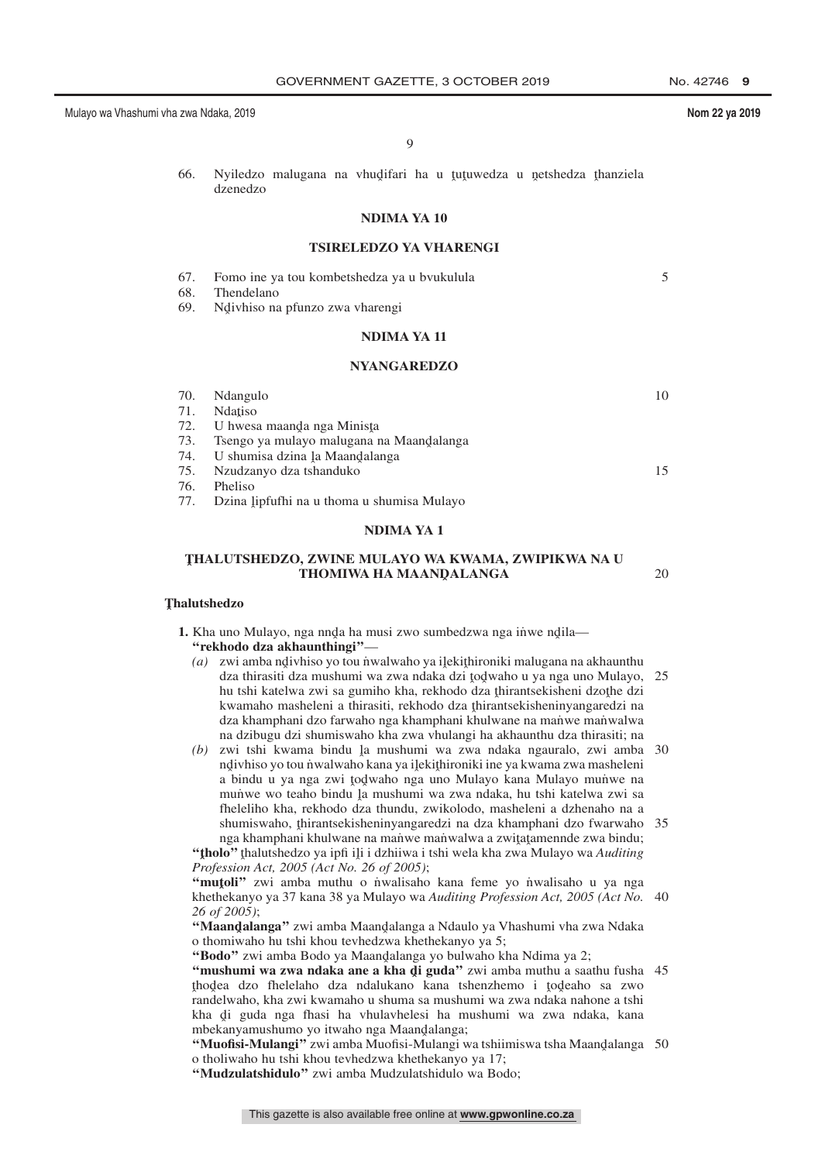20

9

66. Nyiledzo malugana na vhudifari ha u tutuwedza u netshedza thanziela<br>dzenedzo dzenedzo

### **NDIMA YA 10**

### **TSIRELEDZO YA VHARENGI**

- 67. Fomo ine ya tou kombetshedza ya u bvukulula 5
- 68. Thendelano
- 69. Ndivhiso na pfunzo zwa vharengi

### **NDIMA YA 11**

### **NYANGAREDZO**

| 70. | Ndangulo                                       | 10 |
|-----|------------------------------------------------|----|
| 71. | <b>N</b> datiso                                |    |
| 72. | U hwesa maanda nga Minista                     |    |
| 73. | Tsengo ya mulayo malugana na Maandalanga       |    |
|     | 74. U shumisa dzina ļa Maandalanga             |    |
|     | 75. Nzudzanyo dza tshanduko                    | 15 |
| 76. | Pheliso                                        |    |
|     | 77. Dzina lipfufhi na u thoma u shumisa Mulayo |    |
|     |                                                |    |

#### **NDIMA YA 1**

### **T ˆ HALUTSHEDZO, ZWINE MULAYO WA KWAMA, ZWIPIKWA NA U THOMIWA HA MAANQALANGA**

## **T ˆ halutshedzo**

**1.** Kha uno Mulayo, nga nnda ha musi zwo sumbedzwa nga inwe ndila—<br>"rekholo dza akhaunthingi" **''rekhodo dza akhaunthingi''**—

- (a) zwi amba ndivhiso yo tou nwalwaho ya ilekithironiki malugana na akhaunthu<br>dza thirasiti dza mushumi wa zwa ndaka dzi todwaho u ya nga uno Mulayo dza thirasiti dza mushumi wa zwa ndaka dzi todwaho u ya nga uno Mulayo, 25<br>bu tshi katelwa zwi sa gumibo kha rekhodo dza thirantsekisheni dzothe dzi hu tshi katelwa zwi sa gumiho kha, rekhodo dza thirantsekisheni dzothe dzi<br>kwamaho masheleni a thirasiti, rekhodo dza thirantsekisheninyangaredzi na kwamaho masheleni a thirasiti, rekhodo dza thirantsekisheninyangaredzi na<br>dza khamphani dzo farwaho nga khamphani khulwane na manwe manwalwa dza khamphani dzo farwaho nga khamphani khulwane na maniwe manwalwa na dzibugu dzi shumiswaho kha zwa vhulangi ha akhaunthu dza thirasiti; na
- (b) zwi tshi kwama bindu la mushumi wa zwa ndaka ngauralo, zwi amba 30<br>
polivializa vo tou nwalwaho kana va ilekithironiki ine va kwama zwa masheleni ndivhiso yo tou nwalwaho kana ya ilekithironiki ine ya kwama zwa masheleni<br>a bindu u ya nga zwi todwaho nga uno Mulayo kana Mulayo munwe na  $\frac{1}{2}$  a bindu u ya nga zwi todaho nga uno Mulayo kana Mulayo muniwe na bindu u ya nga zwi todaho nga uno Mulayo muniwe na muniwe na muniwe na muniwe na muniwe na muniwe na muniwe na muniwe na muniwe na muniwe na muniw munwe wo teaho bindu la mushumi wa zwa ndaka, hu tshi katelwa zwi sa<br>fheleliho kha rekhodo dza thundu, zwikologo, masheleni a dzhenaho na a fheleliho kha, rekhodo dza thundu, zwikolodo, masheleni a dzhenaho na a shumiswaho, thirantsekisheninyangaredzi na dza khamphani dzo fwarwaho 35<br>nga khamphani khulwane na manwe manwalwa a zwitatamennde zwa bindu: nga khamphani khulwane na mañwe mañwalwa a zwiţaţamennde zwa bindu;<br>lo<sup>22</sup> thalutshedzo va infi ili i dzhijwa i tshi wela kha zwa Mulayo wa A*uditino*

"**(tholo**" thalutshedzo ya ipfi ili i dzhiiwa i tshi wela kha zwa Mulayo wa *Auditing*<br>Profession Act, 2005 (Act No. 26 of 2005): *Profession Act, 2005 (Act No. 26 of 2005)*;

**"mutoli"** zwi amba muthu o n˙walisaho kana feme yo n˙walisaho u ya nga<br>khethekanyo ya 37 kana 38 ya Mulayo wa Auditing Profession Act. 2005 (Act No khethekanyo ya 37 kana 38 ya Mulayo wa *Auditing Profession Act, 2005 (Act No.* 40 *26 of 2005)*;

**"Maandalanga"** zwi amba Maandalanga a Ndaulo ya Vhashumi vha zwa Ndaka<br>o thomiwabo bu tshi khou teyhedzwa khethekanyo ya 5: o thomiwaho hu tshi khou tevhedzwa khethekanyo ya 5;

**"Bodo"** zwi amba Bodo ya Maandalanga yo bulwaho kha Ndima ya 2;<br>"mushumi wa zwa ndaka ane a kha di guda" zwi amba muthu a saa

**"mushumi wa zwa ndaka ane a kha di guda"** zwi amba muthu a saathu fusha 45<br>thodaa dzo fhalalabo dza ndalukano kana tsharzhamo i todaabo sa zwo ˆ randelwaho, kha zwi kwamaho u shuma sa mushumi wa zwa ndaka nahone a tshi thodea dzo fhelelaho dza ndalukano kana tshenzhemo i todeaho sa zwo<br>randelwaho kha zwi kwamaho u shuma sa mushumi wa zwa ndaka nahone a tshi kha di guda nga fhasi ha vhulavhelesi ha mushumi wa zwa ndaka, kana<br>mbekanyamushumo yo itwaho nga Maandalanga: mbekanyamushumo yo itwaho nga Maandalanga;<br>"Muofisi-Mulangi" zwi amba Muofisi-Mulangi y

**"Muofisi-Mulangi"** zwi amba Muofisi-Mulangi wa tshiimiswa tsha Maandalanga 50<br>o tholiwaho bu tshi khou teyhedzwa khethekanyo ya 17. o tholiwaho hu tshi khou tevhedzwa khethekanyo ya 17;

**''Mudzulatshidulo''** zwi amba Mudzulatshidulo wa Bodo;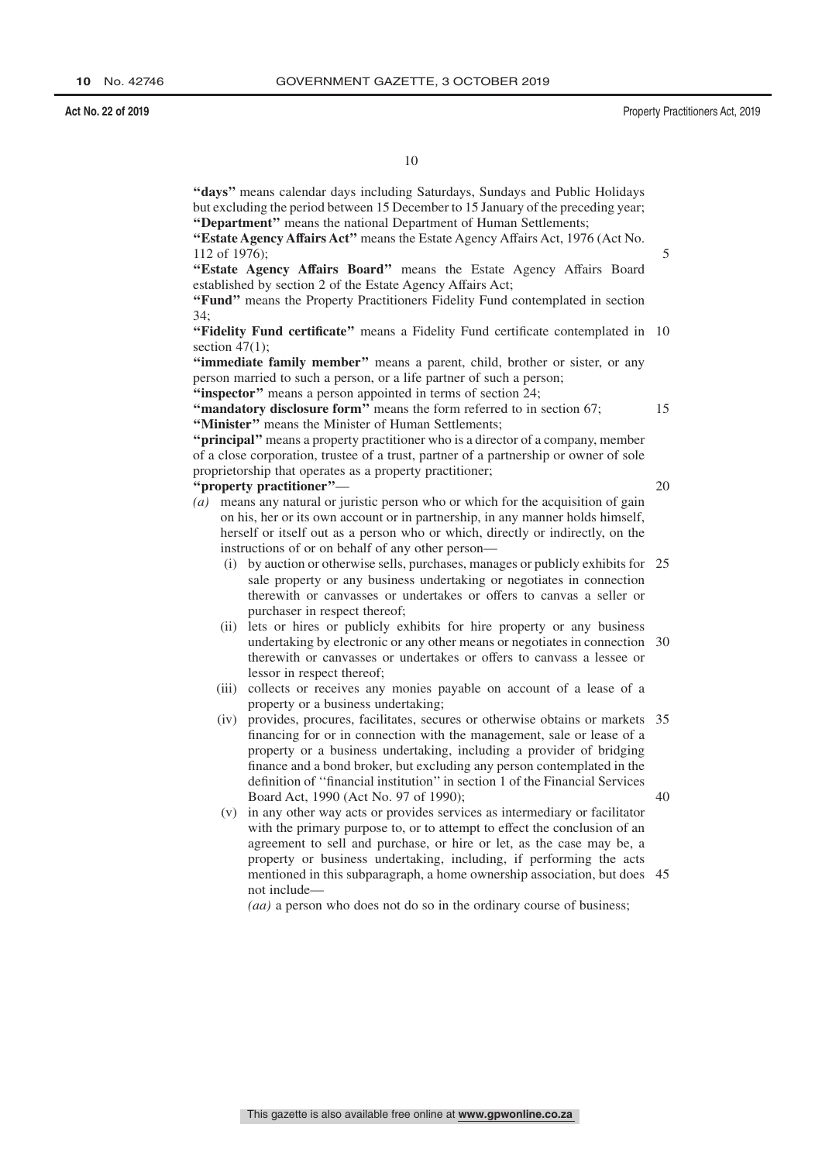**''days''** means calendar days including Saturdays, Sundays and Public Holidays but excluding the period between 15 December to 15 January of the preceding year; **''Department''** means the national Department of Human Settlements;

**''Estate Agency Affairs Act''** means the Estate Agency Affairs Act, 1976 (Act No. 112 of 1976);

**''Estate Agency Affairs Board''** means the Estate Agency Affairs Board established by section 2 of the Estate Agency Affairs Act;

**''Fund''** means the Property Practitioners Fidelity Fund contemplated in section 34;

"Fidelity Fund certificate" means a Fidelity Fund certificate contemplated in 10 section 47(1);

**''immediate family member''** means a parent, child, brother or sister, or any person married to such a person, or a life partner of such a person;

"inspector" means a person appointed in terms of section 24;

"mandatory disclosure form" means the form referred to in section 67; **''Minister''** means the Minister of Human Settlements;

**''principal''** means a property practitioner who is a director of a company, member of a close corporation, trustee of a trust, partner of a partnership or owner of sole proprietorship that operates as a property practitioner;

**''property practitioner''**—

20

15

5

*(a)* means any natural or juristic person who or which for the acquisition of gain on his, her or its own account or in partnership, in any manner holds himself, herself or itself out as a person who or which, directly or indirectly, on the instructions of or on behalf of any other person—

- (i) by auction or otherwise sells, purchases, manages or publicly exhibits for 25 sale property or any business undertaking or negotiates in connection therewith or canvasses or undertakes or offers to canvas a seller or purchaser in respect thereof;
- (ii) lets or hires or publicly exhibits for hire property or any business undertaking by electronic or any other means or negotiates in connection 30 therewith or canvasses or undertakes or offers to canvass a lessee or lessor in respect thereof;
- (iii) collects or receives any monies payable on account of a lease of a property or a business undertaking;
- (iv) provides, procures, facilitates, secures or otherwise obtains or markets 35 financing for or in connection with the management, sale or lease of a property or a business undertaking, including a provider of bridging finance and a bond broker, but excluding any person contemplated in the definition of ''financial institution'' in section 1 of the Financial Services Board Act, 1990 (Act No. 97 of 1990); 40
- (v) in any other way acts or provides services as intermediary or facilitator with the primary purpose to, or to attempt to effect the conclusion of an agreement to sell and purchase, or hire or let, as the case may be, a property or business undertaking, including, if performing the acts mentioned in this subparagraph, a home ownership association, but does 45not include—

*(aa)* a person who does not do so in the ordinary course of business;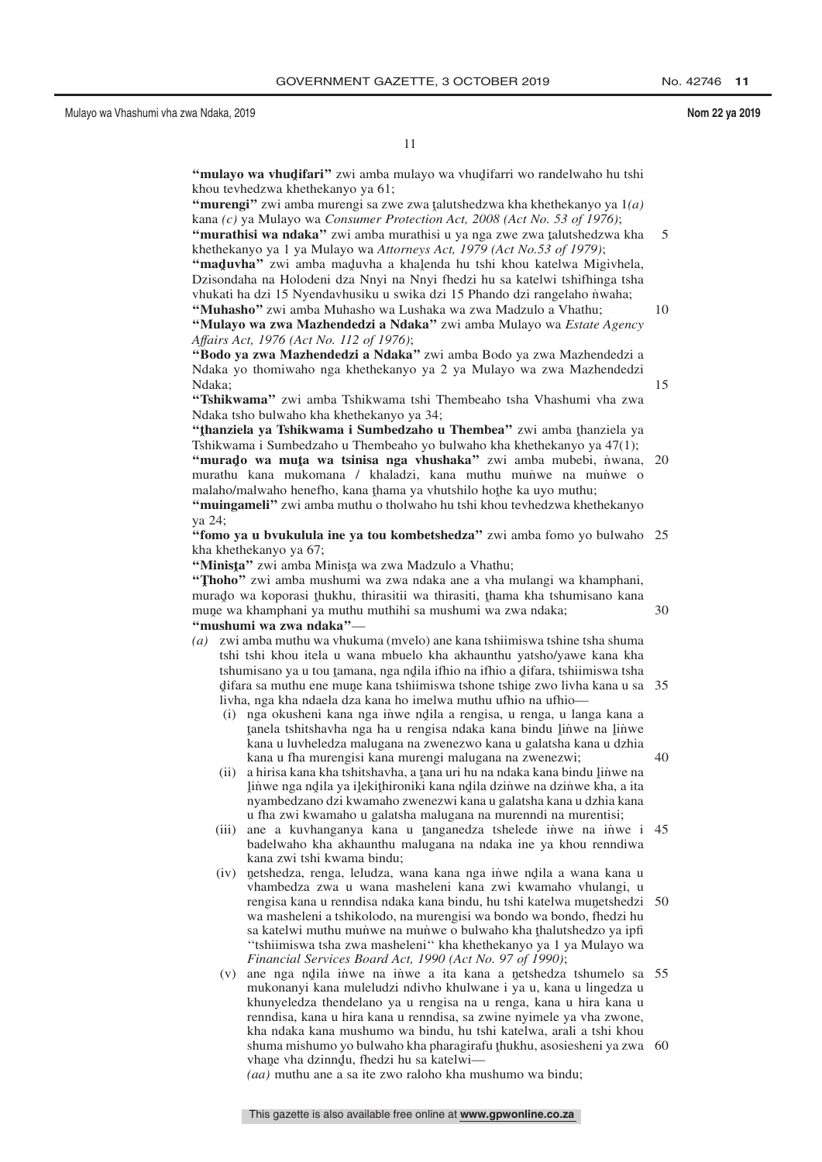5

10

15

30

 $40$ 

11

**"mulayo wa vhudifari"** zwi amba mulayo wa vhudifarri wo randelwaho hu tshi<br>khou teyhedzwa khethekanyo ya 61: khou tevhedzwa khethekanyo ya 61;

"**murengi**" zwi amba murengi sa zwe zwa talutshedzwa kha khethekanyo ya  $1(a)$ <br>kana (c) ya Mulayo wa Consumer Protection Act. 2008 (Act No. 53 of 1976): kana *(c)* ya Mulayo wa *Consumer Protection Act, 2008 (Act No. 53 of 1976)*;

**"murathisi wa ndaka"** zwi amba murathisi u ya nga zwe zwa talutshedzwa kha<br>khethekanyo ya 1 va Mulayo wa Attornays Act. 1979 (Act No 53 of 1979). khethekanyo ya 1 ya Mulayo wa *Attorneys Act, 1979 (Act No.53 of 1979)*;

**"maduvha"** zwi amba maduvha a khalenda hu tshi khou katelwa Migivhela,<br>Dzisondaba na Holodeni dza Nnyi na Nnyi fhedzi hu sa katelwi tshifhinga tsha Dzisondaha na Holodeni dza Nnyi na Nnyi fhedzi hu sa katelwi tshifhinga tsha vhukati ha dzi 15 Nyendavhusiku u swika dzi 15 Phando dzi rangelaho nwaha; **''Muhasho''** zwi amba Muhasho wa Lushaka wa zwa Madzulo a Vhathu;

**''Mulayo wa zwa Mazhendedzi a Ndaka''** zwi amba Mulayo wa *Estate Agency Affairs Act, 1976 (Act No. 112 of 1976)*;

**''Bodo ya zwa Mazhendedzi a Ndaka''** zwi amba Bodo ya zwa Mazhendedzi a Ndaka yo thomiwaho nga khethekanyo ya 2 ya Mulayo wa zwa Mazhendedzi Ndaka;

**''Tshikwama''** zwi amba Tshikwama tshi Thembeaho tsha Vhashumi vha zwa Ndaka tsho bulwaho kha khethekanyo ya 34;

**"thanziela ya Tshikwama i Sumbedzaho u Thembea"** zwi amba thanziela ya<br>Tshikwama i Sumbedzaho u Thembeaho yo bulwaho kha khethekanyo ya 47(1): Tshikwama i Sumbedzaho u Thembeaho yo bulwaho kha khethekanyo ya 47(1); **"murado wa muta wa tsinisa nga vhushaka"** zwi amba mubebi, nwana, 20<br>murathu kana mukamana / khaladzi, kana muthu munwe na munwe o murathu kana mukomana / khaladzi, kana muthu muniwe na muniwe o malaho/malwaho henefho, kana thama ya vhutshilo hothe ka uyo muthu;<br>"muingameli" zwi amba muthu o tholwaho bu tshi khou tayhedzwa khet **''muingameli''** zwi amba muthu o tholwaho hu tshi khou tevhedzwa khethekanyo ya 24;

"fomo ya u bvukulula ine ya tou kombetshedza" zwi amba fomo yo bulwaho 25 kha khethekanyo ya 67;

**"Minista"** zwi amba Minista wa zwa Madzulo a Vhathu;<br>**"Thoho**" zwi amba mushumi wa zwa ndaka ane a yba r

**"Thoho"** zwi amba mushumi wa zwa ndaka ane a vha mulangi wa khamphani,<br>murado wa konorasi thukhu, thirasitii wa thirasiti, thama kha tshumisano kana murado wa koporasi thukhu, thirasitii wa thirasiti, thama kha tshumisano kana<br>mune wa khamphani ya muthu muthibi sa mushumi wa zwa ndaka: mune wa khamphani ya muthu muthihi sa mushumi wa zwa ndaka;<br>"mushumi wa zwa ndaka" **''mushumi wa zwa ndaka''**—

- *(a)* zwi amba muthu wa vhukuma (mvelo) ane kana tshiimiswa tshine tsha shuma tshi tshi khou itela u wana mbuelo kha akhaunthu yatsho/yawe kana kha tshumisano ya u tou tamana, nga ndila ifhio na ifhio a difara, tshiimiswa tsha<br>difara sa muthu ana muna kana tshiimiswa tshone tshine zwo livha kana u sa difara sa muthu ene mune kana tshiimiswa tshone tshine zwo livha kana u sa 35<br>livha .nga kha ndaela dza kana ho imelwa muthu ufbio na ufbio ˆ livha, nga kha ndaela dza kana ho imelwa muthu ufhio na ufhio—
	- (i) nga okusheni kana nga in˙ we nd̥ila a rengisa, u renga, u langa kana a<br>tanela tshitshayba nga ha u rengisa ndaka kana bindu linwe na linwe ˆ kana u luvheledza malugana na zwenezwo kana u galatsha kana u dzhia tanela tshitshavha nga ha u rengisa ndaka kana bindu linwe na linwe<br>kana u luvheledza malugana na zwenezwo kana u galatsha kana u dzhia kana u fha murengisi kana murengi malugana na zwenezwi;
	- (ii) a hirisa kana kha tshitshavha, a tana uri hu na ndaka kana bindu linwe na<br>linwe nga ndila ya ilekithironiki kana ndila dzinwe na dzinwe kha la ita ˆ nyambedzano dzi kwamaho zwenezwi kana u galatsha kana u dzhia kana linwe nga ndila ya ilekithironiki kana ndila dzinwe na dzinwe kha, a ita<br>nyambedzano dzi kwamaho zwenezwi kana u galatsha kana u dzhia kana u fha zwi kwamaho u galatsha malugana na murenndi na murentisi;
	- (iii) ane a kuvhanganya kana u tanganedza tshelede inwe na inwe i 45<br>badelwaho kha akhaunthu malugana na ndaka ine ya khou renndiwa badelwaho kha akhaunthu malugana na ndaka ine ya khou renndiwa kana zwi tshi kwama bindu;
	- (iv) netshedza, renga, leludza, wana kana nga inwe ndila a wana kana u<br>wanambedza zwa u wana masheleni kana zwi kwamaho yhulangi u vhambedza zwa u wana masheleni kana zwi kwamaho vhulangi, u rengisa kana u renndisa ndaka kana bindu, hu tshi katelwa munetshedzi 50<br>wa masheleni a tshikolodo, na murengisi wa bondo wa bondo, fhedzi hu wa masheleni a tshikolodo, na murengisi wa bondo wa bondo, fhedzi hu sa katelwi muthu mun≀we na mun≀we o bulwaho kha thalutshedzo ya ipfi<br>"tshiimiswa tsha zwa masheleni" kha khethekanyo ya 1 ya Mulayo wa ''tshiimiswa tsha zwa masheleni'' kha khethekanyo ya 1 ya Mulayo wa *Financial Services Board Act, 1990 (Act No. 97 of 1990)*;
	- (v) ane nga ndila iniwe na inwe a ita kana a netshedza tshumelo sa 55<br>mukonanyi kana muleludzi ndiybo khulwane i ya u kana u lingedza u mukonanyi kana muleludzi ndivho khulwane i ya u, kana u lingedza u khunyeledza thendelano ya u rengisa na u renga, kana u hira kana u renndisa, kana u hira kana u renndisa, sa zwine nyimele ya vha zwone, kha ndaka kana mushumo wa bindu, hu tshi katelwa, arali a tshi khou shuma mishumo yo bulwaho kha pharagirafu thukhu, asosiesheni ya zwa 60<br>yhane yha dzinndu, fhedzi bu sa katelwi vhane vha dzinndu, fhedzi hu sa katelwi—<br>(aa) muthu ane a sa ite zwo raloho kha mu

*(aa)* muthu ane a sa ite zwo raloho kha mushumo wa bindu;

This gazette is also available free online at **www.gpwonline.co.za**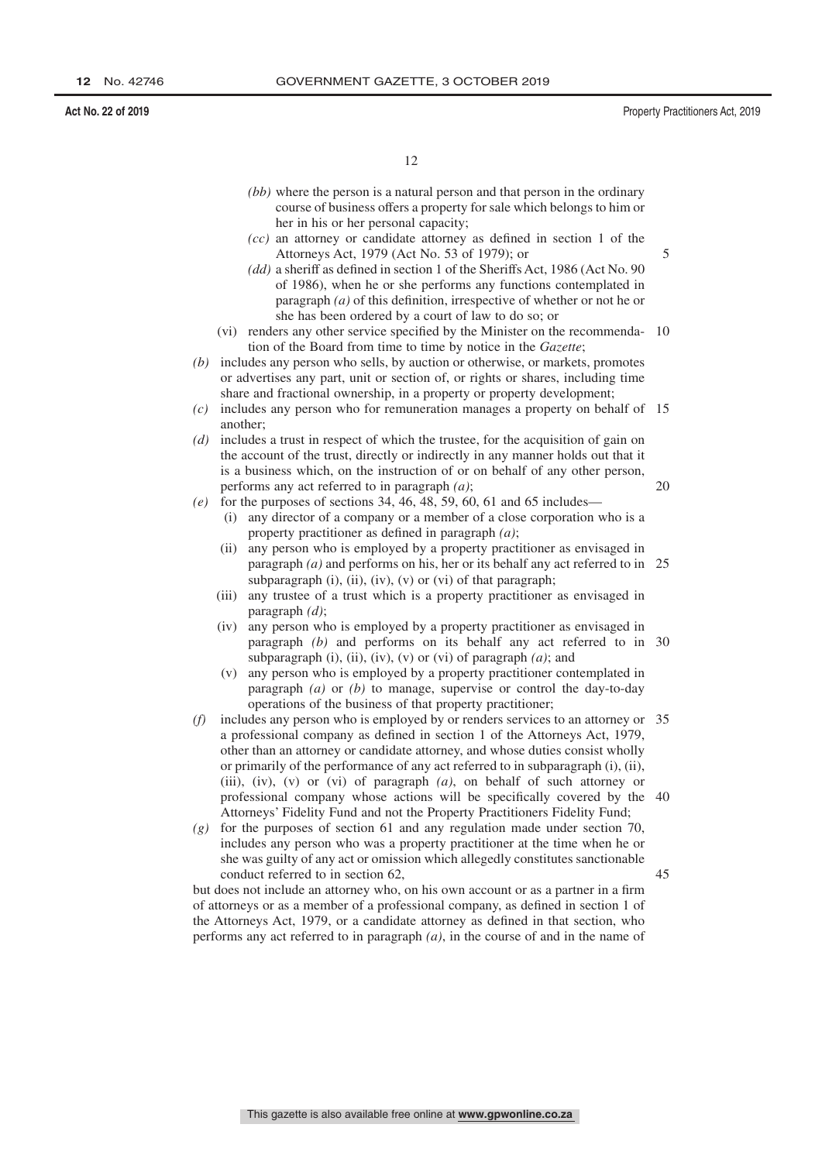45

12

- *(bb)* where the person is a natural person and that person in the ordinary course of business offers a property for sale which belongs to him or her in his or her personal capacity;
- *(cc)* an attorney or candidate attorney as defined in section 1 of the Attorneys Act, 1979 (Act No. 53 of 1979); or
- *(dd)* a sheriff as defined in section 1 of the Sheriffs Act, 1986 (Act No. 90 of 1986), when he or she performs any functions contemplated in paragraph *(a)* of this definition, irrespective of whether or not he or she has been ordered by a court of law to do so; or
- (vi) renders any other service specified by the Minister on the recommenda-10 tion of the Board from time to time by notice in the *Gazette*;
- *(b)* includes any person who sells, by auction or otherwise, or markets, promotes or advertises any part, unit or section of, or rights or shares, including time share and fractional ownership, in a property or property development;
- *(c)* includes any person who for remuneration manages a property on behalf of 15 another;
- *(d)* includes a trust in respect of which the trustee, for the acquisition of gain on the account of the trust, directly or indirectly in any manner holds out that it is a business which, on the instruction of or on behalf of any other person, performs any act referred to in paragraph *(a)*; 20
- *(e)* for the purposes of sections 34, 46, 48, 59, 60, 61 and 65 includes—
	- (i) any director of a company or a member of a close corporation who is a property practitioner as defined in paragraph *(a)*;
	- (ii) any person who is employed by a property practitioner as envisaged in paragraph *(a)* and performs on his, her or its behalf any act referred to in 25 subparagraph  $(i)$ ,  $(ii)$ ,  $(iv)$ ,  $(v)$  or  $(vi)$  of that paragraph;
	- (iii) any trustee of a trust which is a property practitioner as envisaged in paragraph *(d)*;
	- (iv) any person who is employed by a property practitioner as envisaged in paragraph *(b)* and performs on its behalf any act referred to in 30 subparagraph (i), (ii), (iv), (v) or (vi) of paragraph  $(a)$ ; and
	- (v) any person who is employed by a property practitioner contemplated in paragraph *(a)* or *(b)* to manage, supervise or control the day-to-day operations of the business of that property practitioner;
- *(f)* includes any person who is employed by or renders services to an attorney or 35 a professional company as defined in section 1 of the Attorneys Act, 1979, other than an attorney or candidate attorney, and whose duties consist wholly or primarily of the performance of any act referred to in subparagraph (i), (ii), (iii), (iv), (v) or (vi) of paragraph *(a)*, on behalf of such attorney or professional company whose actions will be specifically covered by the 40 Attorneys' Fidelity Fund and not the Property Practitioners Fidelity Fund;
- *(g)* for the purposes of section 61 and any regulation made under section 70, includes any person who was a property practitioner at the time when he or she was guilty of any act or omission which allegedly constitutes sanctionable conduct referred to in section 62,

but does not include an attorney who, on his own account or as a partner in a firm of attorneys or as a member of a professional company, as defined in section 1 of the Attorneys Act, 1979, or a candidate attorney as defined in that section, who performs any act referred to in paragraph *(a)*, in the course of and in the name of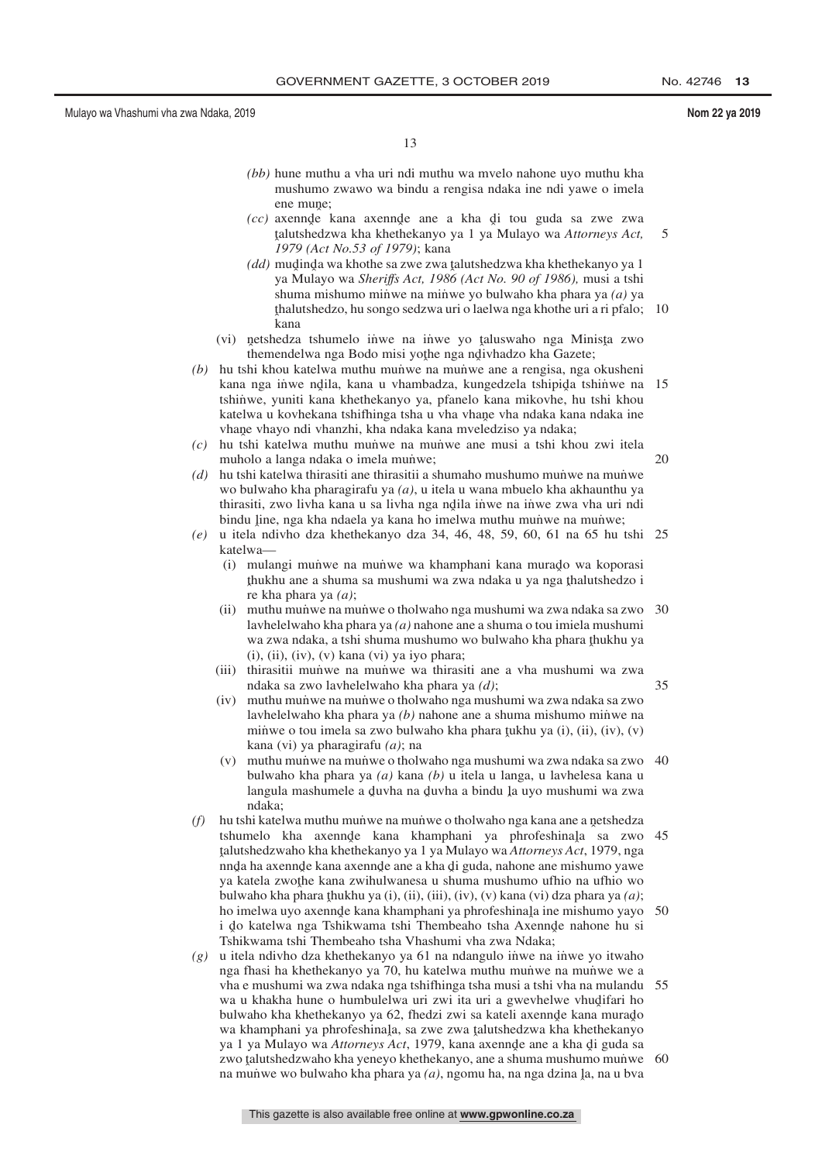35

- *(bb)* hune muthu a vha uri ndi muthu wa mvelo nahone uyo muthu kha mushumo zwawo wa bindu a rengisa ndaka ine ndi yawe o imela ene mune;
- *(cc)* axennde kana axennde ane a kha di tou guda sa zwe zwa talutshedzwa kha khethekanyo ya I ya Mulayo wa Attorneys Act ˆ *1979 (Act No.53 of 1979)*; kana talutshedzwa kha khethekanyo ya 1 ya Mulayo wa *Attorneys Act,* 5
- *(dd)* mudinda wa khothe sa zwe zwa talutshedzwa kha khethekanyo ya 1<br>
ya Mulayo wa Shariffs Act, 1986 (Act No. 90 of 1986), musi a tshi ya Mulayo wa *Sheriffs Act, 1986 (Act No. 90 of 1986),* musi a tshi shuma mishumo minwe na minwe yo bulwaho kha phara ya *(a)* ya ˆ kana thalutshedzo, hu songo sedzwa uri o laelwa nga khothe uri a ri pfalo; 10
- (vi) netshedza tshumelo inwe na inwe yo taluswaho nga Minista zwo<br>themendelwa nga Bodo misi yothe nga ndiyhadzo kha Gazete: themendelwa nga Bodo misi yoţhe nga ndivhadzo kha Gazete;<br>hi khou katalwa muthu munye na munye ang a rangisa nga
- *(b)* hu tshi khou katelwa muthu munve na munve ane a rengisa, nga okusheni kana nga iṅ̀we nd̥ila, kana u vhambadza, kungedzela tshipida tshin̄we na 15<br>tshinwe xuniti kana khethekanyo va pfanelo kana mikoyhe, bu tshi khou tshinwe, yuniti kana khethekanyo ya, pfanelo kana mikovhe, hu tshi khou katelwa u kovhekana tshifhinga tsha u vha vhane vha ndaka kana ndaka ine<br>vhane vhavo ndi vhanzhi, kha ndaka kana mveledziso va ndaka: vhane vhayo ndi vhanzhi, kha ndaka kana mveledziso ya ndaka;<br>bu tshi katelwa muthu munwe na munwe ane musi a tshi kh
- *(c)* hu tshi katelwa muthu mun˙ we na mun˙ we ane musi a tshi khou zwi itela muholo a langa ndaka o imela munwe; 20
- *(d)* hu tshi katelwa thirasiti ane thirasitii a shumaho mushumo munve na munve wo bulwaho kha pharagirafu ya *(a)*, u itela u wana mbuelo kha akhaunthu ya thirasiti, zwo livha kana u sa livha nga ndila inwe na inwe zwa vha uri ndi<br>hindu lina nga kha ndaala ya kana ho imalwa muthu munye na munye: bindu line, nga kha ndaela ya kana ho imelwa muthu muniwe na muniwe;<br>u itala ndivbo dza khathakanyo dza 34, 46, 48, 59, 60, 61, na 65 bu
- *(e)* u itela ndivho dza khethekanyo dza 34, 46, 48, 59, 60, 61 na 65 hu tshi 25 katelwa—
	- (i) mulangi munve na munve wa khamphani kana murado wa koporasi<br>thukhu ane a shuma sa mushumi wa zwa ndaka u ya nga thalutshedzo i ˆ re kha phara ya *(a)*; thukhu ane a shuma sa mushumi wa zwa ndaka u ya nga thalutshedzo i<br>re kha phara ya (a):
	- (ii) muthu munve na munve o tholwaho nga mushumi wa zwa ndaka sa zwo 30 lavhelelwaho kha phara ya *(a)* nahone ane a shuma o tou imiela mushumi wa zwa ndaka, a tshi shuma mushumo wo bulwaho kha phara thukhu ya  $\overline{f}$  $(i)$ ,  $(ii)$ ,  $(iv)$ ,  $(v)$  kana  $(vi)$  ya iyo phara;
	- (iii) thirasitii munve na munve wa thirasiti ane a vha mushumi wa zwa ndaka sa zwo lavhelelwaho kha phara ya *(d)*;
	- (iv) muthu mun˙ we na mun˙ we o tholwaho nga mushumi wa zwa ndaka sa zwo lavhelelwaho kha phara ya *(b)* nahone ane a shuma mishumo minwe na minwe o tou imela sa zwo bulwaho kha phara tukhu ya (i), (ii), (iv), (v) kana (vi) ya pharagirafu  $(a)$ ; na kana (vi) ya pharagirafu *(a)*; na
	- (v) muthu mun˙ we na mun˙ we o tholwaho nga mushumi wa zwa ndaka sa zwo 40 bulwaho kha phara ya *(a)* kana *(b)* u itela u langa, u lavhelesa kana u langula mashumele a duvha na duvha a bindu la uyo mushumi wa zwa<br>ndaka: ndaka;
- *(f)* hu tshi katelwa muthu mun̆we na mun̆we o tholwaho nga kana ane a netshedza<br>tshumalo kha axanda kana khamphani wa phrofeshinala sa zwe tshumelo kha axennde kana khamphani ya phrofeshinala sa zwo 45<br>talutehedzwaho kha khathakanyo ya Lya Mulayo wa Attornovs Act 1979 nga reference water and and the the kangle are a kha di guda, nahone are mishumo yawe.<br>India ha axennde kana axennde ane a kha di guda, nahone are mishumo yawe talutshedzwaho kha khethekanyo ya 1 ya Mulayo wa *Attorneys Act*, 1979, nga ya katela zwoţhe kana zwihulwanesa u shuma mushumo ufhio na ufhio wo<br>hulwaho kha phara thukhu ya (i) (ii) (iii) (iv) (y) kana (yi) dza phara ya (a) bulwaho kha phara <u>t</u>hukhu ya (i), (ii), (iii), (iv), (v) kana (vi) dza phara ya *(a)*;<br>bo imelyw uvo axennde kana khamphani ya phrofeshinala ine mishumo yavo ho imelwa uyo axennde kana khamphani ya phrofeshinala ine mishumo yayo i do katalwa nga Tshikwama tshi Thembegho tsha Axennde nabone hu si i do katelwa nga Tshikwama tshi Thembeaho tsha Axennde nahone hu si<br>Tshikwama tshi Thembeaho tsha Vhashumi yha zwa Ndaka: Tshikwama tshi Thembeaho tsha Vhashumi vha zwa Ndaka; 50
- *(g)* u itela ndivho dza khethekanyo ya 61 na ndangulo in˙ we na in˙ we yo itwaho nga fhasi ha khethekanyo ya 70, hu katelwa muthu munwe na munwe we a vha e mushumi wa zwa ndaka nga tshifhinga tsha musi a tshi vha na mulandu 55 wa u khakha hune o humbulelwa uri zwi ita uri a gwevhelwe vhudifari ho<br>hulwaho kha khathekanyo va 62, fhedzi zwi sa kateli axennde kana murado bulwaho kha khethekanyo ya 62, fhedzi zwi sa kateli axennde kana murado<br>wa khamphani ya phrofeshinala, sa zwe zwa talutshedzwa kha khethekanyo wa khamphani ya phrofeshinala, sa zwe zwa talutshedzwa kha khethekanyo<br>wa 1 ya Mulayo wa Attorneys Act, 1979, kana ayennde ane a kha di guda sa ya 1 ya Mulayo wa *Attorneys Act*, 1979, kana axennde ane a kha di guda sa zwo talutshedzwaho kha yeneyo khethekanyo, ane a shuma mushumo munve 60<br>na munwe wo bulwaho kha phara ya (a), ngomu ha, na nga dzina la, na u hya na mun $\mathbf w$ e wo bulwaho kha phara ya  $(a)$ , ngomu ha, na nga dzina <u>l</u>a, na u bva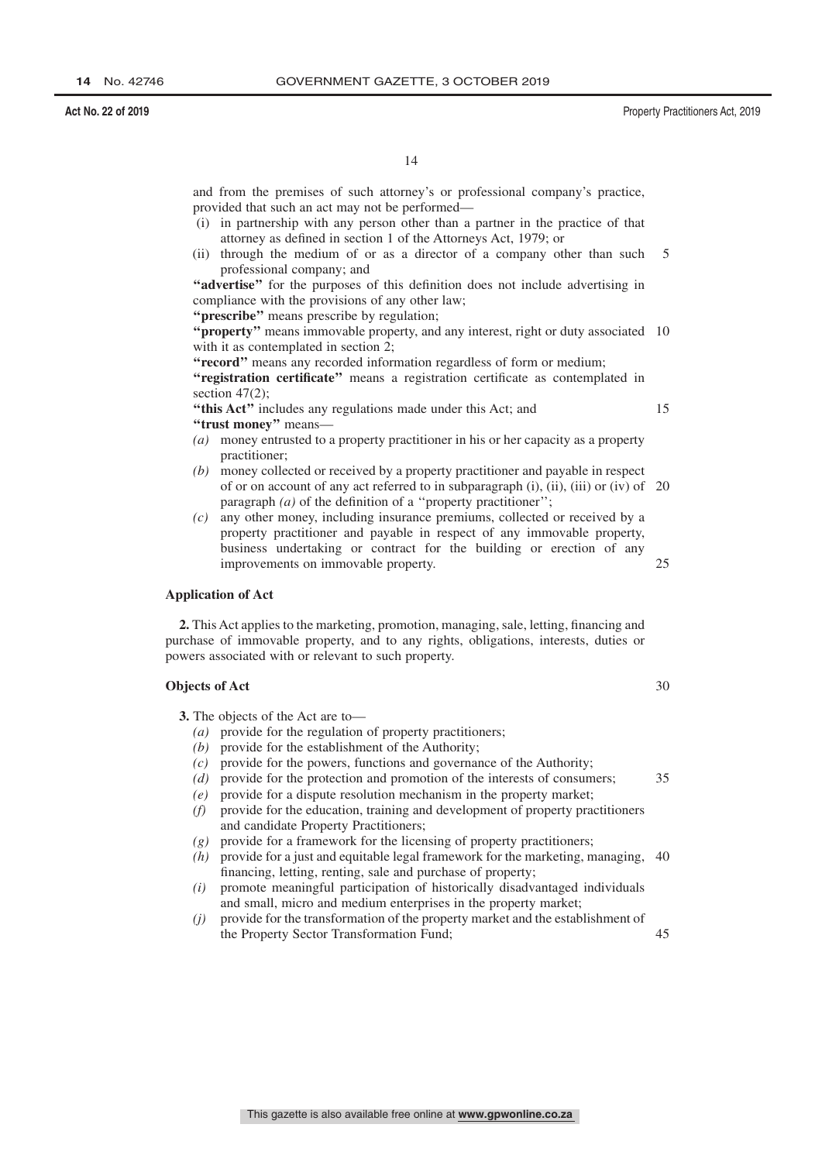and from the premises of such attorney's or professional company's practice, provided that such an act may not be performed—

- (i) in partnership with any person other than a partner in the practice of that attorney as defined in section 1 of the Attorneys Act, 1979; or
- (ii) through the medium of or as a director of a company other than such professional company; and 5

**''advertise''** for the purposes of this definition does not include advertising in compliance with the provisions of any other law;

**''prescribe''** means prescribe by regulation;

"**property**" means immovable property, and any interest, right or duty associated 10 with it as contemplated in section 2;

**''record''** means any recorded information regardless of form or medium;

**''registration certificate''** means a registration certificate as contemplated in section 47(2);

**''this Act''** includes any regulations made under this Act; and **''trust money''** means—

- *(a)* money entrusted to a property practitioner in his or her capacity as a property practitioner;
- *(b)* money collected or received by a property practitioner and payable in respect of or on account of any act referred to in subparagraph (i), (ii), (iii) or (iv) of 20 paragraph *(a)* of the definition of a "property practitioner";
- *(c)* any other money, including insurance premiums, collected or received by a property practitioner and payable in respect of any immovable property, business undertaking or contract for the building or erection of any improvements on immovable property. 25

### **Application of Act**

**2.** This Act applies to the marketing, promotion, managing, sale, letting, financing and purchase of immovable property, and to any rights, obligations, interests, duties or powers associated with or relevant to such property.

### **Objects of Act**

- **3.** The objects of the Act are to—
	- *(a)* provide for the regulation of property practitioners;
	- *(b)* provide for the establishment of the Authority;
	- *(c)* provide for the powers, functions and governance of the Authority;
	- *(d)* provide for the protection and promotion of the interests of consumers;
	- *(e)* provide for a dispute resolution mechanism in the property market;
	- *(f)* provide for the education, training and development of property practitioners and candidate Property Practitioners;
	- *(g)* provide for a framework for the licensing of property practitioners;
	- *(h)* provide for a just and equitable legal framework for the marketing, managing, 40 financing, letting, renting, sale and purchase of property;
	- *(i)* promote meaningful participation of historically disadvantaged individuals and small, micro and medium enterprises in the property market;
	- *(j)* provide for the transformation of the property market and the establishment of the Property Sector Transformation Fund; 45

30

35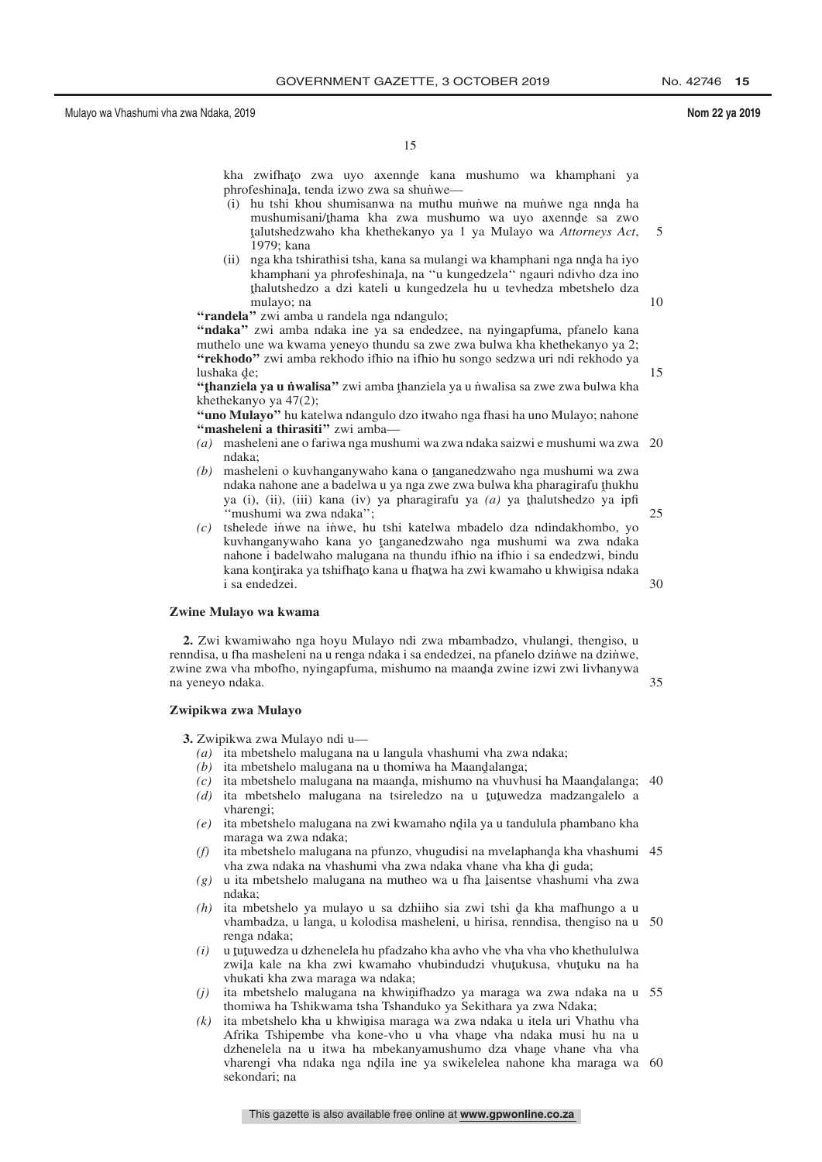10

15

15

kha zwifhato zwa uyo axennde kana mushumo wa khamphani ya<br>phrofeshinala tendajizwo zwa sa shunwe phrofeshinala, tenda izwo zwa sa shunwe—<br>(i) bu tshi khou shumisanwa na muthu r

- (i) hu tshi khou shumisanwa na muthu mun̄we na mun̄we nga nnda ha<br>mushumisani/thama kha zwa mushumo wa uvo axennde sa zwo mushumisani/thama kha zwa mushumo wa uyo axennde sa zwo<br>talutshedzwaho kha khethekanyo ya Lya Mulayo wa Attorneys Act ˆ 1979; kana talutshedzwaho kha khethekanyo ya 1 ya Mulayo wa *Attorneys Act*, 5
- (ii) nga kha tshirathisi tsha, kana sa mulangi wa khamphani nga nnda ha iyo<br>khamphani ya phrofeshinala na "u kungedzela" ngauri ndiybo dza ino khamphani ya phrofeshinala, na "u kungedzela" ngauri ndivho dza ino<br>thalutshedzo a dzi kateli u kungedzela bu u teyhedza mbetshelo dza ˆ mulayo; na thalutshedzo a dzi kateli u kungedzela hu u tevhedza mbetshelo dza

"randela" zwi amba u randela nga ndangulo;

**''ndaka''** zwi amba ndaka ine ya sa endedzee, na nyingapfuma, pfanelo kana muthelo une wa kwama yeneyo thundu sa zwe zwa bulwa kha khethekanyo ya 2; **''rekhodo''** zwi amba rekhodo ifhio na ifhio hu songo sedzwa uri ndi rekhodo ya lushaka de;<br>**"thanziela**"

**"thanziela ya u n˙walisa"** zwi amba <u>t</u>hanziela ya u n˙walisa sa zwe zwa bulwa kha<br>khethekanyo ya 47(2): khethekanyo ya 47(2);

**''uno Mulayo''** hu katelwa ndangulo dzo itwaho nga fhasi ha uno Mulayo; nahone **''masheleni a thirasiti''** zwi amba—

- *(a)* masheleni ane o fariwa nga mushumi wa zwa ndaka saizwi e mushumi wa zwa 20 ndaka;
- *(b)* masheleni o kuvhanganywaho kana o tanganedzwaho nga mushumi wa zwa<br>ndaka nahone ane a badelwa u ya nga zwe zwa bulwa kha nharagirafu thukhu ndaka nahone ane a badelwa u ya nga zwe zwa bulwa kha pharagirafu thukhu<br>ya (i) (ii) (iii) kana (iy) ya pharagirafu ya (g) ya thalutshedzo ya infi ya (i), (ii), (iii) kana (iv) ya pharagirafu ya *(a)* ya <u>thalutshedzo ya ipfi</u><br>"mushumi wa zwa ndaka": ''mushumi wa zwa ndaka'';  $25$
- *(c)* tshelede in˙ we na in˙ we, hu tshi katelwa mbadelo dza ndindakhombo, yo kuvhanganywaho kana yo tanganedzwaho nga mushumi wa zwa ndaka<br>nabone i hadelwaho malugana na thundu ifhio na ifhio i sa endedzwi hindu nahone i badelwaho malugana na thundu ifhio na ifhio i sa endedzwi, bindu kana kontiraka ya tshifhato kana u fhatwa ha zwi kwamaho u khwinisa ndaka<br>i sa endedzej i sa endedzei. 30

### **Zwine Mulayo wa kwama**

**2.** Zwi kwamiwaho nga hoyu Mulayo ndi zwa mbambadzo, vhulangi, thengiso, u renndisa, u fha masheleni na u renga ndaka i sa endedzei, na pfanelo dzini we na dzini we, zwine zwa vha mbofho, nyingapfuma, mishumo na maanda zwine izwi zwi livhanywa<br>na venevo ndaka na yeneyo ndaka. 35

### **Zwipikwa zwa Mulayo**

**3.** Zwipikwa zwa Mulayo ndi u—

- *(a)* ita mbetshelo malugana na u langula vhashumi vha zwa ndaka;
- $(a)$  ita mbetshelo malugana na u thomiwa ha Maandalanga;
- $(c)$  ita mbetshelo malugana na maanda, mishumo na vhuvhusi ha Maandalanga; 40<br>(d) ita, mbetshelo, malugana, na isireledzo na u tutuwedza, madzangalelo a
- (d) ita mbetshelo malugana na tsireledzo na u <u>t</u>utuwedza madzangalelo a vharenoi: vharengi;
- *(e)* ita mbetshelo malugana na zwi kwamaho ndila ya u tandulula phambano kha<br>maraga wa zwa ndaka: maraga wa zwa ndaka;
- (f) ita mbetshelo malugana na pfunzo, vhugudisi na mvelaphanda kha vhashumi 45<br>
tha zwa ndaka na vhashumi yha zwa ndaka vhane yha kha di guda: vha zwa ndaka na vhashumi vha zwa ndaka vhane vha kha di guda;<br>u ita mbetshelo malugana na mutheo wa u fha laisentse vhashumi
- $(g)$  u ita mbetshelo malugana na mutheo wa u fha laisentse vhashumi vha zwa ndaka: ndaka;
- $(h)$  ita mbetshelo ya mulayo u sa dzhiiho sia zwi tshi da kha mafhungo a u khambadza u langa u kolodisa masheleni u hirisa renndisa thengiso na u vhambadza, u langa, u kolodisa masheleni, u hirisa, renndisa, thengiso na u 50 renga ndaka;
- *(i)* u tutuwedza u dzhenelela hu pfadzaho kha avho vhe vha vho khethululwa<br>zwila kale na kha zwi kwamabo yhubindudzi yhutukusa, yhutuku na ha zwila kale na kha zwi kwamaho vhubindudzi vhuţukusa, vhuţuku na ha<br>vhukati kha zwa maraga wa ndaka: vhukati kha zwa maraga wa ndaka;
- *(j)* ita mbetshelo malugana na khwinifhadzo ya maraga wa zwa ndaka na u 55<br>thomiwa ha Tshikwama tsha Tshanduko ya Sekithara ya zwa Ndaka: thomiwa ha Tshikwama tsha Tshanduko ya Sekithara ya zwa Ndaka;
- *(k)* ita mbetshelo kha u khwinisa maraga wa zwa ndaka u itela uri Vhathu vha Afrika Tshinembe yha kone-yho u yha yhane yha ndaka musi hu na u Afrika Tshipembe vha kone-vho u vha vhane vha ndaka musi hu na u<br>dzhenelela na u itwa ha mbekanyamushumo dza vhane vhane vha vha dzhenelela na u itwa ha mbekanyamushumo dza vhane vhane vha vha<br>vharengi vha ndaka nga ndila ine va swikelelea nabone kha maraga wa vharengi vha ndaka nga ndila ine ya swikelelea nahone kha maraga wa 60<br>sekondari: na sekondari; na

This gazette is also available free online at **www.gpwonline.co.za**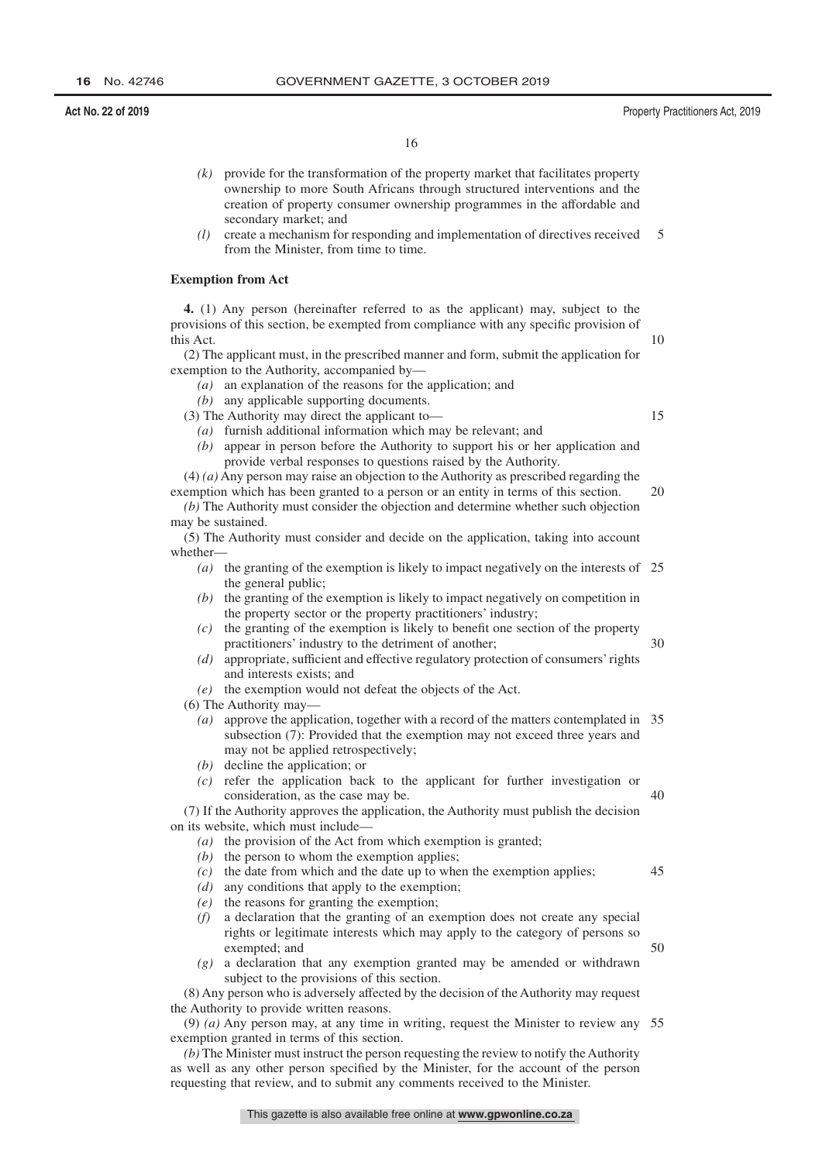- *(k)* provide for the transformation of the property market that facilitates property ownership to more South Africans through structured interventions and the creation of property consumer ownership programmes in the affordable and secondary market; and
- *(l)* create a mechanism for responding and implementation of directives received from the Minister, from time to time. 5

### **Exemption from Act**

**4.** (1) Any person (hereinafter referred to as the applicant) may, subject to the provisions of this section, be exempted from compliance with any specific provision of this Act.

(2) The applicant must, in the prescribed manner and form, submit the application for exemption to the Authority, accompanied by—

*(a)* an explanation of the reasons for the application; and

*(b)* any applicable supporting documents.

(3) The Authority may direct the applicant to—

- *(a)* furnish additional information which may be relevant; and
- *(b)* appear in person before the Authority to support his or her application and provide verbal responses to questions raised by the Authority.

(4) *(a)* Any person may raise an objection to the Authority as prescribed regarding the exemption which has been granted to a person or an entity in terms of this section. 20

*(b)* The Authority must consider the objection and determine whether such objection may be sustained.

(5) The Authority must consider and decide on the application, taking into account whether—

- *(a)* the granting of the exemption is likely to impact negatively on the interests of 25 the general public;
- *(b)* the granting of the exemption is likely to impact negatively on competition in the property sector or the property practitioners' industry;
- *(c)* the granting of the exemption is likely to benefit one section of the property practitioners' industry to the detriment of another; 30
- *(d)* appropriate, sufficient and effective regulatory protection of consumers' rights and interests exists; and
- *(e)* the exemption would not defeat the objects of the Act.

(6) The Authority may—

- *(a)* approve the application, together with a record of the matters contemplated in 35 subsection (7): Provided that the exemption may not exceed three years and may not be applied retrospectively;
- *(b)* decline the application; or
- *(c)* refer the application back to the applicant for further investigation or consideration, as the case may be. 40

(7) If the Authority approves the application, the Authority must publish the decision on its website, which must include—

- *(a)* the provision of the Act from which exemption is granted;
- *(b)* the person to whom the exemption applies;
- *(c)* the date from which and the date up to when the exemption applies;
- *(d)* any conditions that apply to the exemption;
- *(e)* the reasons for granting the exemption;
- *(f)* a declaration that the granting of an exemption does not create any special rights or legitimate interests which may apply to the category of persons so exempted; and
- *(g)* a declaration that any exemption granted may be amended or withdrawn subject to the provisions of this section.

(8) Any person who is adversely affected by the decision of the Authority may request the Authority to provide written reasons.

(9) *(a)* Any person may, at any time in writing, request the Minister to review any 55exemption granted in terms of this section.

*(b)* The Minister must instruct the person requesting the review to notify the Authority as well as any other person specified by the Minister, for the account of the person requesting that review, and to submit any comments received to the Minister.

45

50

10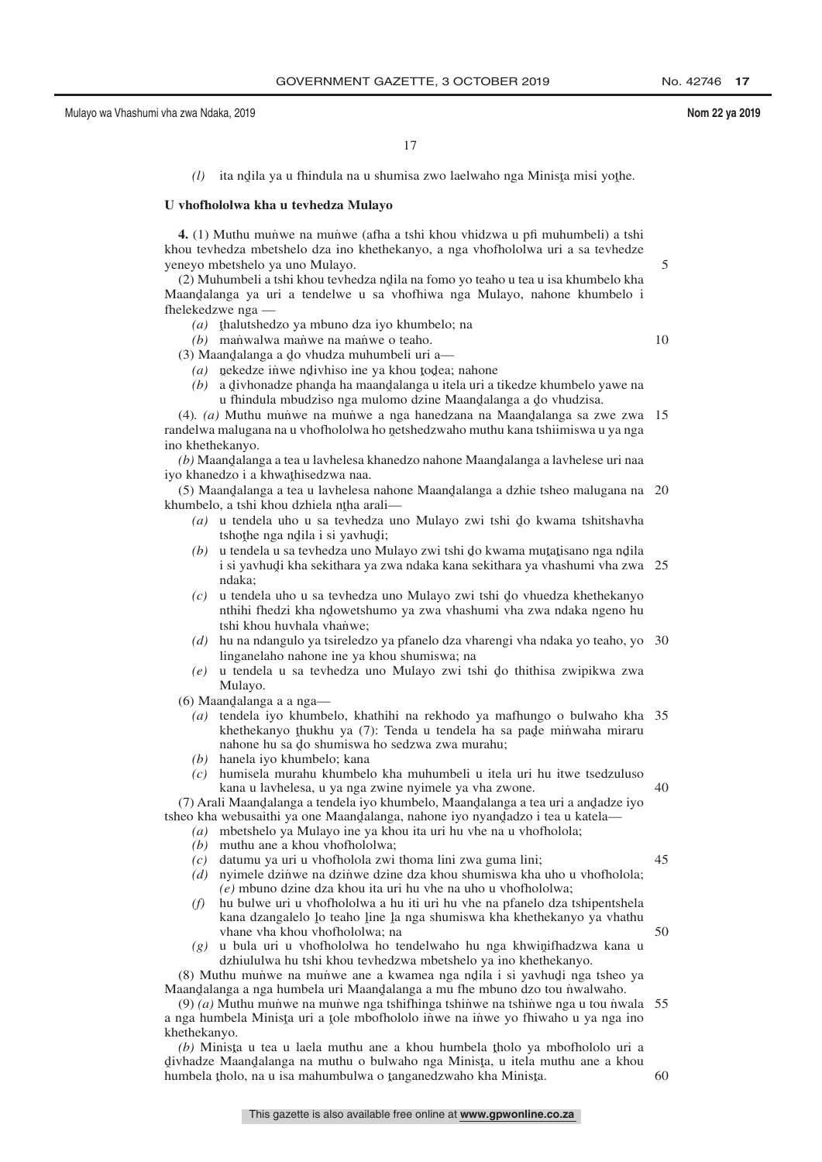5

10

17

(l) ita ndila ya u fhindula na u shumisa zwo laelwaho nga Minista misi yothe.

### **U vhofhololwa kha u tevhedza Mulayo**

**4.** (1) Muthu munwe na munwe (afha a tshi khou vhidzwa u pfi muhumbeli) a tshi khou tevhedza mbetshelo dza ino khethekanyo, a nga vhofhololwa uri a sa tevhedze yeneyo mbetshelo ya uno Mulayo.

(2) Muhumbeli a tshi khou tevhedza ndila na fomo yo teaho u tea u isa khumbelo kha Maandalanga ya uri a tendelwe u sa vhofhiwa nga Mulayo, nahone khumbelo i<br>fhelekedzwe nga fhelekedzwe nga —

(a) thalutshedzo ya mbuno dza iyo khumbelo; na<br>(b) manwalwa manwe na manwe o teabo

*(b)* manwalwa maniwe na maniwe o teaho.

(3) Maandalanga a do vhudza muhumbeli uri a— $(a)$ , nekedze inwe ndivhiso ine va khou todea:

 $(a)$  nekedze inwe ndivhiso ine ya khou todea; nahone

(b) a divhonadze phanda ha maandalanga u itela uri a tikedze khumbelo yawe na<br>u filipinadze phanda ha maandalanga u itela uri a tikedze khumbelo yawe na u fhindula mbudziso nga mulomo dzine Maandalanga a do vhudzisa.<br>Muthu munwe na munwe a nga hanedzana na Maandalanga sa zi

(4). *(a)* Muthu munve na munve a nga hanedzana na Maandalanga sa zwe zwa<br>adalwa malugana na u yhofhololwa ho natshedzwaho muthu kana tshiimiswa u ya nga randelwa malugana na u vhofhololwa ho netshedzwaho muthu kana tshiimiswa u ya nga<br>ino khathakanyo ino khethekanyo. 15

(*b*) Maandalanga a tea u lavhelesa khanedzo nahone Maandalanga a lavhelese uri naa<br>a khanedzo i a khwathisedzwa naa iyo khanedzo i a khwathisedzwa naa.<br>(5) Maandalanga a tea u layhelesa

(5) Maandalanga a tea u lavhelesa nahone Maandalanga a dzhie tsheo malugana na 20<br>umbelo, a tshi khou dzhiela ntha arali khumbelo, a tshi khou dzhiela ntha arali— $(a)$ , u tandala uho u sa taybedza un

- (a) u tendela uho u sa tevhedza uno Mulayo zwi tshi do kwama tshitshavha<br>tshotha nga ndila i si vaybudi: tshoţhe nga ndila i si yavhudi;<br>u tendela u sa teyhedza uno M
- (b) u tendela u sa tevhedza uno Mulayo zwi tshi do kwama mutatisano nga ndila<br>ilai yaybudi kha sekithara ya zwa ndaka kana sekithara ya yhashumi yha zwa i si yavhud̥i kha sekithara ya zwa ndaka kana sekithara ya vhashumi vha zwa 25<br>ndaka: ndaka;
- $(c)$  u tendela uho u sa tevhedza uno Mulayo zwi tshi do vhuedza khethekanyo uthibi fhedzi khe ndowetshumo ya zwa yhashuni yha zwa ndaka ngeno hu nthihi fhedzi kha ndowetshumo ya zwa vhashumi vha zwa ndaka ngeno hu<br>tshi khou huybala vhanwe: tshi khou huvhala vhanwe;
- *(d)* hu na ndangulo ya tsireledzo ya pfanelo dza vharengi vha ndaka yo teaho, yo 30 linganelaho nahone ine ya khou shumiswa; na
- *(e)* u tendela u sa tevhedza uno Mulayo zwi tshi do thithisa zwipikwa zwa<br>Mulayo Mulayo.

(6) Maandalanga a a nga—<br> $(a)$  tendela iyo khumba

- *(a)* tendela iyo khumbelo, khathihi na rekhodo ya mafhungo o bulwaho kha 35 khethekanyo thukhu ya (7): Tenda u tendela ha sa pade minwaha miraru nahone hu sa do shumiswa ho sedzwa zwa murahu;<br>hanela ivo khumbelo: kana
- *(b)* hanela iyo khumbelo; kana
- *(c)* humisela murahu khumbelo kha muhumbeli u itela uri hu itwe tsedzuluso kana u lavhelesa, u ya nga zwine nyimele ya vha zwone. 40

(7) Arali Maandalanga a tendela iyo khumbelo, Maandalanga a tea uri a andadze iyo<br>ago kha webusaithi ya one Maandalanga, nabone iyo nyandadzo i tea u katela... tsheo kha webusaithi ya one Maandalanga, nahone iyo nyandadzo i tea u katela—<br> $(a)$ , mbetshelo ya Mulayo ine ya khou ita uri hu yhe na u yhofbolola:

- *(a)* mbetshelo ya Mulayo ine ya khou ita uri hu vhe na u vhofholola;
- *(b)* muthu ane a khou vhofhololwa;
- *(c)* datumu ya uri u vhofholola zwi thoma lini zwa guma lini;
- *(d)* nyimele dzinwe na dzinwe dzine dza khou shumiswa kha uho u vhofholola; *(e)* mbuno dzine dza khou ita uri hu vhe na uho u vhofhololwa;
- *(f)* hu bulwe uri u vhofhololwa a hu iti uri hu vhe na pfanelo dza tshipentshela kana dzangalelo lo teaho line la nga shumiswa kha khethekanyo ya vhathu<br>vhane vha khou vhofbololwa: na vhane vha khou vhofhololwa; na
- $(g)$  u bula uri u vhofhololwa ho tendelwaho hu nga khwinifhadzwa kana u dzhinlulwa hu tshi khou teyhedzwa mbetshelo ya ino khethekanyo dzhiululwa hu tshi khou tevhedzwa mbetshelo ya ino khethekanyo.

(8) Muthu munve na munwe ane a kwamea nga ndila i si yavhudi nga tsheo ya<br>aandalanga a nga humbela uri Maandalanga a mu the mbuno dzo tou nwalwaho Maandalanga a nga humbela uri Maandalanga a mu fhe mbuno dzo tou niwalwaho.<br>(9) (a) Muthu munwe na munwe nga tshifhinga tshinwe na tshinwe nga u tou nw

(9)  $(a)$  Muthu munve na munwe nga tshifhinga tshinwe na tshinwe nga u tou niwala 55 a nga humbela Minisţa uri a ţole mbofhololo iṅ̀we na iṅ̀we yo fhiwaho u ya nga ino<br>khethekanyo khethekanyo.

(b) Minista u tea u laela muthu ane a khou humbela tholo ya mbofhololo uri a<br>uhadze Maandalanga na muthu o bulwaho nga Minista u itela muthu ane a khou divhadze Maandalanga na muthu o bulwaho nga Minista, u itela muthu ane a khou<br>humbela tholo na u isa mahumbulwa o tanganedzwaho kha Minista <sup>t</sup>angazi waangananga na maha o oliwaho nga winisaa, a icia n<br>humbela tholo, na u isa mahumbulwa o tanganedzwaho kha Minista. 60

45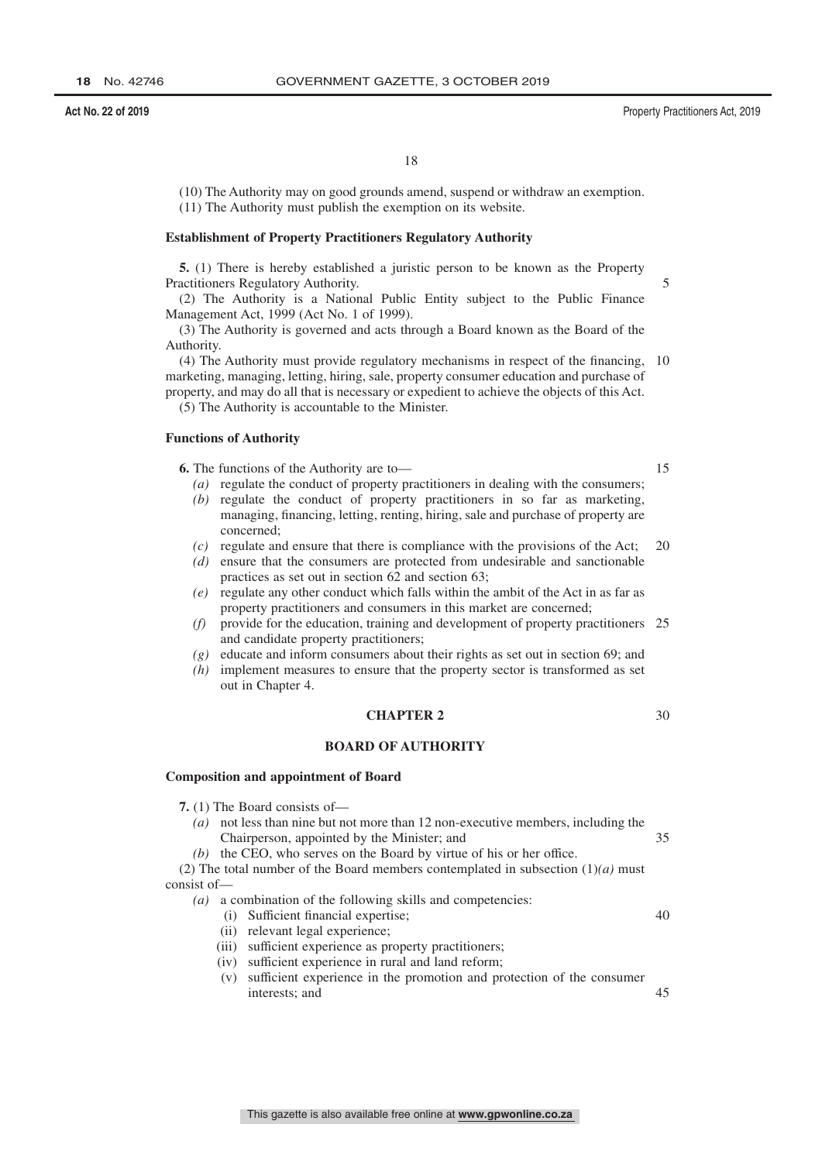### **Act No. 22 of 2019** Property Practitioners Act, 2019

18

(10) The Authority may on good grounds amend, suspend or withdraw an exemption. (11) The Authority must publish the exemption on its website.

### **Establishment of Property Practitioners Regulatory Authority**

**5.** (1) There is hereby established a juristic person to be known as the Property Practitioners Regulatory Authority.

(2) The Authority is a National Public Entity subject to the Public Finance Management Act, 1999 (Act No. 1 of 1999).

(3) The Authority is governed and acts through a Board known as the Board of the Authority.

(4) The Authority must provide regulatory mechanisms in respect of the financing, 10 marketing, managing, letting, hiring, sale, property consumer education and purchase of property, and may do all that is necessary or expedient to achieve the objects of this Act.

(5) The Authority is accountable to the Minister.

### **Functions of Authority**

**6.** The functions of the Authority are to—

- *(a)* regulate the conduct of property practitioners in dealing with the consumers;
- *(b)* regulate the conduct of property practitioners in so far as marketing, managing, financing, letting, renting, hiring, sale and purchase of property are concerned;
- *(c)* regulate and ensure that there is compliance with the provisions of the Act; 20
- *(d)* ensure that the consumers are protected from undesirable and sanctionable practices as set out in section 62 and section 63;
- *(e)* regulate any other conduct which falls within the ambit of the Act in as far as property practitioners and consumers in this market are concerned;
- *(f)* provide for the education, training and development of property practitioners 25 and candidate property practitioners;
- *(g)* educate and inform consumers about their rights as set out in section 69; and
- *(h)* implement measures to ensure that the property sector is transformed as set out in Chapter 4.

### **CHAPTER 2**

### **BOARD OF AUTHORITY**

### **Composition and appointment of Board**

**7.** (1) The Board consists of—

- *(a)* not less than nine but not more than 12 non-executive members, including the Chairperson, appointed by the Minister; and 35
- *(b)* the CEO, who serves on the Board by virtue of his or her office.

(2) The total number of the Board members contemplated in subsection  $(1)(a)$  must consist of—

- *(a)* a combination of the following skills and competencies:
	- (i) Sufficient financial expertise;
	- (ii) relevant legal experience;
	- (iii) sufficient experience as property practitioners;
	- (iv) sufficient experience in rural and land reform;
	- (v) sufficient experience in the promotion and protection of the consumer interests; and  $\overline{45}$

15

30

40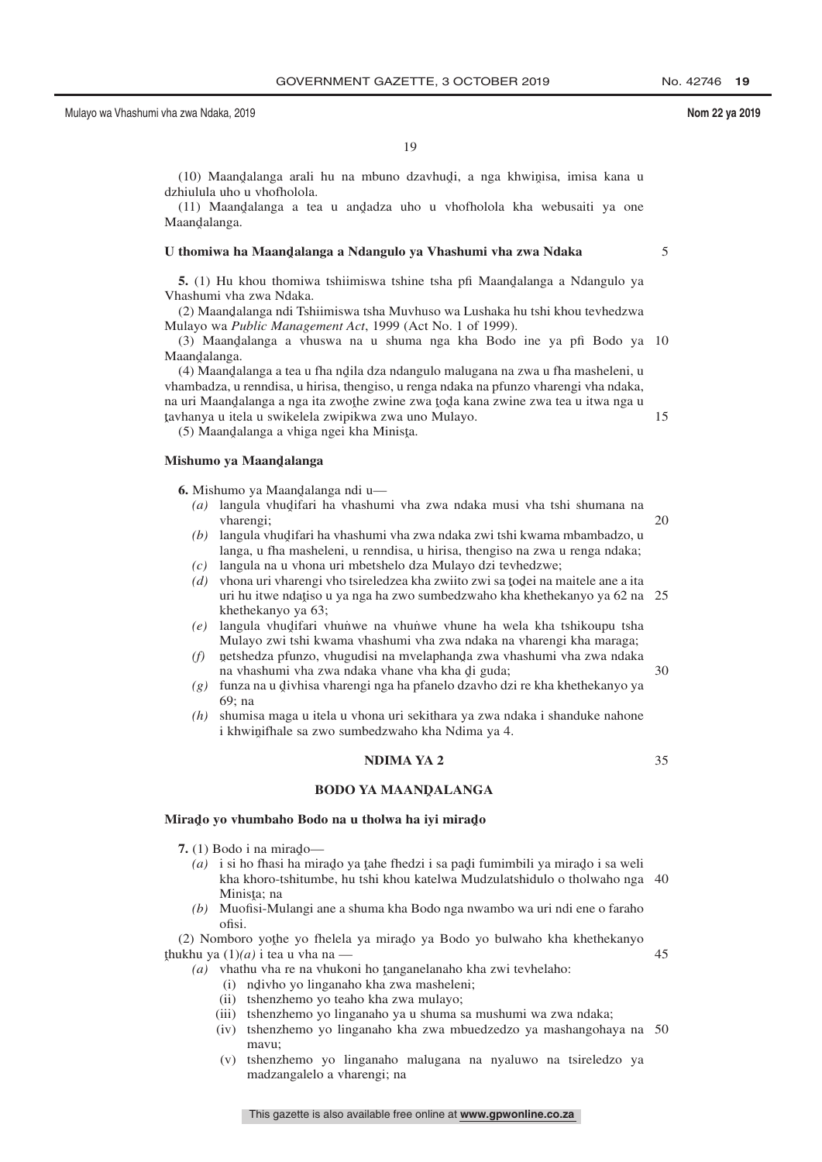5

19

(10) Maandalanga arali hu na mbuno dzavhudi, a nga khwinisa, imisa kana u<br>biulula.ubo.u.ybofbolola dzhiulula uho u vhofholola.

(11) Maandalanga a tea u andadza uho u vhofholola kha webusaiti ya one Maan<mark>dalanga</mark>.

## U thomiwa ha Maand̥alanga a Ndangulo ya Vhashumi vha zwa Ndaka<br>'

**5.** (1) Hu khou thomiwa tshiimiswa tshine tsha pfi Maandalanga a Ndangulo ya asehumi ya zwa Ndaka Vhashumi vha zwa Ndaka.

(2) Maandalanga ndi Tshiimiswa tsha Muvhuso wa Lushaka hu tshi khou tevhedzwa<br>ulayo wa *Public Manggamant Act*, 1999 (Act No. 1 of 1999) Mulayo wa *Public Management Act*, 1999 (Act No. 1 of 1999).

(3) Maandalanga a vhuswa na u shuma nga kha Bodo ine ya pfi Bodo ya 10<br>aandalanga Maandalanga.<br>(A) Maanda

(4) Maandalanga a tea u fha ndìla dza ndangulo malugana na zwa u fha masheleni, u<br>ambadza, u ranndisa, u birisa, thangisa, u ranga ndaka na pfunzo yharangi yha ndaka vhambadza, u renndisa, u hirisa, thengiso, u renga ndaka na pfunzo vharengi vha ndaka, na uri Maandalanga a nga ita zwoțhe zwine zwa toda kana zwine zwa tea u itwa nga u<br>tayhanya u itela u swikelela zwinikwa zwa uno Mulayo ˆ tavhanya u itela u swikelela zwipikwa zwa uno Mulayo. 15

(5) Maandalanga a vhiga ngei kha Minisţa.

## **Mishumo ya Maandˆ alanga**

**6.** Mishumo ya Maandalanga ndi u—

- (a) langula vhudifari ha vhashumi vha zwa ndaka musi vha tshi shumana na vharenoi: vharengi; 20
- *(b)* langula vhudifari ha vhashumi vha zwa ndaka zwi tshi kwama mbambadzo, u<br>langa , u fha masheleni , u renndisa , u birisa, thengiso na zwa u renga ndaka: langa, u fha masheleni, u renndisa, u hirisa, thengiso na zwa u renga ndaka;
- *(c)* langula na u vhona uri mbetshelo dza Mulayo dzi tevhedzwe;
- (d) vhona uri vharengi vho tsireledzea kha zwiito zwi sa todei na maitele ane a ita<br>uri bu itwa ndatiso u va nga ba zwo sumbedzwaho kha khathekanyo va 62 na uri hu itwe ndațiso u ya nga ha zwo sumbedzwaho kha khethekanyo ya 62 na 25<br>khethekanyo ya 63: khethekanyo ya 63;
- *(e)* langula vhudifari vhunwe na vhunwe vhune ha wela kha tshikoupu tsha<br>Mulayo zwi tshi kwama yhashumi yha zwa ndaka na yharangi kha maraga: Mulayo zwi tshi kwama vhashumi vha zwa ndaka na vharengi kha maraga;
- (f) netshedza pfunzo, vhugudisi na mvelaphanda zwa vhashumi vha zwa ndaka<br>na vhashumi vha zwa ndaka yhane vha kha di guda: na vhashumi vha zwa ndaka vhane vha kha di guda;<br>na vhashumi vha zwa ndaka vhane vha kha di guda;<br>funza na u divhisa vharangi nga ba nfanelo dzavbo d 30
- (g) funza na u divhisa vharengi nga ha pfanelo dzavho dzi re kha khethekanyo ya<br>60: na 69; na
- *(h)* shumisa maga u itela u vhona uri sekithara ya zwa ndaka i shanduke nahone i khwinifhale sa zwo sumbedzwaho kha Ndima ya 4.

### **NDIMA YA 2**

35

45

## **BODO YA MAANQALANGA**

## Mira<mark>do yo vhumbaho Bodo na u tholwa ha iyi mirad</mark>o

**7.** (1) Bodo i na mirado—

- (a) i si ho fhasi ha mirado ya tahe fhedzi i sa padi fumimbili ya mirado i sa weli<br>kha khoro tshitumbe, bu tshi khou katelwa Mudzulatshidulo o tholwaho nga kha khoro-tshitumbe, hu tshi khou katelwa Mudzulatshidulo o tholwaho nga 40 Minisţa; na<br>Muofisi-Mi
- *(b)* Muofisi-Mulangi ane a shuma kha Bodo nga nwambo wa uri ndi ene o faraho ofisi.

(2) Nomboro yothe yo fhelela ya mirado ya Bodo yo bulwaho kha khethekanyo ukhu ya  $(1)(a)$  i tea u yha na thukhu ya  $(1)(a)$  i tea u vha na —

- $(a)$  vhathu vha re na vhukoni ho tanganelanaho kha zwi tevhelaho:<br> $(i)$  ndivbo vo linganaho kha zwa masheleni:
	- (i) ndivho yo linganaho kha zwa masheleni;<br>ii) teharzhamo yo taabo kha zwa mulayo:
	- (ii) tshenzhemo yo teaho kha zwa mulayo;
	- (iii) tshenzhemo yo linganaho ya u shuma sa mushumi wa zwa ndaka;
	- (iv) tshenzhemo yo linganaho kha zwa mbuedzedzo ya mashangohaya na 50mavu;
	- (v) tshenzhemo yo linganaho malugana na nyaluwo na tsireledzo ya madzangalelo a vharengi; na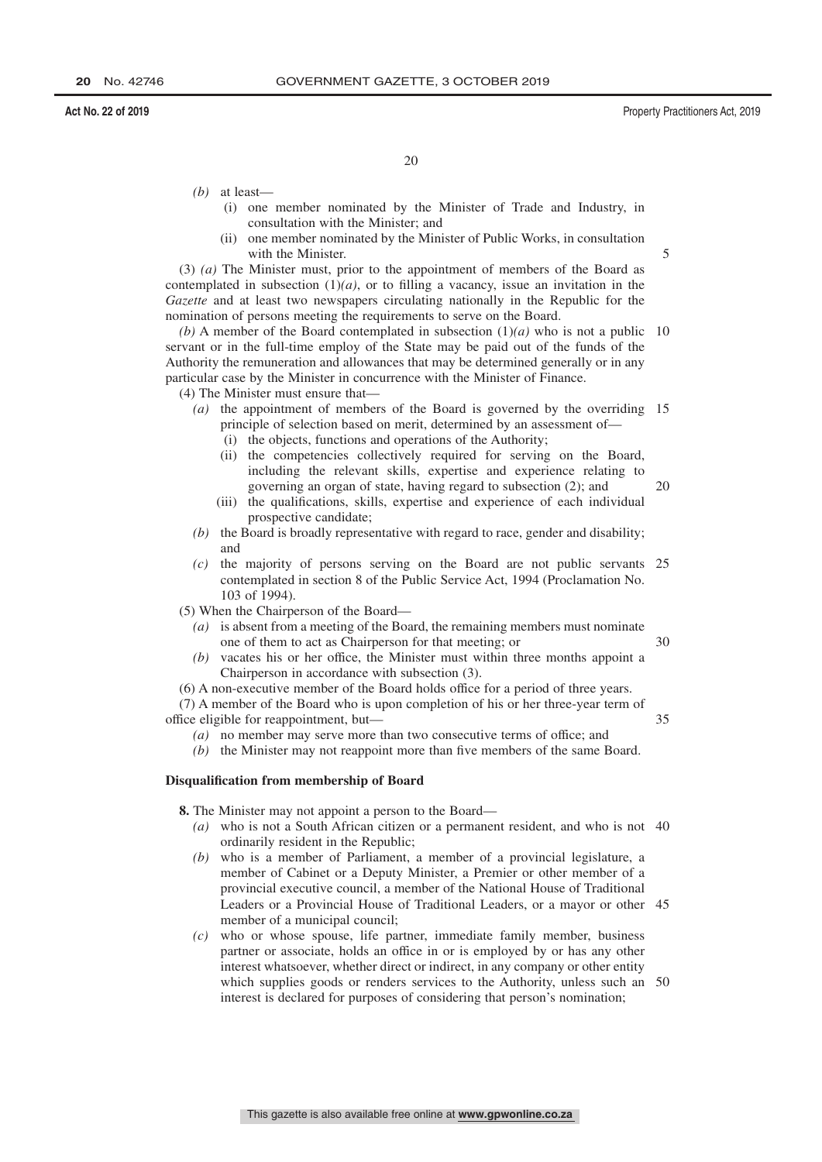30

20

- *(b)* at least—
	- (i) one member nominated by the Minister of Trade and Industry, in consultation with the Minister; and
	- (ii) one member nominated by the Minister of Public Works, in consultation with the Minister.

(3) *(a)* The Minister must, prior to the appointment of members of the Board as contemplated in subsection  $(1)(a)$ , or to filling a vacancy, issue an invitation in the *Gazette* and at least two newspapers circulating nationally in the Republic for the nomination of persons meeting the requirements to serve on the Board.

(b) A member of the Board contemplated in subsection  $(1)(a)$  who is not a public 10 servant or in the full-time employ of the State may be paid out of the funds of the Authority the remuneration and allowances that may be determined generally or in any particular case by the Minister in concurrence with the Minister of Finance.

(4) The Minister must ensure that—

- *(a)* the appointment of members of the Board is governed by the overriding 15 principle of selection based on merit, determined by an assessment of—
	- (i) the objects, functions and operations of the Authority;
	- (ii) the competencies collectively required for serving on the Board, including the relevant skills, expertise and experience relating to governing an organ of state, having regard to subsection (2); and 20
	- (iii) the qualifications, skills, expertise and experience of each individual prospective candidate;
- *(b)* the Board is broadly representative with regard to race, gender and disability; and
- *(c)* the majority of persons serving on the Board are not public servants 25 contemplated in section 8 of the Public Service Act, 1994 (Proclamation No. 103 of 1994).

(5) When the Chairperson of the Board—

- *(a)* is absent from a meeting of the Board, the remaining members must nominate one of them to act as Chairperson for that meeting; or
- *(b)* vacates his or her office, the Minister must within three months appoint a Chairperson in accordance with subsection (3).

(6) A non-executive member of the Board holds office for a period of three years.

(7) A member of the Board who is upon completion of his or her three-year term of office eligible for reappointment, but— 35

*(a)* no member may serve more than two consecutive terms of office; and

*(b)* the Minister may not reappoint more than five members of the same Board.

### **Disqualification from membership of Board**

**8.** The Minister may not appoint a person to the Board—

- *(a)* who is not a South African citizen or a permanent resident, and who is not 40 ordinarily resident in the Republic;
- *(b)* who is a member of Parliament, a member of a provincial legislature, a member of Cabinet or a Deputy Minister, a Premier or other member of a provincial executive council, a member of the National House of Traditional Leaders or a Provincial House of Traditional Leaders, or a mayor or other 45 member of a municipal council;
- *(c)* who or whose spouse, life partner, immediate family member, business partner or associate, holds an office in or is employed by or has any other interest whatsoever, whether direct or indirect, in any company or other entity which supplies goods or renders services to the Authority, unless such an 50interest is declared for purposes of considering that person's nomination;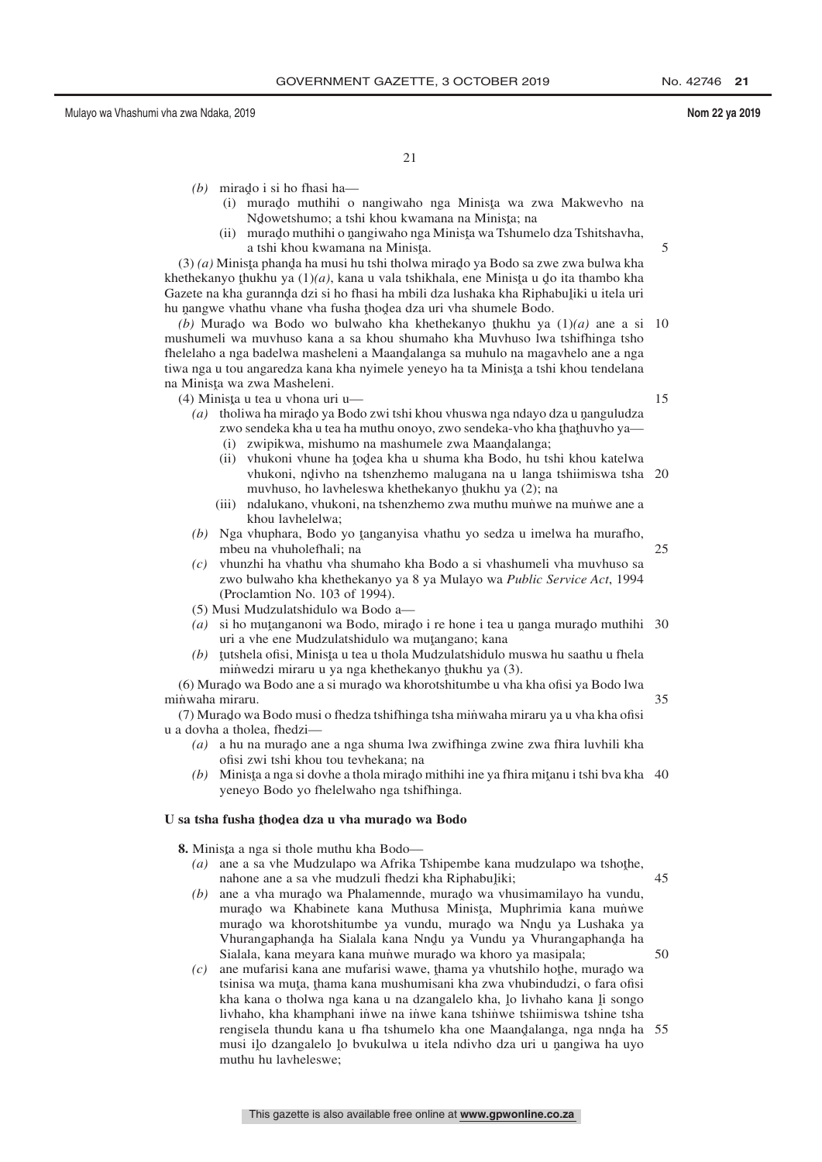21

- $(b)$  mirado i si ho fhasi ha—
	- (i) murado muthihi o nangiwaho nga Minista wa zwa Makwevho na<br>Mowetshumo: a tshi khou kwamana na Minista: na Ndowetshumo; a tshi khou kwamana na Minista; na<br>murado muthibi o nangiwabo nga Minista wa Tshuma
	- (ii) murado muthihi o nangiwaho nga Minista wa Tshumelo dza Tshitshavha,<br>a tshi khou kwamana na Minista a tshi khou kwamana na Minisţa.<br>ta phanda ha musi bu tshi tholwa

 $(3)$  (a) Minista phanda ha musi hu tshi tholwa mirado ya Bodo sa zwe zwa bulwa kha<br>ethekanyo thukhu ya  $(1)(a)$ , kana u yala tshikhala, ene Minista u do ita thambo kha khethekanyo thukhu ya (1)(*a*), kana u vala tshikhala, ene Minista u do ita thambo kha<br>Gazete na kha gurannda dzi si ho fhasi ha mbili dza lushaka kha Rinhabuliki u itela uri Gazete na kha gurannda dzi si ho fhasi ha mbili dza lushaka kha Riphabuliki u itela uri<br>hu nangwe yhathu yhane yha fusha thodea dza uri yha shumele Bodo hu nangwe vhathu vhane vha fusha thodea dza uri vha shumele Bodo.<br>(b) Murado, wa Bodo, wo bulwaho, kha khethekanyo thukhu ya

*(b)* Murado wa Bodo wo bulwaho kha khethekanyo thukhu ya  $(1)(a)$  ane a si mushumeli wa muvhuso kana a sa khou shumaho kha Muvhuso lwa tshifhinga tsho fhelelaho a nga badelwa masheleni a Maandalanga sa muhulo na magavhelo ane a nga<br>tiwa nga u tou angaredza kana kha nyimele yenevo ha ta Minista a tshi khou tendelana tiwa nga u tou angaredza kana kha nyimele yeneyo ha ta Minista a tshi khou tendelana<br>na Minista wa zwa Masheleni na Minista wa zwa Masheleni.<br>(4) Minista u tea u yhona ur 10

(4) Minista u tea u vhona uri u—<br> $(a)$  tholiwa ha mirado ya Bode

15

25

45

50

5

- (a) tholiwa ha mirado ya Bodo zwi tshi khou vhuswa nga ndayo dza u nanguludza<br>zwo sendeka kha u tea ha muthu onovo zwo sendeka yho kha thathuybo ya zwo sendeka kha u tea ha muthu onoyo, zwo sendeka-vho kha thathuvho ya—<br>(i) zwinikwa mishumo na mashumele zwa Maandalanga:
	- (i) zwipikwa, mishumo na mashumele zwa Maandalanga;<br>ii), yhukoni yhune ha todea kha u shuma kha Bodo, hu t
	- (ii) vhukoni vhune ha todea kha u shuma kha Bodo, hu tshi khou katelwa<br>vhukoni ndivbo na tshenzhemo malugana na u langa tshiimiswa tsha vhukoni, ndivho na tshenzhemo malugana na u langa tshiimiswa tsha 20<br>muyhuso, ho layheleswa khethekanyo thukhu ya (2): na muvhuso, ho lavheleswa khethekanyo thukhu ya (2); na<br>ndalukano, yhukoni, na tshenzhemo zwa muthu munwe i
	- (iii) ndalukano, vhukoni, na tshenzhemo zwa muthu munuve na munuve ane a khou lavhelelwa;
- *(b)* Nga vhuphara, Bodo yo tanganyisa vhathu yo sedza u imelwa ha murafho, mbau na vhubolafhali: na mbeu na vhuholefhali; na
- *(c)* vhunzhi ha vhathu vha shumaho kha Bodo a si vhashumeli vha muvhuso sa zwo bulwaho kha khethekanyo ya 8 ya Mulayo wa *Public Service Act*, 1994 (Proclamtion No. 103 of 1994).
- (5) Musi Mudzulatshidulo wa Bodo a—
- (a) si ho muṭanganoni wa Bodo, mirado i re hone i tea u nanga murado muthihi 30<br>uri a yhe ene Mudzulatshidulo wa mutangano: kana uri a vhe ene Mudzulatshidulo wa mutangano; kana<br>tutshela ofisi Minista u tea u thola Mudzulatshidulo
- (b) tutshela ofisi, Minista u tea u thola Mudzulatshidulo muswa hu saathu u fhela<br>minwedzi miraru u ya nga khethekanyo thukbu ya (3) minwedzi miraru u ya nga khethekanyo thukhu ya (3).<br>rado wa Bodo ane a si murado wa khorotshitumbe u yha

(6) Murado wa Bodo ane a si murado wa khorotshitumbe u vha kha ofisi ya Bodo lwa<br>nwaba miraru minwaha miraru. 35

(7) Murado wa Bodo musi o fhedza tshifhinga tsha minwaha miraru ya u vha kha ofisi<br>Udovha a tholea shedzi u a dovha a tholea, fhedzi—

- *(a)* a hu na murado ane a nga shuma lwa zwifhinga zwine zwa fhira luvhili kha ofisi zwi tshi khou tou tevhekana; na
- (b) Minista a nga si dovhe a thola mirado mithihi ine ya fhira mitanu i tshi bva kha 40<br>yenevo Bodo vo fhelelwebo nga tshifbinga yeneyo Bodo yo fhelelwaho nga tshifhinga.

## U sa tsha fusha <u>t</u>hodea dza u vha murado wa Bodo

**8.** Minista a nga si thole muthu kha Bodo— $(a)$ , ang a sa ybe Mudzulano wa Afrika.

- (a) ane a sa vhe Mudzulapo wa Afrika Tshipembe kana mudzulapo wa tshothe,<br>nabone ane a sa vhe mudzuli fhedzi kha Pinhabuliki: nahone ane a sa vhe mudzuli fhedzi kha Riphabuliki;<br>ane a vha murado wa Phalamennde, murado wa vhi
- *(b)* ane a vha murado wa Phalamennde, murado wa vhusimamilayo ha vundu, murado wa Khabineta kana Muthusa Munkrimia kana munye murado wa Khabinete kana Muthusa Minista, Muphrimia kana munwe murado wa khorotshitumbe ya vundu, murado wa Nndu ya Lushaka ya<br>Vhuranganhanda ha Sialala kana Nndu ya Vundu ya Vhuranganhanda ha Vhurangaphanda ha Sialala kana Nndu ya Vundu ya Vhurangaphanda ha<br>Sialala kana meyara kana munwe murado wa khoro ya masinala: Sialala, kana meyara kana munve murado wa khoro ya masipala;<br>ane mufarisi kana ane mufarisi wawe, thama ya yhutshilo hothe
- $f(c)$  ane mufarisi kana ane mufarisi wawe, thama ya vhutshilo hothe, murado wa<br>teinisa wa muta thama kana mushumisani kha zwa vhuhindudzi, o fara ofisi tsinisa wa muta, thama kana mushumisani kha zwa vhubindudzi, o fara ofisi<br>kha kana o tholwa nga kana u na dzangalelo kha, lo liyhaho kana li songo kha kana o tholwa nga kana u na dzangalelo kha, lo livhaho kana li songo<br>livhaho, kha khamphani inwe na inwe kana tshinwe tshimiswa tshine tsha livhaho, kha khamphani inwe na inwe kana tshinwe tshiimiswa tshine tsha rengisela thundu kana u fha tshumelo kha one Maandalanga, nga nnda ha<br>musi ilo dzangalelo lo hyukulwa u itela ndiybo dza uri u nangiwa ha uvo musi ilo dzangalelo lo bvukulwa u itela ndivho dza uri u nangiwa ha uyo<br>muthu bu lavheleswe: muthu hu lavheleswe; 55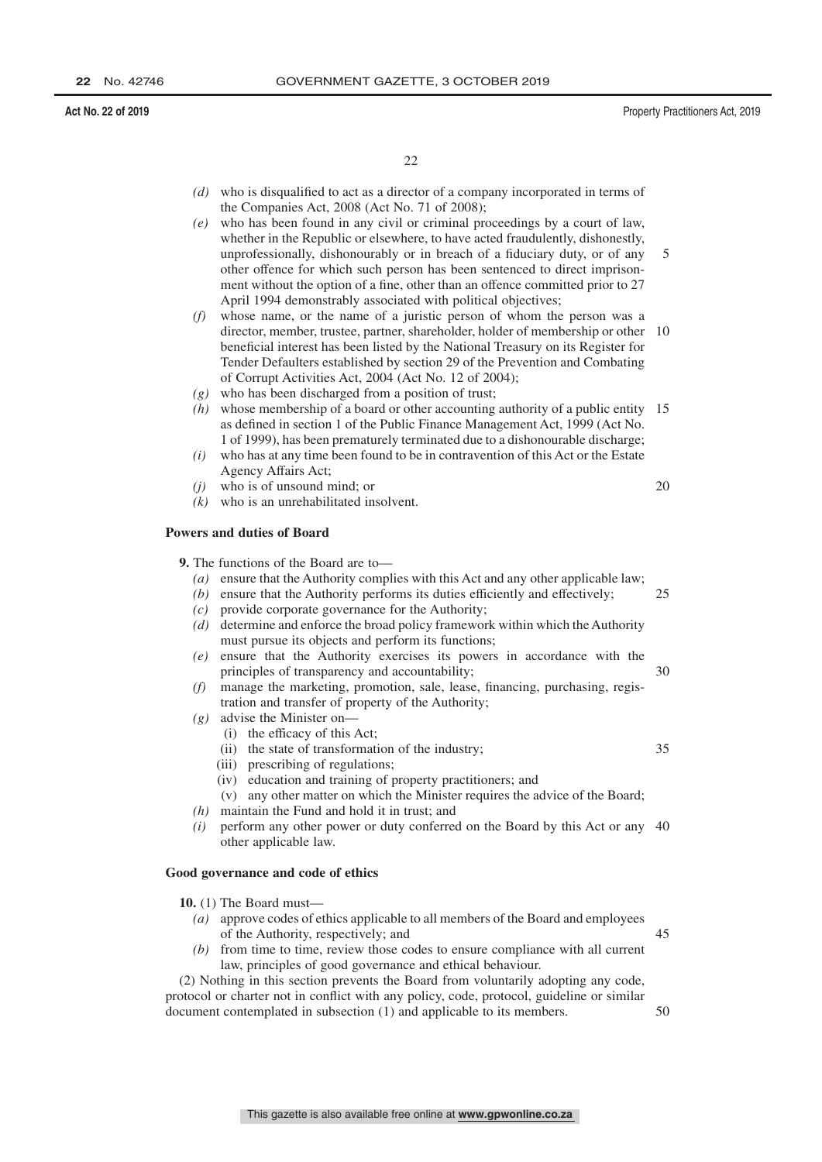25

35

22

- *(d)* who is disqualified to act as a director of a company incorporated in terms of the Companies Act, 2008 (Act No. 71 of 2008);
- *(e)* who has been found in any civil or criminal proceedings by a court of law, whether in the Republic or elsewhere, to have acted fraudulently, dishonestly, unprofessionally, dishonourably or in breach of a fiduciary duty, or of any other offence for which such person has been sentenced to direct imprisonment without the option of a fine, other than an offence committed prior to 27 April 1994 demonstrably associated with political objectives; 5
- *(f)* whose name, or the name of a juristic person of whom the person was a director, member, trustee, partner, shareholder, holder of membership or other 10 beneficial interest has been listed by the National Treasury on its Register for Tender Defaulters established by section 29 of the Prevention and Combating of Corrupt Activities Act, 2004 (Act No. 12 of 2004);
- *(g)* who has been discharged from a position of trust;
- *(h)* whose membership of a board or other accounting authority of a public entity 15 as defined in section 1 of the Public Finance Management Act, 1999 (Act No. 1 of 1999), has been prematurely terminated due to a dishonourable discharge;
- *(i)* who has at any time been found to be in contravention of this Act or the Estate Agency Affairs Act;
- *(j)* who is of unsound mind; or
- *(k)* who is an unrehabilitated insolvent.

### **Powers and duties of Board**

**9.** The functions of the Board are to—

- *(a)* ensure that the Authority complies with this Act and any other applicable law;
- *(b)* ensure that the Authority performs its duties efficiently and effectively;
- *(c)* provide corporate governance for the Authority;
- *(d)* determine and enforce the broad policy framework within which the Authority must pursue its objects and perform its functions;
- *(e)* ensure that the Authority exercises its powers in accordance with the principles of transparency and accountability; 30
- *(f)* manage the marketing, promotion, sale, lease, financing, purchasing, registration and transfer of property of the Authority;
- *(g)* advise the Minister on—
	- (i) the efficacy of this Act;
	- (ii) the state of transformation of the industry;
	- (iii) prescribing of regulations;
	- (iv) education and training of property practitioners; and
	- (v) any other matter on which the Minister requires the advice of the Board;
- *(h)* maintain the Fund and hold it in trust; and
- *(i)* perform any other power or duty conferred on the Board by this Act or any 40 other applicable law.

### **Good governance and code of ethics**

**10.** (1) The Board must—

- *(a)* approve codes of ethics applicable to all members of the Board and employees of the Authority, respectively; and
- *(b)* from time to time, review those codes to ensure compliance with all current law, principles of good governance and ethical behaviour.

(2) Nothing in this section prevents the Board from voluntarily adopting any code, protocol or charter not in conflict with any policy, code, protocol, guideline or similar document contemplated in subsection (1) and applicable to its members.

50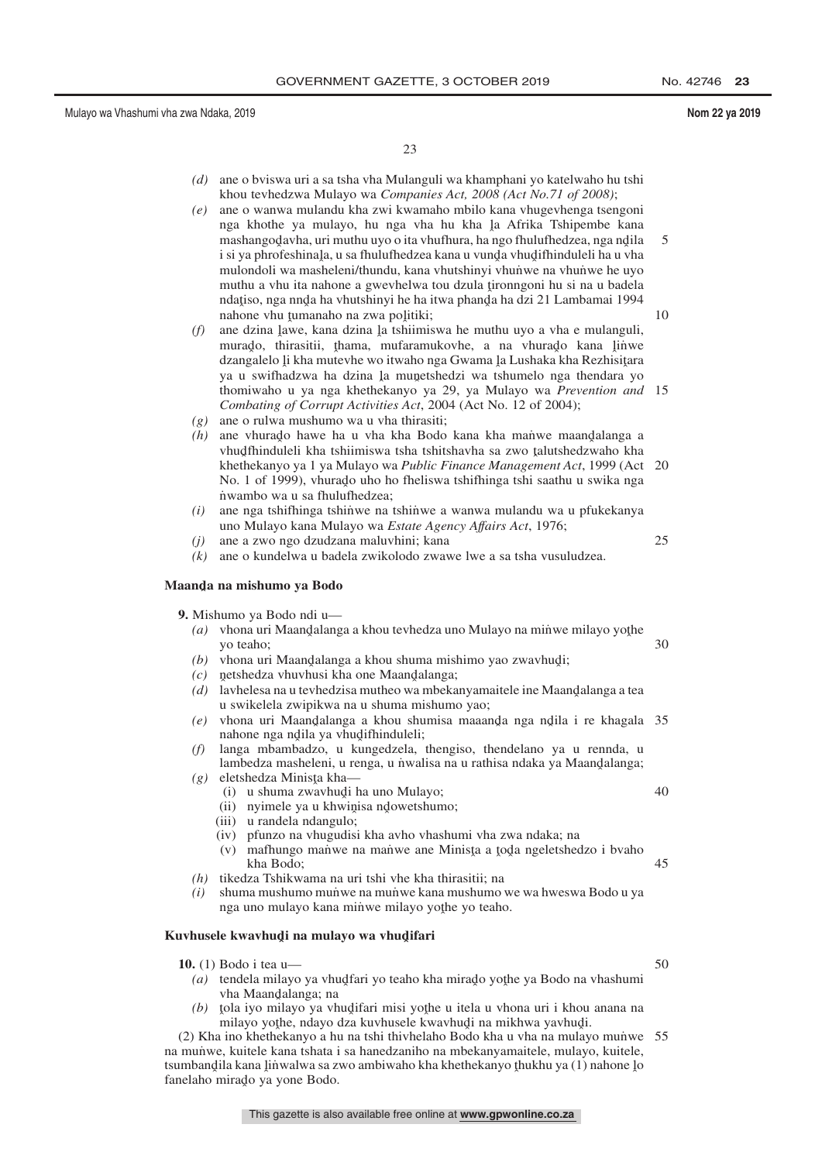23

- *(d)* ane o bviswa uri a sa tsha vha Mulanguli wa khamphani yo katelwaho hu tshi khou tevhedzwa Mulayo wa *Companies Act, 2008 (Act No.71 of 2008)*;
- *(e)* ane o wanwa mulandu kha zwi kwamaho mbilo kana vhugevhenga tsengoni nga khothe ya mulayo, hu nga vha hu kha la Afrika Tshipembe kana<br>mashangodayba uri muthu uyo o ita yhufbura ha nga fhulufbedzea nga ndila mashangod̄avha, uri muthu uyo o ita vhufhura, ha ngo fhulufhedzea, nga ndila<br>i si ya phrofeshinala, u sa fhulufhedzea kana u yunda yhudifhinduleli ha u yha i si ya phrofeshinala, u sa fhulufhedzea kana u vunda vhudifhinduleli ha u vha<br>mulondoli wa masheleni/thundu, kana yhutshinyi yhunwe na yhunwe he uvo mulondoli wa masheleni/thundu, kana vhutshinyi vhunwe na vhunwe he uyo muthu a vhu ita nahone a gwevhelwa tou dzula țironngoni hu si na u badela<br>ndatiso, nga nnda ha vhutshinvi he ha itwa phanda ha dzi 21 I ambamai 1994 ndatiso, nga nnda ha vhutshinyi he ha itwa phanda ha dzi 21 Lambamai 1994<br>nabone yhu tumanabo na zwa politiki: nahone vhu tumanaho na zwa politiki;<br>ana dzina lawe, kana dzina la tshiimi 5 10
- (f) ane dzina lawe, kana dzina la tshiimiswa he muthu uyo a vha e mulanguli,<br>murado, thiracitii, thama, mufaramukoybe, a na yhurado, kana linya murado, thirasitii, thama, mufaramukovhe, a na vhurado kana linwe<br>dzanoalelo likha mutayba wa itwaho nga Gwama la Lushaka kha Pezhisitara dzangalelo li kha mutevhe wo itwaho nga Gwama la Lushaka kha Rezhisitara<br>va u swifhadzwa ha dzina la munetshedzi wa tshumelo nga thendara vo ya u swifhadzwa ha dzina la munetshedzi wa tshumelo nga thendara yo<br>thomiwaho u ya nga khathakanyo ya 29 ya Mulayo wa Prayantian and thomiwaho u ya nga khethekanyo ya 29, ya Mulayo wa *Prevention and* 15 *Combating of Corrupt Activities Act*, 2004 (Act No. 12 of 2004);
- *(g)* ane o rulwa mushumo wa u vha thirasiti;
- $(h)$  ane vhurado hawe ha u vha kha Bodo kana kha mañwe maandalanga a vhudfhinduleli kha tshiimiswa tsha tshiishayha sa zwo talutshedzwaho kha vhud fhinduleli kha tshiimiswa tsha tshitshavha sa zwo talutshedzwaho kha<br>khethekanyo ya Lya Mulayo wa *Public Finance Management Act* 1999 (Act khethekanyo ya 1 ya Mulayo wa *Public Finance Management Act*, 1999 (Act 20 No. 1 of 1999), vhurado uho ho fheliswa tshifhinga tshi saathu u swika nga<br>nwambo wa u sa fhulufhedzea: n˙ wambo wa u sa fhulufhedzea;
- *(i)* ane nga tshifhinga tshin˙ we na tshin˙ we a wanwa mulandu wa u pfukekanya uno Mulayo kana Mulayo wa *Estate Agency Affairs Act*, 1976;
- *(j)* ane a zwo ngo dzudzana maluvhini; kana

25

*(k)* ane o kundelwa u badela zwikolodo zwawe lwe a sa tsha vusuludzea.

## **Maandˆ a na mishumo ya Bodo**

**9.** Mishumo ya Bodo ndi u—

- (a) vhona uri Maandalanga a khou tevhedza uno Mulayo na minwe milayo yothe<br>vo tesho: yo teaho; 30
- $(b)$  vhona uri Maandalanga a khou shuma mishimo yao zwavhudi;<br> $(c)$  patshedza yhuvhusi kho one Maandalanga;
- $(c)$  netshedza vhuvhusi kha one Maandalanga;
- (*d*) lavhelesa na u tevhedzisa mutheo wa mbekanyamaitele ine Maandalanga a tea<br>alanga na u tevhedzisa mutheo wa mbekanyamaitele ine Maandalanga a tea u swikelela zwipikwa na u shuma mishumo yao;
- (e) vhona uri Maandalanga a khou shumisa maaanda nga ndila i re khagala 35<br>nabone nga ndila va yhudifhinduleli: nahone nga ndila ya vhudifhinduleli;<br>langa mbambadzo u kungedzela
- *(f)* langa mbambadzo, u kungedzela, thengiso, thendelano ya u rennda, u lambedza masheleni, u renga, u n˙ walisa na u rathisa ndaka ya Maand̥alanga;<br>eletshedza Minista kha
- $(g)$  eletshedza Minisţa kha—
	- (i) u shuma zwavhudi ha uno Mulayo;<br>ii) u nyimele ya u khwinisa ndowetshun
	- (ii) nyimele ya u khwinisa ndowetshumo;<br>iii) u randela ndangulo;
	- (iii) u randela ndangulo;
	- (iv) pfunzo na vhugudisi kha avho vhashumi vha zwa ndaka; na
	- (v) mafhungo maṅ̀we na man˙we ane Minista a toda ngeletshedzo i bvaho kha Bodo kha Bodo; 45
- *(h)* tikedza Tshikwama na uri tshi vhe kha thirasitii; na
- *(i)* shuma mushumo mun˙ we na mun˙ we kana mushumo we wa hweswa Bodo u ya nga uno mulayo kana minwe milayo yothe yo teaho.

## <mark>Kuvhusele kwavhud</code>i na mulayo wa vhud<code>ifari</code></mark>

- **10.** (1) Bodo i tea u—
	- (a) tendela milayo ya vhud͡tari yo teaho kha mirad̄o yothe ya Bodo na vhashumi<br>vha Maandalanga: na vha Maandalanga; na<br>tola iyo milayo ya yh
	- $(b)$ tola iyo milayo ya vhudifari misi yothe u itela u vhona uri i khou anana na ulayo yothe ndayo dza kuyhusele kwaybudi na mikhwa yayhudi milayo yothe, ndayo dza kuvhusele kwavhudi na mikhwa yavhudi.<br>Lino khethekanyo a bu na tshi thiyhelaho Bodo kha u yha na mulay

(2) Kha ino khethekanyo a hu na tshi thivhelaho Bodo kha u vha na mulayo munve 55 na mun˙ we, kuitele kana tshata i sa hanedzaniho na mbekanyamaitele, mulayo, kuitele, tsumbandila kana linwalwa sa zwo ambiwaho kha khethekanyo thukhu ya (1) nahone lo<br>fanelaho mirado ya yone Bodo fanelaho mirado ya yone Bodo.

50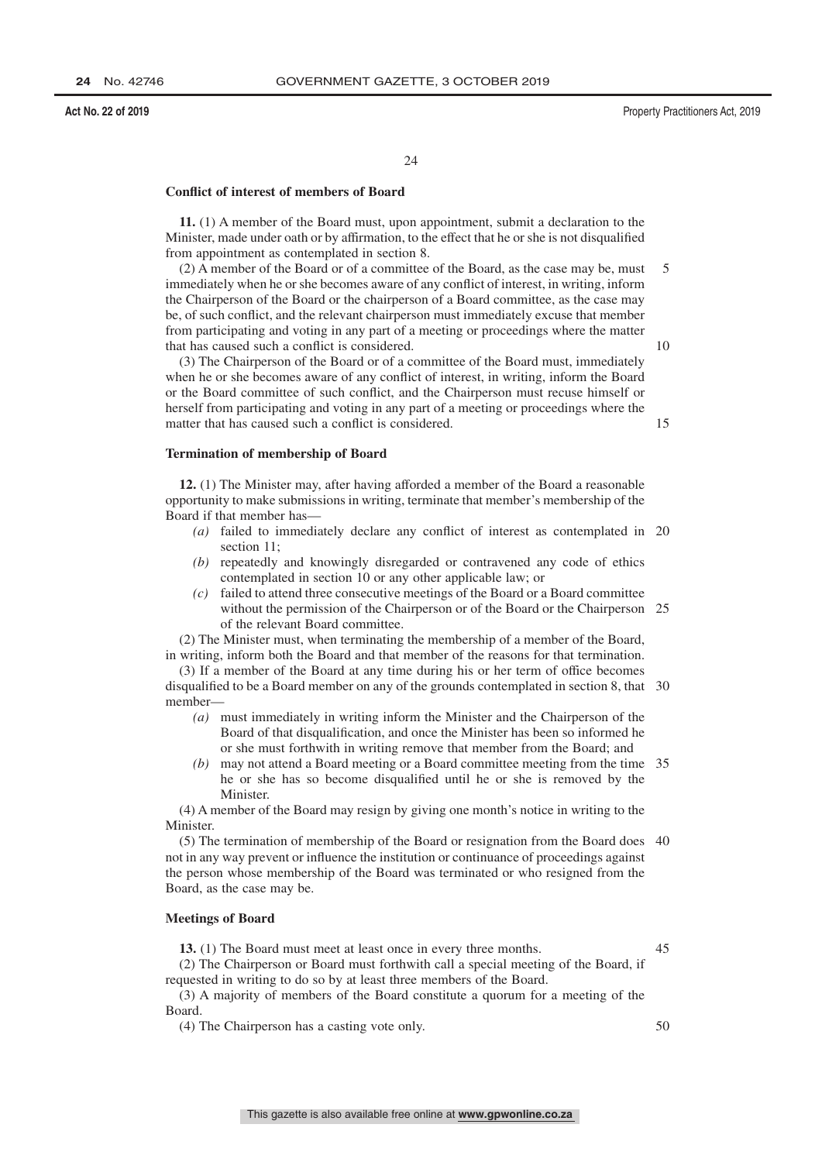$24$ 

### **Conflict of interest of members of Board**

**11.** (1) A member of the Board must, upon appointment, submit a declaration to the Minister, made under oath or by affirmation, to the effect that he or she is not disqualified from appointment as contemplated in section 8.

(2) A member of the Board or of a committee of the Board, as the case may be, must immediately when he or she becomes aware of any conflict of interest, in writing, inform the Chairperson of the Board or the chairperson of a Board committee, as the case may be, of such conflict, and the relevant chairperson must immediately excuse that member from participating and voting in any part of a meeting or proceedings where the matter that has caused such a conflict is considered. 5 10

(3) The Chairperson of the Board or of a committee of the Board must, immediately when he or she becomes aware of any conflict of interest, in writing, inform the Board or the Board committee of such conflict, and the Chairperson must recuse himself or herself from participating and voting in any part of a meeting or proceedings where the matter that has caused such a conflict is considered.

### **Termination of membership of Board**

**12.** (1) The Minister may, after having afforded a member of the Board a reasonable opportunity to make submissions in writing, terminate that member's membership of the Board if that member has—

- *(a)* failed to immediately declare any conflict of interest as contemplated in 20 section 11;
- *(b)* repeatedly and knowingly disregarded or contravened any code of ethics contemplated in section 10 or any other applicable law; or
- *(c)* failed to attend three consecutive meetings of the Board or a Board committee without the permission of the Chairperson or of the Board or the Chairperson 25 of the relevant Board committee.

(2) The Minister must, when terminating the membership of a member of the Board, in writing, inform both the Board and that member of the reasons for that termination.

(3) If a member of the Board at any time during his or her term of office becomes disqualified to be a Board member on any of the grounds contemplated in section 8, that 30 member—

- *(a)* must immediately in writing inform the Minister and the Chairperson of the Board of that disqualification, and once the Minister has been so informed he or she must forthwith in writing remove that member from the Board; and
- *(b)* may not attend a Board meeting or a Board committee meeting from the time 35 he or she has so become disqualified until he or she is removed by the Minister.

(4) A member of the Board may resign by giving one month's notice in writing to the Minister.

(5) The termination of membership of the Board or resignation from the Board does 40 not in any way prevent or influence the institution or continuance of proceedings against the person whose membership of the Board was terminated or who resigned from the Board, as the case may be.

### **Meetings of Board**

**13.** (1) The Board must meet at least once in every three months.

45

(2) The Chairperson or Board must forthwith call a special meeting of the Board, if requested in writing to do so by at least three members of the Board.

(3) A majority of members of the Board constitute a quorum for a meeting of the Board.

(4) The Chairperson has a casting vote only.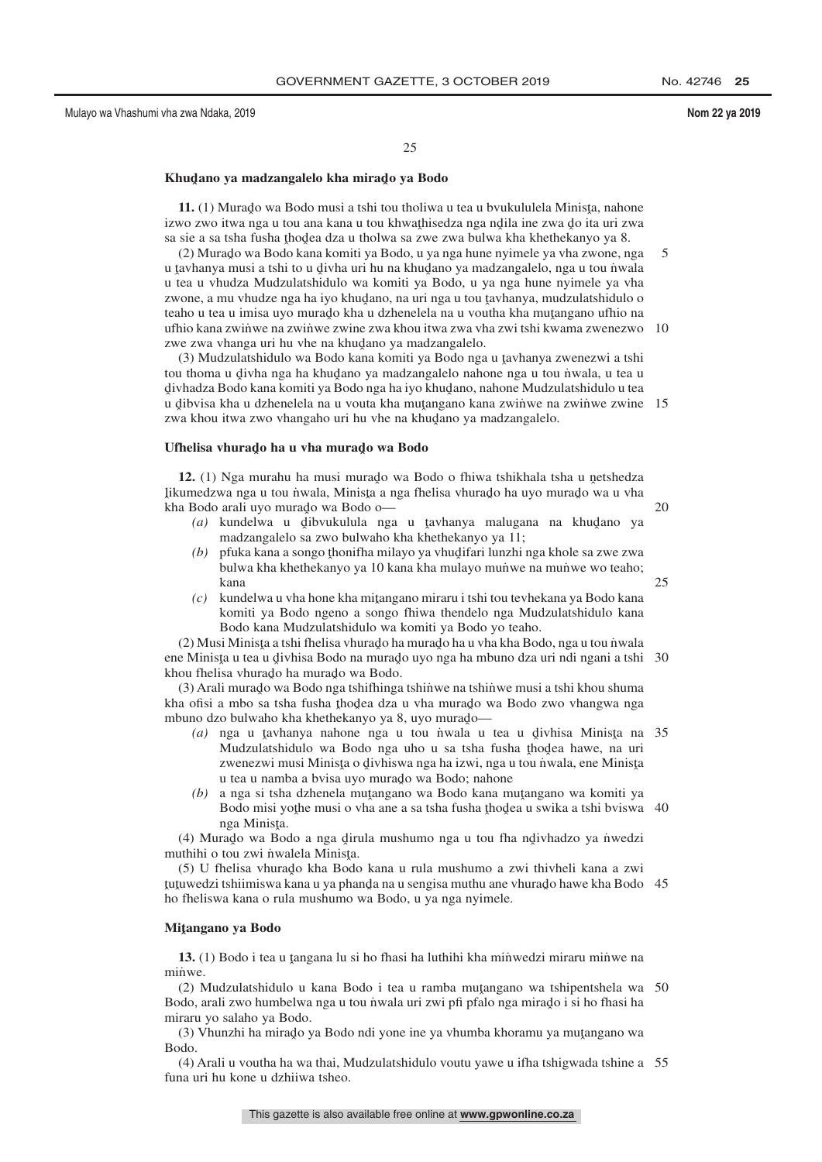25

25

## <mark>Khudano ya madzangalelo kha mirad</mark>o ya Bodo

**11.** (1) Murado wa Bodo musi a tshi tou tholiwa u tea u bvukululela Minista, nahone<br>vo zwo itwa nga u tou ana kana u tou khwathisedza nga ndila ina zwa do ita uri zwa izwo zwo itwa nga u tou ana kana u tou khwathisedza nga ndila ine zwa do ita uri zwa<br>sa sie a sa tsha fusha thodea dza u tholwa sa zwe zwa hulwa kha khethekanyo ya 8 sa sie a sa tsha fusha thodea dza u tholwa sa zwe zwa bulwa kha khethekanyo ya 8.<br>(2) Murado wa Bodo kana komiti ya Bodo, u ya nga bune nyimele ya yha zwone, n

(2) Murado wa Bodo kana komiti ya Bodo, u ya nga hune nyimele ya vha zwone, nga<br>ayhanya musi a tshi to u diyha uri bu na khudano ya madzangalelo, nga u tou nwala u tavhanya musi a tshi to u divha uri hu na khudano ya madzangalelo, nga u tou nwala<br>u tea u yhudza Mudzulatshidulo wa komiti ya Bodo, u ya nga hune nyimele ya yha u tea u vhudza Mudzulatshidulo wa komiti ya Bodo, u ya nga hune nyimele ya vha zwone, a mu vhudze nga ha iyo khud̄ano, na uri nga u tou tavhanya, mudzulatshidulo o<br>taabo u taa u imisa uyo murado kha u dzhenelela na u youtha kha mutangano ufbio na teaho u tea u imisa uyo murado kha u dzhenelela na u voutha kha mutangano ufhio na<br>ufhio kana zwinye na zwinye zwine zwa khou itwa zwa yha zwi tehi kwama zwenezwo ufhio kana zwinʻwe na zwinʻwe zwine zwa khou itwa zwa vha zwi tshi kwama zwenezwo 10 zwe zwa vhanga uri hu vhe na khudano ya madzangalelo.<br>(3) Mudzulatshidulo wa Bodo kana komiti ya Bodo nga 5

(3) Mudzulatshidulo wa Bodo kana komiti ya Bodo nga u tavhanya zwenezwi a tshi<br>u thoma u divha nga ha khudano ya madzangalelo nahone nga u tou nyala u teo u tou thoma u divha nga ha khudano ya madzangalelo nahone nga u tou nwala, u tea u<br>divhadza Bodo kana komiti ya Bodo nga ha iyo khudano, nahone Mudzulatshidulo u tea divhadza Bodo kana komiti ya Bodo nga ha iyo khudano, nahone Mudzulatshidulo u tea<br>u dibyisa kha u dzhanalala na u vouta kha mutangano kana zwinwe na zwinwe zwine givinaliza Bodo kana komiti ya Bodo nga na iyo kinagano, kanone madzialaishidato a tea<br>u dibvisa kha u dzhenelela na u vouta kha mutangano kana zwiniwe na zwinwe zwine 15 zwa khou itwa zwo vhangaho uri hu vhe na khud̥ano ya madzangalelo.

## Ufhelisa vhurado ha u vha murado wa Bodo

**12.** (1) Nga murahu ha musi murado wa Bodo o fhiwa tshikhala tsha u netshedza<br>umadzwa nga u tou nwala. Minista a nga fhelisa yhurado ha uyo murado wa u yha ˆ kha Bodo arali uyo muradˆ o wa Bodo o likumedzwa nga u tou ṅ̀wala, Minisṭa a nga fhelisa vhuraḍo ha uyo muraḍo wa u vha<br>kha Bodo arali uyo murado wa Bodo o

- (a) kundelwa u dibvukulula nga u tavhanya malugana na khudano ya madzangalelo sa zwo bulwaho kha khethekanyo ya 11. madzangalelo sa zwo bulwaho kha khethekanyo ya 11;
- (b) pfuka kana a songo thonifha milayo ya vhudifari lunzhi nga khole sa zwe zwa<br>hulwa kha khethekanyo ya 10 kana kha mulayo munwe na munwe wo teaho: bulwa kha khethekanyo ya 10 kana kha mulayo mun˙ we na mun˙ we wo teaho; kana
- (c) kundelwa u vha hone kha mitangano miraru i tshi tou tevhekana ya Bodo kana<br>komiti ya Bodo ngeno a songo fhiwa thandalo nga Mudzulatshidulo kana komiti ya Bodo ngeno a songo fhiwa thendelo nga Mudzulatshidulo kana Bodo kana Mudzulatshidulo wa komiti ya Bodo yo teaho.

(2) Musi Minista a tshi fhelisa vhurado ha murado ha u vha kha Bodo, nga u tou nwala<br>e Minista u tea u divhica Bodo na murado uyo nga ha mbuno dza uri ndi ngani a tshi ene Minista u tea u divhisa Bodo na murado uyo nga ha mbuno dza uri ndi ngani a tshi 30<br>khou fhelisa yhurado ha murado wa Bodo khou fhelisa vhurado ha murado wa Bodo.<br>(3) Arali murado wa Bodo nga tshiftinga

(3) Arali murado wa Bodo nga tshifhinga tshinwe na tshinwe musi a tshi khou shuma<br>2. ofisi a mbo sa tsha fusha thodaa dza u yha murado wa Bodo zwo yhangwa nga kha ofisi a mbo sa tsha fusha thodea dza u vha murado wa Bodo zwo vhangwa nga<br>mbuno dzo bulwabo kha khathakanyo ya 8, uyo murado mbuno dzo bulwaho kha khethekanyo ya 8, uyo murado—<br> $(a)$ , nga u taybanya, nabone, nga u tou nwala u

- (a) nga u tavhanya nahone nga u tou niwala u tea u divhisa Minista na 35<br>Mudzulatshidulo wa Bodo nga uho u sa tsha fusha thodea hawe na uri Mudzulatshidulo wa Bodo nga uho u sa tsha fusha thodea hawe, na uri<br>zwenezwi musi Minista o divhiswa nga ha izwi, nga u tou nwala ene Minista zwenezwi musi Minista o divhiswa nga ha izwi, nga u tou niwala, ene Minista<br>u tea u namba a byisa uvo murado wa Bodo: nabone u tea u namba a bvisa uyo murado wa Bodo; nahone
- *(b)* a nga si tsha dzhenela muţangano wa Bodo kana muţangano wa komiti ya Bodo misi yatha musi o yha ana a sa tsha fusha thodaa u swika a tshi byjevy Bodo misi yoţhe musi o vha ane a sa tsha fusha ţhod̥ea u swika a tshi bviswa 40<br>nga Minista nga Minista.<br>rado wa Bo

(4) Murado wa Bodo a nga dirula mushumo nga u tou fha ndivhadzo ya nwedzi<br>uthihi o tou zwi nwalala Minista muthihi o tou zwi niwalela Minisța.<br>(5) U fhelisa vhurado kha Bode

(5) U fhelisa vhurado kha Bodo kana u rula mushumo a zwi thivheli kana a zwi<br>wyedzi tshijiniswa kana u ya phanda na u sengisa muthu ane yhurado hawe kha Bodo ˆ ho fheliswa kana o rula mushumo wa Bodo, u ya nga nyimele. tutuwedzi tshiimiswa kana u ya phanda na u sengisa muthu ane vhurado hawe kha Bodo 45<br>ho fheliswa kana o rula mushumo wa Bodo, u ya nga nyimele

## **Miˆ tangano ya Bodo**

**13.** (1) Bodo i tea u ţangana lu si ho fhasi ha luthihi kha minwedzi miraru minwe na minwe.

(2) Mudzulatshidulo u kana Bodo i tea u ramba mutangano wa tshipentshela wa 50<br>odo arali zwo humbelwa nga u tou nwala uri zwi pfi pfalo nga mirado i si bo fhasi ha Bodo, arali zwo humbelwa nga u tou n˙wala uri zwi pfi pfalo nga mirado i si ho fhasi ha<br>miraru vo salabo va Bodo miraru yo salaho ya Bodo.

(3) Vhunzhi ha mirado ya Bodo ndi yone ine ya vhumba khoramu ya mutangano wa<br>odo Bodo.

(4) Arali u voutha ha wa thai, Mudzulatshidulo voutu yawe u ifha tshigwada tshine a 55funa uri hu kone u dzhiiwa tsheo.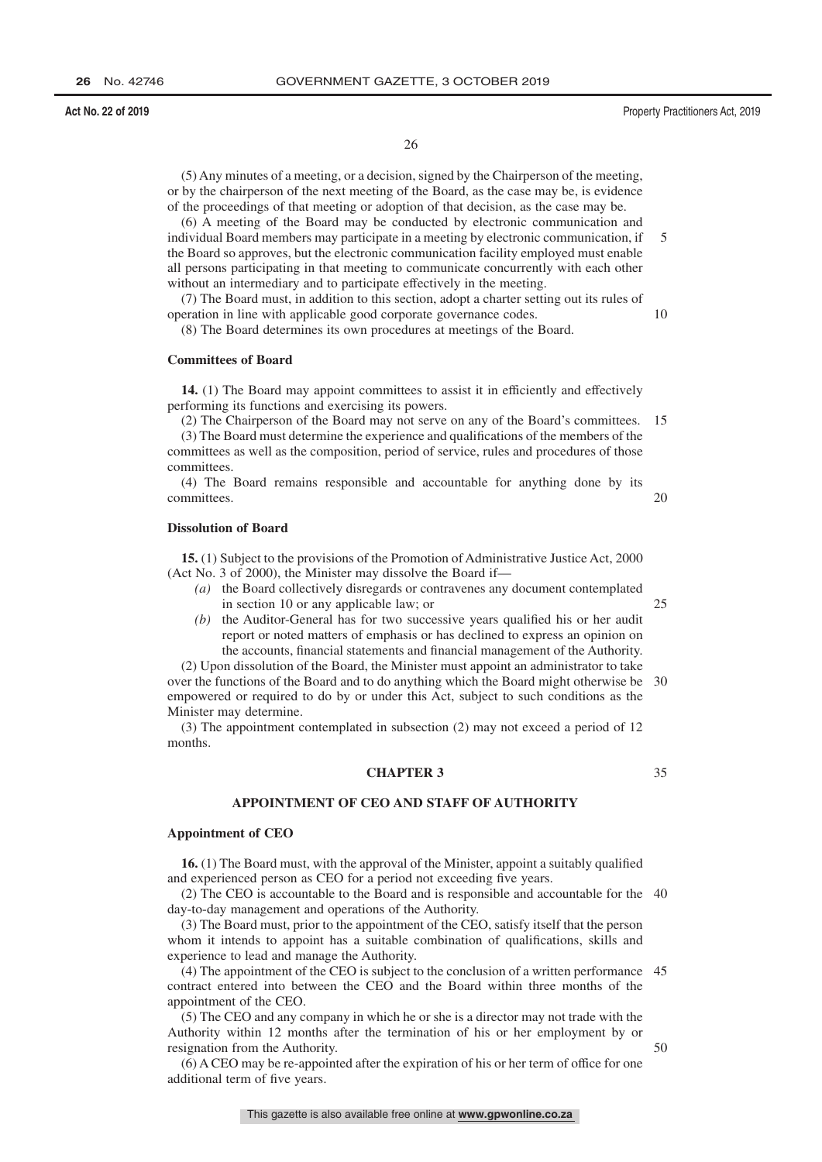26

(5) Any minutes of a meeting, or a decision, signed by the Chairperson of the meeting, or by the chairperson of the next meeting of the Board, as the case may be, is evidence of the proceedings of that meeting or adoption of that decision, as the case may be.

(6) A meeting of the Board may be conducted by electronic communication and individual Board members may participate in a meeting by electronic communication, if the Board so approves, but the electronic communication facility employed must enable all persons participating in that meeting to communicate concurrently with each other without an intermediary and to participate effectively in the meeting. 5

(7) The Board must, in addition to this section, adopt a charter setting out its rules of operation in line with applicable good corporate governance codes.

(8) The Board determines its own procedures at meetings of the Board.

### **Committees of Board**

**14.** (1) The Board may appoint committees to assist it in efficiently and effectively performing its functions and exercising its powers.

(2) The Chairperson of the Board may not serve on any of the Board's committees. 15

(3) The Board must determine the experience and qualifications of the members of the committees as well as the composition, period of service, rules and procedures of those committees.

(4) The Board remains responsible and accountable for anything done by its committees.  $20$ 

### **Dissolution of Board**

**15.** (1) Subject to the provisions of the Promotion of Administrative Justice Act, 2000 (Act No. 3 of 2000), the Minister may dissolve the Board if—

- *(a)* the Board collectively disregards or contravenes any document contemplated in section 10 or any applicable law; or
- *(b)* the Auditor-General has for two successive years qualified his or her audit report or noted matters of emphasis or has declined to express an opinion on the accounts, financial statements and financial management of the Authority.

(2) Upon dissolution of the Board, the Minister must appoint an administrator to take over the functions of the Board and to do anything which the Board might otherwise be empowered or required to do by or under this Act, subject to such conditions as the Minister may determine. 30

(3) The appointment contemplated in subsection (2) may not exceed a period of 12 months.

### **CHAPTER 3**

35

50

25

### **APPOINTMENT OF CEO AND STAFF OF AUTHORITY**

### **Appointment of CEO**

**16.** (1) The Board must, with the approval of the Minister, appoint a suitably qualified and experienced person as CEO for a period not exceeding five years.

(2) The CEO is accountable to the Board and is responsible and accountable for the 40 day-to-day management and operations of the Authority.

(3) The Board must, prior to the appointment of the CEO, satisfy itself that the person whom it intends to appoint has a suitable combination of qualifications, skills and experience to lead and manage the Authority.

(4) The appointment of the CEO is subject to the conclusion of a written performance 45 contract entered into between the CEO and the Board within three months of the appointment of the CEO.

(5) The CEO and any company in which he or she is a director may not trade with the Authority within 12 months after the termination of his or her employment by or resignation from the Authority.

(6) A CEO may be re-appointed after the expiration of his or her term of office for one additional term of five years.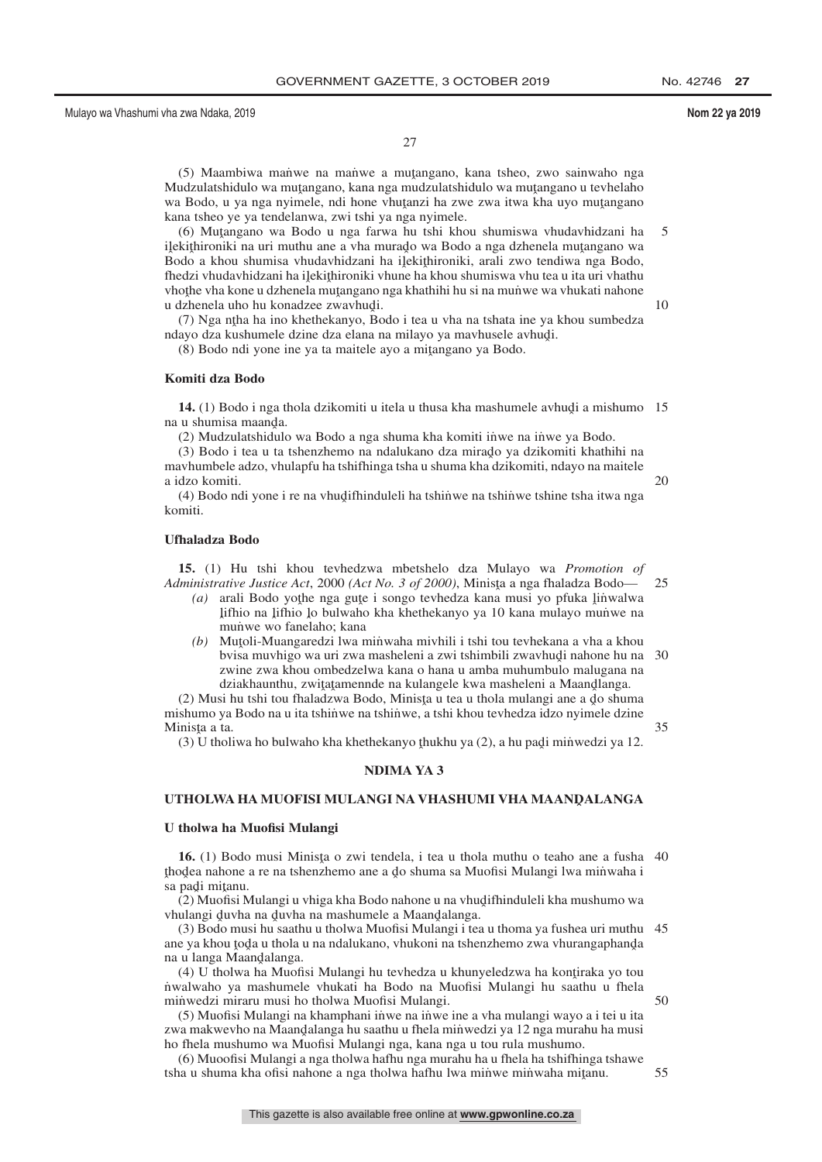27

(5) Maambiwa man˙ we na man˙ we a mutangano, kana tsheo, zwo sainwaho nga<br>udzulatshidulo wa mutangano, kana nga mudzulatshidulo wa mutangano u teyhelaho Mudzulatshidulo wa muţangano, kana nga mudzulatshidulo wa muţangano u tevhelaho<br>wa Bodo, u ya nga nyimele, ndi bone yhutanzi ha zwe zwa itwa kha uvo mutangano wa Bodo, u ya nga nyimele, ndi hone vhutanzi ha zwe zwa itwa kha uyo mutangano<br>kana tsheo ve va tendelanwa, zwi tshi va nga nyimele kana tsheo ye ya tendelanwa, zwi tshi ya nga nyimele.

(6) Muṭangano wa Bodo u nga farwa hu tshi khou shumiswa vhudavhidzani ha<br>kithironiki na uri muthu ane a yha murado wa Bodo a nga dzhenela mutangano wa ilekithironiki na uri muthu ane a vha murado wa Bodo a nga dzhenela mutangano wa<br>Bodo a khou shumisa yhudayhidzani ha ilekithironiki, arali zwo tendiwa nga Bodo ng kapinomiki na an-matha ane a vila manago wa bodo a nga uzifeneta magangano wa<br>Bodo a khou shumisa vhudavhidzani ha i jekithironiki, arali zwo tendiwa nga Bodo,<br>fhedzi vhudavhidzani ha ilekithironiki vhune ha khou shumis fhedzi vhudavhidzani ha iļekithironiki vhune ha khou shumiswa vhu tea u ita uri vhathu<br>vhotbe vha kone u dzhenela mutangano nga khathihi bu si na munwe wa vhukati nabone vhothe vha kone u dzhenela mutangano nga khathihi hu si na mun'we wa vhukati nahone<br>u dzhenela uho hu konadzee zwayhudi u dzhenela uho hu konadzee zwavhudi.<br>(7) Nga ntha ha ino khethekanyo. Bo 5 10

(7) Nga ntha ha ino khethekanyo, Bodo i tea u vha na tshata ine ya khou sumbedza<br>avo dza kushumele dzine dza elana na milayo va maybusele aybudi ndayo dza kushumele dzine dza elana na milayo ya mavhusele avhudi.<br>(8) Bodo ndi yone ine ya ta maitele avo a mitangano ya Bodo.

(8) Bodo ndi yone ine ya ta maitele ayo a mitangano ya Bodo.

#### **Komiti dza Bodo**

14. (1) Bodo i nga thola dzikomiti u itela u thusa kha mashumele avhudu a mishumo 15<br>u shumisa maanda na u shumisa maanda.<br>(2) Mudzulatshidule

(2) Mudzulatshidulo wa Bodo a nga shuma kha komiti inwe na inwe ya Bodo.

(3) Bodo i tea u ta tshenzhemo na ndalukano dza mirado ya dzikomiti khathihi na<br>whumbele adzo yhulanfu ha tshifhinga tsha u shuma kha dzikomiti ndavo na maitele mavhumbele adzo, vhulapfu ha tshifhinga tsha u shuma kha dzikomiti, ndayo na maitele a idzo komiti. 20

(4) Bodo ndi yone i re na vhudifhinduleli ha tshinwe na tshinwe tshine tsha itwa nga<br>miti komiti.

### **Ufhaladza Bodo**

**15.** (1) Hu tshi khou tevhedzwa mbetshelo dza Mulayo wa *Promotion of Administrative Justice Act*, 2000 *(Act No. 3 of 2000)*, Minista a nga fhaladza Bodo—<br>(a) arali Bodo vothe nga gute i songo teyhedza kana musi yo pfuka linwalw

- (a) arali Bodo yothe nga gute i songo tevhedza kana musi yo pfuka linwalwa<br>lifbio na lifbio lo bulwabo kha khethekanyo ya 10 kana mulayo munwe na ˆ mun˙ we wo fanelaho; kana lifhio na lifhio lo bulwaho kha khethekanyo ya 10 kana mulayo munwe na<br>munwe wo fanelaho: kana
- *(b)* Mutoli-Muangaredzi lwa minwaha mivhili i tshi tou tevhekana a vha a khou hyisa muyhigo wa uri zwa masheleni a zwi tshimbili zwayhudi nahone hu na bvisa muvhigo wa uri zwa masheleni a zwi tshimbili zwavhudi nahone hu na 30<br>zwine zwa khou ombedzelwa kana o hana u amba muhumbulo malugana na zwine zwa khou ombedzelwa kana o hana u amba muhumbulo malugana na dziakhaunthu, zwiţaţamennde na kulangele kwa masheleni a Maandlanga.<br>si bu tshi tou fhaladzwa Bodo. Minista u tea u thola mulangi ane a do shur

(2) Musi hu tshi tou fhaladzwa Bodo, Minista u tea u thola mulangi ane a do shuma<br>shumo ya Bodo na u ita tshinwe na tshinwe, a tshi khou teyhedza idzo nyimele dzine mishumo ya Bodo na u ita tshinwe na tshinwe, a tshi khou tevhedza idzo nyimele dzine Minista a ta.<br>(3) U tholi 35

(3) U tholiwa ho bulwaho kha khethekanyo thukhu ya (2), a hu padi minwedzi ya 12.

### **NDIMA YA 3**

## UTHOLWA HA MUOFISI MULANGI NA VHASHUMI VHA MAAN<mark>D</mark>ALANGA

#### **U tholwa ha Muofisi Mulangi**

**16.** (1) Bodo musi Minista o zwi tendela, i tea u thola muthu o teaho ane a fusha 40<br>odea nabone a re na tshenzhemo ane a do shuma sa Muofisi Mulangi lwa minwaba i xioxea nanone<br>sa padi mitanu.<br>(2) Muofisi N thodea nahone a re na tshenzhemo ane a do shuma sa Muofisi Mulangi lwa minwaha i<br>sa nadi mitanu

(2) Muofisi Mulangi u vhiga kha Bodo nahone u na vhudifhinduleli kha mushumo wa<br>ulangi duvba na duvba na mashumele a Maandalanga vhulangi duvha na duvha na mashumele a Maandalanga.<br>(3) Bodo musi hu saathu u tholwa Muofisi Mulangi i te

(3) Bodo musi hu saathu u tholwa Muofisi Mulangi i tea u thoma ya fushea uri muthu 45 ane ya khou toda u thola u na ndalukano, vhukoni na tshenzhemo zwa vhurangaphanda<br>na u langa Maandalanga na u langa Maandalanga.<br>(4) II tholwa ha Muofi

(4) U tholwa ha Muofisi Mulangi hu tevhedza u khunyeledzwa ha kontiraka yo tou<br>valwaho ya mashumele yhukati ha Bodo na Muofisi Mulangi hu saathu u fhela n˙ walwaho ya mashumele vhukati ha Bodo na Muofisi Mulangi hu saathu u fhela minwedzi miraru musi ho tholwa Muofisi Mulangi.

(5) Muofisi Mulangi na khamphani in˙ we na in˙ we ine a vha mulangi wayo a i tei u ita zwa makwevho na Maandalanga hu saathu u fhela miṅ̀wedzi ya 12 nga murahu ha musi<br>ho fhela mushumo wa Muofisi Mulangi nga kana nga u tou rula mushumo ho fhela mushumo wa Muofisi Mulangi nga, kana nga u tou rula mushumo.

(6) Muoofisi Mulangi a nga tholwa hafhu nga murahu ha u fhela ha tshifhinga tshawe tsha u shuma kha ofisi nahone a nga tholwa hafhu lwa min̈we min̈waha mit̯anu.

50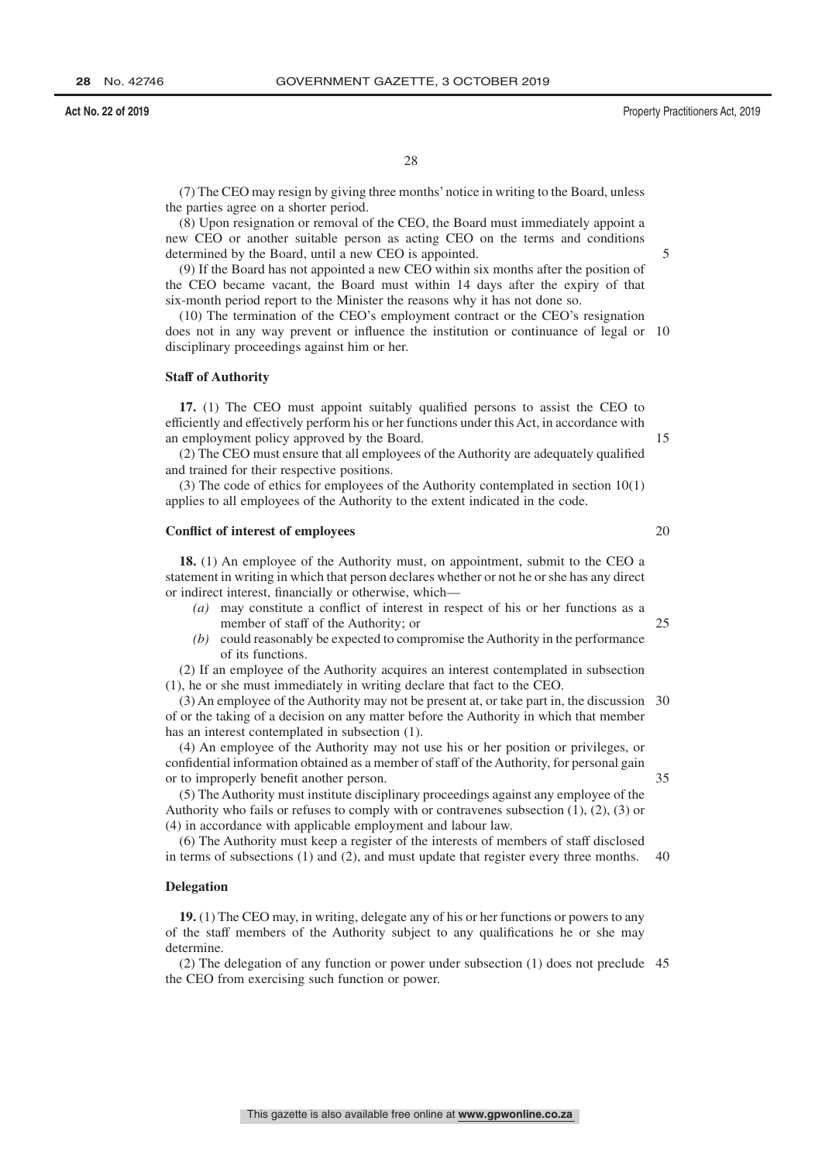28

(7) The CEO may resign by giving three months' notice in writing to the Board, unless the parties agree on a shorter period.

(8) Upon resignation or removal of the CEO, the Board must immediately appoint a new CEO or another suitable person as acting CEO on the terms and conditions determined by the Board, until a new CEO is appointed.

(9) If the Board has not appointed a new CEO within six months after the position of the CEO became vacant, the Board must within 14 days after the expiry of that six-month period report to the Minister the reasons why it has not done so.

(10) The termination of the CEO's employment contract or the CEO's resignation does not in any way prevent or influence the institution or continuance of legal or 10 disciplinary proceedings against him or her.

#### **Staff of Authority**

**17.** (1) The CEO must appoint suitably qualified persons to assist the CEO to efficiently and effectively perform his or her functions under this Act, in accordance with an employment policy approved by the Board.

(2) The CEO must ensure that all employees of the Authority are adequately qualified and trained for their respective positions.

(3) The code of ethics for employees of the Authority contemplated in section 10(1) applies to all employees of the Authority to the extent indicated in the code.

### **Conflict of interest of employees**

**18.** (1) An employee of the Authority must, on appointment, submit to the CEO a statement in writing in which that person declares whether or not he or she has any direct or indirect interest, financially or otherwise, which—

- *(a)* may constitute a conflict of interest in respect of his or her functions as a member of staff of the Authority; or 25
- *(b)* could reasonably be expected to compromise the Authority in the performance of its functions.

(2) If an employee of the Authority acquires an interest contemplated in subsection (1), he or she must immediately in writing declare that fact to the CEO.

(3) An employee of the Authority may not be present at, or take part in, the discussion 30 of or the taking of a decision on any matter before the Authority in which that member has an interest contemplated in subsection (1).

(4) An employee of the Authority may not use his or her position or privileges, or confidential information obtained as a member of staff of the Authority, for personal gain or to improperly benefit another person.

(5) The Authority must institute disciplinary proceedings against any employee of the Authority who fails or refuses to comply with or contravenes subsection  $(1)$ ,  $(2)$ ,  $(3)$  or (4) in accordance with applicable employment and labour law.

(6) The Authority must keep a register of the interests of members of staff disclosed in terms of subsections (1) and (2), and must update that register every three months. 40

#### **Delegation**

**19.** (1) The CEO may, in writing, delegate any of his or her functions or powers to any of the staff members of the Authority subject to any qualifications he or she may determine.

(2) The delegation of any function or power under subsection (1) does not preclude 45the CEO from exercising such function or power.

20

35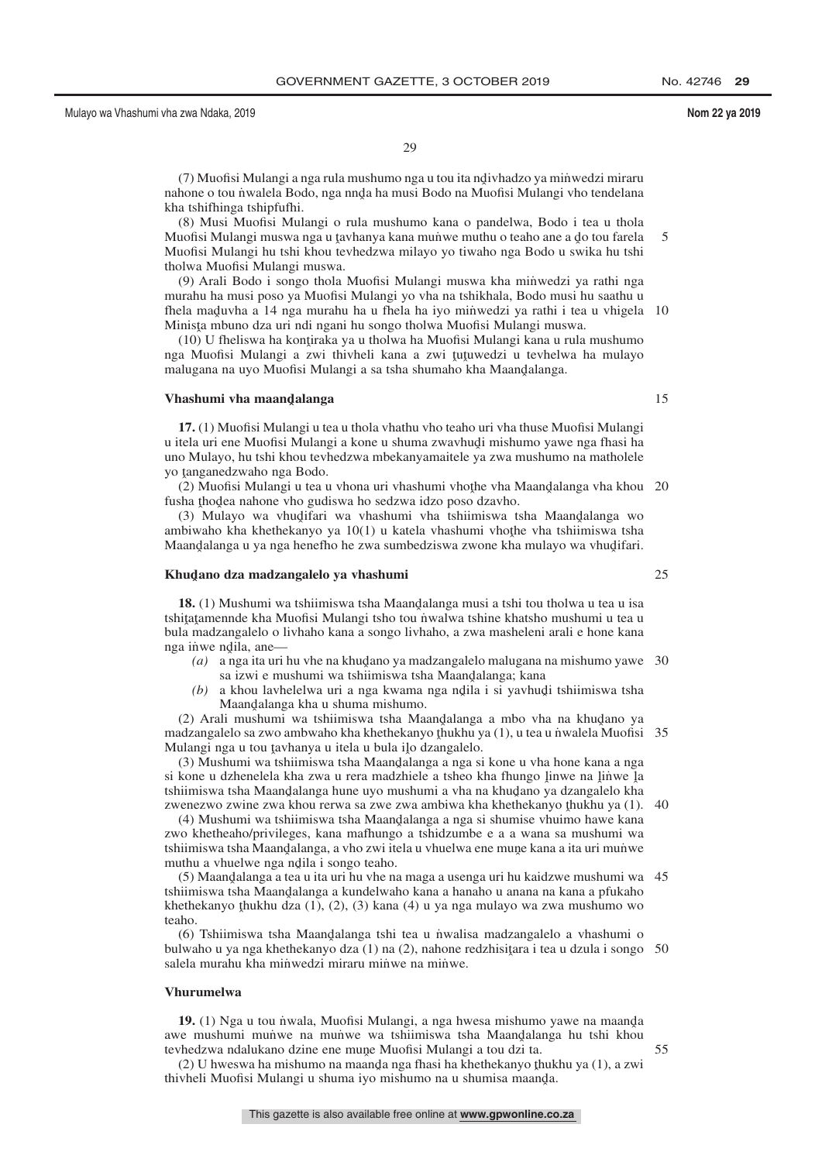(7) Muofisi Mulangi a nga rula mushumo nga u tou ita ndivhadzo ya minwedzi miraru<br>bone o tou nwalela Bodo, nga nnda ha musi Bodo na Muofisi Mulangi ybo tendelana nahone o tou n˙walela Bodo, nga nnd̥a ha musi Bodo na Muofisi Mulangi vho tendelana<br>kha tshifhinga tshipfufbi kha tshifhinga tshipfufhi.

(8) Musi Muofisi Mulangi o rula mushumo kana o pandelwa, Bodo i tea u thola Muofisi Mulangi muswa nga u tavhanya kana muṅ̀we muthu o teaho ane a do tou farela<br>Muofisi Mulangi bu tshi khou teyhedzwa milayo yo tiwaho nga Bodo u swika bu tshi Muofisi Mulangi hu tshi khou tevhedzwa milayo yo tiwaho nga Bodo u swika hu tshi tholwa Muofisi Mulangi muswa. 5

(9) Arali Bodo i songo thola Muofisi Mulangi muswa kha minwedzi ya rathi nga murahu ha musi poso ya Muofisi Mulangi yo vha na tshikhala, Bodo musi hu saathu u fhela maduvha a 14 nga murahu ha u fhela ha iyo minwedzi ya rathi i tea u vhigela 10<br>Minista mbuno dza uri ndi ngani bu songo tholwa Muofisi Mulangi muswa Minista mbuno dza uri ndi ngani hu songo tholwa Muofisi Mulangi muswa.<br>(10) U fheliswa ha kontiraka ya u tholwa ha Muofisi Mulangi kana u rula

(10) U fheliswa ha kontiraka ya u tholwa ha Muofisi Mulangi kana u rula mushumo<br>2. Muofisi Mulangi 2. zwi-thiyheli, kana 2. zwi-tutuwedzi u teyhelwa ha mulayo nga Muofisi Mulangi a zwi thivheli kana a zwi tutuwedzi u tevhelwa ha mulayo<br>malugana na uvo Muofisi Mulangi a sa tsha shumabo kha Maandalanga malugana na uyo Muofisi Mulangi a sa tsha shumaho kha Maan<mark>d</mark>alanga.

## **Vhashumi vha maandˆ alanga**

**17.** (1) Muofisi Mulangi u tea u thola vhathu vho teaho uri vha thuse Muofisi Mulangi u itela uri ene Muofisi Mulangi a kone u shuma zwavhudi mishumo yawe nga fhasi ha<br>uno Mulavo, bu tshi khou teyhedzwa mbekanyamaitele ya zwa mushumo na matholele uno Mulayo, hu tshi khou tevhedzwa mbekanyamaitele ya zwa mushumo na matholele yo tanganedzwaho nga Bodo.<br>(2) Muofisi Mulangi u teau

(2) Muofisi Mulangi u tea u vhona uri vhashumi vhothe vha Maandalanga vha khou 20<br>sha thodea nabone vho qudiswa ho sedzwa idzo poso dzaybo fusha thodea nahone vho gudiswa ho sedzwa idzo poso dzavho.<br>(3) Mulavo wa vhudifari wa vhashumi vha tshiimiswa t

 $(3)$  Mulayo wa vhudifari wa vhashumi vha tshiimiswa tsha Maandalanga wo<br>phiwabo kha khethekanyo ya 10(1) u katela yhashumi yhothe yha tshiimiswa tsha ambiwaho kha khethekanyo ya  $10(1)$  u katela vhashumi vhothe vha tshiimiswa tsha<br>Maandalanga u va nga henefho he zwa sumbedziswa zwone kha mulayo wa yhudifari Maand̥alanga u ya nga henefho he zwa sumbedziswa zwone kha mulayo wa vhud̥ifari.

## **Khudˆ ano dza madzangalelo ya vhashumi**

**18.** (1) Mushumi wa tshiimiswa tsha Maandalanga musi a tshi tou tholwa u tea u isa<br>utatamennde kha Muofisi Mulangi tsho tou nwalwa tshine khatsho mushumi u tea u tshiţaţamennde kha Muofisi Mulangi tsho tou niwalwa tshine khatsho mushumi u tea u<br>bula madzangalelo o liyhaho kana a songo liyhaho, a zwa masheleni arali e hone kana bula madzangalelo o livhaho kana a songo livhaho, a zwa masheleni arali e hone kana nga inwe ndila, ane—<br>(a) a nga ita uri

- (a) a nga ita uri hu vhe na khudano ya madzangalelo malugana na mishumo yawe 30<br>sa izwi e mushumi wa tshiimiswa tsha Maandalanga; kana sa izwi e mushumi wa tshiimiswa tsha Maandalanga; kana<br>a khou laybelelwa uri a nga kwama nga ndila i si yayhuo
- (b) a khou lavhelelwa uri a nga kwama nga ndila i si yavhudi tshiimiswa tsha<br>Maandalanga kha u shuma mishumo Maandalanga kha u shuma mishumo.<br>Ji mushumi wa tshiimiswa tsha Ma

(2) Arali mushumi wa tshiimiswa tsha Maandalanga a mbo vha na khudano ya dzanaalelo sa zwo ambwaho kha khethekanyo thukhu ya (1) u tea u nwalela Muofisi madzangalelo sa zwo ambwaho kha khethekanyo thukhu ya (1), u tea u niwalela Muofisi 35<br>Mulangi nga u tou taybanya u itela u bula ilo dzangalelo Mulangi nga u tou tavhanya u itela u bula ilo dzangalelo.<br>(3) Mushumi wa tshiimiswa tsha Maandalanga a nga si

(3) Mushumi wa tshiimiswa tsha Maandalanga a nga si kone u vha hone kana a nga<br>kone u dzhenelela kha zwa u rera madzhiele a tsheo kha fhungo linwe na linwe la si kone u dzhenelela kha zwa u rera madzhiele a tsheo kha fhungo linwe na linwe la<br>tshiimiswa tsha Maandalanga hune uvo mushumi a yha na khudano va dzangalelo kha tshiimiswa tsha Maandalanga hune uyo mushumi a vha na khudano ya dzangalelo kha<br>zwenezwo zwine zwa khou rerwa sa zwe zwa ambiwa kha khethekanyo thukhu ya (1) zwenezwo zwine zwa khou rerwa sa zwe zwa ambiwa kha khethekanyo thukhu ya (1).<br>(4) Mushumi wa tshiimiswa tsha Maandalanga a nga si shumise yhuimo hawe kana 40

(4) Mushumi wa tshiimiswa tsha Maandalanga a nga si shumise vhuimo hawe kana<br>00 khetheaho/privileges, kana mafhungo a tshidzumbe e a a wana sa mushumi wa zwo khetheaho/privileges, kana mafhungo a tshidzumbe e a a wana sa mushumi wa tshiimiswa tsha Maandalanga, a vho zwi itela u vhuelwa ene mune kana a ita uri munwe<br>muthu a vhuelwe nga ndila i songo teaho muthu a vhuelwe nga ndila i songo teaho.<br>(5) Maandalanga a tea u ita uri bu ybe n

(5) Maandalanga a tea u ita uri hu vhe na maga a usenga uri hu kaidzwe mushumi wa 45<br>ijimiswa teha Maandalanga a kundelwaho kana a hanabo u anana na kana a nfukaho tshiimiswa tsha Maandalanga a kundelwaho kana a hanaho u anana na kana a pfukaho<br>khethekanyo thukhu dza (1) (2) (3) kana (4) u ya nga mulayo wa zwa mushumo wo khethekanyo ţhukhu dza (1), (2), (3) kana (4) u ya nga mulayo wa zwa mushumo wo<br>teabo teaho.

(6) Tshiimiswa tsha Maandalanga tshi tea u niwalisa madzangalelo a vhashumi o<br>lwaho u va nga khethekanyo dza (1) na (2) nahone redzhisitara i tea u dzula i songo bulwaho u ya nga khethekanyo dza (1) na (2), nahone redzhisitara i tea u dzula i songo 50<br>salela murahu kha minwedzi miraru minwe na minwe salela murahu kha minwedzi miraru minwe na minwe.

### **Vhurumelwa**

**19.** (1) Nga u tou niwala, Muofisi Mulangi, a nga hwesa mishumo yawe na maanda<br>ge mushumi munwe na munwe wa tshiimiswa tsha Maandalanga bu tshi khou awe mushumi mun˙ we na mun˙ we wa tshiimiswa tsha Maand̯alanga hu tshi khou<br>teyhedzwa ndalukano dzine ene mune Muofisi Mulangi a tou dzi ta tevhedzwa ndalukano dzine ene mune Muofisi Mulangi a tou dzi ta.<br>(2) U hweswa ha mishumo na maanda nga fhasi ha khethekanyo th

(2) U hweswa ha mishumo na maanda nga fhasi ha khethekanyo thukhu ya (1), a zwi<br>yheli Muofisi Mulangi u shuma iyo mishumo na u shumisa maanda thivheli Muofisi Mulangi u shuma iyo mishumo na u shumisa maanda.

15

25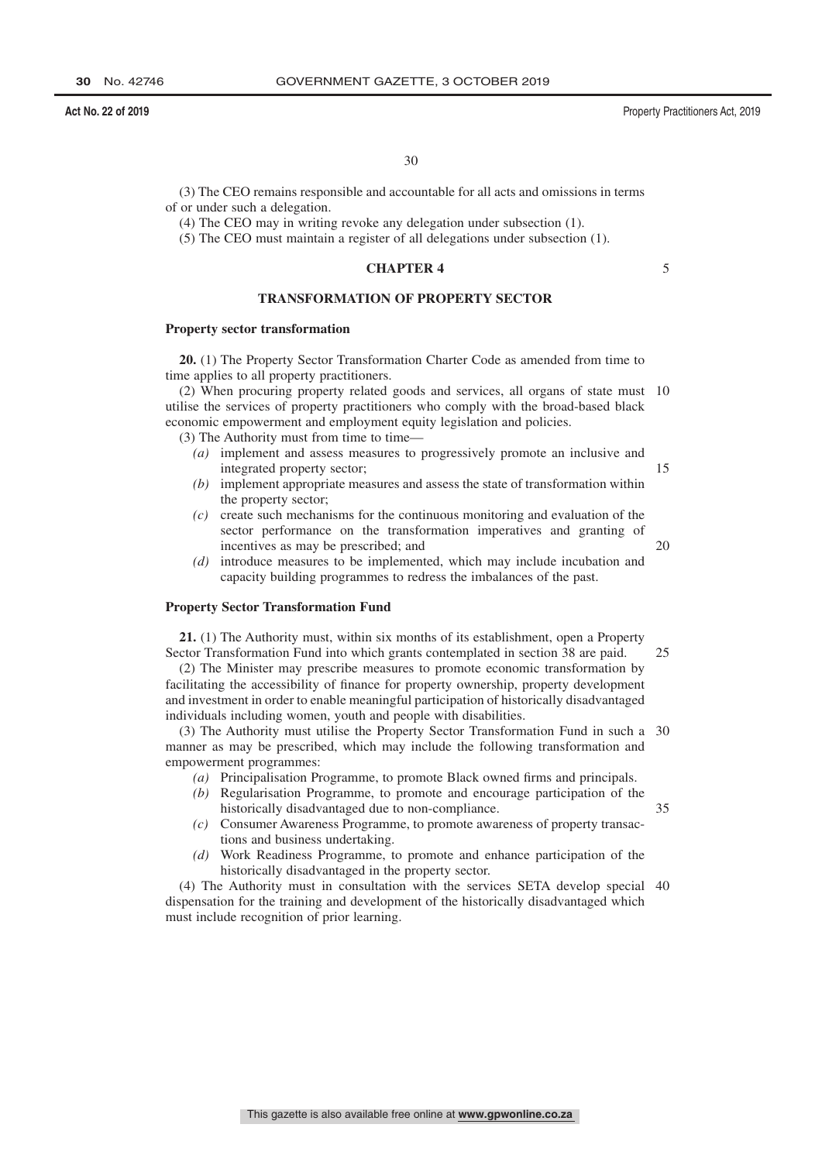**Act No. 22 of 2019** Property Practitioners Act, 2019

30

(3) The CEO remains responsible and accountable for all acts and omissions in terms of or under such a delegation.

(4) The CEO may in writing revoke any delegation under subsection (1).

(5) The CEO must maintain a register of all delegations under subsection (1).

### **CHAPTER 4**

### **TRANSFORMATION OF PROPERTY SECTOR**

### **Property sector transformation**

**20.** (1) The Property Sector Transformation Charter Code as amended from time to time applies to all property practitioners.

(2) When procuring property related goods and services, all organs of state must 10 utilise the services of property practitioners who comply with the broad-based black economic empowerment and employment equity legislation and policies.

(3) The Authority must from time to time—

- *(a)* implement and assess measures to progressively promote an inclusive and integrated property sector;
- *(b)* implement appropriate measures and assess the state of transformation within the property sector;
- *(c)* create such mechanisms for the continuous monitoring and evaluation of the sector performance on the transformation imperatives and granting of incentives as may be prescribed; and
- *(d)* introduce measures to be implemented, which may include incubation and capacity building programmes to redress the imbalances of the past.

### **Property Sector Transformation Fund**

**21.** (1) The Authority must, within six months of its establishment, open a Property Sector Transformation Fund into which grants contemplated in section 38 are paid. 25

(2) The Minister may prescribe measures to promote economic transformation by facilitating the accessibility of finance for property ownership, property development and investment in order to enable meaningful participation of historically disadvantaged individuals including women, youth and people with disabilities.

(3) The Authority must utilise the Property Sector Transformation Fund in such a 30 manner as may be prescribed, which may include the following transformation and empowerment programmes:

- *(a)* Principalisation Programme, to promote Black owned firms and principals.
- *(b)* Regularisation Programme, to promote and encourage participation of the historically disadvantaged due to non-compliance.
- *(c)* Consumer Awareness Programme, to promote awareness of property transactions and business undertaking.
- *(d)* Work Readiness Programme, to promote and enhance participation of the historically disadvantaged in the property sector.

(4) The Authority must in consultation with the services SETA develop special 40dispensation for the training and development of the historically disadvantaged which must include recognition of prior learning.

20

35

15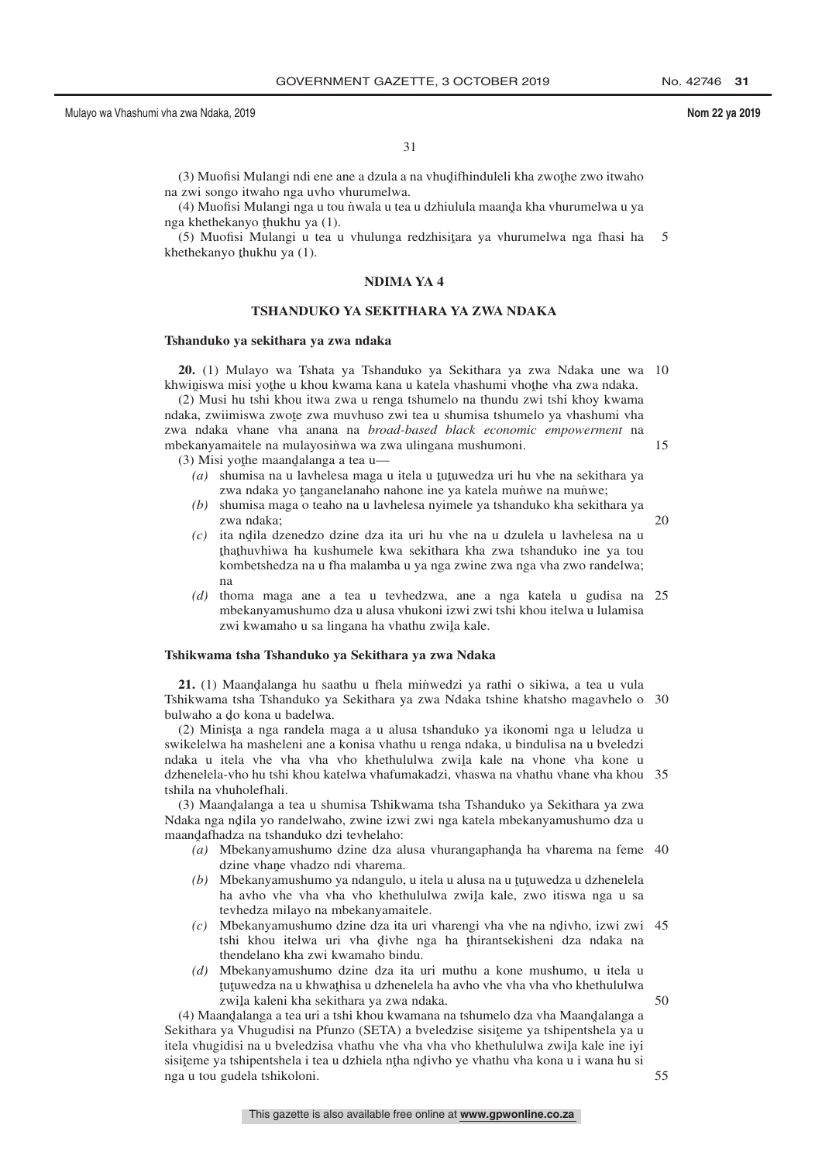50

55

31

(3) Muofisi Mulangi ndi ene ane a dzula a na vhudifhinduleli kha zwothe zwo itwaho<br>zwi songo itwaho nga uvbo yhurumelwa na zwi songo itwaho nga uvho vhurumelwa.

(4) Muofisi Mulangi nga u tou ṅ̀wala u tea u dzhiulula maand̥a kha vhurumelwa u ya<br>a khathakanyo thukbu ya (1) nga khethekanyo thukhu ya (1).<br>(5) Muqfisi Mulangi u taa l

 $(5)$  Muofisi Mulangi u tea u vhulunga redzhisitara ya vhurumelwa nga fhasi ha<br>ethekanyo thukhu ya  $(1)$ khethekanyo <u>t</u>hukhu ya (1). 5

### **NDIMA YA 4**

### **TSHANDUKO YA SEKITHARA YA ZWA NDAKA**

### **Tshanduko ya sekithara ya zwa ndaka**

**20.** (1) Mulayo wa Tshata ya Tshanduko ya Sekithara ya zwa Ndaka une wa 10 khwiniswa misi yothe u khou kwama kana u katela vhashumi vhothe vha zwa ndaka.<br>(2) Musi bu tobi khou itwa zwa u ranga tshumelo na thundu zwi tshi khov kwam

(2) Musi hu tshi khou itwa zwa u renga tshumelo na thundu zwi tshi khoy kwama ndaka, zwiimiswa zwote zwa muvhuso zwi tea u shumisa tshumelo ya vhashumi vha<br>zwa ndaka vhane vha anana na *broad hased, hlask esonomis emnowerment*, na zwa ndaka vhane vha anana na *broad-based black economic empowerment* na mbekanyamaitele na mulayosinwa wa zwa ulingana mushumoni. 15

 $(3)$  Misi yothe maandalanga a tea u—

- (a) shumisa na u lavhelesa maga u itela u tutuwedza uri hu vhe na sekithara ya<br>zwa ndaka ya tanganalanaho nahone ine ya katela munive na munive: zwa ndaka yo tanganelanaho nahone ine ya katela muñwe na muñwe;<br>shumisa maga o taabo na u laybelesa nyimele ya tshanduko kha sekith
- *(b)* shumisa maga o teaho na u lavhelesa nyimele ya tshanduko kha sekithara ya zwa ndaka; 20
- $(c)$  ita ndila dzenedzo dzine dza ita uri hu vhe na u dzulela u lavhelesa na u thathuyhiwa ha kushumele kwa sekithara kha zwa tehanduko ine va tou ˆ kombetshedza na u fha malamba u ya nga zwine zwa nga vha zwo randelwa; thathuvhiwa ha kushumele kwa sekithara kha zwa tshanduko ine ya tou<br>kombetshedza na u tha malamba u ya nga zwine zwa nga yha zwo randelwa: na
- *(d)* thoma maga ane a tea u tevhedzwa, ane a nga katela u gudisa na 25 mbekanyamushumo dza u alusa vhukoni izwi zwi tshi khou itelwa u lulamisa zwi kwamaho u sa lingana ha vhathu zwi<mark>l</mark>a kale.

### **Tshikwama tsha Tshanduko ya Sekithara ya zwa Ndaka**

**21.** (1) Maandalanga hu saathu u fhela minwedzi ya rathi o sikiwa, a tea u vula<br>hikwama teha Tshanduko ya Sekithara ya zwa Ndaka tehine khateho magayhelo o Tshikwama tsha Tshanduko ya Sekithara ya zwa Ndaka tshine khatsho magavhelo o 30 bulwaho a do kona u badelwa.<br>(2) Minista a nga randala r

(2) Minista a nga randela maga a u alusa tshanduko ya ikonomi nga u leludza u<br>ikalelwa ha masheleni ane a konisa yhathu u renga ndaka, u hindulisa na u hyeledzi swikelelwa ha masheleni ane a konisa vhathu u renga ndaka, u bindulisa na u bveledzi ndaka u itela vhe vha vha vho khethululwa zwiļa kale na vhone vha kone u<br>dzhanalala vho bu tehi khou katelwa vhafumakadzi vhaswa na vhatbu vhane vha khou dzhenelela-vho hu tshi khou katelwa vhafumakadzi, vhaswa na vhathu vhane vha khou 35 tshila na vhuholefhali.

(3) Maandalanga a tea u shumisa Tshikwama tsha Tshanduko ya Sekithara ya zwa<br>Jaka nga ndila yo randelwaho, zwine izwi zwi nga katela mbekanyamushumo dza u Ndaka nga ndila yo randelwaho, zwine izwi zwi nga katela mbekanyamushumo dza u<br>maandafhadza na tshanduko dzi teyhelaho: maandafhadza na tshanduko dzi tevhelaho:<br>(a) Mbekanyamushumo dzine dza a

- *(a)* Mbekanyamushumo dzine dza alusa vhurangaphanda ha vharema na feme 40 dzine vhane vhadzo ndi vharema.<br>Mbekanyamushumo va ndangulo
- (b) Mbekanyamushumo ya ndangulo, u itela u alusa na u tutuwedza u dzhenelela<br>tha awba wha wha who khathululwa zwila kale zwo itiswa nga u sa ha avho vhe vha vho khethululwa zwila kale, zwo itiswa nga u sa<br>taybedza milayo na mbekanyamaitele tevhedza milayo na mbekanyamaitele.
- $(c)$  Mbekanyamushumo dzine dza ita uri vharengi vha vhe na ndivho, izwi zwi 45<br>tehi khou italwa uri vha divha nga ha thirantsakishani dza ndaka na tshi khou itelwa uri vha divhe nga ha thirantsekisheni dza ndaka na<br>thandalano kha zwi kwamabo bindu thendelano kha zwi kwamaho bindu.
- *(d)* Mbekanyamushumo dzine dza ita uri muthu a kone mushumo, u itela u zwiļa kaleni kha sekithara ya zwa ndaka.<br>andalanga a tea uri a tshi khou kwamana r tutuwedza na u khwathisa u dzhenelela ha avho vhe vha vha vho khethululwa<br>zwila kaleni kha sekithara va zwa ndaka

(4) Maandalanga a tea uri a tshi khou kwamana na tshumelo dza vha Maandalanga a<br>kithara ya Vhuqudisi na Pfunzo (SETA) a hyeledzise sisiteme ya tshinentshela ya u Sekithara ya Vhugudisi na Pfunzo (SETA) a bveledzise sisiteme ya tshipentshela ya u<br>itela yhugidisi na u hveledzisa yhathu yhe yha yha yho khethululwa zwila kale ine ivi itela vhugidisi na u bveledzisa vhathu vhe vha vha vho khethululwa zwiļa kale ine iyi<br>sisitema va tshinantshala i taa u dzhiala ntha ndivho ve vhathu vha kona u i wana bu si sisiteme ya tshipentshela i tea u dzhiela ntha ndivho ye vhathu vha kona u i wana hu si<br>nga u tou gudela tshikoloni nga u tou gudela tshikoloni.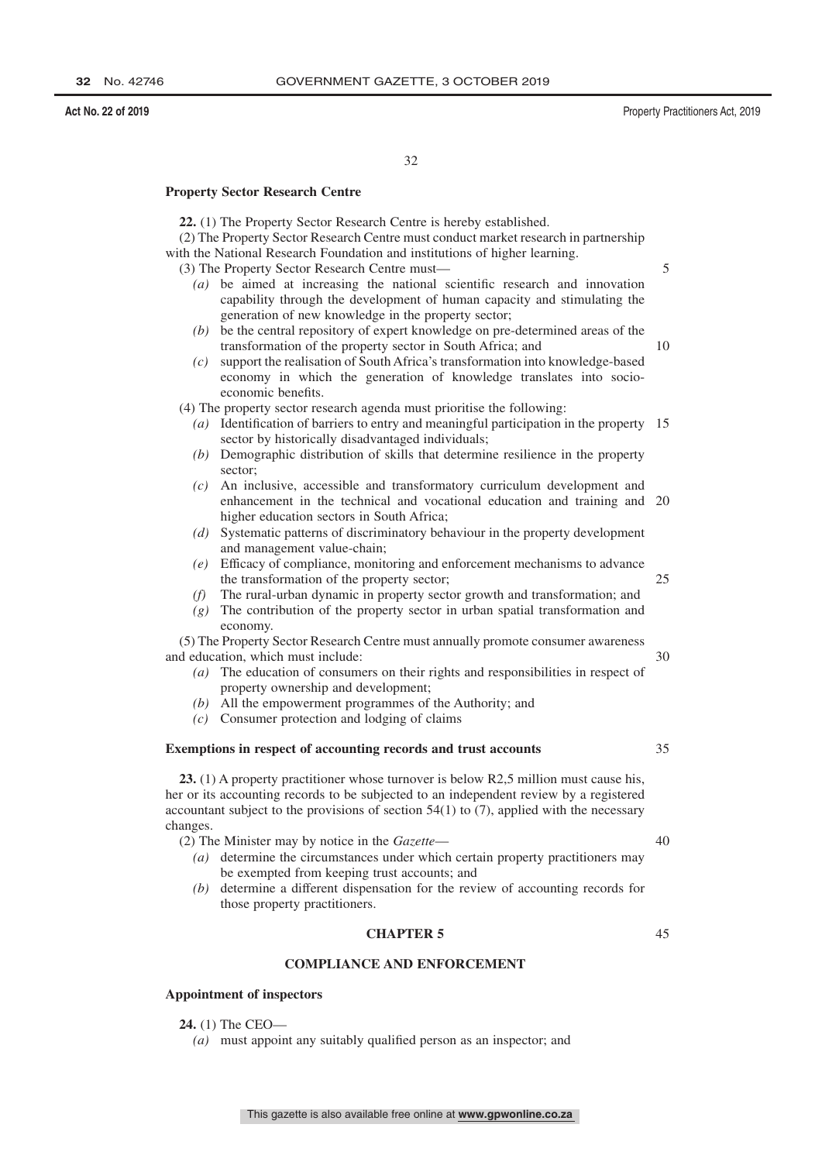**Act No. 22 of 2019** Property Practitioners Act, 2019

5

10

32

### **Property Sector Research Centre**

**22.** (1) The Property Sector Research Centre is hereby established.

(2) The Property Sector Research Centre must conduct market research in partnership with the National Research Foundation and institutions of higher learning.

- (3) The Property Sector Research Centre must—
	- *(a)* be aimed at increasing the national scientific research and innovation capability through the development of human capacity and stimulating the generation of new knowledge in the property sector;
	- *(b)* be the central repository of expert knowledge on pre-determined areas of the transformation of the property sector in South Africa; and
	- *(c)* support the realisation of South Africa's transformation into knowledge-based economy in which the generation of knowledge translates into socioeconomic benefits.

(4) The property sector research agenda must prioritise the following:

- *(a)* Identification of barriers to entry and meaningful participation in the property 15 sector by historically disadvantaged individuals;
- *(b)* Demographic distribution of skills that determine resilience in the property sector;
- *(c)* An inclusive, accessible and transformatory curriculum development and enhancement in the technical and vocational education and training and 20 higher education sectors in South Africa;
- *(d)* Systematic patterns of discriminatory behaviour in the property development and management value-chain;
- *(e)* Efficacy of compliance, monitoring and enforcement mechanisms to advance the transformation of the property sector; 25
- *(f)* The rural-urban dynamic in property sector growth and transformation; and
- *(g)* The contribution of the property sector in urban spatial transformation and economy.

(5) The Property Sector Research Centre must annually promote consumer awareness and education, which must include:

- *(a)* The education of consumers on their rights and responsibilities in respect of property ownership and development;
- *(b)* All the empowerment programmes of the Authority; and
- *(c)* Consumer protection and lodging of claims

### **Exemptions in respect of accounting records and trust accounts**

**23.** (1) A property practitioner whose turnover is below R2,5 million must cause his, her or its accounting records to be subjected to an independent review by a registered accountant subject to the provisions of section  $54(1)$  to  $(7)$ , applied with the necessary changes.

(2) The Minister may by notice in the *Gazette*—

- *(a)* determine the circumstances under which certain property practitioners may be exempted from keeping trust accounts; and
- *(b)* determine a different dispensation for the review of accounting records for those property practitioners.

### **CHAPTER 5**

### **COMPLIANCE AND ENFORCEMENT**

### **Appointment of inspectors**

**24.** (1) The CEO—

*(a)* must appoint any suitably qualified person as an inspector; and

40

30

35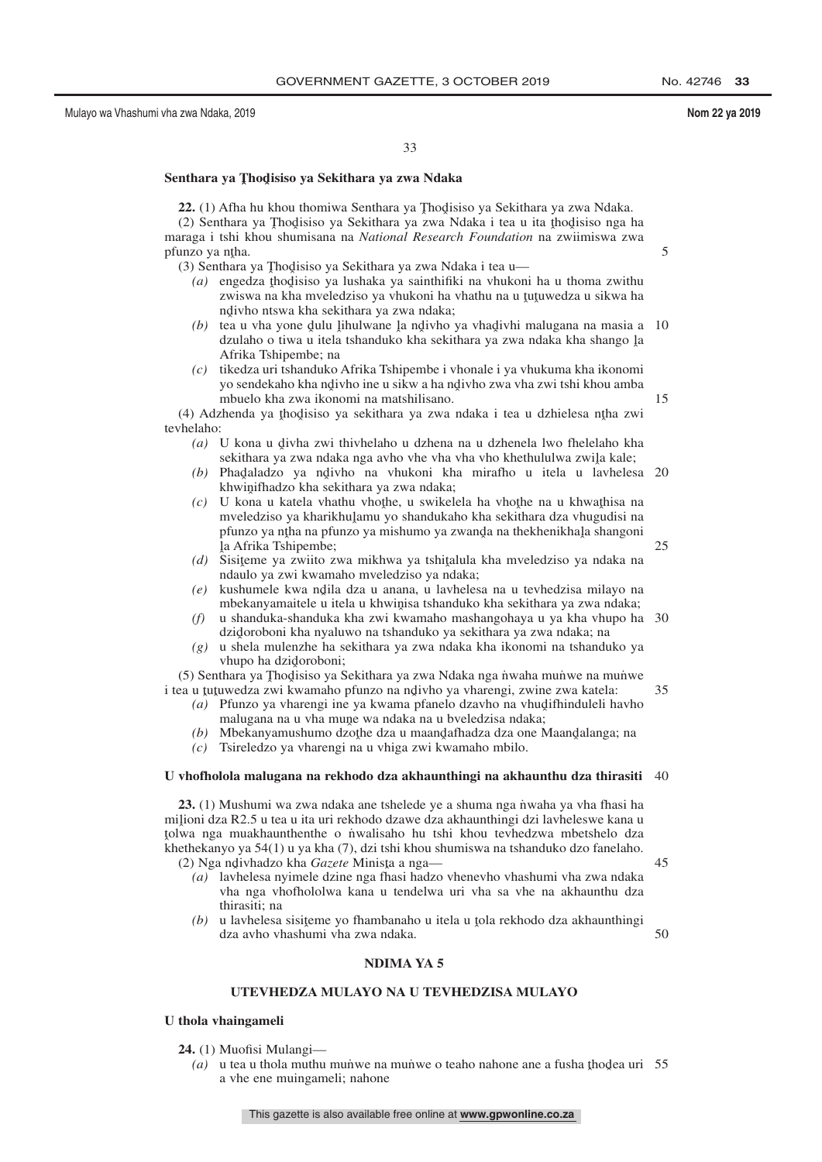15

25

33

## **Senthara ya Tˆ hodˆ isiso ya Sekithara ya zwa Ndaka**

**22.** (1) Afha hu khou thomiwa Senthara ya Thodisiso ya Sekithara ya zwa Ndaka.<br>(2) Senthara ya Thodisiso ya Sekithara ya zwa Ndaka i tea u ita thodisiso nga l (2) Senthara ya Thodisiso ya Sekithara ya zwa Ndaka i tea u ita thodisiso nga ha maraga i tshi khou shumisana na *National Research Foundation* na zwiimiswa zwa pfunzo ya ntha.<br>(3) Senthara

(3) Senthara ya Thodisiso ya Sekithara ya zwa Ndaka i tea u—<br>(a) engedza thodisiso ya lushaka ya sainthifiki na yhukon

- *(a)* engedza thodisiso ya lushaka ya sainthifiki na vhukoni ha u thoma zwithu zwiewa na kha mveledzico ya vhukoni ha vhathu na u tutuwedza u sikwa ha zwiswa na kha mveledziso ya vhukoni ha vhathu na u tutuwedza u sikwa ha<br>ndivbo ntswa kha sekithara ya zwa ndaka: nd ivho ntswa kha sekithara ya zwa ndaka;
- (b) tea u vha yone dulu lihulwane la ndivho ya vhadivhi malugana na masia a<br>(b) tea u vha yone dulu lihulwane la ndivho ya vhadivhi malugana na masia a dzulaho o tiwa u itela tshanduko kha sekithara ya zwa ndaka kha shango la<br>Afrika Tshinembe: na Afrika Tshipembe; na 10
- *(c)* tikedza uri tshanduko Afrika Tshipembe i vhonale i ya vhukuma kha ikonomi yo sendekaho kha ndivho ine u sikw a ha ndivho zwa vha zwi tshi khou amba<br>mbuelo kha zwa ikonomi na matshilisano mbuelo kha zwa ikonomi na matshilisano.

(4) Adzhenda ya thodisiso ya sekithara ya zwa ndaka i tea u dzhielesa ntha zwi<br>chelabo: tevhelaho:

- *(a)* U kona u divha zwi thivhelaho u dzhena na u dzhenela lwo fhelelaho kha sekithara ya zwa ndaka nga aybo yhe yha yha yho khethululwa zwila kale: sekithara ya zwa ndaka nga avho vhe vha vho khethululwa zwila kale;<br>Phadaladzo, va ndivho na vhukoni, kha mirafho u itela u lavheles
- *(b)* Phadaladzo ya ndivho na vhukoni kha mirafho u itela u lavhelesa 20<br>khamifhadzo kha sekithara ya zwa ndaka: khwinifhadzo kha sekithara ya zwa ndaka;<br>U kona u katela yhathu yhothe u swikel
- *(c)* U kona u katela vhathu vhothe, u swikelela ha vhothe na u khwathisa na myeledziso va kharikhulamu vo shandukaho kha sekithara dza vhugudisi na mveledziso ya kharikhuļamu yo shandukaho kha sekithara dza vhugudisi na primzo va ntha na primzo va mishumo va pfunzo ya ntha na pfunzo ya mishumo ya zwanda na thekhenikhala shangoni<br>la Afrika Tshinembe la Afrika Tshipembe;
- *(d)* Sisieme ya zwiito zwa mikhwa ya tshitalula kha mveledziso ya ndaka na<br>ndaulo ya zwiito zwa mpeledziso ya ndaka: ndaulo ya zwi kwamaho mveledziso ya ndaka;
- *(e)* kushumele kwa ndila dza u anana, u lavhelesa na u tevhedzisa milayo na mbekanyamaitele u itela u khwinisa tshanduko kha sekithara ya zwa ndaka: mbekanyamaitele u itela u khwinisa tshanduko kha sekithara ya zwa ndaka;<br>u shanduka-shanduka kha zwi kwamaho mashangohaya u ya kha yhuno h
- *(f)* u shanduka-shanduka kha zwi kwamaho mashangohaya u ya kha vhupo ha 30 dzidoroboni kha nyaluwo na tshanduko ya sekithara ya zwa ndaka; na<br>u shela mulenzhe ha sekithara ya zwa ndaka kha ikonomi na tshandi
- *(g)* u shela mulenzhe ha sekithara ya zwa ndaka kha ikonomi na tshanduko ya vhupo ha dzidoroboni;<br>thara va Thodisiso va S

(5) Senthara ya Thodisiso ya Sekithara ya zwa Ndaka nga nwaha munwe na munwe<br>aa u tutuwedza zwi kwamaho pfunzo na ndiybo ya yharengi, zwine zwa katela: i tea u tutuwedza zwi kwamaho pfunzo na ndivho ya vharengi, zwine zwa katela:<br>(a) Pfunzo ya vharengi ine ya kwama pfanelo dzaybo na vhudifhinduleli h 35

- (a) Pfunzo ya vharengi ine ya kwama pfanelo dzavho na vhudifhinduleli havho<br>malugana na u vha mune wa ndaka na u hyeledzisa ndaka: malugana na u vha mune wa ndaka na u bveledzisa ndaka;<br>Mbekanyamushumo dzothe dza u maandafhadza dza one N
- (b) Mbekanyamushumo dzothe dza u maandafhadza dza one Maandalanga; na<br>(c) Tsireledzo va yharengi na u yhiga zwi kwamaho mbilo
- *(c)* Tsireledzo ya vharengi na u vhiga zwi kwamaho mbilo.

### **U vhofholola malugana na rekhodo dza akhaunthingi na akhaunthu dza thirasiti** 40

23. (1) Mushumi wa zwa ndaka ane tshelede ye a shuma nga nwaha ya vha fhasi ha miļioni dza R2.5 u tea u ita uri rekhodo dzawe dza akhaunthingi dzi lavheleswe kana u<br>tolwa nga muakhaunthenthe o nwalisabo bu tshi, khou teyhedzwa mbetshelo dza ˆ khethekanyo ya 54(1) u ya kha (7), dzi tshi khou shumiswa na tshanduko dzo fanelaho. tolwa nga muakhaunthenthe o n˙ walisaho hu tshi khou tevhedzwa mbetshelo dza

- (2) Nga ndivhadzo kha *Gazete* Minista a nga—<br>(a) laybelesa nyimele dzine nga fhasi hadzo *(a)* lavhelesa nyimele dzine nga fhasi hadzo vhenevho vhashumi vha zwa ndaka vha nga vhofhololwa kana u tendelwa uri vha sa vhe na akhaunthu dza thirasiti; na
	- (b) u lavhelesa sisiteme yo fhambanaho u itela u tola rekhodo dza akhaunthingi<br>dza avho vhashumi yba zwa ndaka dza avho vhashumi vha zwa ndaka.

50

45

### **NDIMA YA 5**

### **UTEVHEDZA MULAYO NA U TEVHEDZISA MULAYO**

### **U thola vhaingameli**

- **24.** (1) Muofisi Mulangi—
	- (a) u tea u thola muthu munve na munve o teaho nahone ane a fusha thodea uri 55 a vhe ene muingameli; nahone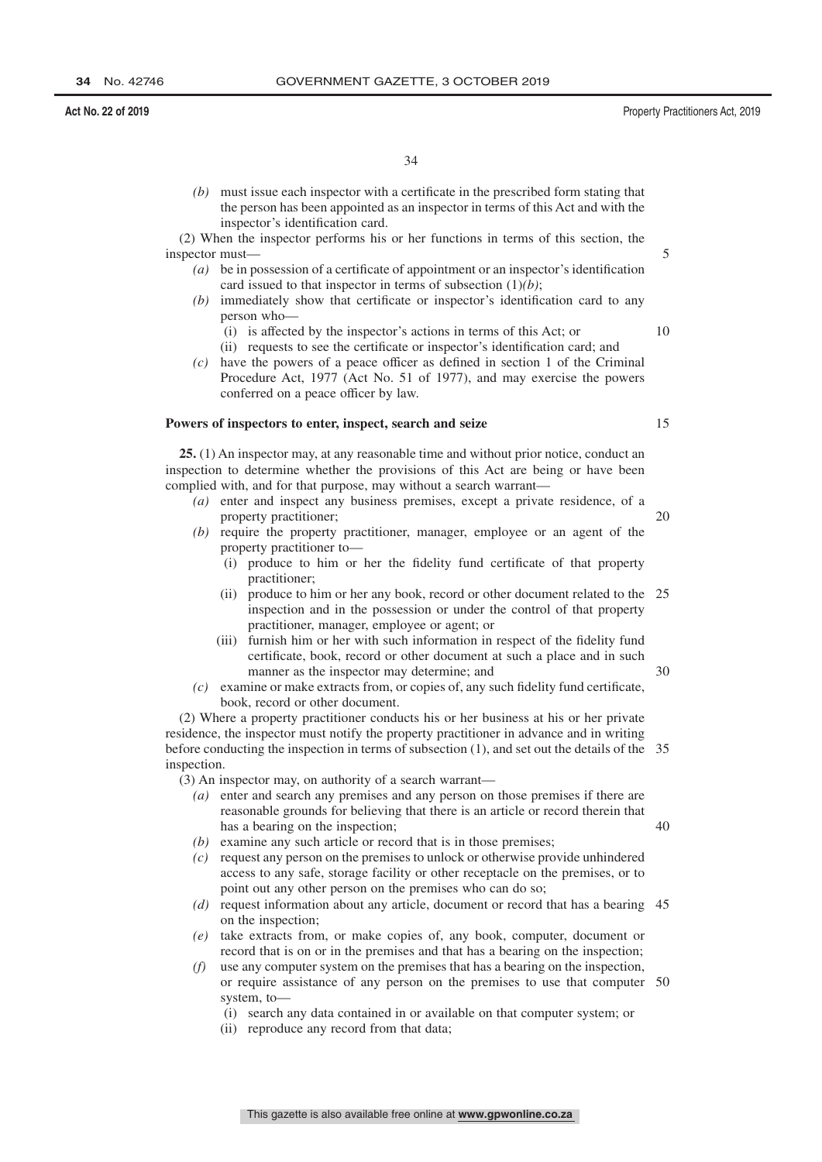*(b)* must issue each inspector with a certificate in the prescribed form stating that the person has been appointed as an inspector in terms of this Act and with the inspector's identification card.

(2) When the inspector performs his or her functions in terms of this section, the inspector must—

- *(a)* be in possession of a certificate of appointment or an inspector's identification card issued to that inspector in terms of subsection (1)*(b)*;
- *(b)* immediately show that certificate or inspector's identification card to any person who—
	- (i) is affected by the inspector's actions in terms of this Act; or
	- (ii) requests to see the certificate or inspector's identification card; and
- *(c)* have the powers of a peace officer as defined in section 1 of the Criminal Procedure Act, 1977 (Act No. 51 of 1977), and may exercise the powers conferred on a peace officer by law.

### **Powers of inspectors to enter, inspect, search and seize**

**25.** (1) An inspector may, at any reasonable time and without prior notice, conduct an inspection to determine whether the provisions of this Act are being or have been complied with, and for that purpose, may without a search warrant—

- *(a)* enter and inspect any business premises, except a private residence, of a property practitioner;
- *(b)* require the property practitioner, manager, employee or an agent of the property practitioner to—
	- (i) produce to him or her the fidelity fund certificate of that property practitioner;
	- (ii) produce to him or her any book, record or other document related to the 25 inspection and in the possession or under the control of that property practitioner, manager, employee or agent; or
	- (iii) furnish him or her with such information in respect of the fidelity fund certificate, book, record or other document at such a place and in such manner as the inspector may determine; and
- *(c)* examine or make extracts from, or copies of, any such fidelity fund certificate, book, record or other document.

(2) Where a property practitioner conducts his or her business at his or her private residence, the inspector must notify the property practitioner in advance and in writing before conducting the inspection in terms of subsection (1), and set out the details of the 35 inspection.

(3) An inspector may, on authority of a search warrant—

- *(a)* enter and search any premises and any person on those premises if there are reasonable grounds for believing that there is an article or record therein that has a bearing on the inspection;
- *(b)* examine any such article or record that is in those premises;
- *(c)* request any person on the premises to unlock or otherwise provide unhindered access to any safe, storage facility or other receptacle on the premises, or to point out any other person on the premises who can do so;
- *(d)* request information about any article, document or record that has a bearing 45 on the inspection;
- *(e)* take extracts from, or make copies of, any book, computer, document or record that is on or in the premises and that has a bearing on the inspection;
- *(f)* use any computer system on the premises that has a bearing on the inspection, or require assistance of any person on the premises to use that computer 50system, to—
	- (i) search any data contained in or available on that computer system; or
	- (ii) reproduce any record from that data;

15

20

30

40

5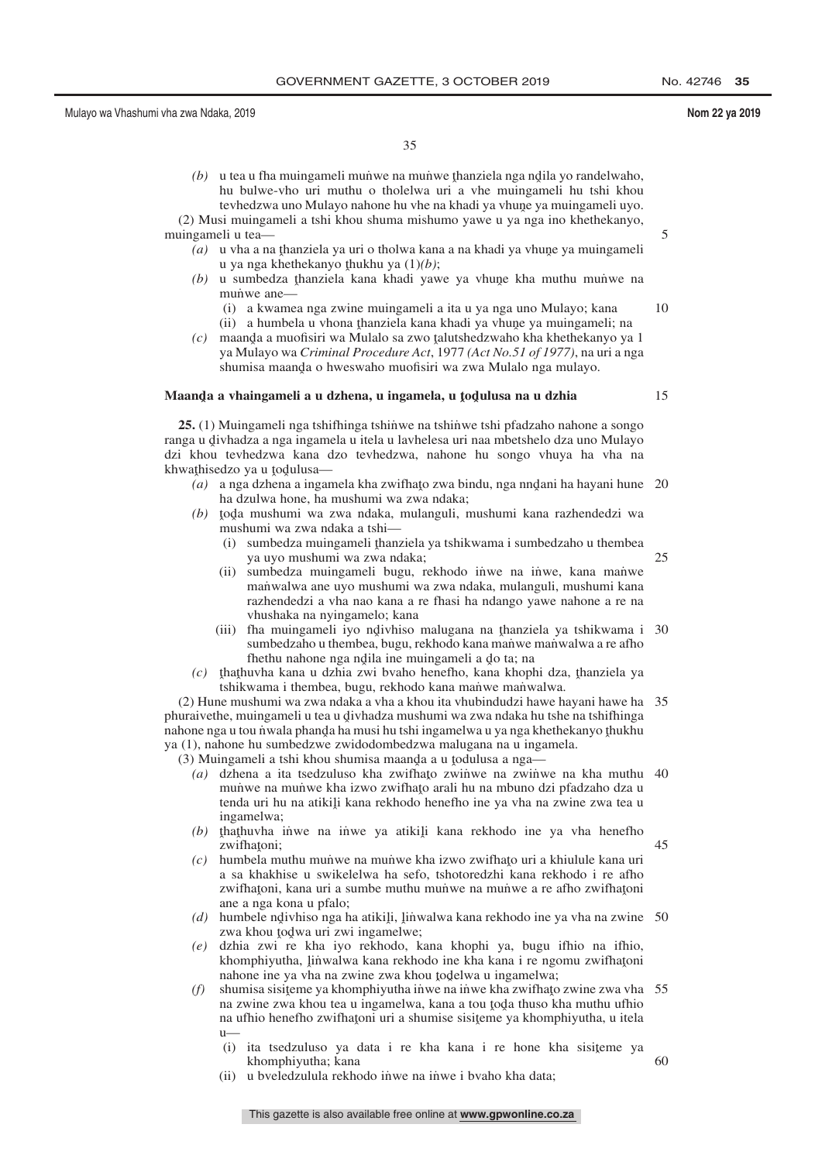5

15

35

*(b)* u tea u fha muingameli munwe na munwe thanziela nga ndila yo randelwaho,<br>hu hulwe-ybo uri muthu o tholelwa uri a ybe muingameli hu tshi khou hu bulwe-vho uri muthu o tholelwa uri a vhe muingameli hu tshi khou tevhedzwa uno Mulayo nahone hu vhe na khadi ya vhune ya muingameli uyo.<br>E muingameli a tshi khou shuma mishumo yawe u ya nga ino khethekanyo.

(2) Musi muingameli a tshi khou shuma mishumo yawe u ya nga ino khethekanyo, muingameli u tea—

- (a) u vha a na thanziela ya uri o tholwa kana a na khadi ya vhune ya muingameli<br>u ya nga khethekanyo thukhu ya  $(1)(h)$ : u ya nga khethekanyo <u>thukhu ya (1)</u>*(b)*;<br>u sumbedza thanziela kana khadi yaw
- *(b)* u sumbedza thanziela kana khadi yawe ya vhune kha muthu muniwe na muniwe ane munwe ane-
	- (i) a kwamea nga zwine muingameli a ita u ya nga uno Mulayo; kana (ii) a humbela u vhona thanziela kana khadi ya vhune ya muingameli; na<br>maanda a muofisiri wa Mulalo sa zwo talutshedzwaho kha khethekanyo ya 10
- *(c)* maanda a muofisiri wa Mulalo sa zwo talutshedzwaho kha khethekanyo ya 1<br>wa Mulayo wa Criminal Procedure Act, 1977 (Act No 51 of 1977) na uri a nga ya Mulayo wa *Criminal Procedure Act*, 1977 *(Act No.51 of 1977)*, na uri a nga shumisa maanda o hweswaho muofisiri wa zwa Mulalo nga mulayo.

## **Maandˆ a a vhaingameli a u dzhena, u ingamela, u <sup>ˆ</sup> todˆ ulusa na u dzhia**

**25.** (1) Muingameli nga tshifhinga tshin̆we na tshin̆we tshi pfadzaho nahone a songo ranga u divhadza a nga ingamela u itela u lavhelesa uri naa mbetshelo dza uno Mulayo<br>dzi khou tevhedzwa, kana, dzo, tevhedzwa, nahone, hu, songo, yhuva, ha, yha, na dzi khou tevhedzwa kana dzo tevhedzwa, nahone hu songo vhuya ha vha na  $k$ hwathisedzo ya u todulusa—

- *(a)* a nga dzhena a ingamela kha zwifhato zwa bindu, nga nnd̄ani ha hayani hune 20<br>ha dzulwa bone, ha mushumi wa zwa ndaka: ha dzulwa hone, ha mushumi wa zwa ndaka;
- (b) toda mushumi wa zwa ndaka, mulanguli, mushumi kana razhendedzi wa<br>mushumi wa zwa ndaka a tshi mushumi wa zwa ndaka a tshi—
	- (i) sumbedza muingameli thanziela ya tshikwama i sumbedzaho u thembea<br> $x_1$  ya uyo mushumi wa zwa ndaka: ya uyo mushumi wa zwa ndaka; 25
	- (ii) sumbedza muingameli bugu, rekhodo inwe na inwe, kana manwe manwalwa ane uyo mushumi wa zwa ndaka, mulanguli, mushumi kana razhendedzi a vha nao kana a re fhasi ha ndango yawe nahone a re na vhushaka na nyingamelo; kana
	- (iii) fha muingameli iyo ndivhiso malugana na thanziela ya tshikwama i 30<br>sumbedzaho u thembea bugu rekhodo kana manwe manwalwa a reafho sumbedzaho u thembea, bugu, rekhodo kana manwe manwalwa a re afho fhethu nahone nga ndila ine muingameli a do ta; na<br>uwha kana u dzhia zwi byaho henefho, kana khon
- $f(c)$  that huvha kana u dzhia zwi bvaho henefho, kana khophi dza, thanziela ya tshikwama i thembea bugu rekhodo kana manwe manwalwa tshikwama i thembea, bugu, rekhodo kana manwe manwalwa.

(2) Hune mushumi wa zwa ndaka a vha a khou ita vhubindudzi hawe hayani hawe ha 35 phuraivethe, muingameli u tea u divhadza mushumi wa zwa ndaka hu tshe na tshifhinga<br>nabone nga u tou nwala phanda ha musi bu tshi ingamelwa u ya nga khethekanyo thukhu nahone nga u tou n˙wala phand̯a ha musi hu tshi ingamelwa u ya nga khethekanyo thukhu<br>va (1), nahone hu sumbedzwe zwidodombedzwa malugana na u ingamela ya (1), nahone hu sumbedzwe zwidodombedzwa malugana na u ingamela.

(3) Muingameli a tshi khou shumisa maanda a u todulusa a nga—<br>(a) dzhena a ita tsedzuluso kha zwithato zwinwe na zwiny

- (a) dzhena a ita tsedzuluso kha zwifhato zwiniwe na zwiniwe na kha muthu 40<br>muniwe na muniwe kha izwo zwifhato arali hu na mbuno dzi pfadzaho dza u munuve na munuve kha izwo zwifhato arali hu na mbuno dzi pfadzaho dza u<br>tenda uri hu na atikili kana rekhodo henefho ine ya yha na zwine zwa tea u tenda uri hu na atikili kana rekhodo henefho ine ya vha na zwine zwa tea u<br>ingamelwa: ingamelwa;
- $(b)$  that huvha inve na inve ya atikili kana rekhodo ine ya vha henefho zwifhațoni;<br>bumbela m 45
- $(c)$  humbela muthu munve na munve kha izwo zwifhato uri a khiulule kana uri a sa khakhise u swikelelwa ha sefo, tshotoredzhi kana rekhodo i re afho a sa khakhise u swikelelwa ha sefo, tshotoredzhi kana rekhodo i re afho zwifhaţoni, kana uri a sumbe muthu mun̄we na mun̄we a re afho zwifhaţoni ane a nga kona u pfalo;
- (d) humbele ndivhiso nga ha atikili, linwalwa kana rekhodo ine ya vha na zwine 50<br>zwa khou todwa uri zwi ingamelwe: zwa khou todwa uri zwi ingamelwe;<br>dzhia zwi re kha ivo rekhodo, k
- *(e)* dzhia zwi re kha iyo rekhodo, kana khophi ya, bugu ifhio na ifhio, khomphiyutha, linwalwa kana rekhodo ine kha kana i re ngomu zwifhatoni<br>nabone ine va yha na zwine zwa khou todelwa u ingamelwa: nahone ine ya vha na zwine zwa khou todelwa u ingamelwa;<br>shumisa sisiteme ya khomphiyutha inwe na inwe kha zwifhato
- *(f)* shumisa sisiteme ya khomphiyutha inwe na inwe kha zwifhato zwine zwa vha 55<br>na zwine zwa khou tea u ingamelwa, kana a tou toda thuso kha muthu ufhio na zwine zwa khou tea u ingamelwa, kana a tou toda thuso kha muthu ufhio<br>na ufhio henefho zwithatoni uri a shumise sisiteme va khomphiyutha, u itela na ufhio henefho zwifhatoni uri a shumise sisiteme ya khomphiyutha, u itela<br>
1 u—
	- (i) ita tsedzuluso ya data i re kha kana i re hone kha sisiteme ya khomphiyutha: kana khomphiyutha; kana 60
	- (ii) u bveledzulula rekhodo inwe na inwe i bvaho kha data;

This gazette is also available free online at **www.gpwonline.co.za**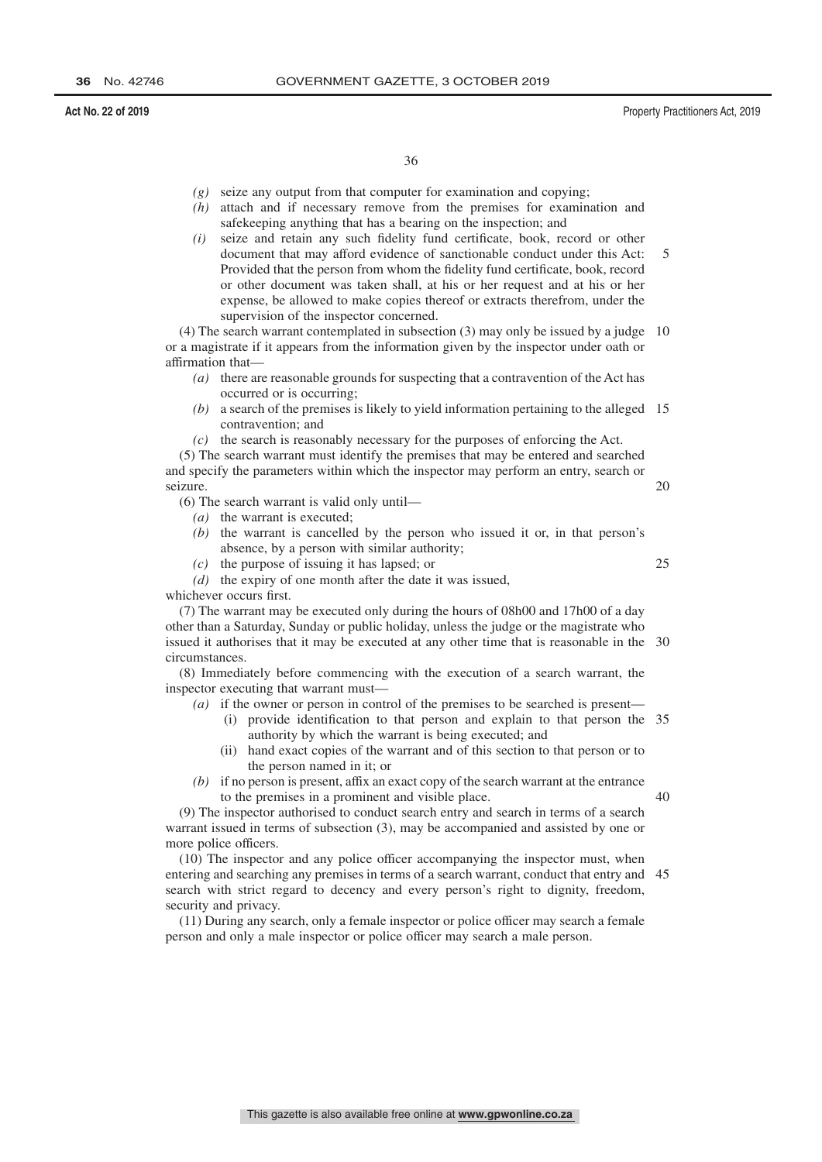- *(g)* seize any output from that computer for examination and copying;
- *(h)* attach and if necessary remove from the premises for examination and safekeeping anything that has a bearing on the inspection; and
- *(i)* seize and retain any such fidelity fund certificate, book, record or other document that may afford evidence of sanctionable conduct under this Act: Provided that the person from whom the fidelity fund certificate, book, record or other document was taken shall, at his or her request and at his or her expense, be allowed to make copies thereof or extracts therefrom, under the supervision of the inspector concerned. 5

(4) The search warrant contemplated in subsection (3) may only be issued by a judge 10 or a magistrate if it appears from the information given by the inspector under oath or affirmation that—

- *(a)* there are reasonable grounds for suspecting that a contravention of the Act has occurred or is occurring;
- *(b)* a search of the premises is likely to yield information pertaining to the alleged 15 contravention; and
- *(c)* the search is reasonably necessary for the purposes of enforcing the Act.

(5) The search warrant must identify the premises that may be entered and searched and specify the parameters within which the inspector may perform an entry, search or seizure. 20

(6) The search warrant is valid only until—

- *(a)* the warrant is executed;
- *(b)* the warrant is cancelled by the person who issued it or, in that person's absence, by a person with similar authority;
- *(c)* the purpose of issuing it has lapsed; or
- *(d)* the expiry of one month after the date it was issued,

whichever occurs first.

(7) The warrant may be executed only during the hours of 08h00 and 17h00 of a day other than a Saturday, Sunday or public holiday, unless the judge or the magistrate who issued it authorises that it may be executed at any other time that is reasonable in the 30 circumstances.

(8) Immediately before commencing with the execution of a search warrant, the inspector executing that warrant must—

- *(a)* if the owner or person in control of the premises to be searched is present—
	- (i) provide identification to that person and explain to that person the 35 authority by which the warrant is being executed; and
	- (ii) hand exact copies of the warrant and of this section to that person or to the person named in it; or
- *(b)* if no person is present, affix an exact copy of the search warrant at the entrance to the premises in a prominent and visible place.

 $40$ 

25

(9) The inspector authorised to conduct search entry and search in terms of a search warrant issued in terms of subsection (3), may be accompanied and assisted by one or more police officers.

(10) The inspector and any police officer accompanying the inspector must, when entering and searching any premises in terms of a search warrant, conduct that entry and 45search with strict regard to decency and every person's right to dignity, freedom, security and privacy.

(11) During any search, only a female inspector or police officer may search a female person and only a male inspector or police officer may search a male person.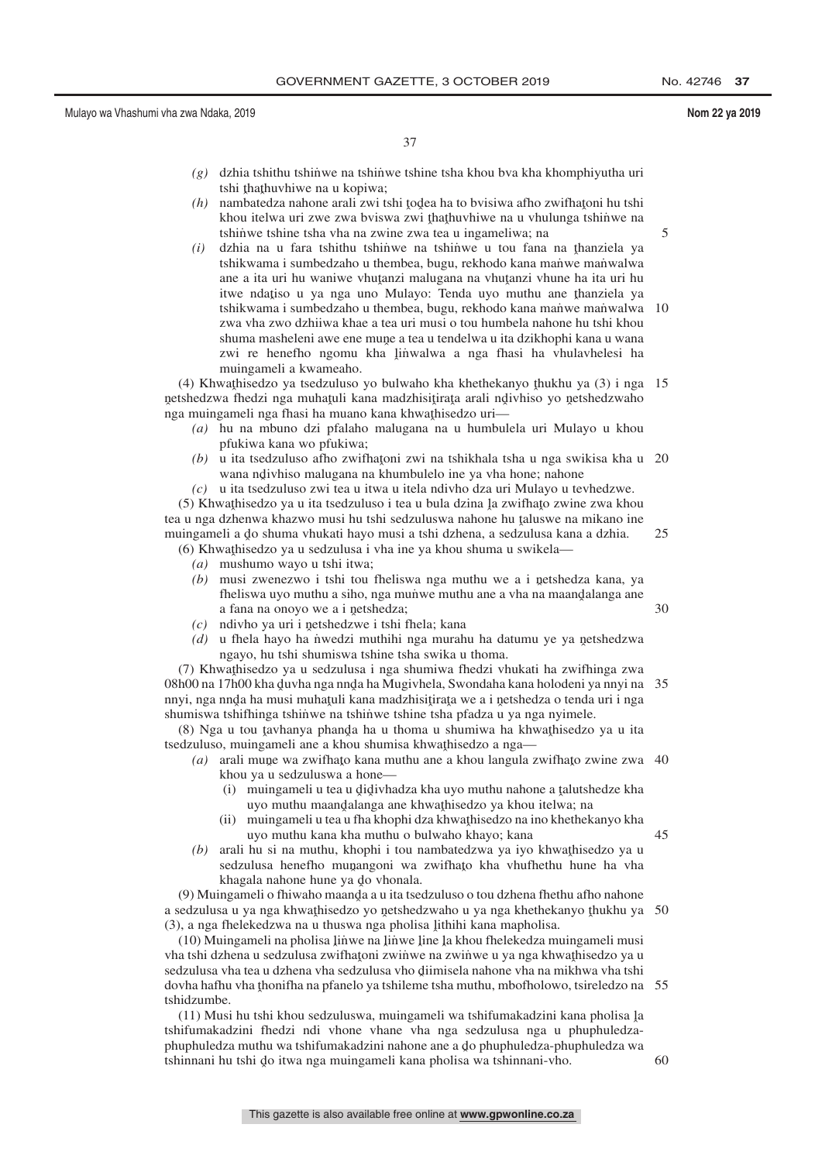5

30

45

37

- *(g)* dzhia tshithu tshin˙ we na tshin˙ we tshine tsha khou bva kha khomphiyutha uri tshi thathuvhiwe na u kopiwa;<br>nambatedza nabone arali zwi t
- $(h)$  nambatedza nahone arali zwi tshi todea ha to bvisiwa afho zwifhatoni hu tshi<br>khou italwa uri zwa zwa hyiswa zwi thathuyhiwa na u yhulunga tshinwa na khou itelwa uri zwe zwa bviswa zwi thathuvhiwe na u vhulunga tshinwe na tehinye taha yha na zwine zwa tea u ingameliwa: na tshinwe tshine tsha vha na zwine zwa tea u ingameliwa; na
- $(i)$  dzhia na u fara tshithu tshinwe na tshinwe u tou fana na thanziela ya tshikwama i sumbedzaho u thambaa bugu rakhodo kana manye manyelwa tshikwama i sumbedzaho u thembea, bugu, rekhodo kana manwe manwalwa ane a ita uri hu waniwe vhuṭanzi malugana na vhuṭanzi vhune ha ita uri hu<br>tuwa ndatiso u ya nga uno Mulayo: Tanda uyo muthu ana thanziela ya itwe ndațiso u ya nga uno Mulayo: Tenda uyo muthu ane thanziela ya tehikwama i sumbedzaho u thembea bugu rekhodo kana manwe manwalwa tshikwama i sumbedzaho u thembea, bugu, rekhodo kana manwe manwalwa zwa vha zwo dzhiiwa khae a tea uri musi o tou humbela nahone hu tshi khou shuma masheleni awe ene mune a tea u tendelwa u ita dzikhophi kana u wana<br>zwi re-henefbo, ngomu, kha linwalwa a nga fhasi, ha whulayhelesi, ha zwi re henefho ngomu kha linwalwa a nga fhasi ha vhulavhelesi ha<br>mujugameli akwameaho muingameli a kwameaho. 10

(4) Khwaṭhisedzo ya tsedzuluso yo bulwaho kha khethekanyo ṭhukhu ya (3) i nga 15<br>tshedzwa fhedzi nga muhatuli kana madzhisitirata arali ndiyhiso yo netshedzwaho netshedzwa fhedzi nga muhatuli kana madzhisitirata arali ndivhiso yo netshedzwaho nga muingameli nga muingur kana maazinsignaga aran ng<br>nga muingameli nga fhasi ha muano kana khwaṭhisedzo uri—

- *(a)* hu na mbuno dzi pfalaho malugana na u humbulela uri Mulayo u khou pfukiwa kana wo pfukiwa;
- *(b)* u ita tsedzuluso afho zwifhatoni zwi na tshikhala tsha u nga swikisa kha u 20<br>wana ndiyhiso malugana na khumbulelo ina ya yba hone; nabone wana ndivhiso malugana na khumbulelo ine ya vha hone; nahone<br>u ita tsadzuluso zwi tao u itwa u itala ndivbo dza uri Mulavo u ta
- *(c)* u ita tsedzuluso zwi tea u itwa u itela ndivho dza uri Mulayo u tevhedzwe.

(5) Khwathisedzo ya u ita tsedzuluso i tea u bula dzina la zwifhato zwine zwa khou<br>u u nga dzhenwa khazwo musi bu tshi sedzuluswa nahone bu taluswe na mikano ine tea u nga dzhenwa khazwo musi hu tshi sedzuluswa nahone hu taluswe na mikano ine<br>mujugameli a do shuma yhukati hayo musi a tshi dzhena, a sedzulusa kana a dzhia muingameli a do shuma vhukati hayo musi a tshi dzhena, a sedzulusa kana a dzhia.<br>(6) Khwathisedzo va u sedzulusa i yha ine ya khou shuma u swikela 25

- (6) Khwathisedzo ya u sedzulusa i vha ine ya khou shuma u swikela—<br>(a) mushumo wayo u tshi itwa:
	- *(a)* mushumo wayo u tshi itwa;
	- *(b)* musi zwenezwo i tshi tou fheliswa nga muthu we a i netshedza kana, ya fheliswa uwo muthu a sibo, nga munye muthu ang a yaha na maandalanga ang fheliswa uyo muthu a siho, nga mun˙ we muthu ane a vha na maandalanga ane<br>a fana na onovo we a i netshedza: a fana na onoyo we a i netshedza;<br>ndiybo ya uri i netshedzwe i tshi t
	- $(c)$  ndivho ya uri i netshedzwe i tshi fhela; kana<br> $(d)$ , u fhela havo ha nwedzi muthibi nga murah
	- (d) u fhela hayo ha nvedzi muthihi nga murahu ha datumu ye ya netshedzwa<br>naayo hu tshi shumiswa tshine tsha swika u thoma ngayo, hu tshi shumiswa tshine tsha swika u thoma.

(7) Khwathisedzo ya u sedzulusa i nga shumiwa fhedzi vhukati ha zwifhinga zwa<br>b00 na 17b00 kha duyba nga ngda ba Mugiybela. Swondaba kana holodeni ya nnyi na 08h00 na 17h00 kha duvha nga nnda ha Mugivhela, Swondaha kana holodeni ya nnyi na 35<br>nnyi nga nnda ha musi muhatuli kana madzhisitirata we a i netshedza o tenda uri i nga nnyi, nga nnda ha musi muhaṭuli kana madzhisiṭiraṭa we a i netshedza o tenda uri i nga<br>shumiswa tshifbinga tshinwe na tshinwe tshine tsha nfadza u va nga nyimele shumiswa tshifhinga tshinwe na tshinwe tshine tsha pfadza u ya nga nyimele.

(8) Nga u tou tavhanya phanda ha u thoma u shumiwa ha khwathisedzo ya u ita<br>dzuluso, mujngameli ane a khou shumisa khwathisedzo a nga tsedzuluso, muingameli ane a khou shumisa khwathisedzo a nga— $(a)$ , arali mune wa zwithato kana muthu ane a khou langula z

- (a) arali mune wa zwifhato kana muthu ane a khou langula zwifhato zwine zwa 40<br>khou ya u sedzuluswa a bone khou ya u sedzuluswa a hone—
	- (i) muingameli u tea u didivhadza kha uyo muthu nahone a talutshedze kha manganen a tea a gigiviaaza kha ayo mama nanone a gatasi.<br>uyo muthu maandalanga ane khwathisedzo ya khu itelwa; na
	- (ii) muingameli u tea u fha khophi dza khwathisedzo na ino khethekanyo kha uyo muthu kana kha muthu o bulwaho khayo; kana
- $(b)$  arali hu si na muthu, khophi i tou nambatedzwa ya iyo khwathisedzo ya u sedzulusa hanafho munangoni wa zwifasto kha yhufhathu hung ha yha sedzulusa henefho munangoni wa zwifhato kha vhufhethu hune ha vha khagala nahone hune ya do vhonala.<br>ngameli o fhiwabo maanda a u ita tse

(9) Muingameli o fhiwaho maanda a u ita tsedzuluso o tou dzhena fhethu afho nahone<br>edzulusa u va nga khwathisedzo vo netshedzwaho u va nga khethekanyo thukhu va a sedzulusa u ya nga khwathisedzo yo netshedzwaho u ya nga khethekanyo thukhu ya 50<br>(3) a nga fhelekedzwa na u thuswa nga pholisa lithihi kana mapholisa  $(3)$ , a nga fhelekedzwa na u thuswa nga pholisa lithihi kana mapholisa.<br> $(10)$  Muingameli na pholisa linya na linya line la khou fhelekedza m

(10) Muingameli na pholisa linwe na linwe line la khou fhelekedza muingameli musi<br>a tshi dzhana u sedzulusa zwithatoni zwinwe na zwinwe u va nga khwathisedzo va u vha tshi dzhena u sedzulusa zwifhaţoni zwiṅ̀we na zwiṅ̀we u ya nga khwathisedzo ya u<br>sedzulusa yba tea u dzhena yba sedzulusa ybo diimisela nabone yba na mikhwa yba tshi sedzulusa vha tea u dzhena vha sedzulusa vho diimisela nahone vha na mikhwa vha tshi<br>dovha hafbu vha thonifha na pfanelo va tshileme tsha muthu, mbofholowo, tsireledzo na dovha hafhu vha thonifha na pfanelo ya tshileme tsha muthu, mbofholowo, tsireledzo na 55<br>tshidzumbe tshidzumbe.

(11) Musi hu tshi khou sedzuluswa, muingameli wa tshifumakadzini kana pholisa la<br>ufumakadzini fhedzi ndi yhone yhone yha nga sedzulusa nga u phuphuledza tshifumakadzini fhedzi ndi vhone vhane vha nga sedzulusa nga u phuphuledzaphuphuledza muthu wa tshifumakadzini nahone ane a do phuphuledza-phuphuledza wa<br>tshinaani bu tshi do itwa nga mujngameli kana pholisa wa tshinaani yho tshinnani hu tshi do itwa nga muingameli kana pholisa wa tshinnani-vho.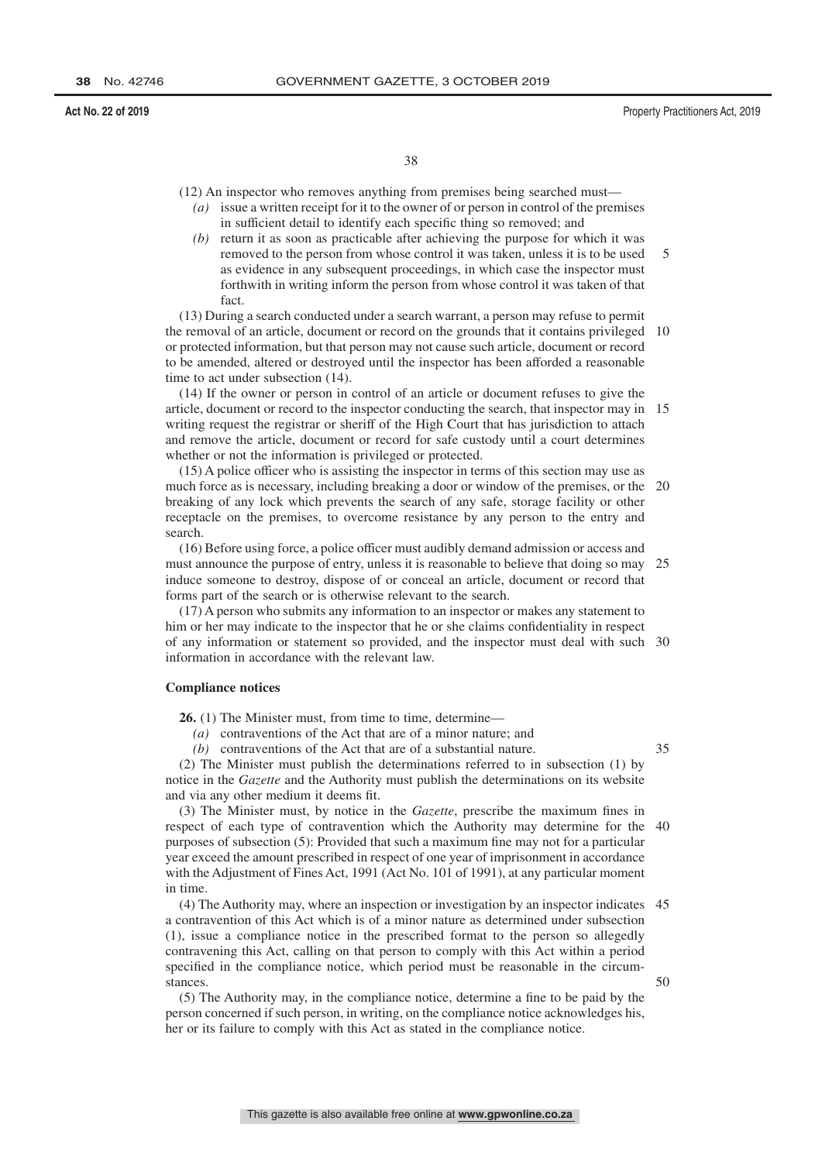(12) An inspector who removes anything from premises being searched must—

- *(a)* issue a written receipt for it to the owner of or person in control of the premises in sufficient detail to identify each specific thing so removed; and
- *(b)* return it as soon as practicable after achieving the purpose for which it was removed to the person from whose control it was taken, unless it is to be used as evidence in any subsequent proceedings, in which case the inspector must forthwith in writing inform the person from whose control it was taken of that fact. 5

(13) During a search conducted under a search warrant, a person may refuse to permit the removal of an article, document or record on the grounds that it contains privileged 10 or protected information, but that person may not cause such article, document or record to be amended, altered or destroyed until the inspector has been afforded a reasonable time to act under subsection (14).

(14) If the owner or person in control of an article or document refuses to give the article, document or record to the inspector conducting the search, that inspector may in 15 writing request the registrar or sheriff of the High Court that has jurisdiction to attach and remove the article, document or record for safe custody until a court determines whether or not the information is privileged or protected.

(15) A police officer who is assisting the inspector in terms of this section may use as much force as is necessary, including breaking a door or window of the premises, or the breaking of any lock which prevents the search of any safe, storage facility or other receptacle on the premises, to overcome resistance by any person to the entry and search. 20

(16) Before using force, a police officer must audibly demand admission or access and must announce the purpose of entry, unless it is reasonable to believe that doing so may induce someone to destroy, dispose of or conceal an article, document or record that forms part of the search or is otherwise relevant to the search. 25

(17) A person who submits any information to an inspector or makes any statement to him or her may indicate to the inspector that he or she claims confidentiality in respect of any information or statement so provided, and the inspector must deal with such 30 information in accordance with the relevant law.

### **Compliance notices**

**26.** (1) The Minister must, from time to time, determine—

*(a)* contraventions of the Act that are of a minor nature; and

*(b)* contraventions of the Act that are of a substantial nature.

35

(2) The Minister must publish the determinations referred to in subsection (1) by notice in the *Gazette* and the Authority must publish the determinations on its website and via any other medium it deems fit.

(3) The Minister must, by notice in the *Gazette*, prescribe the maximum fines in respect of each type of contravention which the Authority may determine for the 40 purposes of subsection (5): Provided that such a maximum fine may not for a particular year exceed the amount prescribed in respect of one year of imprisonment in accordance with the Adjustment of Fines Act, 1991 (Act No. 101 of 1991), at any particular moment in time.

(4) The Authority may, where an inspection or investigation by an inspector indicates 45 a contravention of this Act which is of a minor nature as determined under subsection (1), issue a compliance notice in the prescribed format to the person so allegedly contravening this Act, calling on that person to comply with this Act within a period specified in the compliance notice, which period must be reasonable in the circumstances. 50

(5) The Authority may, in the compliance notice, determine a fine to be paid by the person concerned if such person, in writing, on the compliance notice acknowledges his, her or its failure to comply with this Act as stated in the compliance notice.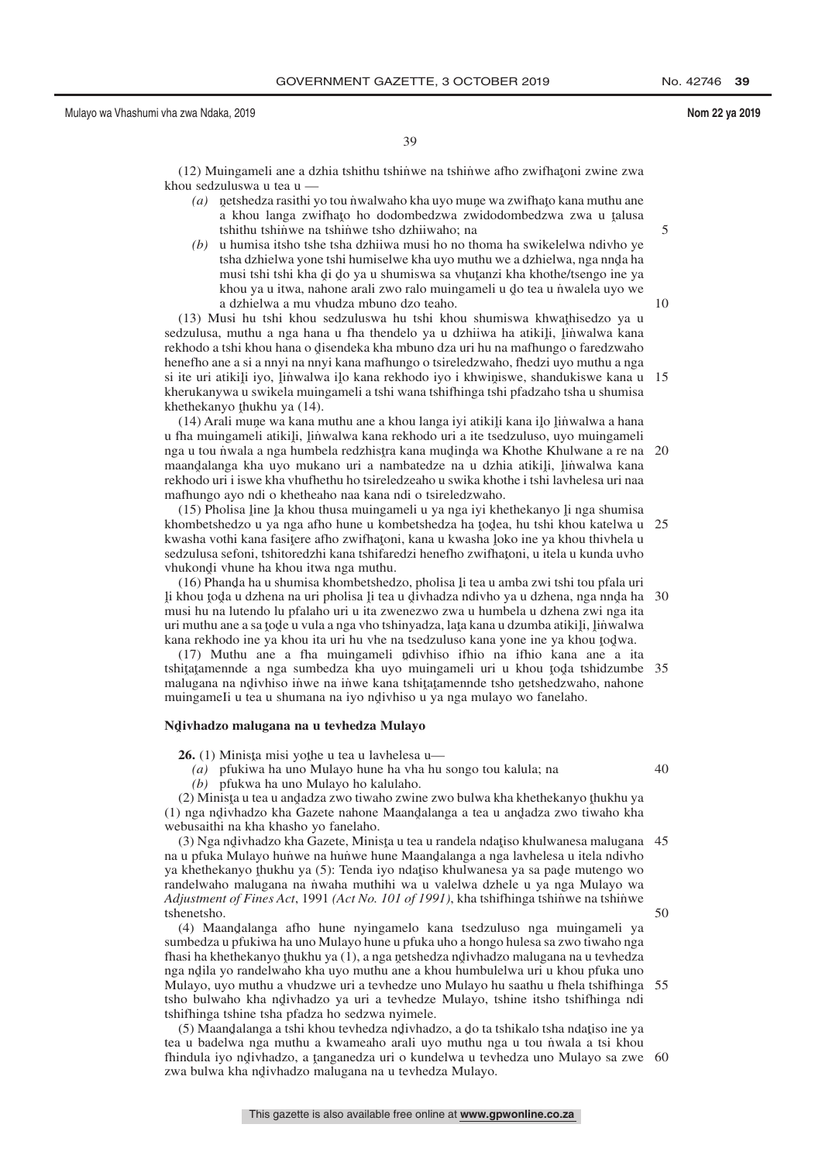39

(12) Muingameli ane a dzhia tshithu tshin̆we na tshin̆we afho zwifhatoni zwine zwa<br>ou sedzuluswa u tea u khou sedzuluswa u tea u —

- (a) netshedza rasithi yo tou nvalwaho kha uyo mune wa zwifhato kana muthu ane <sub>n</sub> kahou langa zwifhato ho dodombedzwa zwidodombedzwa zwa u talusa<br>a khou langa zwifhato ho dodombedzwa zwidodombedzwa zwa u talusa tshithu tshinwe na tshinwe tsho dzhiiwaho; na
- *(b)* u humisa itsho tshe tsha dzhiiwa musi ho no thoma ha swikelelwa ndivho ye tsha dzhielwa yone tshi humiselwe kha uyo muthu we a dzhielwa, nga nnd្a ha<br>musi tshi tshi kha di do va u shumiswa sa yhutanzi kha khothe/tsengo ine ya musi tshi tshi kha di do ya u shumiswa sa vhutanzi kha khothe/tsengo ine ya<br>khou ya u itwa nahone arali zwo ralo muingameli u do tea u nwalela uvo we nasi isin'isin'ikina gri go ya u shumiswa sa viladanzi kha khoulevesengo me ya<br>khou ya u itwa, nahone arali zwo ralo muingameli u do tea u nwalela uyo we a dzhielwa a mu vhudza mbuno dzo teaho.

(13) Musi hu tshi khou sedzuluswa hu tshi khou shumiswa khwathisedzo ya u<br>dzulusa muthu a nga hana u fha thendelo ya u dzhijwa ha atikili linwalwa kana sedzulusa, muthu a nga hana u fha thendelo ya u dzhiiwa ha atikili, linwalwa kana<br>rekhodo a tshi khou hana o disendeka kha mbuno dza uri hu na mafhungo o faredzwaho rekhodo a tshi khou hana o disendeka kha mbuno dza uri hu na mafhungo o faredzwaho<br>henefho ane a si a nnvi na nnvi kana mafhungo o tsireledzwaho, fhedzi uvo muthu a nga henefho ane a si a nnyi na nnyi kana mafhungo o tsireledzwaho, fhedzi uyo muthu a nga si ite uri atikili iyo, linwalwa ilo kana rekhodo iyo i khwiniswe, shandukiswe kana u<br>kherukanywa u swikela mujugameli a tshi wana tshifhinga tshi nfadzaho tsha u shumisa kherukanywa u swikela muingameli a tshi wana tshifhinga tshi pfadzaho tsha u shumisa khethekanyo thukhu ya  $(14)$ .<br> $(14)$  Arali mune wa kana n 15

(14) Arali mune wa kana muthu ane a khou langa iyi atikili kana ilo linwalwa a hana<br>ha mujugameli atikili Jinwalwa kana rekhodo uri a ite tsedzuluso, uvo mujugameli u fha muingameli atikiļi, ļinwalwa kana rekhodo uri a ite tsedzuluso, uyo muingameli<br>nga u tou nwala a nga humbela redzhistra kana mudinda wa Khothe Khulwane a re na nga u tou nwala a nga humbela redzhistra kana mudinda wa Khothe Khulwane a re na 20<br>maandalanga kha uwo mukano uri a nambatedze na u dzhia atikili Jinwalwa kana maandalanga kha uyo mukano uri a nambatedze na u dzhia atikili, linwalwa kana<br>rekhodo uri i iswe kha vhufbethu ho tsireledzeaho u swika khothe i tshi layhelesa uri naa rekhodo uri i iswe kha vhufhethu ho tsireledzeaho u swika khothe i tshi lavhelesa uri naa mafhungo ayo ndi o khetheaho naa kana ndi o tsireledzwaho.

(15) Pholisa line la khou thusa muingameli u ya nga iyi khethekanyo li nga shumisa<br>ombetshedzo u ya nga afho hune u kombetshedza ha todea, bu tshi khou katelwa u khombetshedzo u ya nga afho hune u kombetshedza ha todea, hu tshi khou katelwa u<br>kwasha yothi kana fasitere afho zwifhatoni, kana u kwasha loko ine ya khou thiybela u kwasha vothi kana fasiţere afho zwifhaţoni, kana u kwasha loko ine ya khou thivhela u<br>sedzulusa sefoni, tshitoredzhi kana tshifaredzi henefho zwifhatoni, u itela u kunda uyho sedzulusa sefoni, tshitoredzhi kana tshifaredzi henefho zwifhaţoni, u itela u kunda uvho<br>vhukondi yhune ha khou itwa nga muthu vhukondi vhune ha khou itwa nga muthu.<br>(16) Phanda ha u shumisa khombetshed 25

(16) Phanda ha u shumisa khombetshedzo, pholisa li tea u amba zwi tshi tou pfala uri<br>khou toda u dzhena na uri pholisa li tea u divhadza ndiybo ya u dzhena, nga nnda ha ˆ musi hu na lutendo lu pfalaho uri u ita zwenezwo zwa u humbela u dzhena zwi nga ita li khou toda u dzhena na uri pholisa li tea u divhadza ndivho ya u dzhena, nga nnda ha 30<br>musi bu na lutendo lu pfalaho uri u ita zwenezwo zwa u humbela u dzhena zwi nga ita uri muthu ane a sa tode u vula a nga vho tshinyadza, lata kana u dzumba atikiļi, ļinwalwa<br>kana rekhodo ine va khou ita uri hu vhe na tsedzuluso kana vone ine va khou todwa kana rekhodo ine ya khou ita uri hu vhe na tsedzuluso kana yone ine ya khou todwa.<br>(17) Muthu ane a fha muingameli ndivhiso ifhio na ifhio kana ane a ji

(17) Muthu ane a fha muingameli ndivhiso ifhio na ifhio kana ane a ita<br>uitatamende a nga sumbedza kha uyo muingameli uri u khou toda tshidzumbe tshitatamennde a nga sumbedza kha uyo muingameli uri u khou toda tshidzumbe 35<br>malugana na ndiybiso inwe na inwe kana tshitatamennde tsho netshedzwaho, nahone malugana na ndivhiso iṅ̀we na in̈we kana tshiṭaṭamennde tsho netshedzwaho, nahone<br>muingameli u tea u shumana na iyo ndiyhiso u ya nga mulayo wo fanelaho muingameIi u tea u shumana na iyo ndivhiso u ya nga mulayo wo fanelaho.

# **Ndˆ ivhadzo malugana na u tevhedza Mulayo**

**26.** (1) Minista misi yothe u tea u lavhelesa u—<br> $(a)$ , pfukiwa ha uno Mulayo hune ha yha hu

*(a)* pfukiwa ha uno Mulayo hune ha vha hu songo tou kalula; na

*(b)* pfukwa ha uno Mulayo ho kalulaho.

(2) Minista u tea u andadza zwo tiwaho zwine zwo bulwa kha khethekanyo thukhu ya<br>Unga ndiyhadzo kha Gazete nahone Maandalanga a tea u andadza zwo tiwaho kha (1) nga ndivhadzo kha Gazete nahone Maandalanga a tea u andadza zwo tiwaho kha<br>webusaithi na kha khasho vo fanelaho webusaithi na kha khasho yo fanelaho.

(3) Nga ndivhadzo kha Gazete, Minista u tea u randela ndațiso khulwanesa malugana 45<br>u pfuka Mulavo bunwe na bunwe bune Maandalanga a nga laybelesa u itela ndivho na u pfuka Mulayo hunwe na hunwe hune Maandalanga a nga lavhelesa u itela ndivho<br>ya khethekanyo thukhu ya (5): Tenda iyo ndatiso khulwanesa ya sa nade mutengo wo ya khethekanyo thukhu ya (5): Tenda iyo ndatiso khulwanesa ya sa pade mutengo wo<br>randelwaho malugana na nwaha muthihi wa u valelwa dzhele u ya nga Mulayo wa randelwaho malugana na n˙ waha muthihi wa u valelwa dzhele u ya nga Mulayo wa Adjustment of Fines Act, 1991 (Act No. 101 of 1991), kha tshiftinga tshinwe na tshinwe tshenetsho. 50

(4) Maand̄alanga afho hune nyingamelo kana tsedzuluso nga muingameli ya<br>mbedza u pfukiwa ha uno Mulayo hune u pfuka uho a hongo hulesa sa zwo tiwaho nga sumbedza u pfukiwa ha uno Mulayo hune u pfuka uho a hongo hulesa sa zwo tiwaho nga fhasi ha khethekanyo thukhu ya (1), a nga netshedza ndivhadzo malugana na u tevhedza<br>nga ndila yo randelwaho kha uyo muthu ane a khou humbulelwa uri u khou nfuka uno nga ndila yo randelwaho kha uyo muthu ane a khou humbulelwa uri u khou pfuka uno<br>Mulayo, uyo muthu a yhudzwe uri a teyhedze uno Mulayo hu saathu u fhela tshifhinga Mulayo, uyo muthu a vhudzwe uri a tevhedze uno Mulayo hu saathu u fhela tshifhinga 55 tsho bulwaho kha ndivhadzo ya uri a tevhedze Mulayo, tshine itsho tshifhinga ndi<br>tshifhinga tshine tsha nfadza ho sedzwa nvimele tshifhinga tshine tsha pfadza ho sedzwa nyimele.

(5) Maandalanga a tshi khou tevhedza ndivhadzo, a do ta tshikalo tsha ndatiso ine ya<br>u u badelwa nga muthu a kwameaho arali uvo muthu nga u tou nwala a tsi khou tea u badelwa nga muthu a kwameaho arali uyo muthu nga u tou n˙ wala a tsi khou fhindula iyo ndivhadzo, a tanganedza uri o kundelwa u tevhedza uno Mulayo sa zwe 60<br>zwa bulwa kha ndivhadzo malugana na u tevhedza Mulayo zwa bulwa kha n<mark>divhadzo malugana na u tevhedza Mulay</mark>o.

10

5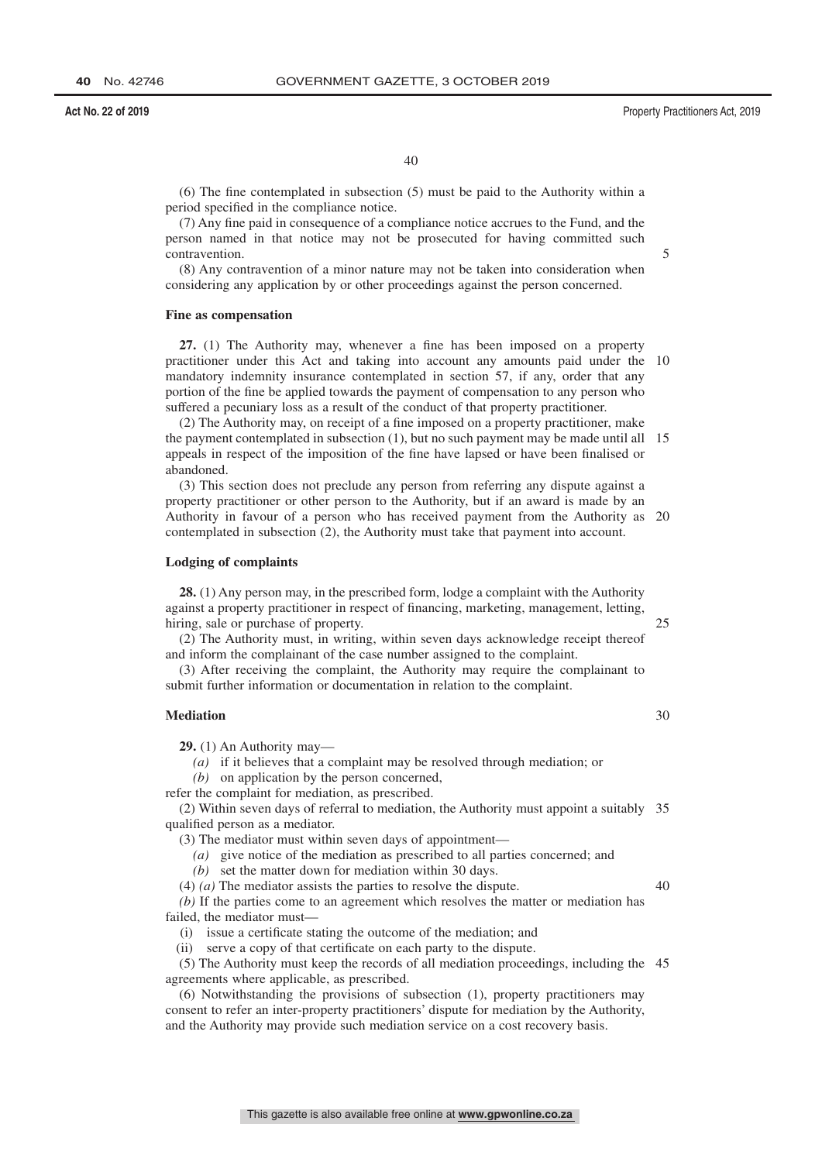40

(6) The fine contemplated in subsection (5) must be paid to the Authority within a period specified in the compliance notice.

(7) Any fine paid in consequence of a compliance notice accrues to the Fund, and the person named in that notice may not be prosecuted for having committed such contravention.

(8) Any contravention of a minor nature may not be taken into consideration when considering any application by or other proceedings against the person concerned.

#### **Fine as compensation**

**27.** (1) The Authority may, whenever a fine has been imposed on a property practitioner under this Act and taking into account any amounts paid under the 10 mandatory indemnity insurance contemplated in section 57, if any, order that any portion of the fine be applied towards the payment of compensation to any person who suffered a pecuniary loss as a result of the conduct of that property practitioner.

(2) The Authority may, on receipt of a fine imposed on a property practitioner, make the payment contemplated in subsection (1), but no such payment may be made until all 15 appeals in respect of the imposition of the fine have lapsed or have been finalised or abandoned.

(3) This section does not preclude any person from referring any dispute against a property practitioner or other person to the Authority, but if an award is made by an Authority in favour of a person who has received payment from the Authority as 20 contemplated in subsection (2), the Authority must take that payment into account.

#### **Lodging of complaints**

**28.** (1) Any person may, in the prescribed form, lodge a complaint with the Authority against a property practitioner in respect of financing, marketing, management, letting, hiring, sale or purchase of property.

(2) The Authority must, in writing, within seven days acknowledge receipt thereof and inform the complainant of the case number assigned to the complaint.

(3) After receiving the complaint, the Authority may require the complainant to submit further information or documentation in relation to the complaint.

# **Mediation**

**29.** (1) An Authority may—

*(a)* if it believes that a complaint may be resolved through mediation; or

*(b)* on application by the person concerned,

refer the complaint for mediation, as prescribed.

(2) Within seven days of referral to mediation, the Authority must appoint a suitably 35 qualified person as a mediator.

(3) The mediator must within seven days of appointment—

*(a)* give notice of the mediation as prescribed to all parties concerned; and

*(b)* set the matter down for mediation within 30 days.

(4) *(a)* The mediator assists the parties to resolve the dispute.

40

25

30

*(b)* If the parties come to an agreement which resolves the matter or mediation has failed, the mediator must—

(i) issue a certificate stating the outcome of the mediation; and

(ii) serve a copy of that certificate on each party to the dispute.

(5) The Authority must keep the records of all mediation proceedings, including the 45agreements where applicable, as prescribed.

(6) Notwithstanding the provisions of subsection (1), property practitioners may consent to refer an inter-property practitioners' dispute for mediation by the Authority, and the Authority may provide such mediation service on a cost recovery basis.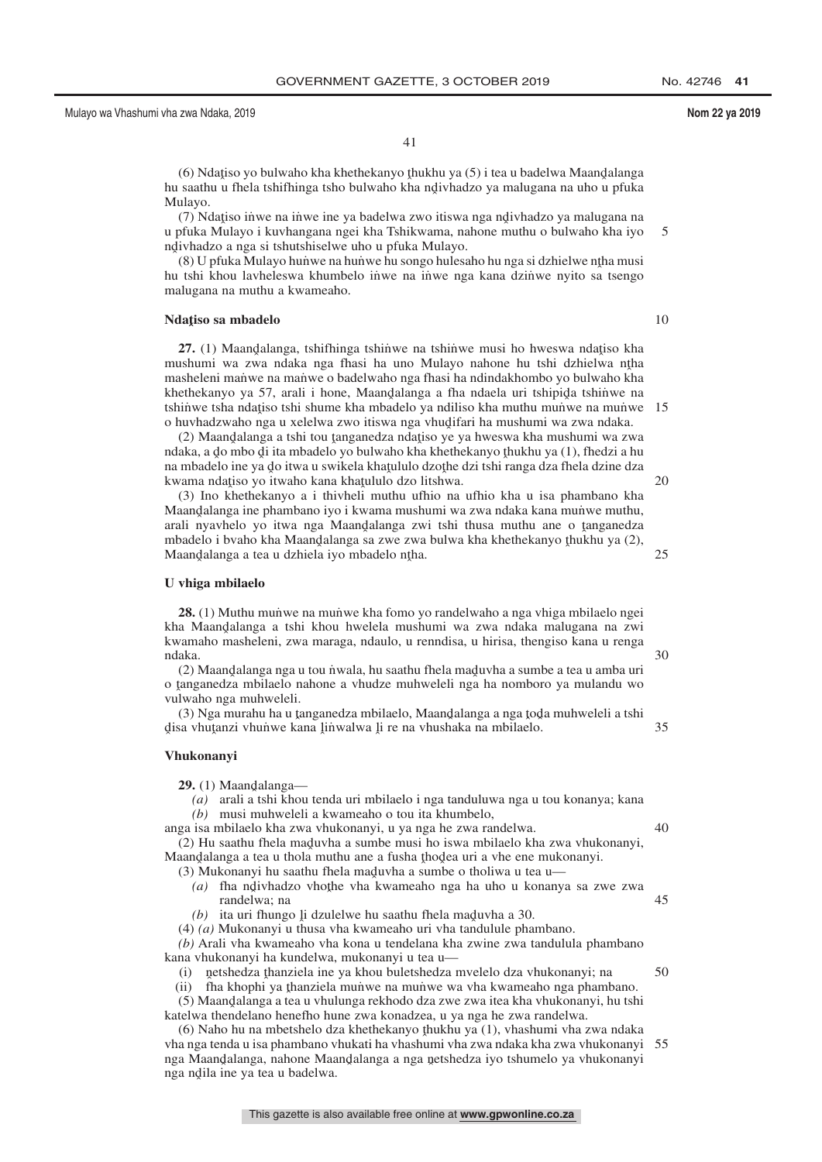41

(6) Ndatiso yo bulwaho kha khethekanyo thukhu ya (5) i tea u badelwa Maandalanga<br>saathu u fhela tshifhinga tsho bulwaho kha ndiyhadzo ya malugana na uho u pfuka hu saathu u fhela tshifhinga tsho bulwaho kha ndivhadzo ya malugana na uho u pfuka<br>Mulayo Mulayo.

(7) Ndatiso inwe na inwe ine ya badelwa zwo itiswa nga ndivhadzo ya malugana na<br>phika Mulayo i kuyhangana ngei kha Tshikwama, nabone muthu o bulwaho kha iyo u pfuka Mulayo i kuvhangana ngei kha Tshikwama, nahone muthu o bulwaho kha iyo ndivhadzo a nga si tshutshiselwe uho u pfuka Mulayo.<br>(8) U pfuka Mulayo hunwe na hunwe hu songo hulese 5

 $(8)$  U pfuka Mulayo hunwe na hunwe hu songo hulesaho hu nga si dzhielwe ntha musi<br>tshi, khou laybeleswa, khumbelo, inwe na jinwe nga kana dzinwe nyito sa tsengo hu tshi khou lavheleswa khumbelo inwe na inwe nga kana dzinwe nyito sa tsengo malugana na muthu a kwameaho.

# **Ndaˆ tiso sa mbadelo**

**27.** (1) Maandalanga, tshifhinga tshinwe na tshinwe musi ho hweswa ndatiso kha<br>tshumi wa zwa ndaka nga fhasi ha uno Mulayo nabone hu tshi dzhielwa ntha mushumi wa zwa ndaka nga fhasi ha uno Mulayo nahone hu tshi dzhielwa ntha<br>masheleni manwe na manwe o badelwaho nga fhasi ha ndindakhombo yo bulwaho kha masheleni manwe na manwe o badelwaho nga fhasi ha ndindakhombo yo bulwaho kha khethekanyo ya 57, arali i hone, Maandalanga a fha ndaela uri tshipida tshinwe na<br>tshinwe tsha ndatiso tshi shume kha mbadelo ya ndiliso kha muthu munwe na munwe tshinʻwe tsha ndatiso tshi shume kha mbadelo ya ndiliso kha muthu mun'we na mun'we  $15$ <br>o huvbadzwabo nga u xelelwa zwo itiswa nga yhudifari ba mushumi wa zwa ndaka o huvhadzwaho nga u xelelwa zwo itiswa nga vhudifari ha mushumi wa zwa ndaka.<br>(2) Maandalanga a tshi tou tanganedza ndatiso ye ya hweswa kha mushumi wa zw

(2) Maandalanga a tshi tou tanganedza ndatiso ye ya hweswa kha mushumi wa zwa<br>aka a do mbo di ita mbadelo yo bulwabo kha khethekanyo thukbu ya (1) fhedzi a bu ndaka, a do mbo di ita mbadelo yo bulwaho kha khethekanyo thukhu ya (1), fhedzi a hu<br>na mbadelo ine ya do itwa u swikela khatululo dzothe dzi tshi ranga dza fhela dzine dza na mbadelo ine ya do itwa u swikela khatululo dzothe dzi tshi ranga dza fhela dzine dza<br>kwama ndatiso yo itwaho kana khatululo dzo litshwa kwama ndatiso yo itwaho kana khatululo dzo litshwa.<br>(3) Ino khethekanyo a i thiyheli muthu ufbio na

(3) Ino khethekanyo a i thivheli muthu ufhio na ufhio kha u isa phambano kha Maandalanga ine phambano iyo i kwama mushumi wa zwa ndaka kana munve muthu,<br>arali nyayhelo yo itwa nga Maandalanga zwi tshi thusa muthu ane o tanganedza arali nyavhelo yo itwa nga Maandalanga zwi tshi thusa muthu ane o tanganedza<br>mbadelo i hyaho kha Maandalanga sa zwe zwa hulwa kha khethekanyo thukhu ya (2) mbadelo i bvaho kha Maandalanga sa zwe zwa bulwa kha khethekanyo thukhu ya (2),<br>Maandalanga a tea u dzhiela iyo mbadelo ntha Maandalanga a tea u dzhiela iyo mbadelo n<mark>ț</mark>ha.

#### **U vhiga mbilaelo**

**28.** (1) Muthu munwe na munwe kha fomo yo randelwaho a nga vhiga mbilaelo ngei kha Maandalanga a tshi khou hwelela mushumi wa zwa ndaka malugana na zwi<br>kwamabo masheleni zwa maraga ndaulo u renndisa u birisa thengiso kana u renga kwamaho masheleni, zwa maraga, ndaulo, u renndisa, u hirisa, thengiso kana u renga ndaka.

(2) Maandalanga nga u tou nwala, hu saathu fhela maduvha a sumbe a tea u amba uri<br>tanganedza mbilaelo nahone a vhudze muhweleli nga ha nomboro ya mulandu wo o tanganedza mbilaelo nahone a vhudze muhweleli nga ha nomboro ya mulandu wo<br>vulwaho nga muhweleli vulwaho nga muhweleli.

(3) Nga murahu ha u tanganedza mbilaelo, Maandalanga a nga toda muhweleli a tshi<br>sa yhutanzi yhunwe kana linwalwa li re na yhushaka na mbilaelo disa vhuţanzi vhuṅwe kana l̥iṅwalwa l̥i re na vhushaka na mbilaelo. 35

# **Vhukonanyi**

**29.** (1) Maandalanga—<br>(a) arali a tshi khou

*(a)* arali a tshi khou tenda uri mbilaelo i nga tanduluwa nga u tou konanya; kana *(b)* musi muhweleli a kwameaho o tou ita khumbelo,

anga isa mbilaelo kha zwa vhukonanyi, u ya nga he zwa randelwa.

- (2) Hu saathu fhela maduvha a sumbe musi ho iswa mbilaelo kha zwa vhukonanyi,<br>aandalanga a tea u thola muthu ane a fusha thodea uri a ybe ene mukonanyi Maandalanga a tea u thola muthu ane a fusha thodea uri a vhe ene mukonanyi.<br>(3) Mukonanyi bu saathu fhela maduyha a sumbe o tholiwa u tea u
	- (3) Mukonanyi hu saathu fhela maduvha a sumbe o tholiwa u tea u—<br>(a) tha ndivhadzo yhothe yha kwameaho nga ha uho u konany (a) fha ndivhadzo vhothe vha kwameaho nga ha uho u konanya sa zwe zwa randelwa: na randelwa; na
	- (b) ita uri fhungo <u>li</u> dzulelwe hu saathu fhela maduvha a 30.<br> $(a)$  Mukonanyi u thusa yha kwameaho uri yha tandulule pha

(4) *(a)* Mukonanyi u thusa vha kwameaho uri vha tandulule phambano.

*(b)* Arali vha kwameaho vha kona u tendelana kha zwine zwa tandulula phambano kana vhukonanyi ha kundelwa, mukonanyi u tea u—

(i) netshedza thanziela ine ya khou buletshedza mvelelo dza vhukonanyi; na<br>ii) tha khophi ya thanziela munwe na munwe wa yha kwameaho nga phamb

(ii) fha khophi ya thanziela munve na munve wa vha kwameaho nga phambano.<br>(5) Maandalanga a tea u yhulunga rekhodo dza zwe zwa itea kha yhukonanyi, hu tsh (5) Maandalanga a tea u vhulunga rekhodo dza zwe zwa itea kha vhukonanyi, hu tshi<br>telwa thendelano henefho hune zwa konadzea, u va nga he zwa randelwa katelwa thendelano henefho hune zwa konadzea, u ya nga he zwa randelwa.

(6) Naho hu na mbetshelo dza khethekanyo thukhu ya (1), vhashumi vha zwa ndaka<br>a nga tenda u isa phambano yhukati ha yhashumi yha zwa ndaka kha zwa yhukonanyi vha nga tenda u isa phambano vhukati ha vhashumi vha zwa ndaka kha zwa vhukonanyi 55nga Maandalanga, nahone Maandalanga a nga netshedza iyo tshumelo ya vhukonanyi<br>nga ndila ine ya tea u badelwa nga ndila ine ya tea u badelwa.

10

 $25$ 

20

30

40

45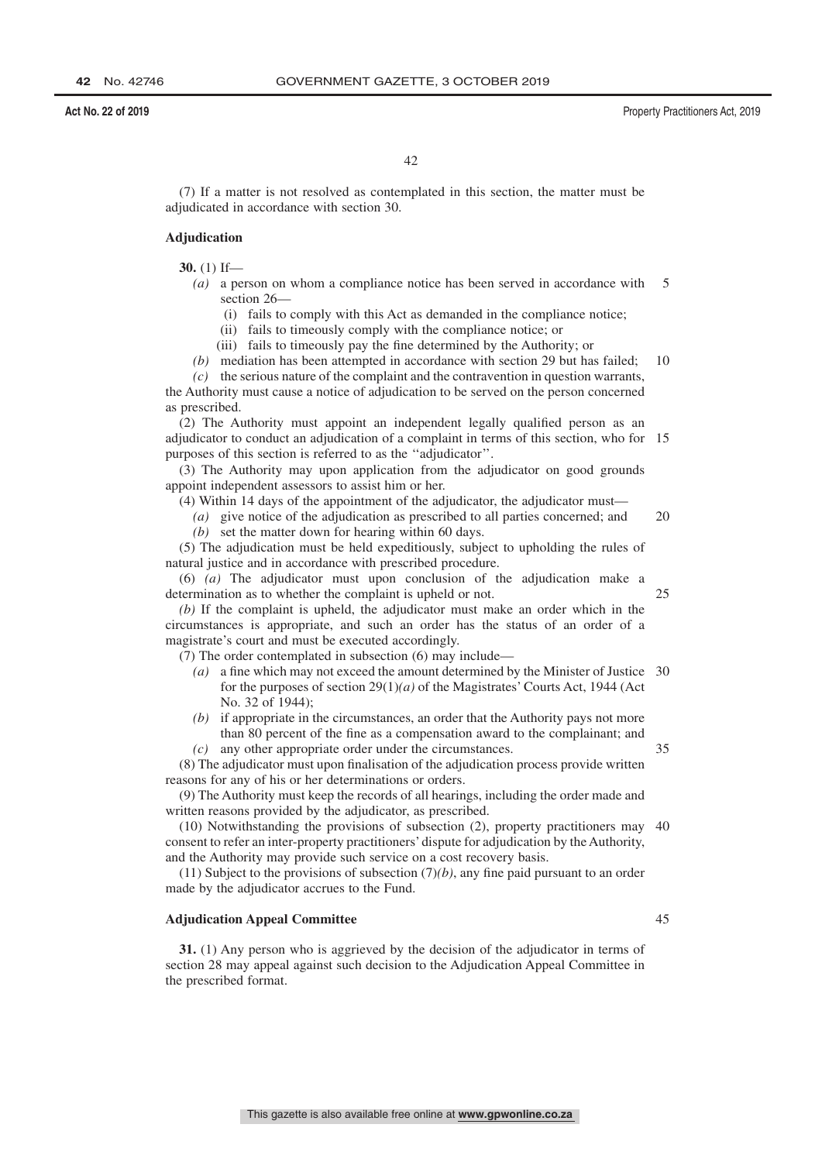(7) If a matter is not resolved as contemplated in this section, the matter must be adjudicated in accordance with section 30.

# **Adjudication**

**30.** (1) If—

- *(a)* a person on whom a compliance notice has been served in accordance with section 26— 5
	- (i) fails to comply with this Act as demanded in the compliance notice;
	- (ii) fails to timeously comply with the compliance notice; or
	- (iii) fails to timeously pay the fine determined by the Authority; or

*(b)* mediation has been attempted in accordance with section 29 but has failed; 10

*(c)* the serious nature of the complaint and the contravention in question warrants, the Authority must cause a notice of adjudication to be served on the person concerned as prescribed.

(2) The Authority must appoint an independent legally qualified person as an adjudicator to conduct an adjudication of a complaint in terms of this section, who for 15 purposes of this section is referred to as the ''adjudicator''.

(3) The Authority may upon application from the adjudicator on good grounds appoint independent assessors to assist him or her.

(4) Within 14 days of the appointment of the adjudicator, the adjudicator must—

*(a)* give notice of the adjudication as prescribed to all parties concerned; and *(b)* set the matter down for hearing within 60 days. 20

(5) The adjudication must be held expeditiously, subject to upholding the rules of natural justice and in accordance with prescribed procedure.

(6) *(a)* The adjudicator must upon conclusion of the adjudication make a determination as to whether the complaint is upheld or not.

*(b)* If the complaint is upheld, the adjudicator must make an order which in the circumstances is appropriate, and such an order has the status of an order of a magistrate's court and must be executed accordingly.

(7) The order contemplated in subsection (6) may include—

- *(a)* a fine which may not exceed the amount determined by the Minister of Justice 30 for the purposes of section 29(1)*(a)* of the Magistrates' Courts Act, 1944 (Act No. 32 of 1944);
- *(b)* if appropriate in the circumstances, an order that the Authority pays not more than 80 percent of the fine as a compensation award to the complainant; and *(c)* any other appropriate order under the circumstances.

(8) The adjudicator must upon finalisation of the adjudication process provide written reasons for any of his or her determinations or orders. 35

(9) The Authority must keep the records of all hearings, including the order made and written reasons provided by the adjudicator, as prescribed.

(10) Notwithstanding the provisions of subsection (2), property practitioners may 40 consent to refer an inter-property practitioners' dispute for adjudication by the Authority, and the Authority may provide such service on a cost recovery basis.

(11) Subject to the provisions of subsection (7)*(b)*, any fine paid pursuant to an order made by the adjudicator accrues to the Fund.

# **Adjudication Appeal Committee**

**31.** (1) Any person who is aggrieved by the decision of the adjudicator in terms of section 28 may appeal against such decision to the Adjudication Appeal Committee in the prescribed format.

45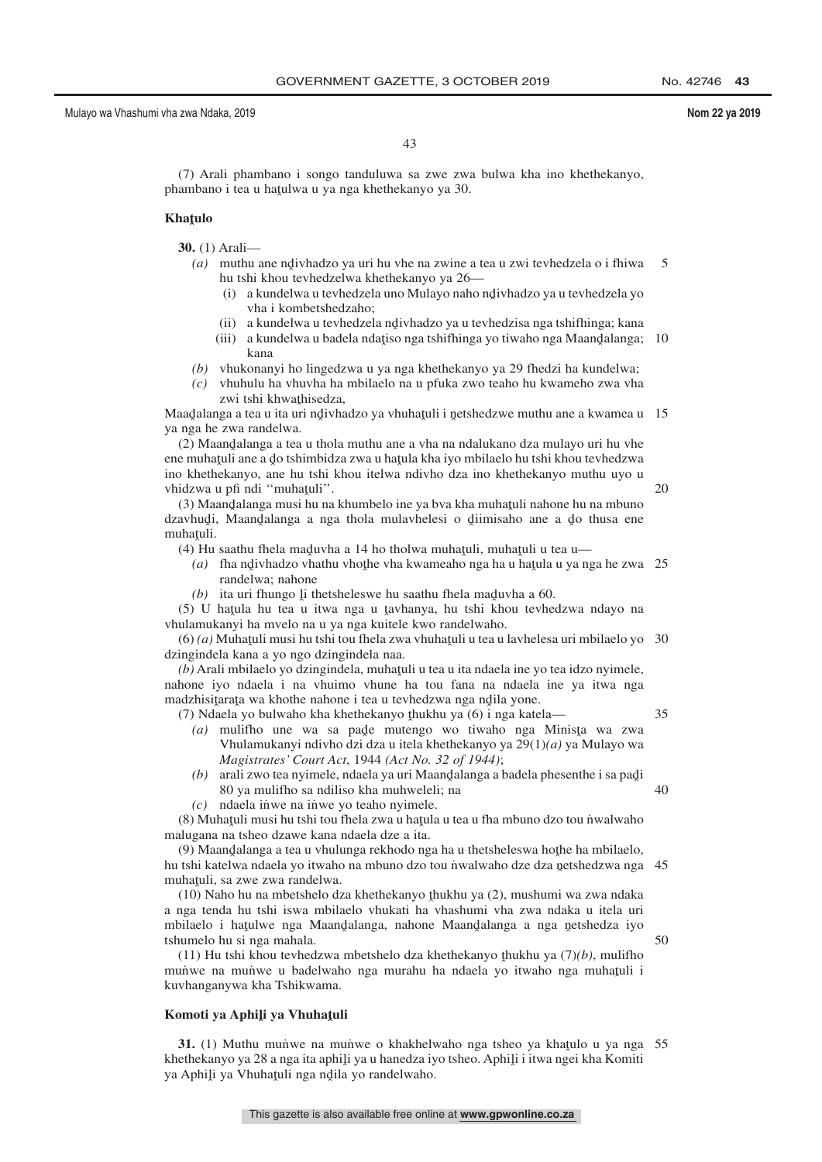35

50

43

(7) Arali phambano i songo tanduluwa sa zwe zwa bulwa kha ino khethekanyo, phambano i tea u haţulwa u ya nga khethekanyo ya 30.

# **Khaˆ tulo**

**30.** (1) Arali—

- (a) muthu ane ndivhadzo ya uri hu vhe na zwine a tea u zwi tevhedzela o i fhiwa<br>hu tebi khou tevhedzelwa khethekanyo ya 26 hu tshi khou tevhedzelwa khethekanyo ya 26— 5
	- (i) a kundelwa u tevhedzela uno Mulayo naho nd̄ivhadzo ya u tevhedzela yo vha i kombetshedzaho: vha i kombetshedzaho;
	- (ii) a kundelwa u tevhedzela ndivhadzo ya u tevhedzisa nga tshifhinga; kana<br>iii) a kundelwa u badela ndatiso nga tshifhinga yo tiwaho nga Maandalanga;
	- (iii) a kundelwa u badela ndatiso nga tshifhinga yo tiwaho nga Maand̄alanga; 10 kana
- *(b)* vhukonanyi ho lingedzwa u ya nga khethekanyo ya 29 fhedzi ha kundelwa;
- *(c)* vhuhulu ha vhuvha ha mbilaelo na u pfuka zwo teaho hu kwameho zwa vha zwi tshi khwathisedza,

Maadalanga a tea u ita uri ndivhadzo ya vhuhatuli i netshedzwe muthu ane a kwamea u 15<br>va nga ha zwa randelwa ya nga he zwa randelwa.

(2) Maandalanga a tea u thola muthu ane a vha na ndalukano dza mulayo uri hu vhe<br>e muhatuli ane a do tshimbidza zwa u hatula kha iyo mbilaelo bu tshi khou teyhedzwa ene muhațuli ane a do tshimbidza zwa u hațula kha iyo mbilaelo hu tshi khou tevhedzwa<br>ino khathakanyo, ane hu tshi khou italiya ndiybo dza ino khathakanyo muthu uyo u ino khethekanyo, ane hu tshi khou itelwa ndivho dza ino khethekanyo muthu uyo u vhidzwa u pfi ndi "muhatuli".<br>(3) Maandalanga musi bu na

(3) Maandalanga musi hu na khumbelo ine ya bva kha muhatuli nahone hu na mbuno<br>aybudi. Maandalanga aa nga thola mulayhelesi o diimisaho ane a do thusa ene dzavhudi, Maandalanga a nga thola mulavhelesi o diimisaho ane a do thusa ene<br>muhatuli muhaţuli.<br> $(A)$  Hu

(4) Hu saathu fhela maduvha a 14 ho tholwa muhațuli, muhațuli u tea u— $(a)$ , tha ndivhadzo vhathu vhothe vha kwameaho nga ha u hatula u va ne

- (a) fha ndivhadzo vhathu vhothe vha kwameaho nga ha u hatula u ya nga he zwa 25<br>randalwa: nabone randelwa; nahone
- $(b)$  ita uri fhungo li thetsheleswe hu saathu fhela maduvha a 60.

(5) U hatula hu tea u itwa nga u tavhanya, hu tshi khou tevhedzwa ndayo na<br>ulamukanyi ha mvelo na u va nga kuitele kwo randalwaho vhulamukanyi ha mvelo na u ya nga kuitele kwo randelwaho.

(6) *(a)* Muhatuli musi hu tshi tou fhela zwa vhuhatuli u tea u lavhelesa uri mbilaelo yo 30<br>ingindela kana a vo ngo dzingindela naa dzingindela kana a yo ngo dzingindela naa.

(b) Arali mbilaelo yo dzingindela, muhațuli u tea u ita ndaela ine yo tea idzo nyimele,<br>hone ivo ndaela i na vhuimo vhune, ha tou fana na ndaela ine ya itwa nga nahone iyo ndaela i na vhuimo vhune ha tou fana na ndaela ine ya itwa nga madzhisitarata wa khothe nahone i tea u tevhedzwa nga ndila yone.<br>(7) Ndaela yo bulwaho kha khethekanyo thukhu ya (6) i nga kate

- (7) Ndaela yo bulwaho kha khethekanyo thukhu ya (6) i nga katela—<br> $(a)$  mulitho una wa sa nada mutango wo tiwaho nga Mir (a) mulifho une wa sa pade mutengo wo tiwaho nga Minista wa zwa<br>
Yhulamukanyi ndiybo dzi dza u itala khathakanyo ya 20(1)(a) ya Mulayo wa Vhulamukanyi ndivho dzi dza u itela khethekanyo ya 29(1)*(a)* ya Mulayo wa *Magistrates' Court Act*, 1944 *(Act No. 32 of 1944)*;
	- $(b)$  arali zwo tea nyimele, ndaela ya uri Maandalanga a badela phesenthe i sa padí<br>80 va mulitho sa ndiliso kha muhweleli: na 80 ya mulifho sa ndiliso kha muhweleli; na 40
	- $(c)$  ndaela in $\omega$ e na in $\omega$ e yo teaho nyimele.

(8) Muhaṭuli musi hu tshi tou fhela zwa u haṭula u tea u fha mbuno dzo tou nvalwaho malugana na tsheo dzawe kana ndaela dze a ita.

(9) Maandalanga a tea u vhulunga rekhodo nga ha u thetsheleswa hothe ha mbilaelo,<br>tshi katelwa ndaela yo itwaho na mbuno dzo tou nwalwaho dze dza netshedzwa nga hu tshi katelwa ndaela yo itwaho na mbuno dzo tou nwalwaho dze dza netshedzwa nga 45<br>muhatuli sa zwe zwa randelwa muhațuli, sa zwe zwa randelwa.<br>(10) Nabo bu na mbetshelo di

 $(10)$  Naho hu na mbetshelo dza khethekanyo thukhu ya  $(2)$ , mushumi wa zwa ndaka<br>nga tenda hu tshi iswa mbilaelo yhukati ha yhashumi yha zwa ndaka u itela uri a nga tenda hu tshi iswa mbilaelo vhukati ha vhashumi vha zwa ndaka u itela uri mbilaelo i hatulwe nga Maandalanga, nahone Maandalanga a nga netshedza iyo<br>tshumalo bu si nga mahala tshumelo hu si nga mahala.

(11) Hu tshi khou tevhedzwa mbetshelo dza khethekanyo thukhu ya  $(7)(b)$ , mulifho munuwe na munuwe u badelwaho nga murahu ha ndaela yo itwaho nga muhatuli i kuvhanganywa kha Tshikwama.

# Komoti ya Aphi<mark>li ya Vhuha</mark>țuli

**31.** (1) Muthu munve na munve o khakhelwaho nga tsheo ya khatulo u ya nga 55 sethekanyo ya 28 a nga ita aphili ya u hanedza iyo tsheo. Aphili i itwa nga kha Komiti khethekanyo ya 28 a nga ita aphili ya u hanedza iyo tsheo. Aphili i itwa ngei kha Komiti<br>va Aphili ya Vhubatuli nga ndila yo randalwabo ya Aphili ya Vhuhaţuli nga nd̥ila yo randelwaho.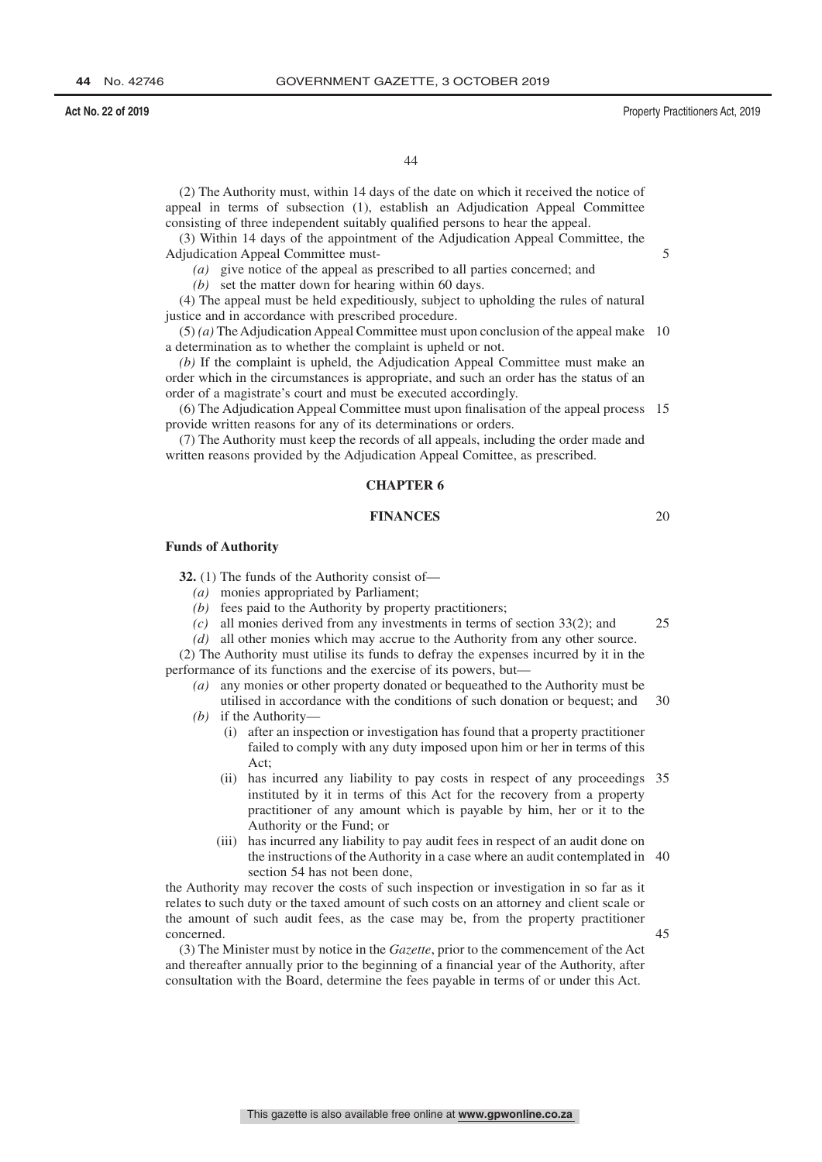20

44

(2) The Authority must, within 14 days of the date on which it received the notice of appeal in terms of subsection (1), establish an Adjudication Appeal Committee consisting of three independent suitably qualified persons to hear the appeal.

(3) Within 14 days of the appointment of the Adjudication Appeal Committee, the Adjudication Appeal Committee must-

*(a)* give notice of the appeal as prescribed to all parties concerned; and

*(b)* set the matter down for hearing within 60 days.

(4) The appeal must be held expeditiously, subject to upholding the rules of natural justice and in accordance with prescribed procedure.

(5) *(a)* The Adjudication Appeal Committee must upon conclusion of the appeal make 10 a determination as to whether the complaint is upheld or not.

*(b)* If the complaint is upheld, the Adjudication Appeal Committee must make an order which in the circumstances is appropriate, and such an order has the status of an order of a magistrate's court and must be executed accordingly.

(6) The Adjudication Appeal Committee must upon finalisation of the appeal process 15 provide written reasons for any of its determinations or orders.

(7) The Authority must keep the records of all appeals, including the order made and written reasons provided by the Adjudication Appeal Comittee, as prescribed.

# **CHAPTER 6**

### **FINANCES**

**Funds of Authority**

**32.** (1) The funds of the Authority consist of—

- *(a)* monies appropriated by Parliament;
- *(b)* fees paid to the Authority by property practitioners;
- *(c)* all monies derived from any investments in terms of section 33(2); and 25
- *(d)* all other monies which may accrue to the Authority from any other source.

(2) The Authority must utilise its funds to defray the expenses incurred by it in the performance of its functions and the exercise of its powers, but—

*(a)* any monies or other property donated or bequeathed to the Authority must be utilised in accordance with the conditions of such donation or bequest; and 30

- *(b)* if the Authority—
	- (i) after an inspection or investigation has found that a property practitioner failed to comply with any duty imposed upon him or her in terms of this Act;
	- (ii) has incurred any liability to pay costs in respect of any proceedings 35 instituted by it in terms of this Act for the recovery from a property practitioner of any amount which is payable by him, her or it to the Authority or the Fund; or
	- (iii) has incurred any liability to pay audit fees in respect of an audit done on the instructions of the Authority in a case where an audit contemplated in 40 section 54 has not been done,

the Authority may recover the costs of such inspection or investigation in so far as it relates to such duty or the taxed amount of such costs on an attorney and client scale or the amount of such audit fees, as the case may be, from the property practitioner concerned.

(3) The Minister must by notice in the *Gazette*, prior to the commencement of the Act and thereafter annually prior to the beginning of a financial year of the Authority, after consultation with the Board, determine the fees payable in terms of or under this Act.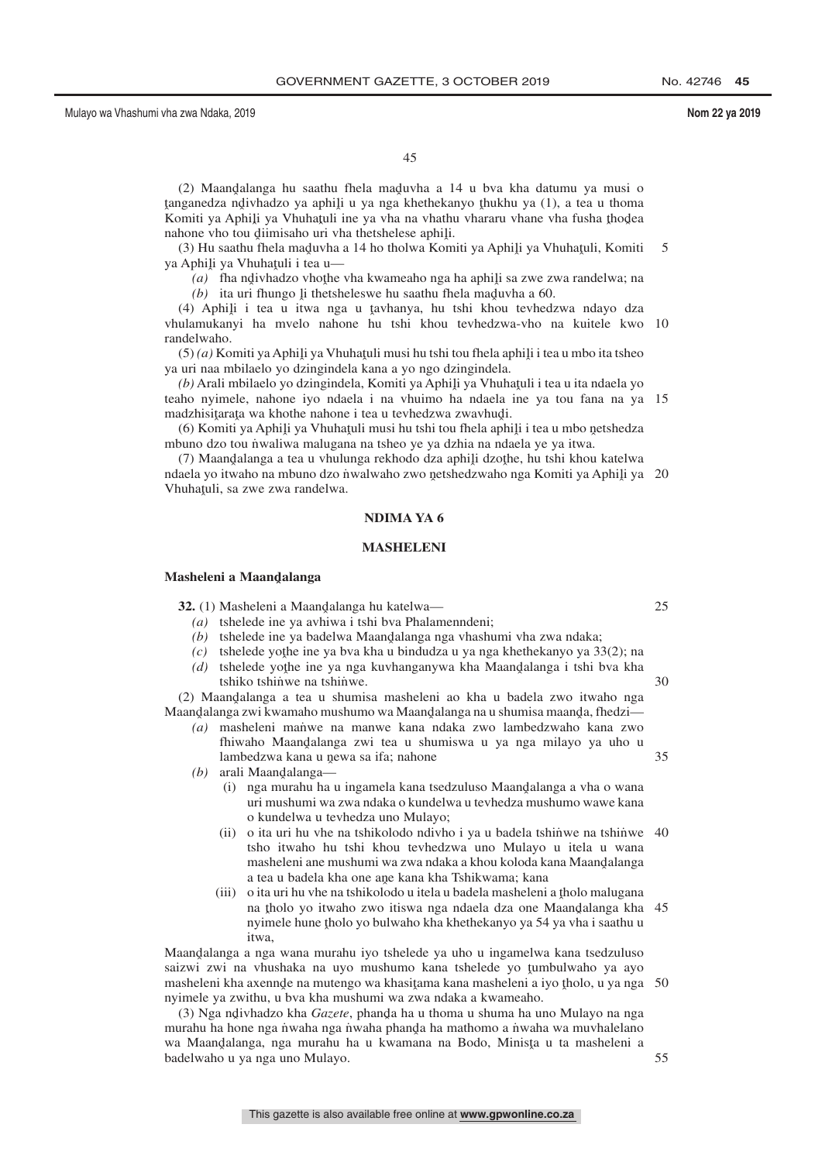(2) Maandalanga hu saathu fhela maduvha a 14 u bva kha datumu ya musi o<br>ugangdza ndivhadzo va aphili u va nga khathakanyo thukhu ya (1) a tea u thoma komiti ya Aphili ya Vhuhatili ine ya nga kuchickanyo kukua ya (1), a tea a noma<br>Komiti ya Aphili ya Vhuhatuli ine ya vha na vhathu vhararu vhane vha fusha thodea tanganedza ndivhadzo ya aphili u ya nga khethekanyo thukhu ya (1), a tea u thoma<br>Komiti ya Aphili ya Vhuhatuli ina ya yha na yhathu yhararu yhane yha fusha thodea nahone vho tou diimisaho uri vha thetshelese aphili.<br> $(3)$  Hu saathu fhela maduvba a 14 ho tholwa Kom

(3) Hu saathu fhela maduvha a 14 ho tholwa Komiti ya Aphili ya Vhuhatuli, Komiti<br>Aphili ya Vhuhatuli i tea u ya Aphili ya Vhuhatuli i tea u— 5

(a) fha ndivhadzo vhothe vha kwameaho nga ha aphili sa zwe zwa randelwa; na (b) ita uri fhungo li thetsheleswe bu saathu fhela maduwha a 60

 $(b)$  ita uri fhungo li thetsheleswe hu saathu fhela maduvha a 60.<br>
a phili i tea u jiwa nga u taybanya, bu tshi khou taybadi

(4) Aphili i tea u itwa nga u tavhanya, hu tshi khou tevhedzwa ndayo dza<br>ulamukanyi ha myelo nahone hu tshi khou tevhedzwa-yho na kuitele kwo vhulamukanyi ha mvelo nahone hu tshi khou tevhedzwa-vho na kuitele kwo 10 randelwaho.

(5) *(a)* Komiti ya Aphili ya Vhuhatuli musi hu tshi tou fhela aphili i tea u mbo ita tsheo<br>uri naa mbilaalo yo dzingindala kana a yo ngo dzingindala ya uri naa mbilaelo yo dzingindela kana a yo ngo dzingindela.

(b) Arali mbilaelo yo dzingindela, Komiti ya Aphili ya Vhuhatuli i tea u ita ndaela yo<br>hali ya vimele, nabone iyo ndaela i na vhujmo ha ndaela ine ya tou fana na va teaho nyimele, nahone iyo ndaela i na vhuimo ha ndaela ine ya tou fana na ya 15 madzhisitarata wa khothe nahone i tea u tevhedzwa zwavhudi.<br>(6) Komiti va Aphili va Vhuhatuli musi bu tehi tou thela aphi

(6) Komiti ya Aphili ya Vhuhatuli musi hu tshi tou fhela aphili i tea u mbo netshedza<br>puno dzo tou nweliwe malugana na tsheo ve ve dzhia na ndaela ve ve itwa mbuno dzo tou nvaliwa malugana na tsheo ye ya dzhia na ndaela ye ya itwa.

(7) Maandalanga a tea u vhulunga rekhodo dza aphiļi dzothe, hu tshi khou katelwa<br>aela vo itwaho na mbuno dzo nwalwaho zwo netshedzwaho nga Komiti va Aphili va ndaela yo itwaho na mbuno dzo n˙walwaho zwo n̯etshedzwaho nga Komiti ya Aphil̥i ya 20<br>Vhuhatuli sa zwe zwa randelwa Vhuhaţuli, sa zwe zwa randelwa.

### **NDIMA YA 6**

#### **MASHELENI**

# **Masheleni a Maandˆ alanga**

**32.** (1) Masheleni a Maandalanga hu katelwa— $(a)$ , tsheleda ina ya ay hiyya i tshi hya Phalam

- *(a)* tshelede ine ya avhiwa i tshi bva Phalamenndeni;
- $(a)$  tshelede ine ya badelwa Maandalanga nga vhashumi vha zwa ndaka;
- $(c)$  tshelede yothe ine ya bva kha u bindudza u ya nga khethekanyo ya 33(2); na  $(d)$ , tshelede yothe ine ya nga kuyhanganywa kha Maandalanga i tshi bya kha
- (d) tshelede yothe ine ya nga kuvhanganywa kha Maandalanga i tshi bva kha tshibwa na tshinwa tshiko tshinwe na tshinwe. 30

(2) Maandalanga a tea u shumisa masheleni ao kha u badela zwo itwaho nga<br>aandalanga zwi kwamaho mushumo wa Maandalanga na u shumisa maanda fhedzi Maandalanga zwi kwamaho mushumo wa Maandalanga na u shumisa maanda, fhedzi—<br>(a) masheleni, manye na manye, kana, ndaka, zwo, lambedzwaho, kana, zwo

- *(a)* masheleni man˙ we na manwe kana ndaka zwo lambedzwaho kana zwo fhiwaho Maandalanga zwi tea u shumiswa u ya nga milayo ya uho u<br>lambedzwa kana u newa sa ifa: nabone lambedzwa kana u newa sa ifa; nahone
- *(b)* arali Maandalanga—
	- (i) nga murahu ha u ingamela kana tsedzuluso Maandalanga a vha o wana<br>uri mushumi wa zwa ndaka o kundelwa u teyhedza mushumo wawe kana uri mushumi wa zwa ndaka o kundelwa u tevhedza mushumo wawe kana o kundelwa u tevhedza uno Mulayo;
	- (ii) o ita uri hu vhe na tshikolodo ndivho i ya u badela tshinwe na tshinwe 40 tsho itwaho hu tshi khou tevhedzwa uno Mulayo u itela u wana masheleni ane mushumi wa zwa ndaka a khou koloda kana Maand̯alanga<br>a tea u badela kha one ane kana kha Tshikwama: kana a tea u badela kha one ane kana kha Tshikwama; kana<br>o ita uri hu yhe na tshikolodo u itela u badela masheleni
	- (iii) o ita uri hu vhe na tshikolodo u itela u badela masheleni a tholo malugana<br>na tholo yo itwaho zwo itiswa nga ndaela dza one Maandalanga kha na tholo yo itwaho zwo itiswa nga ndaela dza one Maandalanga kha 45<br>nyimele huna tholo yo hulwaho kha khathakanyo ya 54 ya yha i saathu u nyimele hune <u>t</u>holo yo bulwaho kha khethekanyo ya 54 ya vha i saathu u<br>itwa itwa,

Maandalanga a nga wana murahu iyo tshelede ya uho u ingamelwa kana tsedzuluso<br>saizwi zwi na yhushaka na uvo mushumo kana tshelede yo tumbulwaho ya avo saizwi zwi na vhushaka na uyo mushumo kana tshelede yo tumbulwaho ya ayo masheleni kha ayenga masheleni kha axennde na mutengo wa khasitama kana masheleni a iyo tholo, u ya nga 50<br>nyimele ya zwithu, u hya kha mushumi wa zwa ndaka a kwameaho nyimele ya zwithu, u bva kha mushumi wa zwa ndaka a kwameaho.

(3) Nga ndivhadzo kha *Gazete*, phanda ha u thoma u shuma ha uno Mulayo na nga<br>urahu ha hone nga nyaha nga nyaha phanda ha mathomo a nyaha wa muyhalelano murahu ha hone nga n˙waha nga n˙waha phanda ha mathomo a n˙waha wa muvhalelano<br>wa Maandalanga, nga murahu ha u kwamana na Bodo. Minista u ta masheleni a wa Maandalanga, nga murahu ha u kwamana na Bodo, Minista u ta masheleni a<br>badelwaho u ya nga uno Mulayo badelwaho u ya nga uno Mulayo.

25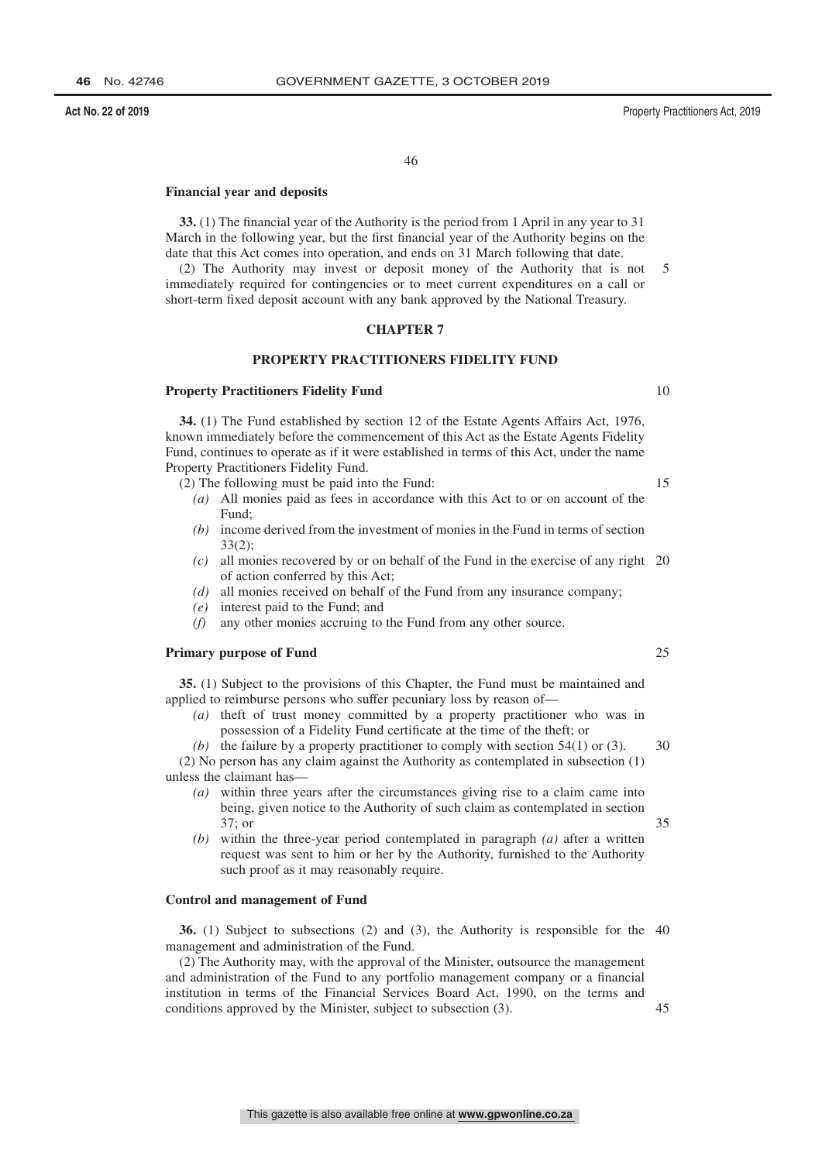# **Financial year and deposits**

**33.** (1) The financial year of the Authority is the period from 1 April in any year to 31 March in the following year, but the first financial year of the Authority begins on the date that this Act comes into operation, and ends on 31 March following that date.

(2) The Authority may invest or deposit money of the Authority that is not immediately required for contingencies or to meet current expenditures on a call or short-term fixed deposit account with any bank approved by the National Treasury. 5

# **CHAPTER 7**

# **PROPERTY PRACTITIONERS FIDELITY FUND**

## **Property Practitioners Fidelity Fund**

**34.** (1) The Fund established by section 12 of the Estate Agents Affairs Act, 1976, known immediately before the commencement of this Act as the Estate Agents Fidelity Fund, continues to operate as if it were established in terms of this Act, under the name Property Practitioners Fidelity Fund.

(2) The following must be paid into the Fund:

- *(a)* All monies paid as fees in accordance with this Act to or on account of the Fund;
- *(b)* income derived from the investment of monies in the Fund in terms of section 33(2);
- *(c)* all monies recovered by or on behalf of the Fund in the exercise of any right 20 of action conferred by this Act;
- *(d)* all monies received on behalf of the Fund from any insurance company;
- *(e)* interest paid to the Fund; and
- *(f)* any other monies accruing to the Fund from any other source.

### **Primary purpose of Fund**

**35.** (1) Subject to the provisions of this Chapter, the Fund must be maintained and applied to reimburse persons who suffer pecuniary loss by reason of—

*(a)* theft of trust money committed by a property practitioner who was in possession of a Fidelity Fund certificate at the time of the theft; or

*(b)* the failure by a property practitioner to comply with section 54(1) or (3). (2) No person has any claim against the Authority as contemplated in subsection (1) unless the claimant has— 30

- *(a)* within three years after the circumstances giving rise to a claim came into being, given notice to the Authority of such claim as contemplated in section 37; or 35
- *(b)* within the three-year period contemplated in paragraph *(a)* after a written request was sent to him or her by the Authority, furnished to the Authority such proof as it may reasonably require.

# **Control and management of Fund**

**36.** (1) Subject to subsections (2) and (3), the Authority is responsible for the 40 management and administration of the Fund.

(2) The Authority may, with the approval of the Minister, outsource the management and administration of the Fund to any portfolio management company or a financial institution in terms of the Financial Services Board Act, 1990, on the terms and conditions approved by the Minister, subject to subsection (3).

**Act No. 22 of 2019** Property Practitioners Act, 2019

10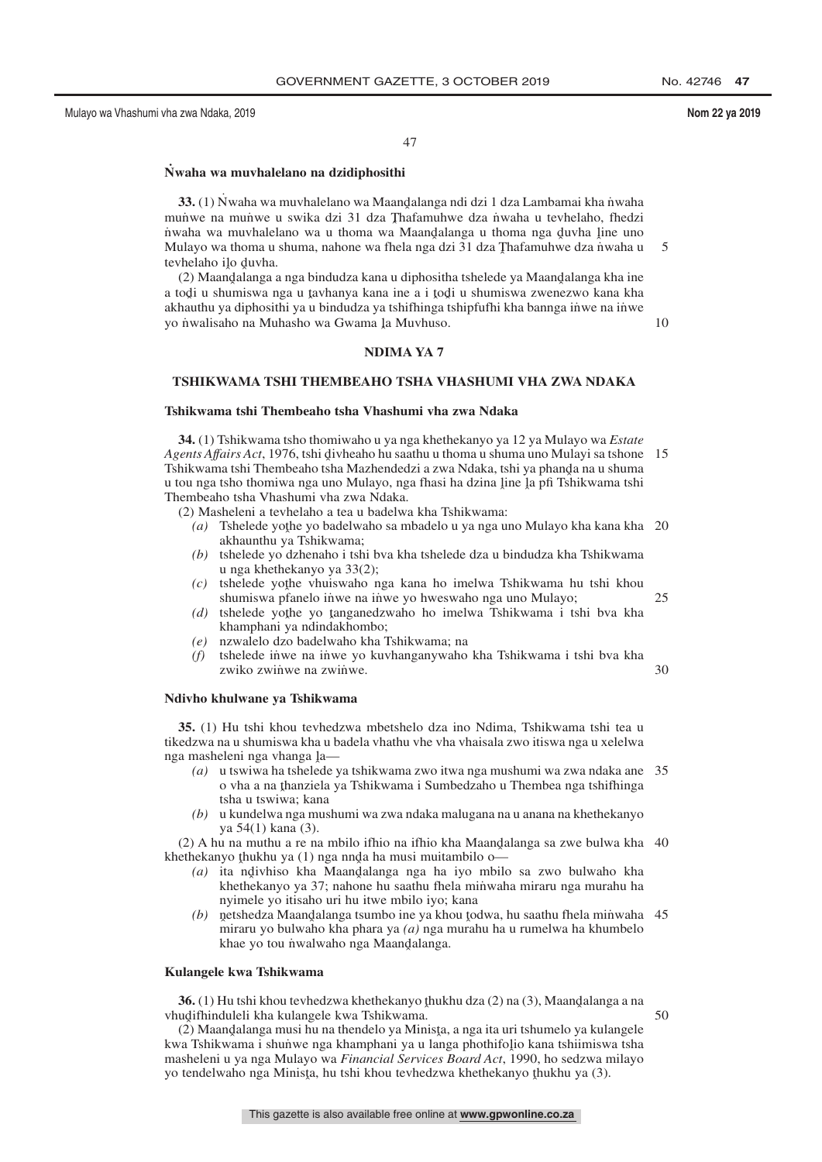10

47

# **N˙ waha wa muvhalelano na dzidiphosithi**

**33.** (1) Nwaha wa muvhalelano wa Maandalanga ndi dzi 1 dza Lambamai kha niwaha<br>unwe na munwe u swika dzi 31 dza Thafamuhwe dza nwaha u teyhelaho, fhedzi mun˙ we na mun˙ we u swika dzi 31 dza Thafamuhwe dza n˙ waha u tevhelaho, fhedzi<br>nuaha wa muyhalelano wa u thoma wa Maandalanga u thoma nga duyha line uno nuaha wa muvhalelano wa u thoma wa Maandalanga u thoma nga duvha line uno<br>Mulayo wa thoma u shuma nabone wa fhela nga dzi 31 dza Thafamuhwe dza nwaha u Mulayo wa thoma u shuma, nahone wa fhela nga dzi 31 dza Thafamuhwe dza nwaha u<br>taybalabo ilo duvba tevhelaho ilo duvha.<br>(2) Maandalanga i 5

(2) Maandalanga a nga bindudza kana u diphositha tshelede ya Maandalanga kha ine<br>odi u shumiswa nga u taybanya kana ine a i todi u shumiswa zwenezwo kana kha a todi u shumiswa nga u tavhanya kana ine a i todi u shumiswa zwenezwo kana kha<br>akhauthu ya diphosithi ya u bindudza ya tshifhinga tshipfufhi kha hannga inwe na inwe akhauthu ya diphosithi ya u bindudza ya tshifhinga tshipfufhi kha bannga inwe na inwe yo nwalisaho na Muhasho wa Gwama <u>J</u>a Muvhuso.

**NDIMA YA 7**

### **TSHIKWAMA TSHI THEMBEAHO TSHA VHASHUMI VHA ZWA NDAKA**

### **Tshikwama tshi Thembeaho tsha Vhashumi vha zwa Ndaka**

**34.** (1) Tshikwama tsho thomiwaho u ya nga khethekanyo ya 12 ya Mulayo wa *Estate* A*gents Affairs Act*, 1976, tshi divheaho hu saathu u thoma u shuma uno Mulayi sa tshone 15<br>Tshikwama tshi Thembeaho tsha Mazhendedzi a zwa Ndaka, tshi ya phanda na u shuma Tshikwama tshi Thembeaho tsha Mazhendedzi a zwa Ndaka, tshi ya phanda na u shuma<br>u tou nga tsho thomiwa nga uno Mulayo, nga fhasi ha dzina line la nfi Tshikwama tshi u tou nga tsho thomiwa nga uno Mulayo, nga fhasi ha dzina line la pfi Tshikwama tshi<br>Thembeabo tsha Vhashumi yha zwa Ndaka Thembeaho tsha Vhashumi vha zwa Ndaka.

(2) Masheleni a tevhelaho a tea u badelwa kha Tshikwama:

- (a) Tshelede yothe yo badelwaho sa mbadelo u ya nga uno Mulayo kha kana kha 20<br>akhaunthu ya Tshikwama: akhaunthu ya Tshikwama;
- *(b)* tshelede yo dzhenaho i tshi bva kha tshelede dza u bindudza kha Tshikwama u nga khethekanyo ya 33(2);
- *(c)* tshelede yothe vhuiswaho nga kana ho imelwa Tshikwama hu tshi khou shumiswa nfanelo inwe na inwe yo hweswaho nga uno Mulayo: shumiswa pfanelo inwe na inwe yo hweswaho nga uno Mulayo; 25
- *(d)* tshelede yothe yo tanganedzwaho ho imelwa Tshikwama i tshi bva kha<br>khamphani ya ndindakhombo: khamphani ya ndindakhombo;
- *(e)* nzwalelo dzo badelwaho kha Tshikwama; na
- *(f)* tshelede in˙ we na in˙ we yo kuvhanganywaho kha Tshikwama i tshi bva kha zwiko zwinwe na zwinwe. 30

#### **Ndivho khulwane ya Tshikwama**

**35.** (1) Hu tshi khou tevhedzwa mbetshelo dza ino Ndima, Tshikwama tshi tea u tikedzwa na u shumiswa kha u badela vhathu vhe vha vhaisala zwo itiswa nga u xelelwa nga masheleni nga vhanga  $\lambda$ —<br>(a) u tswiwa ha tshelede y

- *(a)* u tswiwa ha tshelede ya tshikwama zwo itwa nga mushumi wa zwa ndaka ane 35 o vha a na thanziela ya Tshikwama i Sumbedzaho u Thembea nga tshifhinga<br>tsha u tswiwa: kana tsha u tswiwa; kana
- *(b)* u kundelwa nga mushumi wa zwa ndaka malugana na u anana na khethekanyo ya 54(1) kana (3).

 $(2)$  A hu na muthu a re na mbilo ifhio na ifhio kha Maandalanga sa zwe bulwa kha 40 ethekanyo thukhu ya  $(1)$  nga ngda ha musi muitambilo o khethekanyo thukhu ya  $(1)$  nga nnda ha musi muitambilo o—<br> $(a)$  ita ndivhiso kha Maandalanga nga ha iyo mbilo

- *(a)* ita ndivhiso kha Maandalanga nga ha iyo mbilo sa zwo bulwaho kha<br>khathekanyo ya 37; nabone bu saathu fhela minyaha miraru nga murahu ha khethekanyo ya 37; nahone hu saathu fhela min˙ waha miraru nga murahu ha nyimele yo itisaho uri hu itwe mbilo iyo; kana
- $(b)$ ˆ miraru yo bulwaho kha phara ya *(a)* nga murahu ha u rumelwa ha khumbelo etshedza Maandalanga tsumbo ine ya khou todwa, hu saathu fhela minwaha 45<br>airaru yo bulwaho kha phara ya (a) nga murahu ha u rumelwa ha khumbelo khae yo tou ṅ̀walwaho nga Maand̪alanga.

# **Kulangele kwa Tshikwama**

**36.** (1) Hu tshi khou tevhedzwa khethekanyo thukhu dza (2) na (3), Maandalanga a na<br>udifhinduleli kha kulangele kwa Tshikwama vhudifhinduleli kha kulangele kwa Tshikwama.<br>(2) Maandalanga musi hu na thendelo ya Min

50

(2) Maandalanga musi hu na thendelo ya Minista, a nga ita uri tshumelo ya kulangele<br>ta Tshikwama i shunwe nga khamphani ya u langa phothifolio kana tshiimiswa tsha kwa Tshikwama i shunwe nga khamphani ya u langa phothifolio kana tshiimiswa tsha<br>masheleni u ya nga Mulayo wa *Financial Services Board Act* 1990, bo sedzwa milayo masheleni u ya nga Mulayo wa *Financial Services Board Act*, 1990, ho sedzwa milayo yo tendelwaho nga Minisţa, hu tshi khou tevhedzwa khethekanyo ţhukhu ya (3).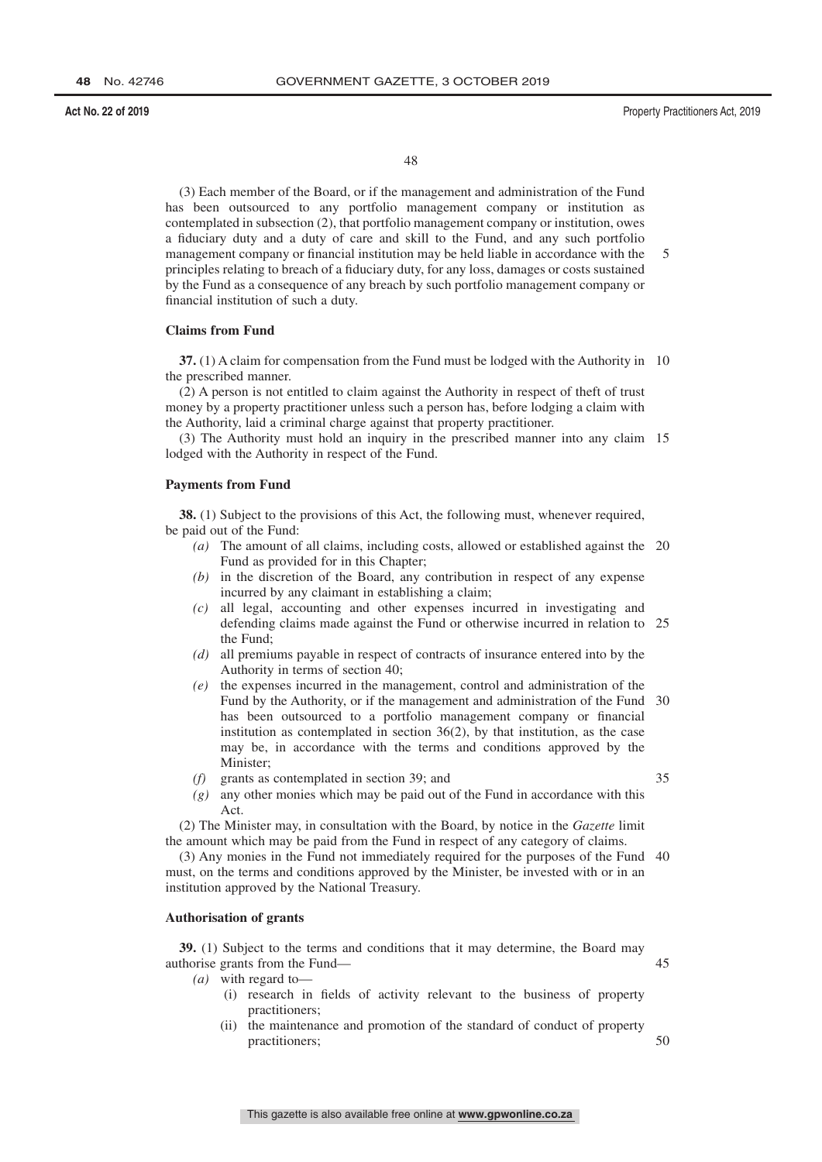(3) Each member of the Board, or if the management and administration of the Fund has been outsourced to any portfolio management company or institution as contemplated in subsection (2), that portfolio management company or institution, owes a fiduciary duty and a duty of care and skill to the Fund, and any such portfolio management company or financial institution may be held liable in accordance with the principles relating to breach of a fiduciary duty, for any loss, damages or costs sustained by the Fund as a consequence of any breach by such portfolio management company or financial institution of such a duty. 5

# **Claims from Fund**

**37.** (1) A claim for compensation from the Fund must be lodged with the Authority in 10 the prescribed manner.

(2) A person is not entitled to claim against the Authority in respect of theft of trust money by a property practitioner unless such a person has, before lodging a claim with the Authority, laid a criminal charge against that property practitioner.

(3) The Authority must hold an inquiry in the prescribed manner into any claim 15 lodged with the Authority in respect of the Fund.

#### **Payments from Fund**

**38.** (1) Subject to the provisions of this Act, the following must, whenever required, be paid out of the Fund:

- *(a)* The amount of all claims, including costs, allowed or established against the 20 Fund as provided for in this Chapter;
- *(b)* in the discretion of the Board, any contribution in respect of any expense incurred by any claimant in establishing a claim;
- *(c)* all legal, accounting and other expenses incurred in investigating and defending claims made against the Fund or otherwise incurred in relation to 25 the Fund;
- *(d)* all premiums payable in respect of contracts of insurance entered into by the Authority in terms of section 40;
- *(e)* the expenses incurred in the management, control and administration of the Fund by the Authority, or if the management and administration of the Fund 30 has been outsourced to a portfolio management company or financial institution as contemplated in section 36(2), by that institution, as the case may be, in accordance with the terms and conditions approved by the Minister;
- *(f)* grants as contemplated in section 39; and
- *(g)* any other monies which may be paid out of the Fund in accordance with this Act.

(2) The Minister may, in consultation with the Board, by notice in the *Gazette* limit the amount which may be paid from the Fund in respect of any category of claims.

(3) Any monies in the Fund not immediately required for the purposes of the Fund 40 must, on the terms and conditions approved by the Minister, be invested with or in an institution approved by the National Treasury.

# **Authorisation of grants**

**39.** (1) Subject to the terms and conditions that it may determine, the Board may authorise grants from the Fund— 45

- *(a)* with regard to—
	- (i) research in fields of activity relevant to the business of property practitioners;
	- (ii) the maintenance and promotion of the standard of conduct of property practitioners;

35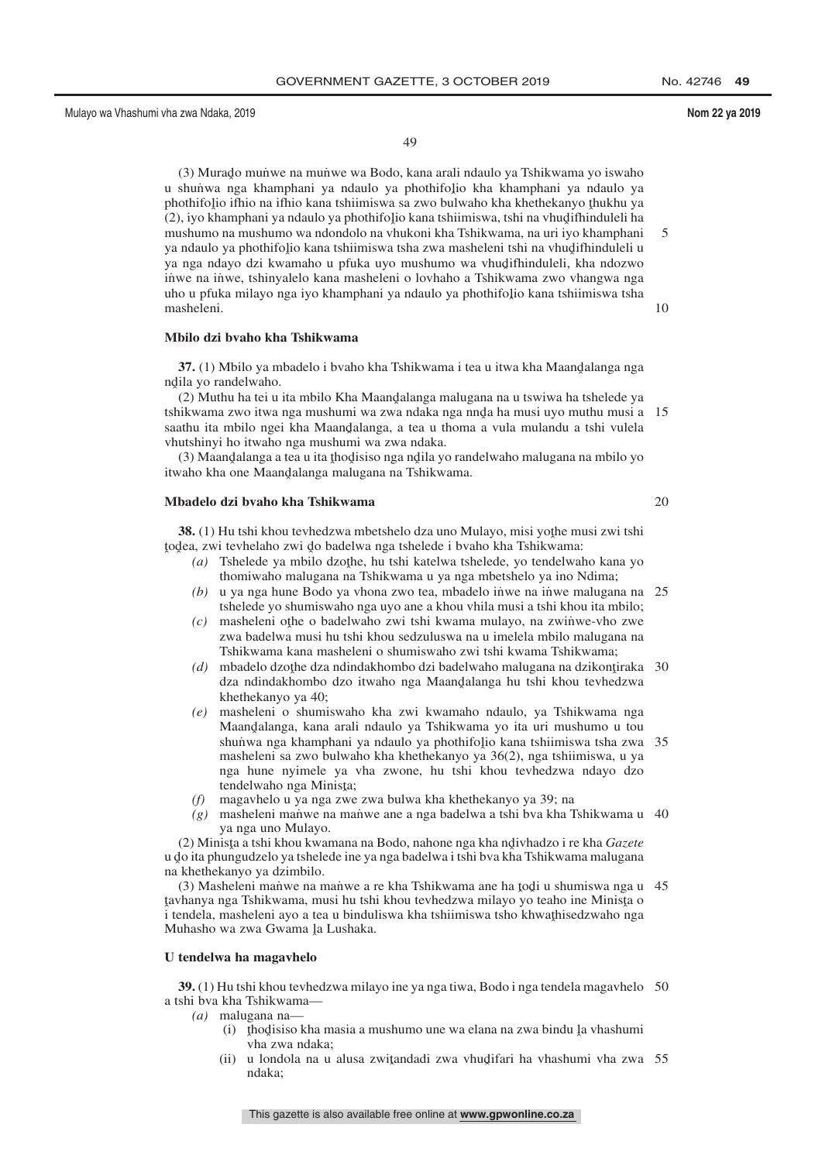49

(3) Murado mun≀we na munwe wa Bodo, kana arali ndaulo ya Tshikwama yo iswaho<br>shunwa nga khamphani ya ndaulo ya phothifolio kha khamphani ya ndaulo ya u shunwa nga khamphani ya ndaulo ya phothifolio kha khamphani ya ndaulo ya<br>phothifolio ifhio na ifhio kana tshiimiswa sa zwo bulwabo kha khathakanyo thukhu ya phothifolio ifhio na ifhio kana tshiimiswa sa zwo bulwaho kha khethekanyo thukhu ya (2) iyo khamphani ya ndaulo ya phothifolio kana tshiimiswa , tshi na yhudifhinduleli ha (2), iyo khamphani ya ndaulo ya phothifolio kana tshiimiswa, tshi na vhudifhinduleli ha<br>mushumo na mushumo wa ndondolo na vhukoni kha Tshikwama, na uri iyo khamphani mushumo na mushumo wa ndondolo na vhukoni kha Tshikwama, na uri iyo khamphani ya ndaulo ya phothifolio kana tshiimiswa tsha zwa masheleni tshi na vhudifhinduleli u<br>va nga ndayo dzi kwamabo u pfuka uvo mushumo wa vhudifhinduleli, kha ndozwo ya nga ndayo dzi kwamaho u pfuka uyo mushumo wa vhudifhinduleli, kha ndozwo<br>inwe na inwe tshinyalelo kana masheleni o lovhaho a Tshikwama zwo vhangwa nga inwe na inwe, tshinyalelo kana masheleni o lovhaho a Tshikwama zwo vhangwa nga uho u pfuka milayo nga iyo khamphani ya ndaulo ya phothifolio kana tshiimiswa tsha<br>masheleni masheleni. 5 10

20

# **Mbilo dzi bvaho kha Tshikwama**

**37.** (1) Mbilo ya mbadelo i bvaho kha Tshikwama i tea u itwa kha Maandalanga nga<br>ila ya randalwabo ndila yo randelwaho.<br>(2) Muthu ha tai u

(2) Muthu ha tei u ita mbilo Kha Maandalanga malugana na u tswiwa ha tshelede ya<br>ukwama zwo itwa nga mushumi wa zwa ndaka nga nnda ha musi uvo muthu musi a tshikwama zwo itwa nga mushumi wa zwa ndaka nga nnd̄a ha musi uyo muthu musi a 15<br>saathu ita mbilo ngei kha Maandalanga, a tea u thoma a vula mulandu a tshi vulela saathu ita mbilo ngei kha Maandalanga, a tea u thoma a vula mulandu a tshi vulela<br>yhutshinyi ho itwaho nga mushumi wa zwa ndaka vhutshinyi ho itwaho nga mushumi wa zwa ndaka.

(3) Maandalanga a tea u ita thodisiso nga ndila yo randelwaho malugana na mbilo yo<br>vaho kha one Maandalanga malugana na Tshikwama itwaho kha one Maand̥alanga malugana na Tshikwama.

#### **Mbadelo dzi bvaho kha Tshikwama**

**38.** (1) Hu tshi khou tevhedzwa mbetshelo dza uno Mulayo, misi yothe musi zwi tshi<br>dea zwi tevhelabo zwi do badelwa nga tshelede i byaho kha Tshikwama: todea, zwi tevhelaho zwi do badelwa nga tshelede i bvaho kha Tshikwama:<br>(a) Tshelede ya mbilo dzothe, bu tshi katelwa tshelede, yo tendelwal

- *(a)* Tshelede ya mbilo dzothe, hu tshi katelwa tshelede, yo tendelwaho kana yo themiwaho malugana na Tshikwama u ya nga mbetshelo ya ino Ndima: thomiwaho malugana na Tshikwama u ya nga mbetshelo ya ino Ndima;
- (b) u ya nga hune Bodo ya vhona zwo tea, mbadelo inwe na inwe malugana na 25 tshelede yo shumiswaho nga uyo ane a khou vhila musi a tshi khou ita mbilo;
- *(c)* masheleni othe o badelwaho zwi tshi kwama mulayo, na zwinwe-vho zwe<br>zwa badelwa musi bu tshi khou sedzuluswa na u imelela mbilo malugana na zwa badelwa musi hu tshi khou sedzuluswa na u imelela mbilo malugana na Tshikwama kana masheleni o shumiswaho zwi tshi kwama Tshikwama;
- (d) mbadelo dzo<u>the dza ndindakhombo dzi badelwaho malugana</u> na dzikontiraka 30<br>dza ndindakhombo dzo itwaho nga Maandalanga bu tshi khou tayhedzwa dza ndindakhombo dzo itwaho nga Maand̯alanga hu tshi khou tevhedzwa<br>khathakanyo ya 40: khethekanyo ya 40;
- *(e)* masheleni o shumiswaho kha zwi kwamaho ndaulo, ya Tshikwama nga Maandalanga, kana arali ndaulo ya Tshikwama yo ita uri mushumo u tou<br>shunya nga khamphani ya ndaulo ya phothifolio kana tshiimiswa tsha zwa shunwa nga khamphani ya ndaulo ya phothifolio kana tshiimiswa tsha zwa<br>masheleni sa zwo bulwaho kha khethekanyo ya 36(2), nga tshiimiswa, u ya masheleni sa zwo bulwaho kha khethekanyo ya 36(2), nga tshiimiswa, u ya nga hune nyimele ya vha zwone, hu tshi khou tevhedzwa ndayo dzo tendelwaho nga Minista;<br>magayhelo u ya nga zwe 35
- *(f)* magavhelo u ya nga zwe zwa bulwa kha khethekanyo ya 39; na
- (g) masheleni manwe na manwe ane a nga badelwa a tshi bva kha Tshikwama u 40 ya nga uno Mulayo.

(2) Minista a tshi khou kwamana na Bodo, nahone nga kha ndivhadzo i re kha *Gazete*<br>lo ita phungudzelo va tshelede ine va nga badelwa i tshi bya kha Tshikwama malugana u do ita phungudzelo ya tshelede ine ya nga badelwa i tshi bva kha Tshikwama malugana<br>na khethekanyo ya dzimbilo na khethekanyo ya dzimbilo.

(3) Masheleni man˙ we na man˙ we a re kha Tshikwama ane ha todi u shumiswa nga u 45<br>chanya nga Tshikwama, musi hu tshi khou teyhedzwa milayo yo teaho ine Minista o <sub>termanya nga Tsinkwania, masi na isin khoa tevhedzwa hinayo yo teano ne hinisga o<br>i tendela, masheleni ayo a tea u binduliswa kha tshiimiswa tsho khwathisedzwaho nga<br>Muhasho wa zwa Gwama la Lushaka</sub> tavhanya nga Tshikwama, musi hu tshi khou tevhedzwa milayo yo teaho ine Minista o<br>i tendela , masheleni ayo a tea u binduliswa kha tshiimiswa tsho khwathisedzwaho nga Muhasho wa zwa Gwama <u>J</u>a Lushaka.

#### **U tendelwa ha magavhelo**

**39.** (1) Hu tshi khou tevhedzwa milayo ine ya nga tiwa, Bodo i nga tendela magavhelo 50 a tshi bva kha Tshikwama—

- *(a)* malugana na—
	- (i) tho disiso kha masia a mushumo une wa elana na zwa bindu la vhashumi vha zwa ndaka;
	- (ii) u londola na u alusa zwiţandadi zwa vhudifari ha vhashumi vha zwa 55<br>ndaka: ndaka;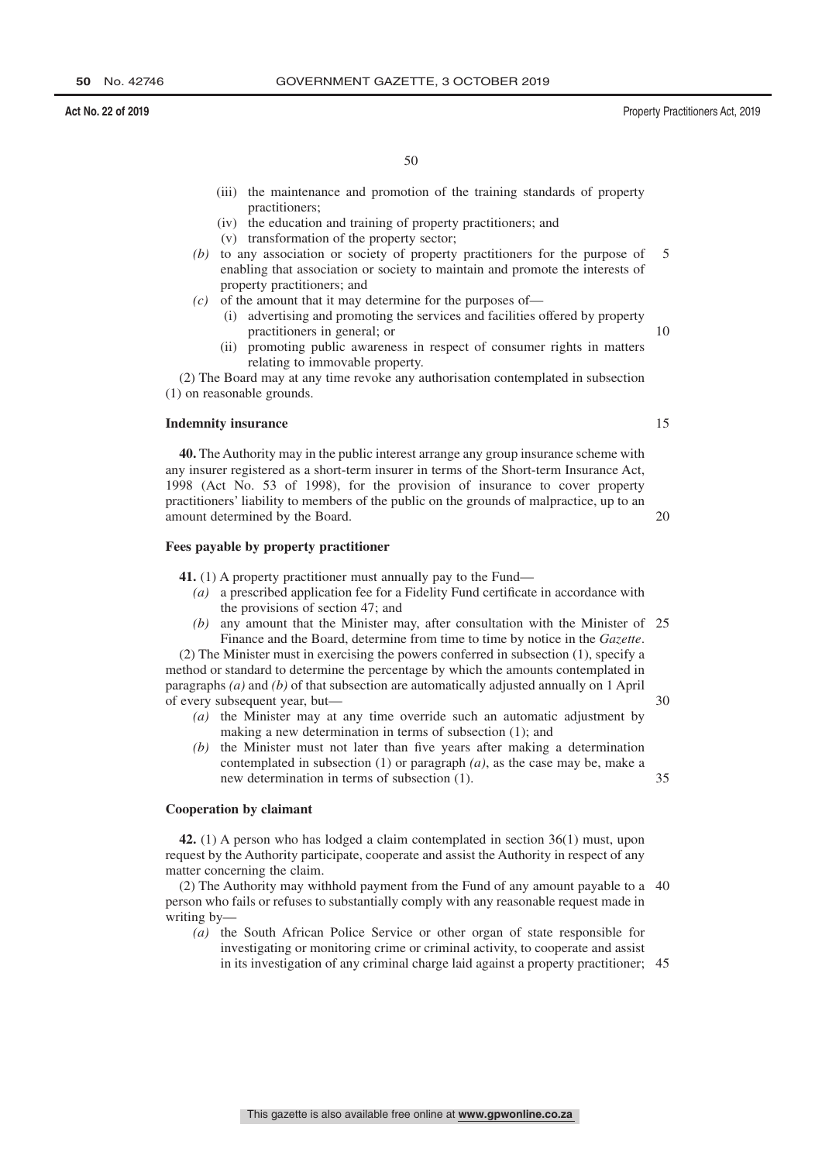- (iv) the education and training of property practitioners; and
- (v) transformation of the property sector;
- *(b)* to any association or society of property practitioners for the purpose of enabling that association or society to maintain and promote the interests of property practitioners; and 5
- *(c)* of the amount that it may determine for the purposes of—
	- (i) advertising and promoting the services and facilities offered by property practitioners in general; or
	- (ii) promoting public awareness in respect of consumer rights in matters relating to immovable property.

(2) The Board may at any time revoke any authorisation contemplated in subsection (1) on reasonable grounds.

# **Indemnity insurance**

**40.** The Authority may in the public interest arrange any group insurance scheme with any insurer registered as a short-term insurer in terms of the Short-term Insurance Act, 1998 (Act No. 53 of 1998), for the provision of insurance to cover property practitioners' liability to members of the public on the grounds of malpractice, up to an amount determined by the Board.

# **Fees payable by property practitioner**

**41.** (1) A property practitioner must annually pay to the Fund—

- *(a)* a prescribed application fee for a Fidelity Fund certificate in accordance with the provisions of section 47; and
- *(b)* any amount that the Minister may, after consultation with the Minister of 25 Finance and the Board, determine from time to time by notice in the *Gazette*.

(2) The Minister must in exercising the powers conferred in subsection (1), specify a method or standard to determine the percentage by which the amounts contemplated in paragraphs *(a)* and *(b)* of that subsection are automatically adjusted annually on 1 April of every subsequent year, but— 30

- *(a)* the Minister may at any time override such an automatic adjustment by making a new determination in terms of subsection (1); and
- *(b)* the Minister must not later than five years after making a determination contemplated in subsection (1) or paragraph *(a)*, as the case may be, make a new determination in terms of subsection (1). 35

# **Cooperation by claimant**

**42.** (1) A person who has lodged a claim contemplated in section 36(1) must, upon request by the Authority participate, cooperate and assist the Authority in respect of any matter concerning the claim.

(2) The Authority may withhold payment from the Fund of any amount payable to a 40 person who fails or refuses to substantially comply with any reasonable request made in writing by—

*(a)* the South African Police Service or other organ of state responsible for investigating or monitoring crime or criminal activity, to cooperate and assist in its investigation of any criminal charge laid against a property practitioner; 45

**50** No. 42746 GOVERNMENT GAZETTE, 3 OCTOBER 2019

**Act No. 22 of 2019** Property Practitioners Act, 2019

15

20

 $1<sub>0</sub>$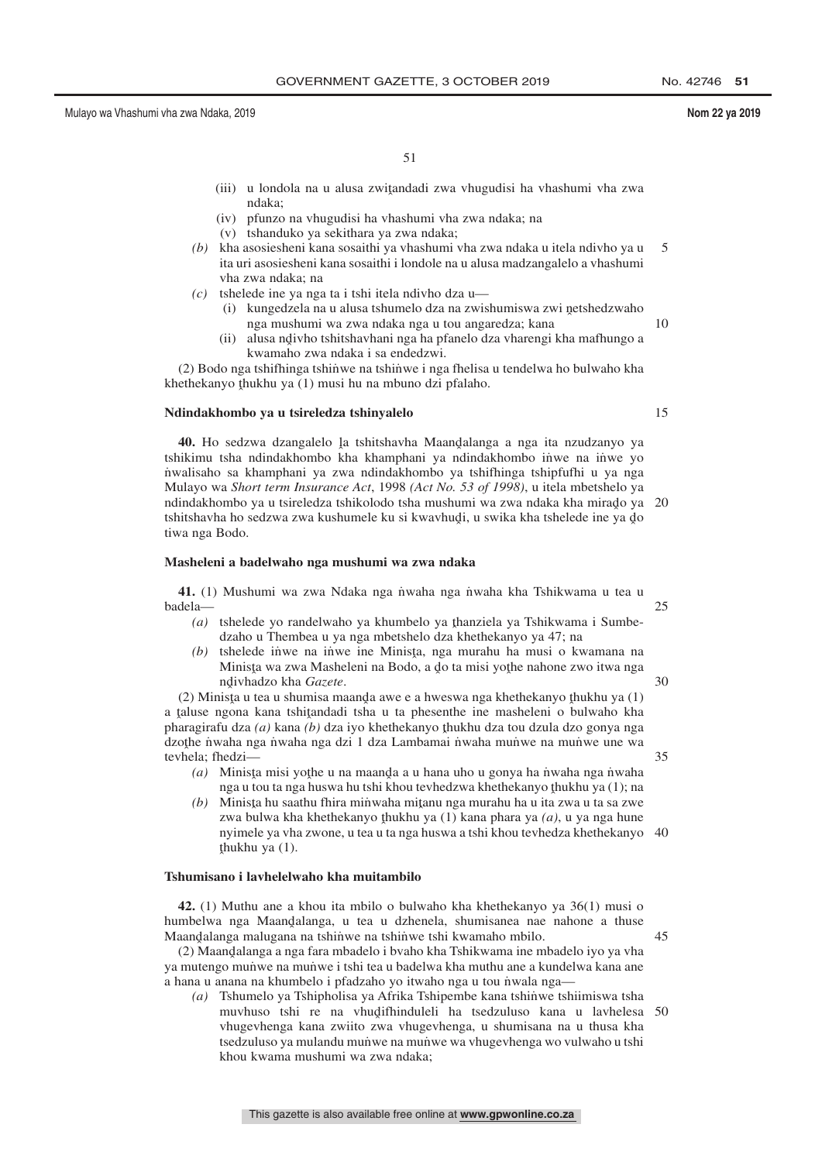51

- (iii) u londola na u alusa zwiţandadi zwa vhugudisi ha vhashumi vha zwa<br>ndaka: ndaka;
- (iv) pfunzo na vhugudisi ha vhashumi vha zwa ndaka; na
- (v) tshanduko ya sekithara ya zwa ndaka;
- *(b)* kha asosiesheni kana sosaithi ya vhashumi vha zwa ndaka u itela ndivho ya u ita uri asosiesheni kana sosaithi i londole na u alusa madzangalelo a vhashumi vha zwa ndaka; na 5
- *(c)* tshelede ine ya nga ta i tshi itela ndivho dza u—
	- (i) kungedzela na u alusa tshumelo dza na zwishumiswa zwi netshedzwaho<br>nga mushumi wa zwa ndaka nga u tou angaredza: kana nga mushumi wa zwa ndaka nga u tou angaredza; kana
	- (ii) alusa ndivho tshitshavhani nga ha pfanelo dza vharengi kha mafhungo a<br>kwamabo zwa ndaka i sa andedzwi kwamaho zwa ndaka i sa endedzwi.

(2) Bodo nga tshiftinga tshinwe na tshinwe i nga fhelisa u tendelwa ho bulwaho kha khethekanyo thukhu ya (1) musi hu na mbuno dzi pfalaho.

# **Ndindakhombo ya u tsireledza tshinyalelo**

40. Ho sedzwa dzangalelo la tshitshavha Maandalanga a nga ita nzudzanyo ya<br>ukimu tsha ndindakhombo kha khamphani ya ndindakhombo inwe na inwe yo tshikimu tsha ndindakhombo kha khamphani ya ndindakhombo inwe na inwe yo n˙ walisaho sa khamphani ya zwa ndindakhombo ya tshifhinga tshipfufhi u ya nga Mulayo wa *Short term Insurance Act*, 1998 *(Act No. 53 of 1998)*, u itela mbetshelo ya ndindakhombo ya u tsireledza tshikolodo tsha mushumi wa zwa ndaka kha mirado ya 20<br>tshitshayba ho sedzwa zwa kushumele ku si kwaybudi, u swika kha tshelede ine ya do tshitshavha ho sedzwa zwa kushumele ku si kwavhud̥i, u swika kha tshelede ine ya d្o tiwa nga Bodo.

# **Masheleni a badelwaho nga mushumi wa zwa ndaka**

**41.** (1) Mushumi wa zwa Ndaka nga n˙ waha nga n˙ waha kha Tshikwama u tea u badela—

- (a) tshelede yo randelwaho ya khumbelo ya thanziela ya Tshikwama i Sumbe-<br>dzaho u Thambes u ya nga mbetshelo dza khathekanyo ya 47; na dzaho u Thembea u ya nga mbetshelo dza khethekanyo ya 47; na
- *(b)* tshelede inve na inve ine Minista, nga murahu ha musi o kwamana na Minista wa zwa Masheleni na Bodo a do ta misi yothe nabone zwo itwa nga Minista wa zwa Masheleni na Bodo, a do ta misi yothe nahone zwo itwa nga<br>ndivhadzo kha *Gazate* nd ivhadzo kha *Gazete*. 30

ri maanda awe e a hweswa nga khethekanyo thukhu ya (1)<br>(2) Minista u tea u shumisa maanda awe e a hweswa nga khethekanyo thukhu ya (1) a taluse ngona kana tshitandadi tsha u ta phesenthe ine masheleni o bulwaho kha<br>pheragirafu dza (a) kana (b) dza iyo khathekanyo thukhu dza tou dzula dzo gonya nga pharagirafu dza *(a)* kana *(b)* dza iyo khethekanyo thukhu dza tou dzula dzo gonya nga<br>dzothe nygha nga nygha nga dzi 1 dza Lambamai nygha munive na munive une wa dzoțhe nuaha nga nuaha nga dzi 1 dza Lambamai nuaha munuve na munuve une wa<br>tavhela: fhedzi tevhela; fhedzi—

- (a) Minista misi yothe u na maanda a u hana uho u gonya ha nwaha nga nwaha<br>nga u tou ta nga huswa hu tshi khou taybedzwa khathakanyo thukhu ya (1); na nga u tou ta nga huswa hu tshi khou tevhedzwa khethekanyo thukhu ya (1); na<br>Minista bu saathu fhira minwaba mitanu nga murabu ba u ita zwa u ta sa zwa
- (b) Minista hu saathu fhira minwaha mitanu nga murahu ha u ita zwa u ta sa zwe<br>zwa hulwa kha khathakanyo thukhu ya (1) kana nhara ya (a) u ya nga hung zwa bulwa kha khethekanyo <u>thukhu ya (1) kana phara ya  $(a)$ </u>, u ya nga hune nyimele ya vha zwone, u tea u ta nga huswa a tshi khou tevhedza khethekanyo 40 ˆ thukhu ya (1).

# **Tshumisano i lavhelelwaho kha muitambilo**

**42.** (1) Muthu ane a khou ita mbilo o bulwaho kha khethekanyo ya 36(1) musi o humbelwa nga Maandalanga, u tea u dzhenela, shumisanea nae nahone a thuse<br>Maandalanga malugana na tshinye na tshinye tshi kwamabo mbilo Maandalanga malugana na tshinwe na tshinwe tshi kwamaho mbilo.<br>(2) Maandalanga a nga fara mbadelo i hyaho kha Tshikwama ine m

(2) Maandalanga a nga fara mbadelo i bvaho kha Tshikwama ine mbadelo iyo ya vha<br>mutengo munwe na munwe i tshi tea u badelwa kha muthu ane a kundelwa kana ane ya mutengo mun˙ we na mun˙ we i tshi tea u badelwa kha muthu ane a kundelwa kana ane a hana u anana na khumbelo i pfadzaho yo itwaho nga u tou niwala nga-

*(a)* Tshumelo ya Tshipholisa ya Afrika Tshipembe kana tshin˙ we tshiimiswa tsha muvhuso tshi re na vhudifhinduleli ha tsedzuluso kana u lavhelesa 50<br>vhugavhanga kana zwijto zwa vhugavhanga u shumisana na u thusa kha vhugevhenga kana zwiito zwa vhugevhenga, u shumisana na u thusa kha tsedzuluso ya mulandu munwe na munwe wa vhugevhenga wo vulwaho u tshi khou kwama mushumi wa zwa ndaka;

25

35

45

10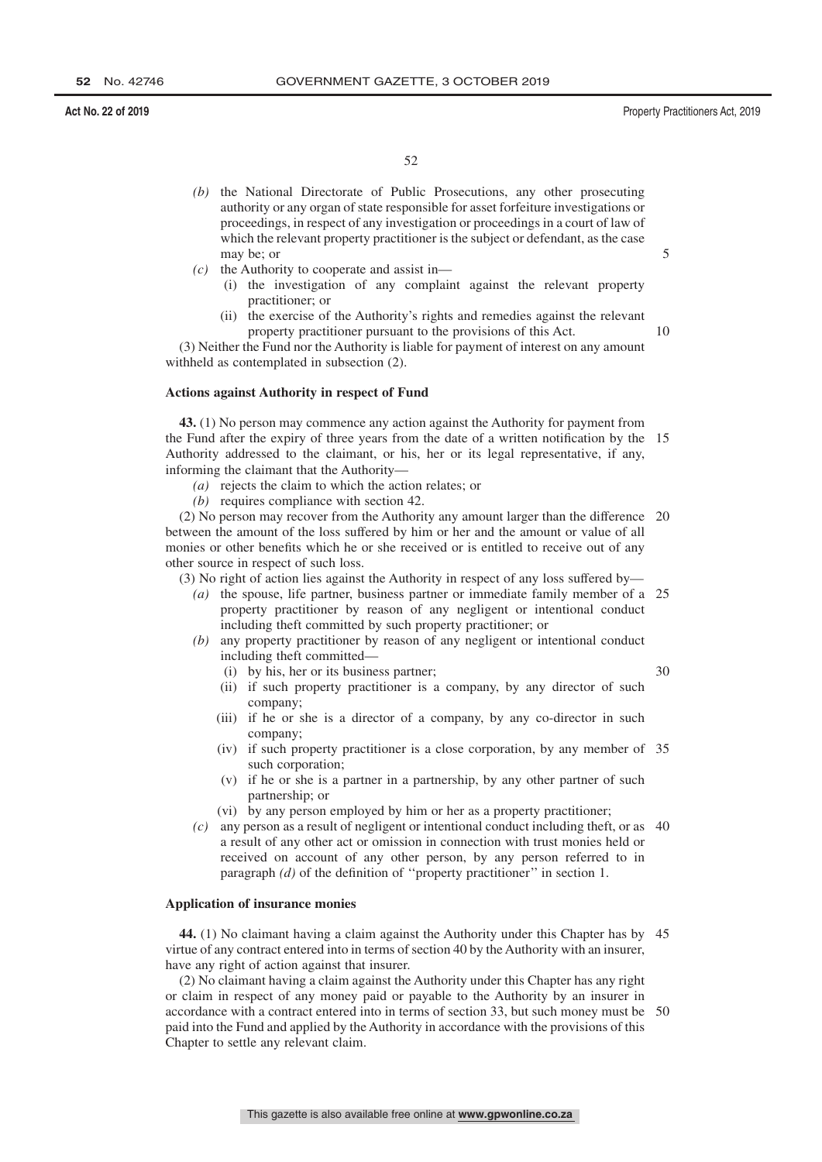30

52

- *(b)* the National Directorate of Public Prosecutions, any other prosecuting authority or any organ of state responsible for asset forfeiture investigations or proceedings, in respect of any investigation or proceedings in a court of law of which the relevant property practitioner is the subject or defendant, as the case may be; or
- *(c)* the Authority to cooperate and assist in—
	- (i) the investigation of any complaint against the relevant property practitioner; or
	- (ii) the exercise of the Authority's rights and remedies against the relevant property practitioner pursuant to the provisions of this Act. 10

(3) Neither the Fund nor the Authority is liable for payment of interest on any amount withheld as contemplated in subsection (2).

## **Actions against Authority in respect of Fund**

**43.** (1) No person may commence any action against the Authority for payment from the Fund after the expiry of three years from the date of a written notification by the 15 Authority addressed to the claimant, or his, her or its legal representative, if any, informing the claimant that the Authority—

- *(a)* rejects the claim to which the action relates; or
- *(b)* requires compliance with section 42.

(2) No person may recover from the Authority any amount larger than the difference 20 between the amount of the loss suffered by him or her and the amount or value of all monies or other benefits which he or she received or is entitled to receive out of any other source in respect of such loss.

(3) No right of action lies against the Authority in respect of any loss suffered by—

- *(a)* the spouse, life partner, business partner or immediate family member of a 25 property practitioner by reason of any negligent or intentional conduct including theft committed by such property practitioner; or
- *(b)* any property practitioner by reason of any negligent or intentional conduct including theft committed—
	- (i) by his, her or its business partner;
	- (ii) if such property practitioner is a company, by any director of such company;
	- (iii) if he or she is a director of a company, by any co-director in such company;
	- (iv) if such property practitioner is a close corporation, by any member of 35 such corporation;
	- (v) if he or she is a partner in a partnership, by any other partner of such partnership; or
	- (vi) by any person employed by him or her as a property practitioner;
- *(c)* any person as a result of negligent or intentional conduct including theft, or as 40 a result of any other act or omission in connection with trust monies held or received on account of any other person, by any person referred to in paragraph *(d)* of the definition of ''property practitioner'' in section 1.

### **Application of insurance monies**

**44.** (1) No claimant having a claim against the Authority under this Chapter has by 45 virtue of any contract entered into in terms of section 40 by the Authority with an insurer, have any right of action against that insurer.

(2) No claimant having a claim against the Authority under this Chapter has any right or claim in respect of any money paid or payable to the Authority by an insurer in accordance with a contract entered into in terms of section 33, but such money must be 50paid into the Fund and applied by the Authority in accordance with the provisions of this Chapter to settle any relevant claim.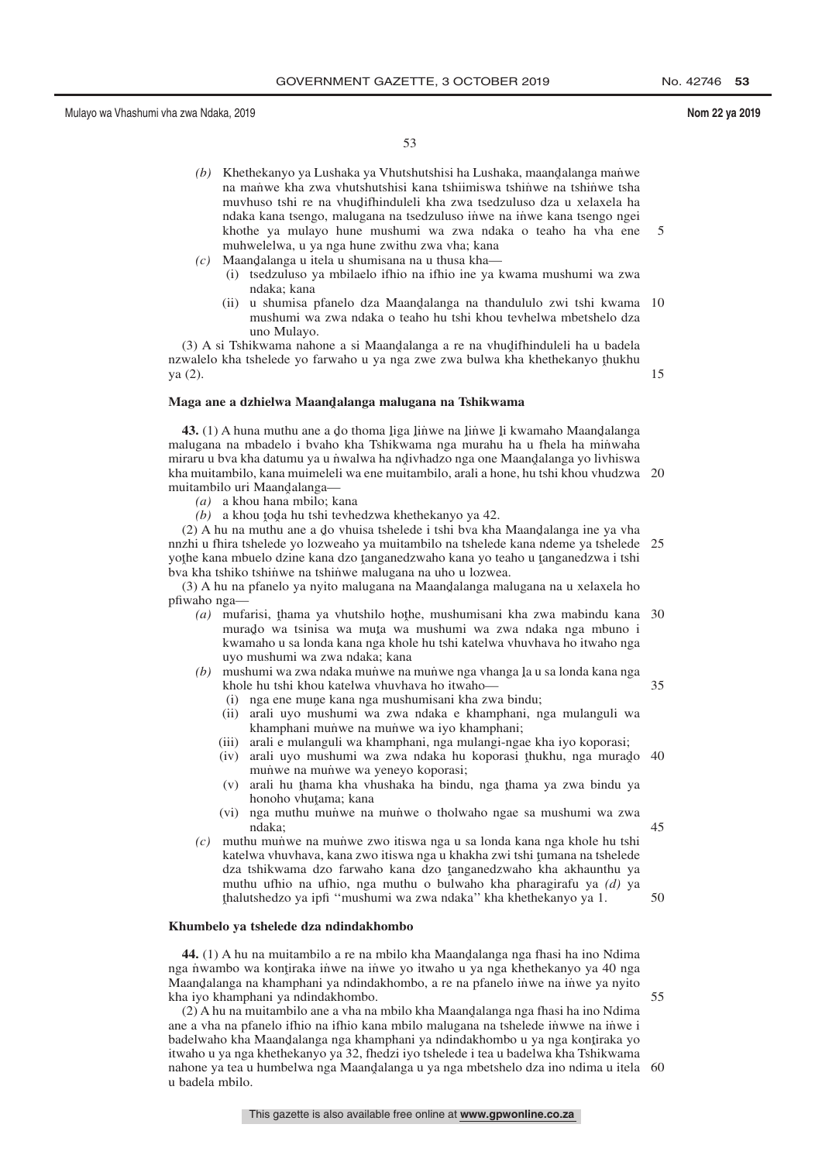15

35

50

53

- *(b)* Khethekanyo ya Lushaka ya Vhutshutshisi ha Lushaka, maandalanga manwe na manwe kha zwa vhutshutshisi kana tshiimiswa tshinwe na tshinwe tsha muvhuso tshi re na vhudifhinduleli kha zwa tsedzuluso dza u xelaxela ha<br>ndaka kana tsengo malugana na tsedzuluso inwe na inwe kana tsengo ngej ndaka kana tsengo, malugana na tsedzuluso intwe na inwe kana tsengo ngei khothe ya mulayo hune mushumi wa zwa ndaka o teaho ha vha ene muhwelelwa, u ya nga hune zwithu zwa vha; kana 5
- $(c)$  Maandalanga u itela u shumisana na u thusa kha—<br>*(i)* tsedzuluso va mbilaelo ithio na ifhio ine va l
	- (i) tsedzuluso ya mbilaelo ifhio na ifhio ine ya kwama mushumi wa zwa ndaka; kana
	- (ii) u shumisa pfanelo dza Maandalanga na thandululo zwi tshi kwama 10<br>mushumi wa zwa ndaka o teabo bu tshi khou teyhelwa mbetshelo dza mushumi wa zwa ndaka o teaho hu tshi khou tevhelwa mbetshelo dza uno Mulayo.

(3) A si Tshikwama nahone a si Maandalanga a re na vhudifhinduleli ha u badela<br>walelo kha tshelede vo farwaho u va nga zwe zwa bulwa kha khethekanyo thukhu nzwalelo kha tshelede yo farwaho u ya nga zwe zwa bulwa kha khethekanyo thukhu<br>va (2) ya (2).

**Maga ane a dzhielwa Maandˆ alanga malugana na Tshikwama**

**43.** (1) A huna muthu ane a do thoma liga linwe na linwe li kwamaho Maandalanga<br>plugana na mbadelo i byaho kha Tshikwama nga murahu ha u fhela ha minwaha malugana na mbadelo i bvaho kha Tshikwama nga murahu ha u fhela ha minwaha miraru u bva kha datumu ya u nwalwa ha ndivhadzo nga one Maandalanga yo livhiswa<br>kha muitambilo, kana muimeleli wa ene muitambilo, arali a bone, bu tshi khou vhudzwa kha muitambilo, kana muimeleli wa ene muitambilo, arali a hone, hu tshi khou vhudzwa 20 muitambilo uri Maandalanga—<br>(a) a khou hana mbilo: ka

*(a)* a khou hana mbilo; kana

 $(b)$  a khou toda hu tshi tevhedzwa khethekanyo ya 42.

(2) A hu na muthu ane a do vhuisa tshelede i tshi bva kha Maandalanga ine ya vha<br>zhi u fhira tshelede vo lozweaho va muitambilo na tshelede kana ndeme va tshelede nnzhi u fhira tshelede yo lozweaho ya muitambilo na tshelede kana ndeme ya tshelede 25 yothe kana mbuelo dzine kana dzo tanganedzwaho kana yo teaho u tanganedzwa i tshi<br>bya kha tshiko tshinwe na tshinwe malugana na uho u lozwea bva kha tshiko tshinwe na tshinwe malugana na uho u lozwea.

(3) A hu na pfanelo ya nyito malugana na Maandalanga malugana na u xelaxela ho<br>wabo nga pfiwaho nga—

- (a) mufarisi, thama ya vhutshilo hothe, mushumisani kha zwa mabindu kana 30<br>murado wa tsinisa wa muta wa mushumi wa zwa ndaka nga mbuno i murado wa tsinisa wa muta wa mushumi wa zwa ndaka nga mbuno i<br>kwamaho u sa londa kana nga khole bu tshi katelwa yhuyhaya ho itwaho nga kwamaho u sa londa kana nga khole hu tshi katelwa vhuvhava ho itwaho nga uyo mushumi wa zwa ndaka; kana
- (b) mushumi wa zwa ndaka munwe na munwe nga vhanga la u sa londa kana nga<br>khole bu tshi khou katelwa yhuyhaya ho itwaho khole hu tshi khou katelwa vhuvhava ho itwaho—
	- (i) nga ene mune kana nga mushumisani kha zwa bindu;<br>ii) arali uwo mushumi wa zwa ndaka e khamphani, n
	- (ii) arali uyo mushumi wa zwa ndaka e khamphani, nga mulanguli wa khamphani munwe na munwe wa iyo khamphani;
	- (iii) arali e mulanguli wa khamphani, nga mulangi-ngae kha iyo koporasi;
	- (iv) arali uyo mushumi wa zwa ndaka hu koporasi thukhu, nga murado 40<br>mujiwe na mujiwe wa venevo koporasi: munve na munve wa yeneyo koporasi;
	- (v) arali hu thama kha vhushaka ha bindu, nga thama ya zwa bindu ya<br>honobo yhutama: kana honoho vhutama; kana<br>nga muthu munwe na
	- (vi) nga muthu munve na munve o tholwaho ngae sa mushumi wa zwa ndaka; 45
- *(c)* muthu mun˙ we na mun˙ we zwo itiswa nga u sa londa kana nga khole hu tshi katelwa vhuvhava, kana zwo itiswa nga u khakha zwi tshi tumana na tshelede<br>dza tshikwama dzo farwaho, kana dzo tanganedzwaho, kha akhaunthu, ya dza tshikwama dzo farwaho kana dzo tanganedzwaho kha akhaunthu ya  $(d)$  ya muthu ufbio na ufbio nga muthu o bulwaho kha pharagirafu ya  $(d)$  ya muthu ufhio na ufhio, nga muthu o bulwaho kha pharagirafu ya *(d)* ya ˆ thalutshedzo ya ipfi ''mushumi wa zwa ndaka'' kha khethekanyo ya 1.

# **Khumbelo ya tshelede dza ndindakhombo**

**44.** (1) A hu na muitambilo a re na mbilo kha Maandalanga nga fhasi ha ino Ndima<br>a nyambo wa kontiraka inye na inye yo itwaho u ya nga khethekanyo ya 40 nga nga nuambo wa kontiraka inwe na inwe yo itwaho u ya nga khethekanyo ya 40 nga<br>Maandalanga na khamphani ya ndindakhombo, a re na pfanelo inwe na inwe ya nyito Maandalanga na khamphani ya ndindakhombo, a re na pfanelo inwe na inwe ya nyito<br>kha iyo khamphani ya ndindakhombo kha iyo khamphani ya ndindakhombo. 55

(2) A hu na muitambilo ane a vha na mbilo kha Maandalanga nga fhasi ha ino Ndima<br>e a vha na pfanelo ifhio na ifhio kana mbilo malugana na tshelede inwwe na inwe i ane a vha na pfanelo ifhio na ifhio kana mbilo malugana na tshelede inwwe na inwe i badelwaho kha Maandalanga nga khamphani ya ndindakhombo u ya nga kontiraka yo<br>itwaho u ya nga khethekanyo ya 32, fhedzi iyo tshelede i tea u hadelwa kha Tshikwama itwaho u ya nga khethekanyo ya 32, fhedzi iyo tshelede i tea u badelwa kha Tshikwama nahone ya tea u humbelwa nga Maandalanga u ya nga mbetshelo dza ino ndima u itela 60<br>u hadela mbilo u badela mbilo.

This gazette is also available free online at **www.gpwonline.co.za**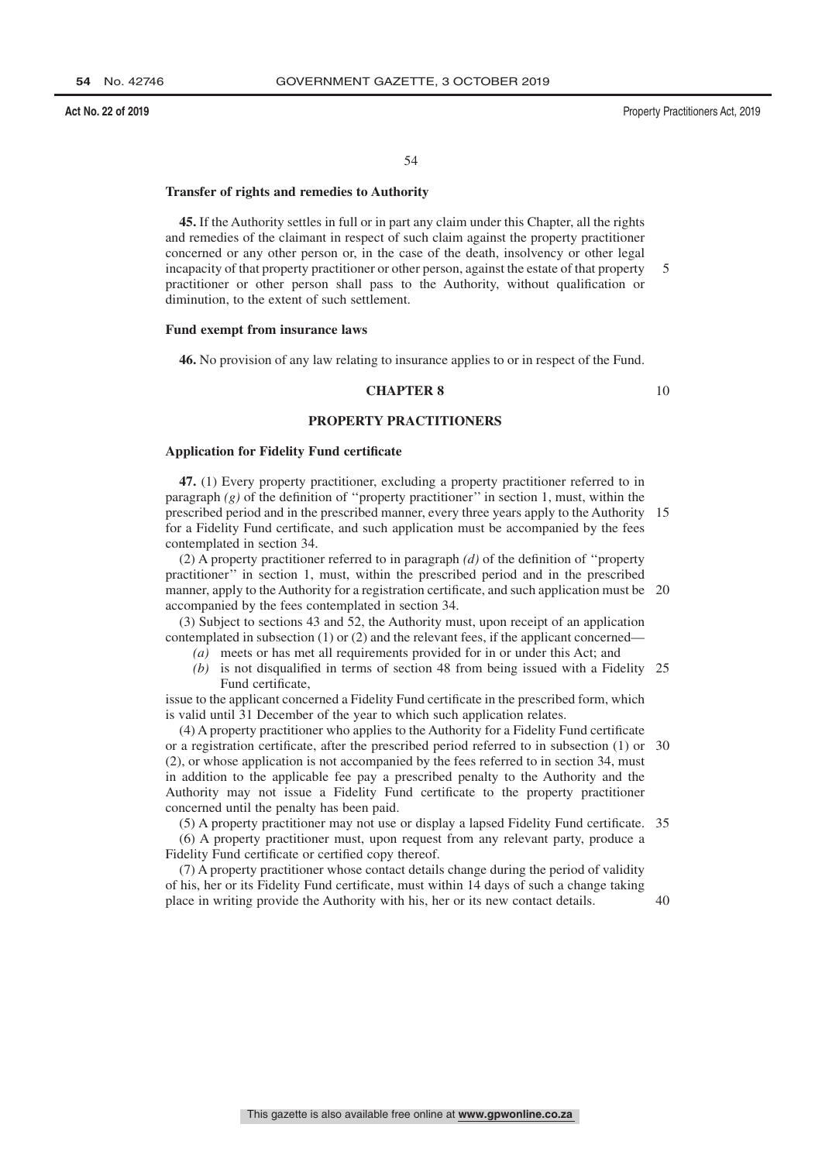# **Transfer of rights and remedies to Authority**

**45.** If the Authority settles in full or in part any claim under this Chapter, all the rights and remedies of the claimant in respect of such claim against the property practitioner concerned or any other person or, in the case of the death, insolvency or other legal incapacity of that property practitioner or other person, against the estate of that property practitioner or other person shall pass to the Authority, without qualification or diminution, to the extent of such settlement. 5

### **Fund exempt from insurance laws**

**46.** No provision of any law relating to insurance applies to or in respect of the Fund.

# **CHAPTER 8**

10

# **PROPERTY PRACTITIONERS**

#### **Application for Fidelity Fund certificate**

**47.** (1) Every property practitioner, excluding a property practitioner referred to in paragraph *(g)* of the definition of ''property practitioner'' in section 1, must, within the prescribed period and in the prescribed manner, every three years apply to the Authority 15 for a Fidelity Fund certificate, and such application must be accompanied by the fees contemplated in section 34.

(2) A property practitioner referred to in paragraph *(d)* of the definition of ''property practitioner'' in section 1, must, within the prescribed period and in the prescribed manner, apply to the Authority for a registration certificate, and such application must be 20 accompanied by the fees contemplated in section 34.

(3) Subject to sections 43 and 52, the Authority must, upon receipt of an application contemplated in subsection  $(1)$  or  $(2)$  and the relevant fees, if the applicant concerned-

- *(a)* meets or has met all requirements provided for in or under this Act; and
- *(b)* is not disqualified in terms of section 48 from being issued with a Fidelity 25 Fund certificate,

issue to the applicant concerned a Fidelity Fund certificate in the prescribed form, which is valid until 31 December of the year to which such application relates.

(4) A property practitioner who applies to the Authority for a Fidelity Fund certificate or a registration certificate, after the prescribed period referred to in subsection (1) or 30 (2), or whose application is not accompanied by the fees referred to in section 34, must in addition to the applicable fee pay a prescribed penalty to the Authority and the Authority may not issue a Fidelity Fund certificate to the property practitioner concerned until the penalty has been paid.

(5) A property practitioner may not use or display a lapsed Fidelity Fund certificate. 35

(6) A property practitioner must, upon request from any relevant party, produce a Fidelity Fund certificate or certified copy thereof.

(7) A property practitioner whose contact details change during the period of validity of his, her or its Fidelity Fund certificate, must within 14 days of such a change taking place in writing provide the Authority with his, her or its new contact details.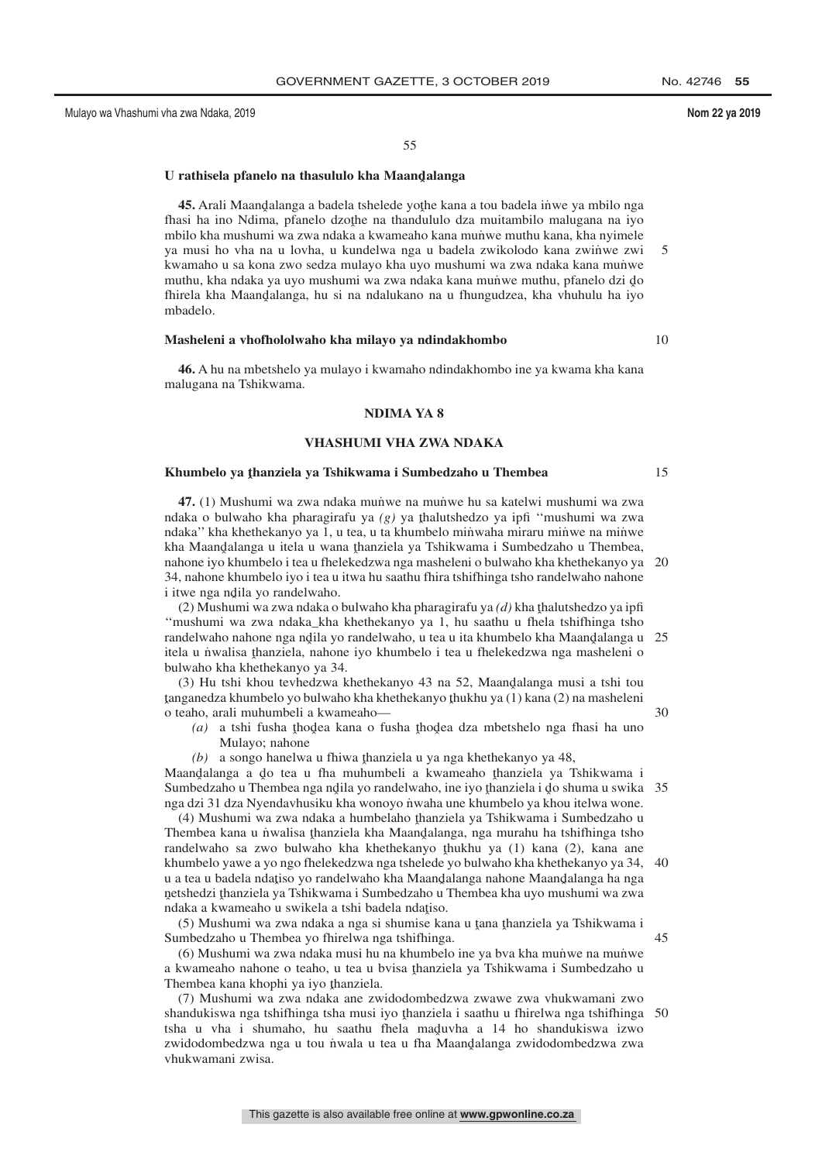10

15

55

# U r<mark>athisela pfanelo na thasululo kha Maand</code>alanga</mark>

**45.** Arali Maandalanga a badela tshelede yothe kana a tou badela inwe ya mbilo nga<br>asi ha ino Ndima, pfanelo dzothe na thandululo dza muitambilo malugana na iyo fhasi ha ino Ndima, pfanelo dzothe na thandululo dza muitambilo malugana na iyo mbilo kha muhumi wa zwa ndaka a kwamaabo kana mujiwa muthu kana, kha nyimala mbilo kha mushumi wa zwa ndaka a kwameaho kana mun˙ we muthu kana, kha nyimele ya musi ho vha na u lovha, u kundelwa nga u badela zwikolodo kana zwinwe zwi kwamaho u sa kona zwo sedza mulayo kha uyo mushumi wa zwa ndaka kana munwe muthu, kha ndaka ya uyo mushumi wa zwa ndaka kana munu muthu, pfanelo dzi do<br>fhirela kha Maandalanga, bu si na ndalukano na u fhungudzea, kha yhubulu ha iyo fhirela kha Maand̯alanga, hu si na ndalukano na u fhungudzea, kha vhuhulu ha iyo<br>mbadelo mbadelo. 5

# **Masheleni a vhofhololwaho kha milayo ya ndindakhombo**

**46.** A hu na mbetshelo ya mulayo i kwamaho ndindakhombo ine ya kwama kha kana malugana na Tshikwama.

### **NDIMA YA 8**

# **VHASHUMI VHA ZWA NDAKA**

# **Khumbelo ya <sup>ˆ</sup> thanziela ya Tshikwama i Sumbedzaho u Thembea**

**47.** (1) Mushumi wa zwa ndaka munwe na munwe hu sa katelwi mushumi wa zwa ndaka o bulwaho kha pharagirafu ya *(g)* ya thalutshedzo ya ipfi "mushumi wa zwa<br>ndaka" kha khathakanyo ya 1 u tao u ta khumbalo minyaha miraru minya na minya ndaka" kha khethekanyo ya 1, u tea, u ta khumbelo minwaha miraru minwe na minwe kha Maandalanga u itela u wana thanziela ya Tshikwama i Sumbedzaho u Thembea,<br>nabone iyo khumbelo i tea u fhelekedzwa nga masheleni o bulwaho kha khethekanyo ya nahone iyo khumbelo i tea u fhelekedzwa nga masheleni o bulwaho kha khethekanyo ya 20 34, nahone khumbelo iyo i tea u itwa hu saathu fhira tshifhinga tsho randelwaho nahone i itwe nga ndila yo randelwaho.<br>(2) Mushumi wa zwa ndaka 0

(2) Mushumi wa zwa ndaka o bulwaho kha pharagirafu ya  $(d)$  kha thalutshedzo ya ipfi<br>pushumi wa zwa ndaka kha khethekanyo ya 1 bu saathu u fhela tshifhinga tsho ''mushumi wa zwa ndaka\_kha khethekanyo ya 1, hu saathu u fhela tshifhinga tsho randelwaho nahone nga ndila yo randelwaho, u tea u ita khumbelo kha Maandalanga u 25<br>itala u nwalisa thanziela, nahone iyo khumbelo i tea u fhelekedzwa nga masheleni o itela u n˙ walisa thanziela, nahone iyo khumbelo i tea u fhelekedzwa nga masheleni o<br>hulwaho kha khathekanyo ya 34 bulwaho kha khethekanyo ya 34.

 $(3)$  Hu tshi khou tevhedzwa khethekanyo 43 na 52, Maandalanga musi a tshi tou ˆ o teaho, arali muhumbeli a kwameaho tanganedza khumbelo yo bulwaho kha khethekanyo thukhu ya (1) kana (2) na masheleni<br>o taabo, arali muhumbeli a kwamaabo

(a) a tshi fusha thodea kana o fusha thodea dza mbetshelo nga fhasi ha uno Mulayo; nahone

 $(b)$  a songo hanelwa u fhiwa thanziela u ya nga khethekanyo ya 48,<br>adalanga a do tea u fha muhumbeli a kwameaho thanziela ya T Maandalanga a do tea u fha muhumbeli a kwameaho thanziela ya Tshikwama i<br>Sumbedzaho u Thembea nga ndila ya randelwaho ine iyo thanziela i do shuma u swika Sumbedzaho u Thembea nga ndila yo randelwaho, ine iyo thanziela i do shuma u swika 35<br>nga dzi 31 dza Nyendayhusiku kha wonovo nwaha une khumbelo ya khou itelwa wone nga dzi 31 dza Nyendavhusiku kha wonoyo nwaha une khumbelo ya khou itelwa wone.

(4) Mushumi wa zwa ndaka a humbelaho thanziela ya Tshikwama i Sumbedzaho u<br>embeg kana u nwalisa thanziela kha Maandalanga, nga murahu ha tshifhinga tsho Thembea kana u n˙walisa thanziela kha Maandalanga, nga murahu ha tshifhinga tsho<br>tandelwaho sa zwo hulwaho kha khathakanyo thukhu ya (1) kana (2), kana ana randelwaho sa zwo bulwaho kha khethekanyo thukhu ya (1) kana (2), kana ane<br>khumbelo yawe a yo ngo fhelekedzwa nga tshelede yo bulwaho kha khethekanyo ya 34 khumbelo yawe a yo ngo fhelekedzwa nga tshelede yo bulwaho kha khethekanyo ya 34, u a tea u badela ndațiso yo randelwaho kha Maandalanga nahone Maandalanga ha nga<br>netshedzi thanziela va Tshikwama i Sumbedzaho u Thembea kha uvo mushumi wa zwa netshedzi thanziela ya Tshikwama i Sumbedzaho u Thembea kha uyo mushumi wa zwa<br>ndaka a kwameabo u swikela a tshi badela ndatiso ndaka a kwameaho u swikela a tshi badela ndajaso.<br>
(5) Mushumi wa zwa ndaka a tshi badela ndajaso.  $40$ 

(5) Mushumi wa zwa ndaka a nga si shumise kana u tana thanziela ya Tshikwama i<br>mbadzaho u Thambaa ya fhirelwa nga tshifhinga Sumbedzaho u Thembea yo fhirelwa nga tshifhinga.

(6) Mushumi wa zwa ndaka musi hu na khumbelo ine ya bva kha muniwe na muniwe a kwameaho nahone o teaho, u tea u bvisa thanziela ya Tshikwama i Sumbedzaho u<br>Thambaa kana khophi ya iyo thanziela Thembea kana khophi ya iyo thanziela.<br>(7) Mushumi wa zwa ndaka ane zw

(7) Mushumi wa zwa ndaka ane zwidodombedzwa zwawe zwa vhukwamani zwo shandukiswa nga tshifhinga tsha musi iyo thanziela i saathu u fhirelwa nga tshifhinga 50<br>tsha u wha i shumabo, bu saathu fhela maduwha a 14 ho shandukiswa izwo tsha u vha i shumaho, hu saathu fhela maduvha a  $14$  ho shandukiswa izwo<br>zwidodombedzwa nga u tou nyala u tea u fha Maandalanga zwidodombedzwa zwa zwidodombedzwa nga u tou n˙wala u tea u fha Maand̥alanga zwidodombedzwa zwa<br>vhukwamani zwisa vhukwamani zwisa.

30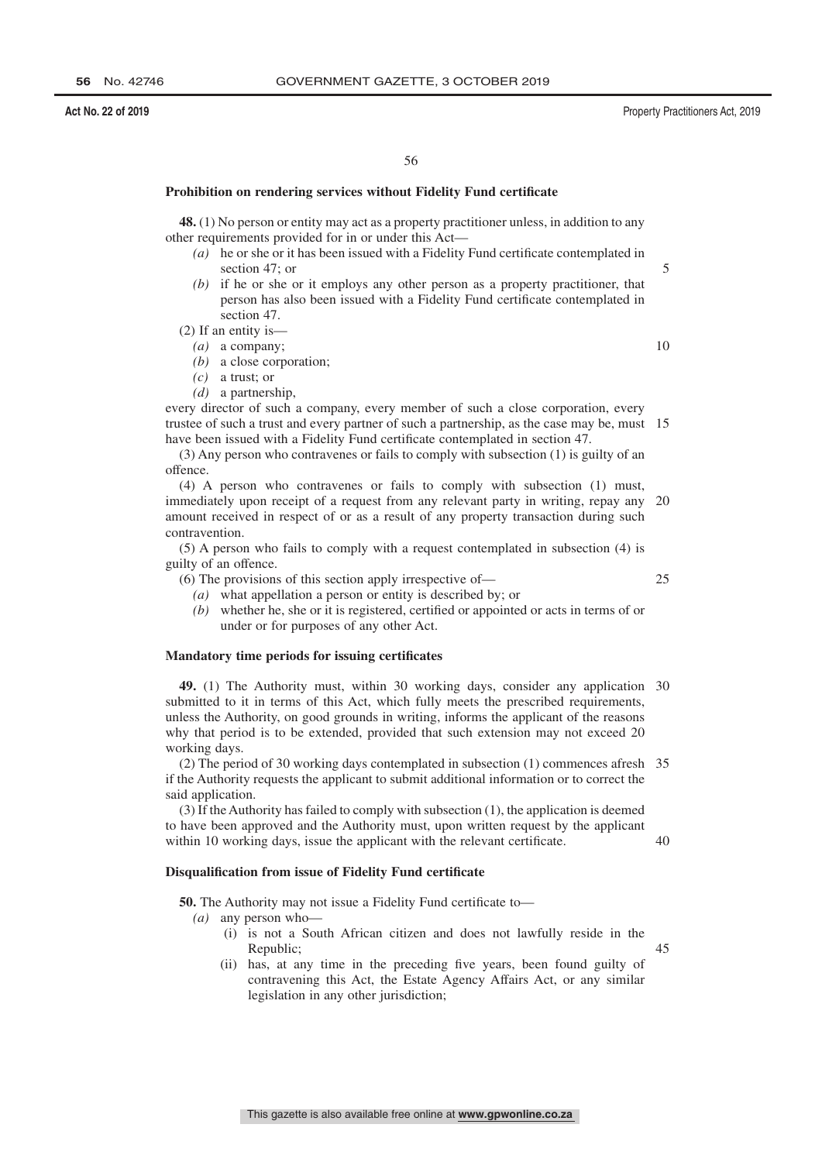### **Act No. 22 of 2019** Property Practitioners Act, 2019

# **Prohibition on rendering services without Fidelity Fund certificate**

**48.** (1) No person or entity may act as a property practitioner unless, in addition to any other requirements provided for in or under this Act—

- *(a)* he or she or it has been issued with a Fidelity Fund certificate contemplated in section 47; or
- *(b)* if he or she or it employs any other person as a property practitioner, that person has also been issued with a Fidelity Fund certificate contemplated in section 47.
- (2) If an entity is— *(a)* a company;

10

25

45

5

- *(b)* a close corporation;
- *(c)* a trust; or
- *(d)* a partnership,

every director of such a company, every member of such a close corporation, every trustee of such a trust and every partner of such a partnership, as the case may be, must 15 have been issued with a Fidelity Fund certificate contemplated in section 47.

(3) Any person who contravenes or fails to comply with subsection (1) is guilty of an offence.

(4) A person who contravenes or fails to comply with subsection (1) must, immediately upon receipt of a request from any relevant party in writing, repay any amount received in respect of or as a result of any property transaction during such contravention. 20

(5) A person who fails to comply with a request contemplated in subsection (4) is guilty of an offence.

(6) The provisions of this section apply irrespective of—

*(a)* what appellation a person or entity is described by; or

*(b)* whether he, she or it is registered, certified or appointed or acts in terms of or under or for purposes of any other Act.

# **Mandatory time periods for issuing certificates**

**49.** (1) The Authority must, within 30 working days, consider any application 30 submitted to it in terms of this Act, which fully meets the prescribed requirements, unless the Authority, on good grounds in writing, informs the applicant of the reasons why that period is to be extended, provided that such extension may not exceed 20 working days.

(2) The period of 30 working days contemplated in subsection (1) commences afresh 35 if the Authority requests the applicant to submit additional information or to correct the said application.

(3) If the Authority has failed to comply with subsection (1), the application is deemed to have been approved and the Authority must, upon written request by the applicant within 10 working days, issue the applicant with the relevant certificate. 40

## **Disqualification from issue of Fidelity Fund certificate**

**50.** The Authority may not issue a Fidelity Fund certificate to—

- *(a)* any person who—
	- (i) is not a South African citizen and does not lawfully reside in the Republic;
	- (ii) has, at any time in the preceding five years, been found guilty of contravening this Act, the Estate Agency Affairs Act, or any similar legislation in any other jurisdiction;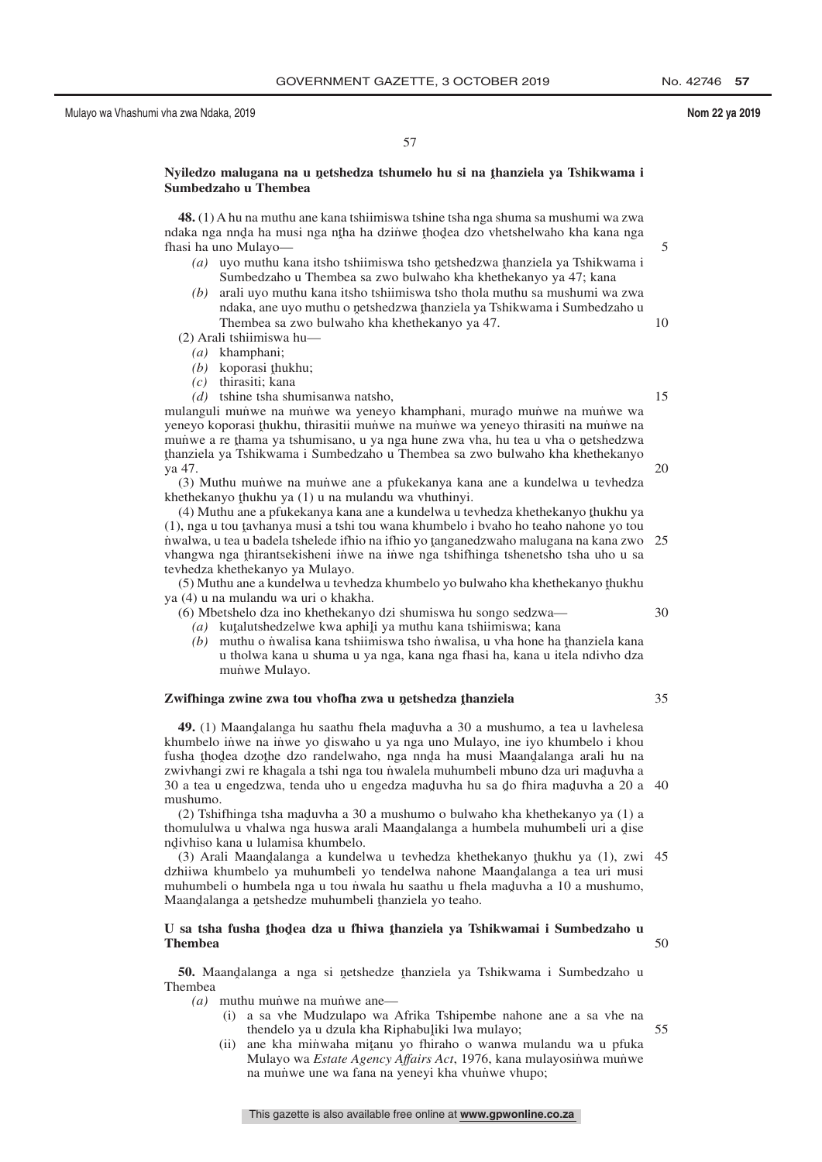5

10

15

20

30

35

# 57

# Nyiledzo malugana na u netshedza tshumelo hu si na <u>t</u>hanziela ya Tshikwama i<br>Sumbedzaho u Thembea **Sumbedzaho u Thembea**

**48.** (1) A hu na muthu ane kana tshiimiswa tshine tsha nga shuma sa mushumi wa zwa ndaka nga nnda ha musi nga ntha ha dzinwe thodea dzo vhetshelwaho kha kana nga<br>fhasi ha uno Mulayo fhasi ha uno Mulayo—

- (a) uyo muthu kana itsho tshiimiswa tsho netshedzwa thanziela ya Tshikwama i<br>Sumbedzaho u Thambas sa zwo hulwaho kha khathakanyo ya 47; kana Sumbedzaho u Thembea sa zwo bulwaho kha khethekanyo ya 47; kana
- *(b)* arali uyo muthu kana itsho tshiimiswa tsho thola muthu sa mushumi wa zwa ndaka, ane uyo muthu o netshedzwa thanziela ya Tshikwama i Sumbedzaho u<br>Thambaa sa zwo hulwaho kha khathakanyo ya 47 Thembea sa zwo bulwaho kha khethekanyo ya 47.
- (2) Arali tshiimiswa hu—
	- *(a)* khamphani;
	- (b) koporasi <u>t</u>hukhu;<br>(c) thirasiti: kana
	- *(c)* thirasiti; kana
	- *(d)* tshine tsha shumisanwa natsho,

mulanguli mun̄we na mun̄we wa yeneyo khamphani, murado mun̄we na mun̄we wa<br>veneyo konorasi thukhu, thirasitii mun̄we na mun̄we wa yeneyo thirasiti na mun̄we na yeneyo koporasi thukhu, thirasitii muṅ̃we na mun̄we wa yeneyo thirasiti na mun̄we na<br>munwe a re thama va tshumisano, u va nga hune zwa yha, bu tea u yha o netshedzwa munu a re thama ya tshumisano, u ya nga hune zwa vha, hu tea u vha o netshedzwa<br>thanziela ya Tshikwama i Sumbedzaho u Thembea sa zwo bulwaho kha khethekanyo ˆ ya 47. thanziela ya Tshikwama i Sumbedzaho u Thembea sa zwo bulwaho kha khethekanyo

(3) Muthu munwe na munwe ane a pfukekanya kana ane a kundelwa u tevhedza khethekanyo thukhu ya  $(1)$ u na mulandu wa vhuthinyi.<br> $(4)$  Muthu ane a pfukekanya kana ane a kundelwa u te

(4) Muthu ane a pfukekanya kana ane a kundelwa u tevhedza khethekanyo thukhu ya<br>U nga u tou taybanya musi a tshi tou wana khumbelo i byaho ho teaho nahone yo tou (1), nga u tou tavhanya musi a tshi tou wana khumbelo i bvaho ho teaho nahone yo tou<br>nwalwa u tea u badela tshelede ifhio na ifhio yo tanganedzwaho malugana na kana zwo n'walwa, u tea u badela tshelede ifhio na ifhio yo tanganedzwaho malugana na kana zwo<br>yhangwa nga thiranteekisheni inwe na inwe nga tshifhinga tshenetsho tsha uho u sa vhangwa nga thirantsekisheni iṅ̀we na iṅ̃we nga tshifhinga tshenetsho tsha uho u sa<br>teyhedza khethekanyo ya Mulayo tevhedza khethekanyo ya Mulayo.  $25$ 

 $(5)$  Muthu ane a kundelwa u tevhedza khumbelo yo bulwaho kha khethekanyo thukhu<br> $(4)$  u na mulandu wa uri o khakha ya (4) u na mulandu wa uri o khakha.

(6) Mbetshelo dza ino khethekanyo dzi shumiswa hu songo sedzwa—

- (a) kutalutshedzelwe kwa aphili ya muthu kana tshiimiswa; kana (b) muthu o pwalisa kana tshiimiswa; kana ha
- (b) muthu o n˙ walisa kana tshiimiswa tsho n˙ walisa, u vha hone ha thanziela kana<br>u tholwa kana u shuma u ya nga kana nga fhasi ha kana u itela ndiyho dza u tholwa kana u shuma u ya nga, kana nga fhasi ha, kana u itela ndivho dza munve Mulayo.

# $\chi$ <mark>Zwifhinga zwine zwa tou vhofha zwa u netshedza <u>t</u>hanziela</mark>

**49.** (1) Maandalanga hu saathu fhela maduvha a 30 a mushumo, a tea u lavhelesa<br>umbelo inwe na inwe yo diswaho u ya nga uno Mulayo, ine iyo khumbelo i khou khumbelo iṅ̀we na iṅ̀we yo d̥iswaho u ya nga uno Mulayo, ine iyo khumbelo i khou<br>fusha thodea dzothe dzo randelwaho, nga nnda ha musi Maandalanga arali hu na fusha thodea dzothe dzo randelwaho, nga nnda ha musi Maandalanga arali hu na<br>zwiyhangi zwi re khagala a tshi nga tou nwalela muhumbeli mbuno dza uri maduyha a zwivhangi zwi re khagala a tshi nga tou nwalela muhumbeli mbuno dza uri maduvha a<br>30 a tea u engedzwa, tenda ubo u engedza maduvha bu sa do fhira maduvha a 20 a 30 a tea u engedzwa, tenda uho u engedza mad̯uvha hu sa d̯o fhira mad̯uvha a 20 a 40<br>mushumo mushumo.

(2) Tshifhinga tsha maduvha a 30 a mushumo o bulwaho kha khethekanyo ya (1) a<br>umululwa u yhalwa nga huswa arali Maandalanga a humbela muhumbeli uri a dise thomululwa u vhalwa nga huswa arali Maandalanga a humbela muhumbeli uri a dise<br>ndivhiso kana u lulamisa khumbelo ndivhiso kana u lulamisa khumbelo.<br>(3) Arali Maandalanga a kundel

(3) Arali Maandalanga a kundelwa u tevhedza khethekanyo thukhu ya (1), zwi 45<br>hiiwa khumbelo ya muhumbeli yo tendelwa nabone Maandalanga a tea uri musi dzhiiwa khumbelo ya muhumbeli yo tendelwa nahone Maandalanga a tea uri musi<br>muhumbeli o humbela nga u tou nwala bu saathu u fhela maduyba a 10 a mushumo muhumbeli o humbela nga u tou n˙wala hu saathu u fhela maduvha a 10 a mushumo,<br>Maandalanga a netshedze muhumbeli thanziela vo teaho Maandalanga a netshedze muhumbeli thanziela yo teaho.

#### U sa tsha fusha <u>t</u>hodea dza u fhiwa thanziela ya Tshikwamai i Sumbedzaho u<br>Thambea **Thembea** 50

**50.** Maand̄alanga a nga si netshedze thanziela ya Tshikwama i Sumbedzaho u Thembea

 $(a)$  muthu munve na munve ane—

- (i) a sa vhe Mudzulapo wa Afrika Tshipembe nahone ane a sa vhe na thendelo ya u dzula kha Riphabuliki lwa mulayo;<br>ane kha minwaha mitanu yo fhirabo o wanya 55
- (ii) ane kha minwaha mitanu yo fhiraho o wanwa mulandu wa u pfuka<br>Mulayo wa Estate Agency Affairs Act, 1976, kana mulayosinwa munye Mulayo wa *Estate Agency Affairs Act*, 1976, kana mulayosinwa munwe na munve une wa fana na yeneyi kha vhunwe vhupo;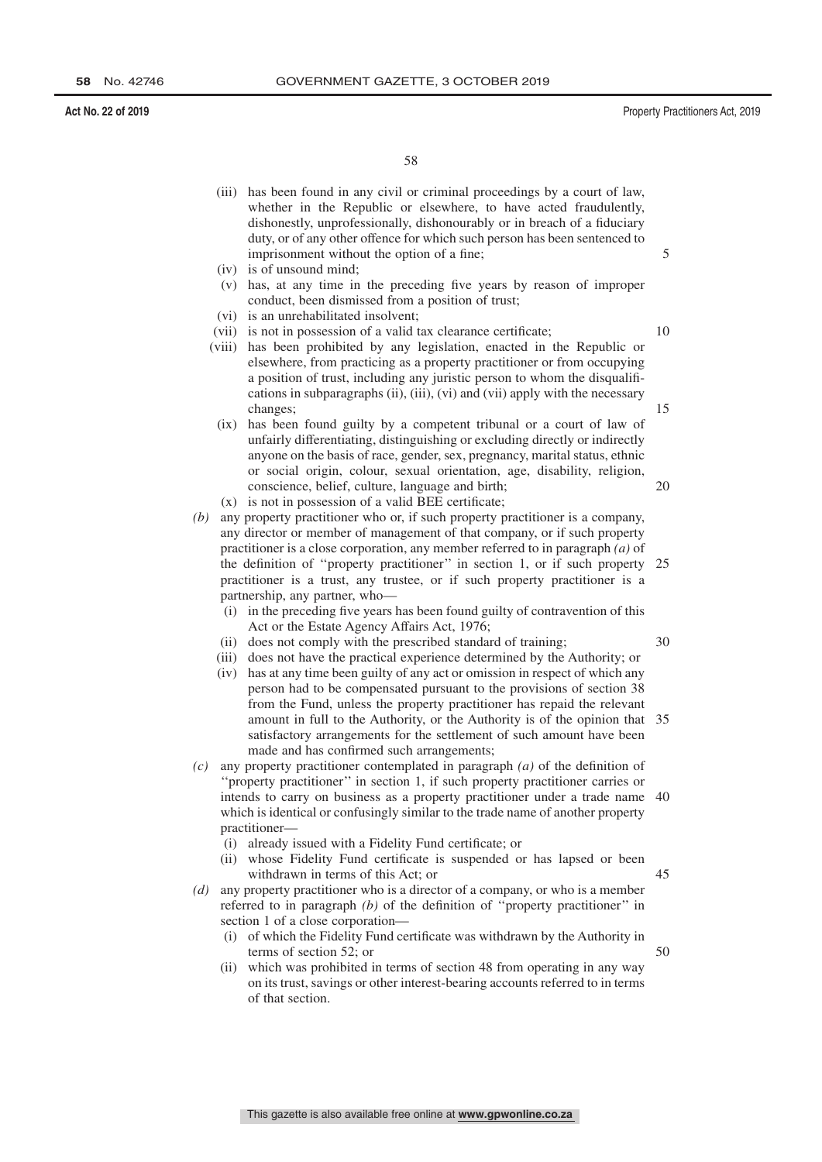- (iii) has been found in any civil or criminal proceedings by a court of law, whether in the Republic or elsewhere, to have acted fraudulently, dishonestly, unprofessionally, dishonourably or in breach of a fiduciary duty, or of any other offence for which such person has been sentenced to imprisonment without the option of a fine;
- (iv) is of unsound mind;
- (v) has, at any time in the preceding five years by reason of improper conduct, been dismissed from a position of trust;
- (vi) is an unrehabilitated insolvent;
- (vii) is not in possession of a valid tax clearance certificate;
- 10

15

30

50

- (viii) has been prohibited by any legislation, enacted in the Republic or elsewhere, from practicing as a property practitioner or from occupying a position of trust, including any juristic person to whom the disqualifications in subparagraphs (ii), (iii), (vi) and (vii) apply with the necessary changes;
- (ix) has been found guilty by a competent tribunal or a court of law of unfairly differentiating, distinguishing or excluding directly or indirectly anyone on the basis of race, gender, sex, pregnancy, marital status, ethnic or social origin, colour, sexual orientation, age, disability, religion, conscience, belief, culture, language and birth; 20
- (x) is not in possession of a valid BEE certificate;
- *(b)* any property practitioner who or, if such property practitioner is a company, any director or member of management of that company, or if such property practitioner is a close corporation, any member referred to in paragraph *(a)* of the definition of ''property practitioner'' in section 1, or if such property practitioner is a trust, any trustee, or if such property practitioner is a partnership, any partner, who— 25
	- (i) in the preceding five years has been found guilty of contravention of this Act or the Estate Agency Affairs Act, 1976;
	- (ii) does not comply with the prescribed standard of training;
	- (iii) does not have the practical experience determined by the Authority; or
	- (iv) has at any time been guilty of any act or omission in respect of which any person had to be compensated pursuant to the provisions of section 38 from the Fund, unless the property practitioner has repaid the relevant amount in full to the Authority, or the Authority is of the opinion that 35 satisfactory arrangements for the settlement of such amount have been made and has confirmed such arrangements;
- *(c)* any property practitioner contemplated in paragraph *(a)* of the definition of ''property practitioner'' in section 1, if such property practitioner carries or intends to carry on business as a property practitioner under a trade name 40 which is identical or confusingly similar to the trade name of another property practitioner—
	- (i) already issued with a Fidelity Fund certificate; or
	- (ii) whose Fidelity Fund certificate is suspended or has lapsed or been withdrawn in terms of this Act; or 45
- *(d)* any property practitioner who is a director of a company, or who is a member referred to in paragraph *(b)* of the definition of ''property practitioner'' in section 1 of a close corporation—
	- (i) of which the Fidelity Fund certificate was withdrawn by the Authority in terms of section 52; or
	- (ii) which was prohibited in terms of section 48 from operating in any way on its trust, savings or other interest-bearing accounts referred to in terms of that section.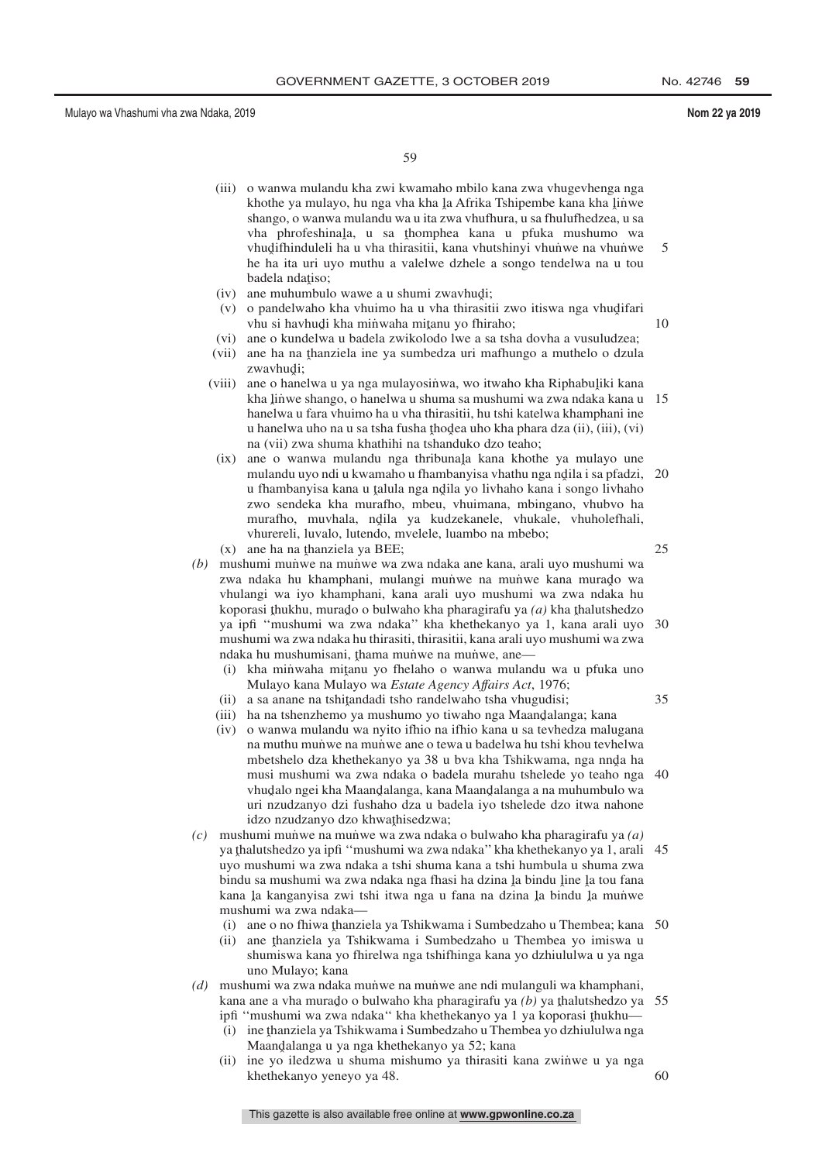59

- (iii) o wanwa mulandu kha zwi kwamaho mbilo kana zwa vhugevhenga nga khothe ya mulayo, hu nga vha kha la Afrika Tshipembe kana kha linwe<br>shango o wanya mulandu wa ujia zwa yhufbura, u sa fhulufbedzea, u sa shango, o wanwa mulandu wa u ita zwa vhufhura, u sa fhulufhedzea, u sa vha phrofeshinala, u sa thomphea kana u pfuka mushumo wa<br>vhudifhinduleli baju yba thirasitii kana vhutohinyi yhunwe na yhunwe vhudifhinduleli ha u vha thirasitii, kana vhutshinyi vhunwe na vhunwe<br>he ha ita uri uwo muthu a valelwe dzhele a songo tendelwa na u tou he ha ita uri uyo muthu a valelwe dzhele a songo tendelwa na u tou badela ndațiso;<br>ane muhumbul 5
- (iv) ane muhumbulo wawe a u shumi zwavhudi;<br> $(x)$ , o pandelwaho kha yhuimo ha u yha thirasit
- (v) o pandelwaho kha vhuimo ha u vha thirasitii zwo itiswa nga vhudifari<br>
vhu si havhudi kha minwaha mitanu vo fhirabo: vhu si havhudi kha minwaha mitanu yo fhiraho;<br>ana o kundalwa u hadala zwikolodo lwa a sa tsh
	- 10
- (vi) ane o kundelwa u badela zwikolodo lwe a sa tsha dovha a vusuludzea;
- (vii) ane ha na thanziela ine ya sumbedza uri mafhungo a muthelo o dzula<br>zwazbudi: zwavhudi;
- (viii) ane o hanelwa u ya nga mulayosinwa, wo itwaho kha Riphabuliki kana<br>kha linye shango o hanelwa u shuma sa mushumi wa zwa ndaka kana u kha linwe shango, o hanelwa u shuma sa mushumi wa zwa ndaka kana u 15<br>hanelwa u fara yhuimo ha u yha thirasitii, bu tshi katelwa khamphani ine hanelwa u fara vhuimo ha u vha thirasitii, hu tshi katelwa khamphani ine u hanelwa uho na u sa tsha fusha thodea uho kha phara dza (ii), (iii), (vi)<br>na (vii) zwa shuma khathihi na tshanduko dzo teaho: na (vii) zwa shuma khathihi na tshanduko dzo teaho;
	- (ix) ane o wanwa mulandu nga thribunala kana khothe ya mulayo une<br>mulandu uwo ndi u kwamaho u fhambanyisa yhathu nga ndila i sa nfadzi mulandu uyo ndi u kwamaho u fhambanyisa vhathu nga ndila i sa pfadzi, 20<br>u fhambanyisa kana u talula nga ndila vo liyhaho kana i songo liyhaho u fhambanyisa kana u talula nga ndila yo livhaho kana i songo livhaho<br>zwo sendeka kha murafho, mbeu, yhuimana, mbingano, yhuhyo ha zwo sendeka kha murafho, mbeu, vhuimana, mbingano, vhubvo ha murafho, muvhala, ndila ya kudzekanele, vhukale, vhuholefhali,<br>vhurareli luvalo lutendo myelele luambo na mbebo: vhurereli, luvalo, lutendo, mvelele, luambo na mbebo;
- $(x)$  ane ha na thanziela ya BEE;<br>mushumi munye na munye wa z
- *(b)* mushumi munve na munwe wa zwa ndaka ane kana, arali uyo mushumi wa zwa ndaka hu khamphani, mulangi muṅ̀we na mun̆we kana murado wa<br>vhulangi wa ivo khamphani, kana arali uvo mushumi wa zwa ndaka hu vhulangi wa iyo khamphani, kana arali uyo mushumi wa zwa ndaka hu koporasi thukhu, murado o bulwaho kha pharagirafu ya  $(a)$  kha thalutshedzo ya ipfi ''mushumi wa zwa ndaka'' kha khethekanyo ya 1, kana arali uyo 30 mushumi wa zwa ndaka hu thirasiti, thirasitii, kana arali uyo mushumi wa zwa ndaka hu mushumisani, thama munve na munve, ane—<br>(i) kha minwaha mitanu yo fhelaho o wanwa mulang
	- (i) kha minwaha mitanu yo fhelaho o wanwa mulandu wa u pfuka uno Mulayo kana Mulayo wa Estate Agency Affairs Act 1976; Mulayo kana Mulayo wa *Estate Agency Affairs Act*, 1976;
	- (ii) a sa anane na tshiţandadi tsho randelwaho tsha vhugudisi;<br>iii) ha na tshanzhamo ya mushumo yo tiwaho nga Maandalan
	- (iii) ha na tshenzhemo ya mushumo yo tiwaho nga Maandalanga; kana (iv) a wanye mulandu wa pyito ifbio na ifbio kana u sa taybedza malu
	- (iv) o wanwa mulandu wa nyito ifhio na ifhio kana u sa tevhedza malugana na muthu munwe na munwe ane o tewa u badelwa hu tshi khou tevhelwa mbetshelo dza khethekanyo ya 38 u bva kha Tshikwama, nga nnda ha musi mushumi wa zwa ndaka o badela murahu tshelede yo teaho nga vhudalo ngei kha Maandalanga, kana Maandalanga a na muhumbulo wa<br>uri ngudzanyo dzi fusbabo dza u badela iyo tshelede dzo itwa nabone uri nzudzanyo dzi fushaho dza u badela iyo tshelede dzo itwa nahone idzo nzudzanyo dzo khwathisedzwa;<br>umi munwe na munwe wa zwa ndak 40
- *(c)* mushumi mun˙ we na mun˙ we wa zwa ndaka o bulwaho kha pharagirafu ya *(a)* ya thalutshedzo ya ipfi "mushumi wa zwa ndaka" kha khethekanyo ya 1, arali 45<br>uvo mushumi wa zwa ndaka a tshi shuma kana a tshi humbula u shuma zwa uyo mushumi wa zwa ndaka a tshi shuma kana a tshi humbula u shuma zwa bindu sa mushumi wa zwa ndaka nga fhasi ha dzina la bindu line la tou fana<br>kana la kanganyisa zwi tebi itwa nga u fana na dzina la bindu la munya kana la kanganyisa zwi tshi itwa nga u fana na dzina la bindu la munwe<br>mushumi wa zwa ndaka mushumi wa zwa ndaka—
	- (i) ane o no fhiwa thanziela ya Tshikwama i Sumbedzaho u Thembea; kana 50<br>ii) ane thanziela ya Tshikwama i Sumbedzaho u Thembea yo imiswa u
	- (ii) ane thanziela ya Tshikwama i Sumbedzaho u Thembea yo imiswa u<br>shumiswa kana yo fhirelwa nga tshifhinga kana yo dzhiululwa u ya nga shumiswa kana yo fhirelwa nga tshifhinga kana yo dzhiululwa u ya nga uno Mulayo; kana
- *(d)* mushumi wa zwa ndaka munve na munve ane ndi mulanguli wa khamphani, kana ane a vha murado o bulwaho kha pharagirafu ya *(b)* ya thalutshedzo ya 55<br>infi "mushumi wa zwa ndaka" kha khathakanyo ya 1 ya konorasi thukhu
	- ipfi "mushumi wa zwa ndaka" kha khethekanyo ya 1 ya koporasi thukhu—<br>(i) ina thanziela ya Tshikwama i Sumbedzaho u Thembea yo dzhiululwa nga (i) ine thanziela ya Tshikwama i Sumbedzaho u Thembea yo dzhiululwa nga<br>Maandalanga u ya nga khethekanyo ya 52: kana
	- Maandalanga u ya nga khethekanyo ya 52; kana<br>ine yo iledzwa u shuma mishumo ya thirasiti l (ii) ine yo iledzwa u shuma mishumo ya thirasiti kana zwinwe u ya nga khethekanyo yeneyo ya 48. 60

25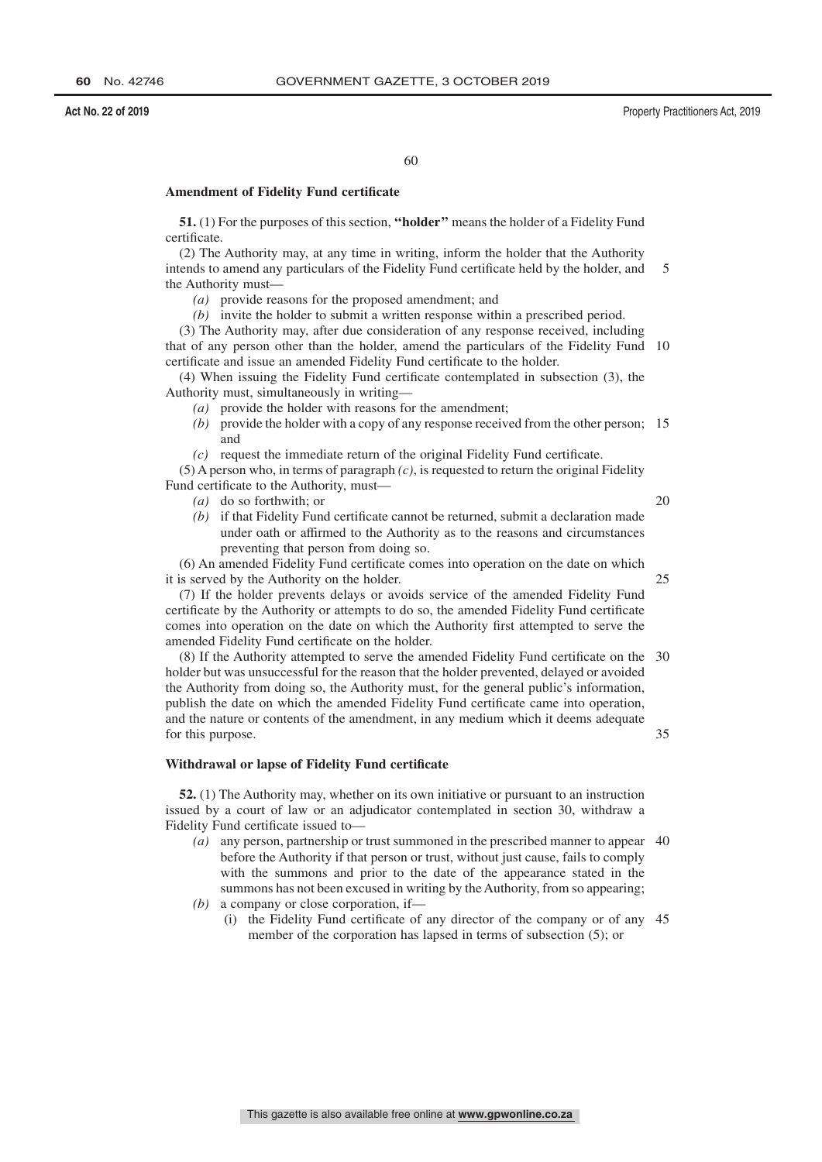# **Amendment of Fidelity Fund certificate**

**51.** (1) For the purposes of this section, **''holder''** means the holder of a Fidelity Fund certificate.

(2) The Authority may, at any time in writing, inform the holder that the Authority intends to amend any particulars of the Fidelity Fund certificate held by the holder, and the Authority must— 5

*(a)* provide reasons for the proposed amendment; and

*(b)* invite the holder to submit a written response within a prescribed period.

(3) The Authority may, after due consideration of any response received, including that of any person other than the holder, amend the particulars of the Fidelity Fund 10 certificate and issue an amended Fidelity Fund certificate to the holder.

(4) When issuing the Fidelity Fund certificate contemplated in subsection (3), the Authority must, simultaneously in writing—

- *(a)* provide the holder with reasons for the amendment;
- *(b)* provide the holder with a copy of any response received from the other person; 15 and
- *(c)* request the immediate return of the original Fidelity Fund certificate.

(5) A person who, in terms of paragraph *(c)*, is requested to return the original Fidelity Fund certificate to the Authority, must—

*(a)* do so forthwith; or

20

*(b)* if that Fidelity Fund certificate cannot be returned, submit a declaration made under oath or affirmed to the Authority as to the reasons and circumstances preventing that person from doing so.

(6) An amended Fidelity Fund certificate comes into operation on the date on which it is served by the Authority on the holder. 25

(7) If the holder prevents delays or avoids service of the amended Fidelity Fund certificate by the Authority or attempts to do so, the amended Fidelity Fund certificate comes into operation on the date on which the Authority first attempted to serve the amended Fidelity Fund certificate on the holder.

(8) If the Authority attempted to serve the amended Fidelity Fund certificate on the 30 holder but was unsuccessful for the reason that the holder prevented, delayed or avoided the Authority from doing so, the Authority must, for the general public's information, publish the date on which the amended Fidelity Fund certificate came into operation, and the nature or contents of the amendment, in any medium which it deems adequate for this purpose. 35

# **Withdrawal or lapse of Fidelity Fund certificate**

**52.** (1) The Authority may, whether on its own initiative or pursuant to an instruction issued by a court of law or an adjudicator contemplated in section 30, withdraw a Fidelity Fund certificate issued to—

- *(a)* any person, partnership or trust summoned in the prescribed manner to appear 40 before the Authority if that person or trust, without just cause, fails to comply with the summons and prior to the date of the appearance stated in the summons has not been excused in writing by the Authority, from so appearing;
- *(b)* a company or close corporation, if—
	- (i) the Fidelity Fund certificate of any director of the company or of any 45member of the corporation has lapsed in terms of subsection (5); or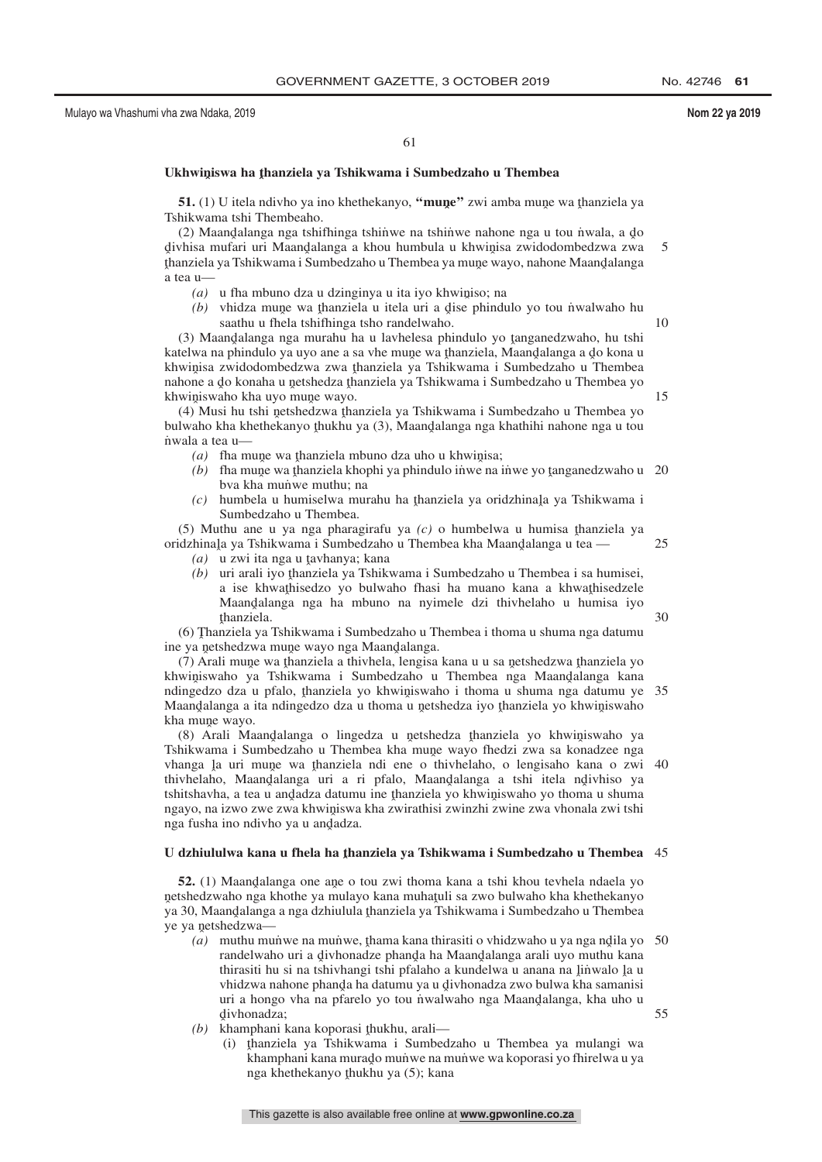61

# Ukhwiniswa ha <u>t</u>hanziela ya Tshikwama i Sumbedzaho u Thembea

**51.** (1) U itela ndivho ya ino khethekanyo, "**mune**" zwi amba mune wa thanziela ya hikwama tshi Thembeabo Tshikwama tshi Thembeaho.

(2) Maandalanga nga tshifhinga tshinwe na tshinwe nahone nga u tou niwala, a do<br>vhisa mufari uri Maandalanga a khou humbula u khwinisa zwidodombedzwa zwa divhisa mufari uri Maandalanga a khou humbula u khwinisa zwidodombedzwa zwa<br>thanziela va Tshikwama i Sumbedzaho u Thembea va mune wavo, nabone Maandalanga givinsa matan an maangalanga a khoa nambala a khwigisa zwidodomocazwa zwa<br>thanziela ya Tshikwama i Sumbedzaho u Thembea ya mune wayo, nahone Maandalanga ˆ a tea u— 5

 $(a)$  u fha mbuno dza u dzinginya u ita iyo khwiniso; na  $(b)$ , whidza mune wa thanziala u itala uri a dise phindi

(b) vhidza mune wa thanziela u itela uri a dise phindulo yo tou nwalwaho hu saathu u fhela tshifhinga tsho randelwaho.

(3) Maandalanga nga murahu ha u lavhelesa phindulo yo tanganedzwaho, hu tshi<br>telwa na phindulo ya uvo ane a sa ybe mune wa thanziela. Maandalanga a do kona u katelwa na phindulo ya uyo ane a sa vhe mune wa thanziela, Maandalanga a do kona u<br>khwinisa zwidodombedzwa zwa thanziela ya Tshikwama i Sumbedzaho u Thembea khwinisa zwidodombedzwa zwa thanziela ya Tshikwama i Sumbedzaho u Thembea<br>nabone a do konaba u netshedza thanziela ya Tshikwama i Sumbedzaho u Thembea yo nahone a do konaha u netshedza thanziela ya Tshikwama i Sumbedzaho u Thembea yo<br>khwiniswaho kha uvo mune wayo khwiniswaho kha uyo mune wayo.<br>(4) Musi bu tshi netshedzwa tha

(4) Musi hu tshi netshedzwa thanziela ya Tshikwama i Sumbedzaho u Thembea yo<br>Jwaho kha khethekanyo thukhu ya (3). Maandalanga nga khathihi nahone nga u tou bulwaho kha khethekanyo thukhu ya (3), Maandalanga nga khathihi nahone nga u tou<br>nwala a tea u n˙ wala a tea u—

- $(a)$  fha mune wa thanziela mbuno dza uho u khwinisa;<br> $(b)$  fha mune wa thanziela khonhi ya phindulo inwe na
- (b) fha mune wa thanziela khophi ya phindulo inwe na inwe yo tanganedzwaho u 20<br>hya kha munwe muthu: na bva kha munve muthu; na
- (c) humbela u humiselwa murahu ha <u>thanziela ya oridzhinala ya Tshikwama i</u><br>Sumbedzaho u Thembea Sumbedzaho u Thembea.

(5) Muthu ane u ya nga pharagirafu ya  $(c)$  o humbelwa u humisa thanziela ya idzhinala ya Tshikwama i Sumbedzaho u Thembea kha Maandalanga u tea oridzhinaļa ya Tshikwama i Sumbedzaho u Thembea kha Maand̄alanga u tea —

25

30

10

15

- (a) u zwi ita nga u tavhanya; kana<br>(b) uri arali iyo thanziela ya Tshik
- *(b)* uri arali iyo thanziela ya Tshikwama i Sumbedzaho u Thembea i sa humisei, a ise khwathisedze wo bulwabo thasi ha muano kana a khwathisedzele a ise khwathisedzo yo bulwaho fhasi ha muano kana a khwathisedzele<br>Maandalanga nga ha mbuno na nyimele dzi thiyhelaho u humisa iyo Maandalanga nga ha mbuno na nyimele dzi thivhelaho u humisa iyo<br>thanziela thanziela.

ramiziela ya Tshikwama i Sumbedzaho u Thembea i thoma u shuma nga datumu<br>Siya netshedzwa mune wayo nga Maandalanga ine ya netshedzwa mune wayo nga Maandalanga.<br>(7) Arali mune wa thanziela a thiybela Jengisa

(7) Arali mune wa thanziela a thivhela, lengisa kana u u sa netshedzwa thanziela yo<br>winiswaho, ya Tshikwama, i Sumbedzaho, u Thembea, nga Maandalanga, kana khwiniswaho ya Tshikwama i Sumbedzaho u Thembea nga Maandalanga kana<br>ndingedzo dza u pfalo, thanziela vo khwiniswaho i thoma u shuma nga datumu ve ndingedzo dza u pfalo, thanziela yo khwiniswaho i thoma u shuma nga datumu ye 35<br>Maandalanga a ita ndingedzo dza u thoma u netshedza iyo thanziela yo khwiniswaho Maandalanga a ita ndingedzo dza u thoma u netshedza iyo thanziela yo khwiniswaho<br>kha mune wayo  $kha$  mune wayo.<br>(8)  $A$ rali Ma

(8) Arali Maandalanga o lingedza u netshedza thanziela yo khwiniswaho ya<br>hikwama i Sumbedzaho u Thembea kha mune wavo fhedzi zwa sa konadzee nga Tshikwama i Sumbedzaho u Thembea kha mune wayo fhedzi zwa sa konadzee nga<br>vhanga la uri mune wa thanziela ndi ene o thiybelaho o lengisaho kana o zwi vhanga la uri mune wa thanziela ndi ene o thivhelaho, o lengisaho kana o zwi 40<br>thivhelaho. Maandalanga uri a ri pfalo. Maandalanga a tshi itela ndivhiso va thivhelaho, Maandalanga uri a ri pfalo, Maandalanga a tshi itela ndivhiso ya tehitebayha a tea u andadza datumu ine thanziela yo khwiniswaho yo thoma u shuma tshitshavha, a tea u andadza datumu ine thanziela yo khwiniswaho yo thoma u shuma<br>ngayo na izwo zwe zwa khwiniswa kha zwirathisi zwinzhi zwine zwa yhonala zwi tshi ngayo, na izwo zwe zwa khwiniswa kha zwirathisi zwinzhi zwine zwa vhonala zwi tshi<br>nga fusha ino ndiyho ya u andadza nga fusha ino ndivho ya u an<mark>d</mark>adza.

# U dzhiululwa kana u fhela ha <u>t</u>hanziela ya Tshikwama i Sumbedzaho u Thembea  $\,$  45

**52.** (1) Maandalanga one ane o tou zwi thoma kana a tshi khou tevhela ndaela yo tebedzwaho nga khothe ya mulayo kana muhatuli sa zwo bulwaho kha khethekanyo netshedzwaho nga khothe ya mulayo kana muhatuli sa zwo bulwaho kha khethekanyo<br>ya 30. Maandalanga a nga dzhiulula thanziela ya Tshikwama i Sumbedzaho u Thembea ya 30, Maandalanga a nga dzhiulula thanziela ya Tshikwama i Sumbedzaho u Thembea<br>ya 30, Maandalanga<br>ye ya netshedzwa ye ya netshedzwa—

- (a) muthu munve na munve, thama kana thirasiti o vhidzwaho u ya nga ndila yo 50<br>randalwaho uri a divhonadze phanda ha Maandalanga arali uwo muthu kana randelwaho uri a divhonadze phanda ha Maandalanga arali uyo muthu kana<br>thirasiti bu si na tshiybangi tshi nfalabo a kundelwa u anana na linwalo la u thirasiti hu si na tshivhangi tshi pfalaho a kundelwa u anana na linwalo la u<br>vhidzwa nahone phanda ha datumu ya u divhonadza zwo bulwa kha samanisi vhidzwa nahone phanda ha datumu ya u divhonadza zwo bulwa kha samanisi<br>uri a hongo yha na pfarelo yo tou nwalwabo nga Maandalanga, kha uho u uri a hongo vha na pfarelo yo tou nwalwaho nga Maandalanga, kha uho u<br>divhonadza: d ivhonadza; 55
- (b) khamphani kana koporasi thukhu, arali—<br>(b) khamphani kana koporasi thukhu, arali—
	- (i) thanziela ya Tshikwama i Sumbedzaho u Thembea ya mulangi wa kapanahani kana murado mujiwe na mujiwe wa konorasi yo filirelwa u va khamphani kana murado mun≀we na munwe wa koporasi yo fhirelwa u ya<br>nga khethekanyo thukbu ya (5): kana nga khethekanyo <u>t</u>hukhu ya (5); kana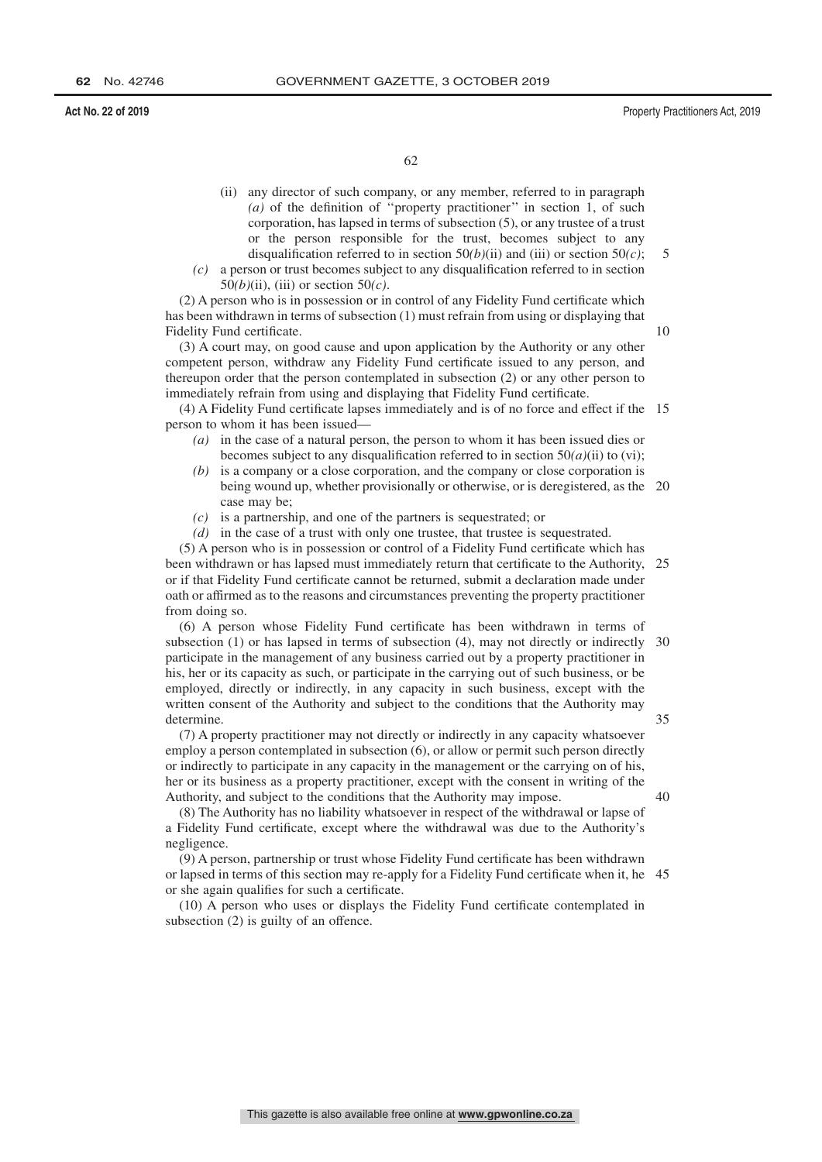10

62

- (ii) any director of such company, or any member, referred to in paragraph *(a)* of the definition of ''property practitioner'' in section 1, of such corporation, has lapsed in terms of subsection (5), or any trustee of a trust or the person responsible for the trust, becomes subject to any disqualification referred to in section  $50(b)(ii)$  and (iii) or section  $50(c)$ ;
- *(c)* a person or trust becomes subject to any disqualification referred to in section 50*(b)*(ii), (iii) or section 50*(c)*.

(2) A person who is in possession or in control of any Fidelity Fund certificate which has been withdrawn in terms of subsection (1) must refrain from using or displaying that Fidelity Fund certificate.

(3) A court may, on good cause and upon application by the Authority or any other competent person, withdraw any Fidelity Fund certificate issued to any person, and thereupon order that the person contemplated in subsection (2) or any other person to immediately refrain from using and displaying that Fidelity Fund certificate.

(4) A Fidelity Fund certificate lapses immediately and is of no force and effect if the 15 person to whom it has been issued—

- *(a)* in the case of a natural person, the person to whom it has been issued dies or becomes subject to any disqualification referred to in section  $50(a)(ii)$  to (vi);
- *(b)* is a company or a close corporation, and the company or close corporation is being wound up, whether provisionally or otherwise, or is deregistered, as the 20 case may be;
- *(c)* is a partnership, and one of the partners is sequestrated; or
- *(d)* in the case of a trust with only one trustee, that trustee is sequestrated.

(5) A person who is in possession or control of a Fidelity Fund certificate which has been withdrawn or has lapsed must immediately return that certificate to the Authority, or if that Fidelity Fund certificate cannot be returned, submit a declaration made under oath or affirmed as to the reasons and circumstances preventing the property practitioner from doing so. 25

(6) A person whose Fidelity Fund certificate has been withdrawn in terms of subsection (1) or has lapsed in terms of subsection (4), may not directly or indirectly 30 participate in the management of any business carried out by a property practitioner in his, her or its capacity as such, or participate in the carrying out of such business, or be employed, directly or indirectly, in any capacity in such business, except with the written consent of the Authority and subject to the conditions that the Authority may determine. 35

(7) A property practitioner may not directly or indirectly in any capacity whatsoever employ a person contemplated in subsection (6), or allow or permit such person directly or indirectly to participate in any capacity in the management or the carrying on of his, her or its business as a property practitioner, except with the consent in writing of the Authority, and subject to the conditions that the Authority may impose.

40

(8) The Authority has no liability whatsoever in respect of the withdrawal or lapse of a Fidelity Fund certificate, except where the withdrawal was due to the Authority's negligence.

(9) A person, partnership or trust whose Fidelity Fund certificate has been withdrawn or lapsed in terms of this section may re-apply for a Fidelity Fund certificate when it, he 45or she again qualifies for such a certificate.

(10) A person who uses or displays the Fidelity Fund certificate contemplated in subsection (2) is guilty of an offence.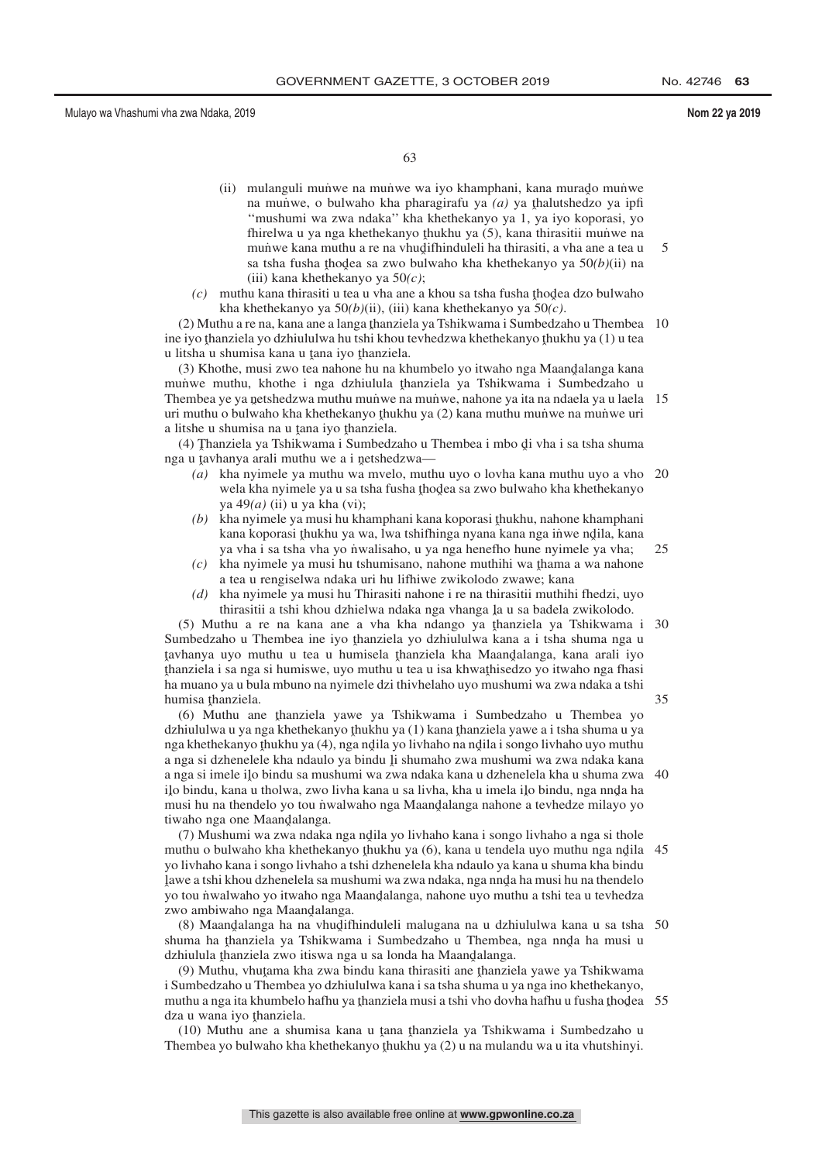63

- (ii) mulanguli munwe na munwe wa iyo khamphani, kana murado munwe<br>na munwe o hulwaho kha pharagirafu ya (a) ya thalutshedzo ya infi na munwe, o bulwaho kha pharagirafu ya *(a)* ya thalutshedzo ya ipfi<br>"mushumi wa zwa ndaka" kha khathakanyo ya 1 ya iyo konorasi ya ''mushumi wa zwa ndaka'' kha khethekanyo ya 1, ya iyo koporasi, yo fhirelwa u ya nga khethekanyo thukhu ya (5), kana thirasitii muniwe na muniwe na munime na munime na manaza na mun'we kana muthu a re na vhudifhinduleli ha thirasiti, a vha ane a tea u<br>sa tsha fusha thodea sa zwo bulwaho kha khethekanyo va 50(b)(ii) na sa tsha fusha thodea sa zwo bulwaho kha khethekanyo ya 50*(b)*(ii) na<br>(iii) kana khethekanyo ya 50*(c*) (iii) kana khethekanyo ya 50*(c)*; 5
- (c) muthu kana thirasiti u tea u vha ane a khou sa tsha fusha thodea dzo bulwaho<br>kha khethekanyo ya 50(b)(ii) (iii) kana khethekanyo ya 50(c) kha khethekanyo ya 50*(b)*(ii), (iii) kana khethekanyo ya 50*(c)*.

(2) Muthu a re na, kana ane a langa thanziela ya Tshikwama i Sumbedzaho u Thembea<br>tivo thanziela ya dzhiululwa bu tshi khou teyhedzwa khethekanyo thukhu ya (1) u tea ine iyo thanziela yo dzhiululwa hu tshi khou tevhedzwa khethekanyo thukhu ya (1) u tea<br>u liteba u shumisa kana u tana iyo thanziela u litsha u shumisa kana u tana iyo thanziela.<br>(3) Khothe, musi zwo tea nabone bu na kh 10

(3) Khothe, musi zwo tea nahone hu na khumbelo yo itwaho nga Maandalanga kana<br>unwe muthu khothe i nga dzhiulula thanziela ya Tshikwama i Sumbedzaho u munwe muthu, khothe i nga dzhiulula thanziela ya Tshikwama i Sumbedzaho u<br>Thambaa ya ya natshadzwa muthu munwe na munwe nabona ya ita na ndaela ya u laela Thembea ye ya netshedzwa muthu mun'we na mun'we, nahone ya ita na ndaela ya u laela 15<br>uri muthu o bulwaho kha khathakanyo thukbu ya (2) kana muthu munye na mun'we uri uri muthu o bulwaho kha khethekanyo thukhu ya (2) kana muthu muniwe na muniwe uri<br>a litabe u shumisa na u tana iyo thanziela a litshe u shumisa na u tana iyo thanziela.<br>(4) Thanziela ya Tshikwama i Sumbedz

(4) Thanziela ya Tshikwama i Sumbedzaho u Thembea i mbo di vha i sa tsha shuma<br>a u taybanya arali muthu we a i netshedzwa nga u tavhanya arali muthu we a i netshedzwa—<br> $(a)$  kha nyimele ya muthu wa myelo, muth

- *(a)* kha nyimele ya muthu wa mvelo, muthu uyo o lovha kana muthu uyo a vho 20 wela kha nyimele ya u sa tsha fusha thodea sa zwo bulwaho kha khethekanyo ya  $49(a)$  (ii) u ya kha (vi): ya 49*(a)* (ii) u ya kha (vi);
- *(b)* kha nyimele ya musi hu khamphani kana koporasi thukhu, nahone khamphani kana koporasi thukhu ya wa Jwa tehithinga nyana kana nga jiwa ndila, kana kana koporasi thukhu ya wa, lwa tshifhinga nyana kana nga inwe ndila, kana<br>ya yha i sa tsha yha yo nwalisabo, u ya nga henefho hune nyimele ya yha: ya vha i sa tsha vha yo nvalisaho, u ya nga henefho hune nyimele ya vha; 25
- $f(c)$  kha nyimele ya musi hu tshumisano, nahone muthihi wa thama a wa nahone a tea u rengiselwa ndaka uri bu lifbiwe zwikologo zwawe: kana a tea u rengiselwa ndaka uri hu lifhiwe zwikolodo zwawe; kana
- *(d)* kha nyimele ya musi hu Thirasiti nahone i re na thirasitii muthihi fhedzi, uyo thirasitii a tshi khou dzhielwa ndaka nga vhanga la u sa badela zwikolodo.<br>Ithu a ra na kana ana a yha kha ndango va thanziela ya Tshikwama

(5) Muthu a re na kana ane a vha kha ndango ya thanziela ya Tshikwama i 30<br>mbadzaho u Thambaa ina iyo thanziela yo dzhiululwa kana a i tsha shuma nga u Sumbedzaho u Thembea ine iyo thanziela yo dzhiululwa kana a i tsha shuma nga u<br>taybanya uvo muthu u tea u humisela thanziela kha Maandalanga, kana arali iyo ˆ thanziela i sa nga si humiswe, uyo muthu u tea u isa khwaˆ thisedzo yo itwaho nga fhasi tavhanya uyo muthu u tea u humisela thanziela kha Maandalanga, kana arali iyo<br>thanziela i sa nga si humiswe uyo muthu u tea u isa khwathisedzo vo itwaho nga fhasi ˆ ha muano ya u bula mbuno na nyimele dzi thivhelaho uyo mushumi wa zwa ndaka a tshi humisa thanziela.<br>(6) Muthu an 35

(6) Muthu ane thanziela yawe ya Tshikwama i Sumbedzaho u Thembea yo<br>hiululwa uwanga khethekanyo thukhu ya (1) kana thanziela yawe a i tsha shuma uwa dzhiululwa u ya nga khethekanyo thukhu ya (1) kana thanziela yawe a i tsha shuma u ya<br>nga khethekanyo thukhu ya (4), nga ndila ya liyhaho na ndila i songo liyhaho uyo muthu nga khethekanyo thukhu ya (4), nga ndila yo livhaho na ndila i songo livhaho uyo muthu<br>a nga si dahanalala kha ndaulo ya bindu li shumaho zwa mushumi wa zwa ndaka kana a nga si dzhenelele kha ndaulo ya bindu li shumaho zwa mushumi wa zwa ndaka kana<br>a nga si imele ilo bindu sa mushumi wa zwa ndaka kana u dzhenelela kha u shuma zwa a nga si imele ilo bindu sa mushumi wa zwa ndaka kana u dzhenelela kha u shuma zwa<br>ilo bindu, kana u tholwa, zwo livha kana u sa livha, kha u imela ilo bindu, nga nnda ha ilo bindu, kana u tholwa, zwo livha kana u sa livha, kha u imela ilo bindu, nga nnda ha<br>musi hu na thandalo vo tou nwalwabo nga Maandalanga nabona a taybadza milayo yo ˆ musi hu na thendelo yo tou n˙ walwaho nga Maandˆ alanga nahone a tevhedze milayo yo tiwaho nga one Maandalanga.<br>(7) Mushumi wa zwa ndaka 40

(7) Mushumi wa zwa ndaka nga ndila yo livhaho kana i songo livhaho a nga si thole<br>ubu o bulwaho kha khethekanyo thukbu ya (6), kana u tendela uyo muthu nga ndila muthu o bulwaho kha khethekanyo thukhu ya (6), kana u tendela uyo muthu nga ndila 45<br>vo livhaho kana i songo livhaho a tshi dzhenelela kha ndaulo ya kana u shuma kha hindu. yo livhaho kana i songo livhaho a tshi dzhenelela kha ndaulo ya kana u shuma kha bindu ˆ yo tou n˙ walwaho yo itwaho nga Maandˆ alanga, nahone uyo muthu a tshi tea u tevhedza lawe a tshi khou dzhenelela sa mushumi wa zwa ndaka, nga nnd̥a ha musi hu na thendelo<br>vo tou nwalwabo vo itwabo nga Maandalanga, nabone uvo muthu a tshi tea u taybedza zwo ambiwaho nga Maandalanga.<br><sup>(8)</sup> Maandalanga ha na yhudifl

(8) Maandalanga ha na vhudifhinduleli malugana na u dzhiululwa kana u sa tsha 50<br>uma ha tharziela ya Tshikwama i Sumbedzabo u Thembea, nga nnda ha musi u shuma ha thanziela ya Tshikwama i Sumbedzaho u Thembea, nga nnda ha musi u<br>dzbinlula thanziela zwo itiswa nga u sa londa ha Maandalanga dzhiulula thanziela zwo itiswa nga u sa londa ha Maandalanga.<br>(9) Muthu, yhutama kha zwa bindu kana thirasiti ana thanzie

(9) Muthu, yhutama kha zwa bindu kana thirasiti ane thanziela yawe ya Tshikwama<br>umbedzaho u Thembea ya dzhiululwa kana i sa tsha shuma u ya nga ino khethekanyo i Sumbedzaho u Thembea yo dzhiululwa kana i sa tsha shuma u ya nga ino khethekanyo, muthu a nga ita khumbelo hafhu ya thanziela musi a tshi vho dovha hafhu u fusha thodea 55<br>dza u wana iyo thanziela dza u wana iyo thanziela.<br>(10) Muthu ane a shu

 $(10)$  Muthu ane a shumisa kana u tana thanziela ya Tshikwama i Sumbedzaho u<br>tembez yo bulwaho kha khethekanyo thukhu ya  $(2)$ u na mulandu wa u ita yhutshinyi Thembea yo bulwaho kha khethekanyo thukhu ya  $(2)$  u na mulandu wa u ita vhutshinyi.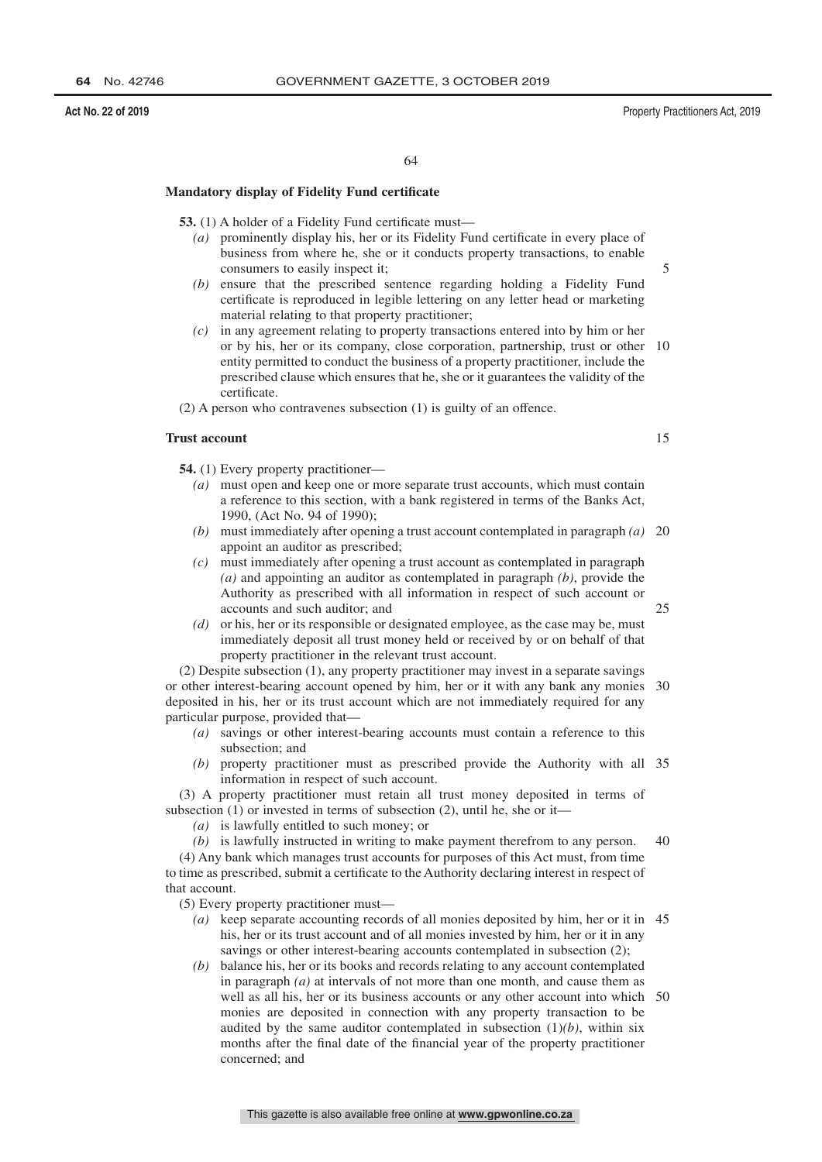### **Act No. 22 of 2019** Property Practitioners Act, 2019

#### 64

# **Mandatory display of Fidelity Fund certificate**

**53.** (1) A holder of a Fidelity Fund certificate must—

- *(a)* prominently display his, her or its Fidelity Fund certificate in every place of business from where he, she or it conducts property transactions, to enable consumers to easily inspect it;
- *(b)* ensure that the prescribed sentence regarding holding a Fidelity Fund certificate is reproduced in legible lettering on any letter head or marketing material relating to that property practitioner;
- *(c)* in any agreement relating to property transactions entered into by him or her or by his, her or its company, close corporation, partnership, trust or other 10 entity permitted to conduct the business of a property practitioner, include the prescribed clause which ensures that he, she or it guarantees the validity of the certificate.

(2) A person who contravenes subsection (1) is guilty of an offence.

# **Trust account**

**54.** (1) Every property practitioner—

- *(a)* must open and keep one or more separate trust accounts, which must contain a reference to this section, with a bank registered in terms of the Banks Act, 1990, (Act No. 94 of 1990);
- *(b)* must immediately after opening a trust account contemplated in paragraph *(a)* 20 appoint an auditor as prescribed;
- *(c)* must immediately after opening a trust account as contemplated in paragraph *(a)* and appointing an auditor as contemplated in paragraph *(b)*, provide the Authority as prescribed with all information in respect of such account or accounts and such auditor; and
- *(d)* or his, her or its responsible or designated employee, as the case may be, must immediately deposit all trust money held or received by or on behalf of that property practitioner in the relevant trust account.

(2) Despite subsection (1), any property practitioner may invest in a separate savings or other interest-bearing account opened by him, her or it with any bank any monies 30 deposited in his, her or its trust account which are not immediately required for any particular purpose, provided that—

- *(a)* savings or other interest-bearing accounts must contain a reference to this subsection; and
- *(b)* property practitioner must as prescribed provide the Authority with all 35 information in respect of such account.

(3) A property practitioner must retain all trust money deposited in terms of subsection (1) or invested in terms of subsection (2), until he, she or it—

- *(a)* is lawfully entitled to such money; or
- *(b)* is lawfully instructed in writing to make payment therefrom to any person.  $40$

(4) Any bank which manages trust accounts for purposes of this Act must, from time to time as prescribed, submit a certificate to the Authority declaring interest in respect of that account.

(5) Every property practitioner must—

- *(a)* keep separate accounting records of all monies deposited by him, her or it in 45 his, her or its trust account and of all monies invested by him, her or it in any savings or other interest-bearing accounts contemplated in subsection  $(2)$ ;
- *(b)* balance his, her or its books and records relating to any account contemplated in paragraph *(a)* at intervals of not more than one month, and cause them as well as all his, her or its business accounts or any other account into which 50 monies are deposited in connection with any property transaction to be audited by the same auditor contemplated in subsection  $(1)(b)$ , within six months after the final date of the financial year of the property practitioner concerned; and

15

25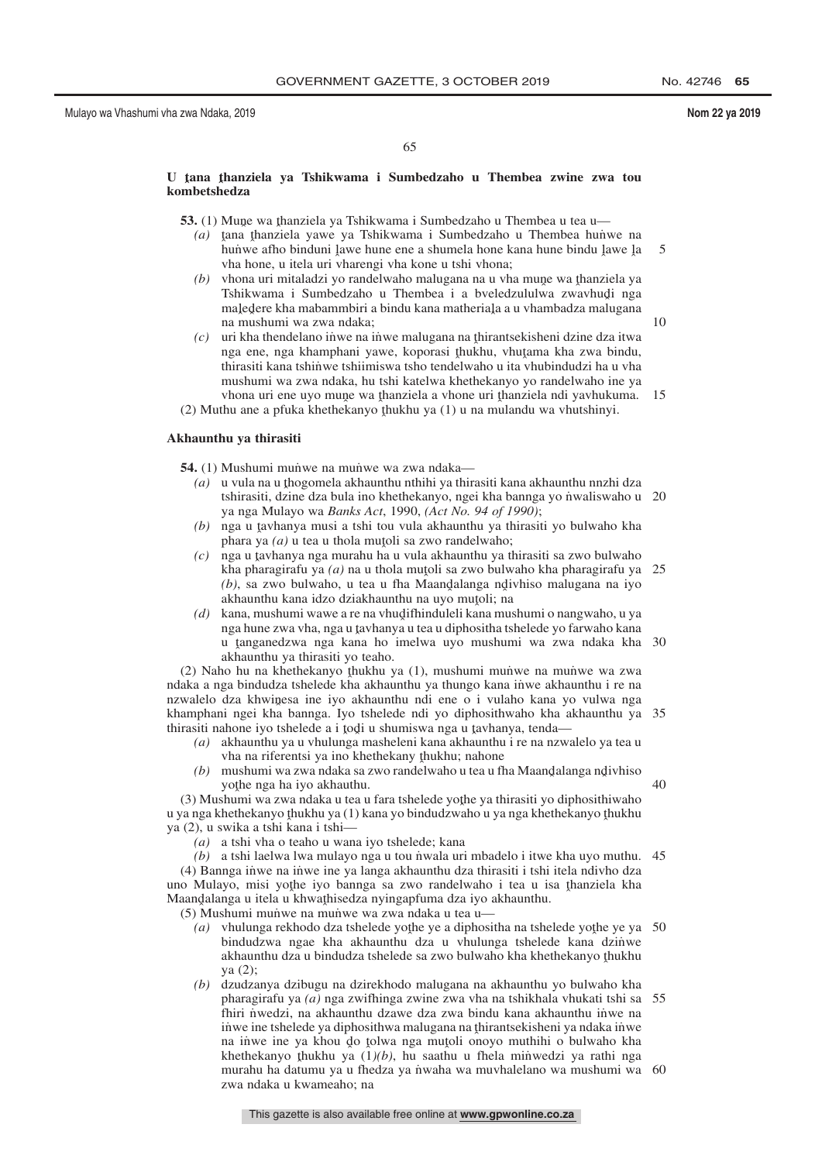40

# U **ţana ţhanziela ya Tshikwama i Sumbedzaho u Thembea zwine zwa tou**<br>kombetshedza **kombetshedza**

**53.** (1) Mune wa thanziela ya Tshikwama i Sumbedzaho u Thembea u tea u— $(a)$  tana thanziela yawe ya Tshikwama i Sumbedzaho u Thembea huny

- *(a)* tana thanziela yawe ya Tshikwama i Sumbedzaho u Thembea hunye na hunye afho binduni lawe hune ene a shumela hone kana hune bindu lawe la hunwe afho binduni lawe hune ene a shumela hone kana hune bindu lawe la<br>vha hone, u itela uri yharengi yha kone u tshi yhona: vha hone, u itela uri vharengi vha kone u tshi vhona; 5
- (b) vhona uri mitaladzi yo randelwaho malugana na u vha mune wa thanziela ya Tshikwama i Sumbedzaho u Thembea i a hyeledzululwa zwaybudi nga Tshikwama i Sumbedzaho u Thembea i a bveledzululwa zwavhudi nga<br>maledere kha mahammbiri a bindu kana matheriala a u yhambadza malugana maledere kha mabammbiri a bindu kana matheriala a u vhambadza malugana<br>na mushumi wa zwa ndaka: na mushumi wa zwa ndaka;
- *(c)* uri kha thendelano iṅ̀we na iṅ̃we malugana na thirantsekisheni dzine dza itwa<br>nga ene, nga khamphani yawe, konorasi thukhu, yhutama kha zwa hindu nga ene, nga khamphani yawe, koporasi thukhu, vhutama kha zwa bindu,<br>thirasiti kana tshinwe tshiimiswa tsho tendelwaho u ita yhuhindudzi ha u yha thirasiti kana tshinwe tshiimiswa tsho tendelwaho u ita vhubindudzi ha u vha mushumi wa zwa ndaka, hu tshi katelwa khethekanyo yo randelwaho ine ya vhona uri ene uyo mune wa thanziela a vhone uri thanziela ndi yavhukuma. 15<br>thu ane a pfuka khethekanyo thukhu ya (1) u na mulandu wa yhutshinyi
- (2) Muthu ane a pfuka khethekanyo thukhu ya (1) u na mulandu wa vhutshinyi.

# **Akhaunthu ya thirasiti**

**54.** (1) Mushumi munve na munve wa zwa ndaka—

- (a) u vula na u thogomela akhaunthu nthihi ya thirasiti kana akhaunthu nnzhi dza<br>thirasiti dzine dza bula ino khethekanyo, ngej kha bannga vo nwaliswaho u tshirasiti, dzine dza bula ino khethekanyo, ngei kha bannga yo niwaliswaho u 20 ya nga Mulayo wa *Banks Act*, 1990, *(Act No. 94 of 1990)*;
- (b) nga u tavhanya musi a tshi tou vula akhaunthu ya thirasiti yo bulwaho kha<br>phara ya (a) u tea u thola mutoli sa zwo randelwaho: phara ya  $(a)$  u tea u thola mutoli sa zwo randelwaho;<br>nga u taybanya nga murabu ha u yula akhaunthu ya f
- (c) nga u tavhanya nga murahu ha u vula akhaunthu ya thirasiti sa zwo bulwaho<br>kha pharagirafu ya (g) na u thola mutoli sa zwo bulwaho kha pharagirafu ya kha pharagirafu ya *(a)* na u thola mutoli sa zwo bulwaho kha pharagirafu ya 25<br>(b) sa zwo bulwaho ku tea u fha Maandalanga ndivhiso malugana na iyo (b), sa zwo bulwaho, u tea u fha Maandalanga ndivhiso malugana na iyo akhaunthu kana idzo dziakhaunthu na uwo mutoli: na akhaunthu kana idzo dziakhaunthu na uyo mutoli; na<br>kana mushumi wawe a re na yhudifhinduleli kana mu
- *(d)* kana, mushumi wawe a re na vhudifhinduleli kana mushumi o nangwaho, u ya<br>nga hune zwa yha, nga u taybanya u tea u diphositha tshelede yo farwaho kana nga hune zwa vha, nga u tavhanya u tea u diphositha tshelede yo farwaho kana<br>u tanganedzwa, nga kana, bo imelwa, uvo mushumi, wa zwa, ndaka, kha u tanganedzwa nga kana ho imelwa uyo mushumi wa zwa ndaka kha 30<br>akhaunthu ya thirasiti yo teaho akhaunthu ya thirasiti yo teaho.

(2) Naho hu na khethekanyo thukhu ya (1), mushumi muniwe na muniwe wa zwa  $\epsilon$ ndaka a nga bindudza tshelede kha akhaunthu ya thungo kana inwe akhaunthu i re na nzwalelo dza khwinesa ine iyo akhaunthu ndi ene o i vulaho kana yo vulwa nga<br>khamphani ngei kha bannga. Iyo tshelede ndi yo diphosithwaho kha akhaunthu ya khamphani ngei kha bannga. Iyo tshelede ndi yo diphosithwaho kha akhaunthu ya 35 thirasiti nahone iyo tshelede a i todi u shumiswa nga u tavhanya, tenda—<br> $(a)$  akhaunthu ya u yhulunga masheleni kana akhaunthu i re na nzw

- *(a)* akhaunthu ya u vhulunga masheleni kana akhaunthu i re na nzwalelo ya tea u vha na riferentsi ya ino khethekany thukhu; nahone<br>mushumi wa zwa ndaka sa zwo randelwaho u tea u fi
- (b) mushumi wa zwa ndaka sa zwo randelwaho u tea u fha Maandalanga ndivhiso<br>vote nga ha iyo akhauthu yothe nga ha iyo akhauthu.<br>shumi wa zwa ndaka u tea u

 $(3)$  Mushumi wa zwa ndaka u tea u fara tshelede yothe ya thirasiti yo diphosithiwaho<br>za nga khethekanyo thukhu ya  $(1)$  kana yo bindudzwaho u ya nga khethekanyo thukhu u ya nga khethekanyo thukhu ya (1) kana yo bindudzwaho u ya nga khethekanyo thukhu<br>ya (2), u swika a tshi kana i tshi ya (2), u swika a tshi kana i tshi—

*(a)* a tshi vha o teaho u wana iyo tshelede; kana

(b) a tshi laelwa lwa mulayo nga u tou niwala uri mbadelo i itwe kha uyo muthu. 45 (4) Bannga inwe na inwe ine ya langa akhaunthu dza thirasiti i tshi itela ndivho dza uno Mulayo, misi yothe iyo bannga sa zwo randelwaho i tea u isa thanziela kha<br>Maandalanga u itela u khwathisedza nyinganfuma dza iyo akhaunthu Maandalanga u itela u khwathisedza nyingapfuma dza iyo akhaunthu.<br>(5) Mushumi munwe na munwe wa zwa ndaka u tea u—

(5) Mushumi munwe na munwe wa zwa ndaka u tea u-

- (a) vhulunga rekhodo dza tshelede yothe ye a diphositha na tshelede yothe ye ya 50<br>hindudzwa ngae kha akhaunthu dza u yhulunga tshelede kana dzinwe bindudzwa ngae kha akhaunthu dza u vhulunga tshelede kana dzinwe akhaunthu dza u bindudza tshelede sa zwo bulwaho kha khethekanyo thukhu<br>va (2): ya (2);
- *(b)* dzudzanya dzibugu na dzirekhodo malugana na akhaunthu yo bulwaho kha pharagirafu ya *(a)* nga zwifhinga zwine zwa vha na tshikhala vhukati tshi sa 55 fhiri nwedzi, na akhaunthu dzawe dza zwa bindu kana akhaunthu inwe na iṅ̀we ine tshelede ya diphosithwa malugana na thirantsekisheni ya ndaka iṅ̀we<br>na jinwe ine ya khou do tolwa nga mutoli onovo muthibi o bulwaho kha na inwe ine ya khou do tolwa nga mutoli onoyo muthihi o bulwaho kha<br>khethekanyo thukhu ya  $(1/b)$  bu saathu u thela minwedzi ya rathi nga khethekanyo thukhu ya  $(1)(b)$ , hu saathu u fhela minwedzi ya rathi nga<br>murahu ha datumu ya u fhedza ya nwaha wa muyhalelano wa mushumi wa murahu ha datumu ya u fhedza ya nwaha wa muvhalelano wa mushumi wa 60 zwa ndaka u kwameaho; na

This gazette is also available free online at **www.gpwonline.co.za**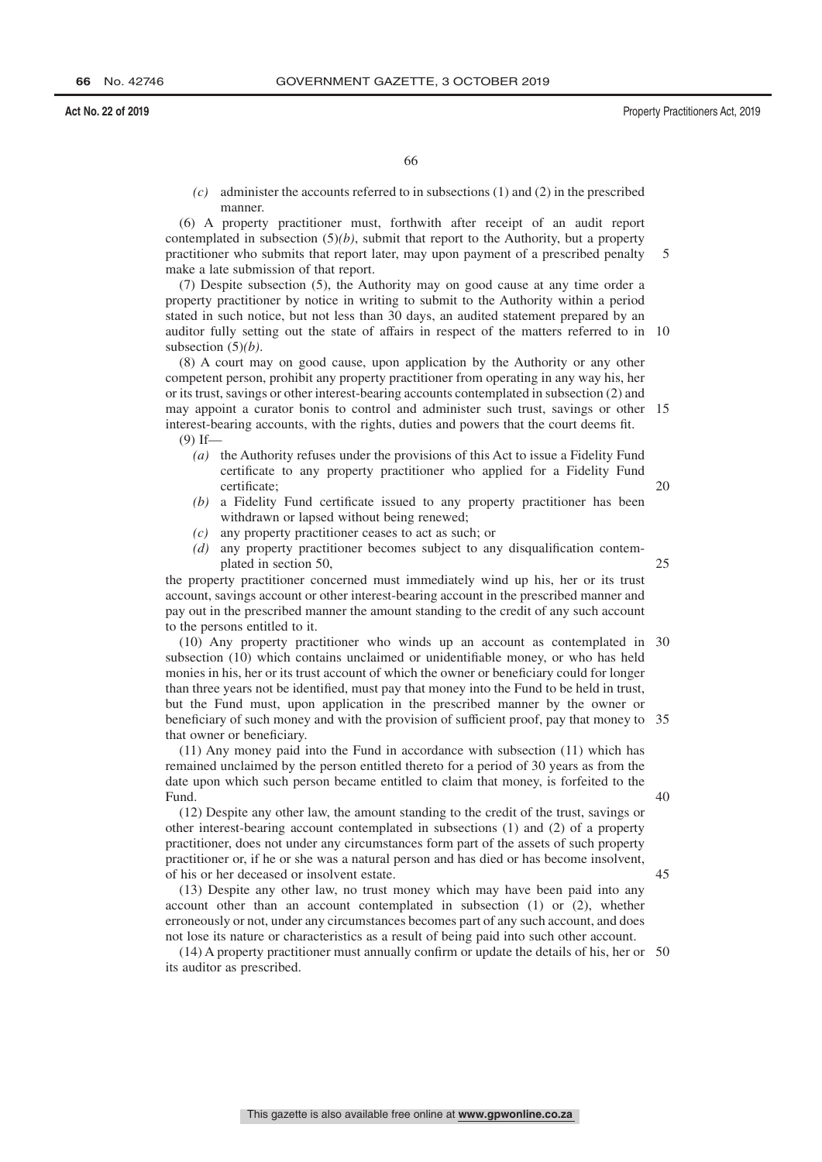*(c)* administer the accounts referred to in subsections (1) and (2) in the prescribed manner.

(6) A property practitioner must, forthwith after receipt of an audit report contemplated in subsection  $(5)(b)$ , submit that report to the Authority, but a property practitioner who submits that report later, may upon payment of a prescribed penalty make a late submission of that report. 5

(7) Despite subsection (5), the Authority may on good cause at any time order a property practitioner by notice in writing to submit to the Authority within a period stated in such notice, but not less than 30 days, an audited statement prepared by an auditor fully setting out the state of affairs in respect of the matters referred to in 10 subsection (5)*(b)*.

(8) A court may on good cause, upon application by the Authority or any other competent person, prohibit any property practitioner from operating in any way his, her or its trust, savings or other interest-bearing accounts contemplated in subsection (2) and may appoint a curator bonis to control and administer such trust, savings or other 15 interest-bearing accounts, with the rights, duties and powers that the court deems fit.  $(9)$  If<sub>—</sub>

- *(a)* the Authority refuses under the provisions of this Act to issue a Fidelity Fund certificate to any property practitioner who applied for a Fidelity Fund certificate; 20
- *(b)* a Fidelity Fund certificate issued to any property practitioner has been withdrawn or lapsed without being renewed;
- *(c)* any property practitioner ceases to act as such; or
- *(d)* any property practitioner becomes subject to any disqualification contemplated in section 50,

the property practitioner concerned must immediately wind up his, her or its trust account, savings account or other interest-bearing account in the prescribed manner and pay out in the prescribed manner the amount standing to the credit of any such account to the persons entitled to it.

(10) Any property practitioner who winds up an account as contemplated in 30 subsection (10) which contains unclaimed or unidentifiable money, or who has held monies in his, her or its trust account of which the owner or beneficiary could for longer than three years not be identified, must pay that money into the Fund to be held in trust, but the Fund must, upon application in the prescribed manner by the owner or beneficiary of such money and with the provision of sufficient proof, pay that money to 35 that owner or beneficiary.

(11) Any money paid into the Fund in accordance with subsection (11) which has remained unclaimed by the person entitled thereto for a period of 30 years as from the date upon which such person became entitled to claim that money, is forfeited to the Fund.

(12) Despite any other law, the amount standing to the credit of the trust, savings or other interest-bearing account contemplated in subsections (1) and (2) of a property practitioner, does not under any circumstances form part of the assets of such property practitioner or, if he or she was a natural person and has died or has become insolvent, of his or her deceased or insolvent estate.

(13) Despite any other law, no trust money which may have been paid into any account other than an account contemplated in subsection (1) or (2), whether erroneously or not, under any circumstances becomes part of any such account, and does not lose its nature or characteristics as a result of being paid into such other account.

(14) A property practitioner must annually confirm or update the details of his, her or 50its auditor as prescribed.

40

45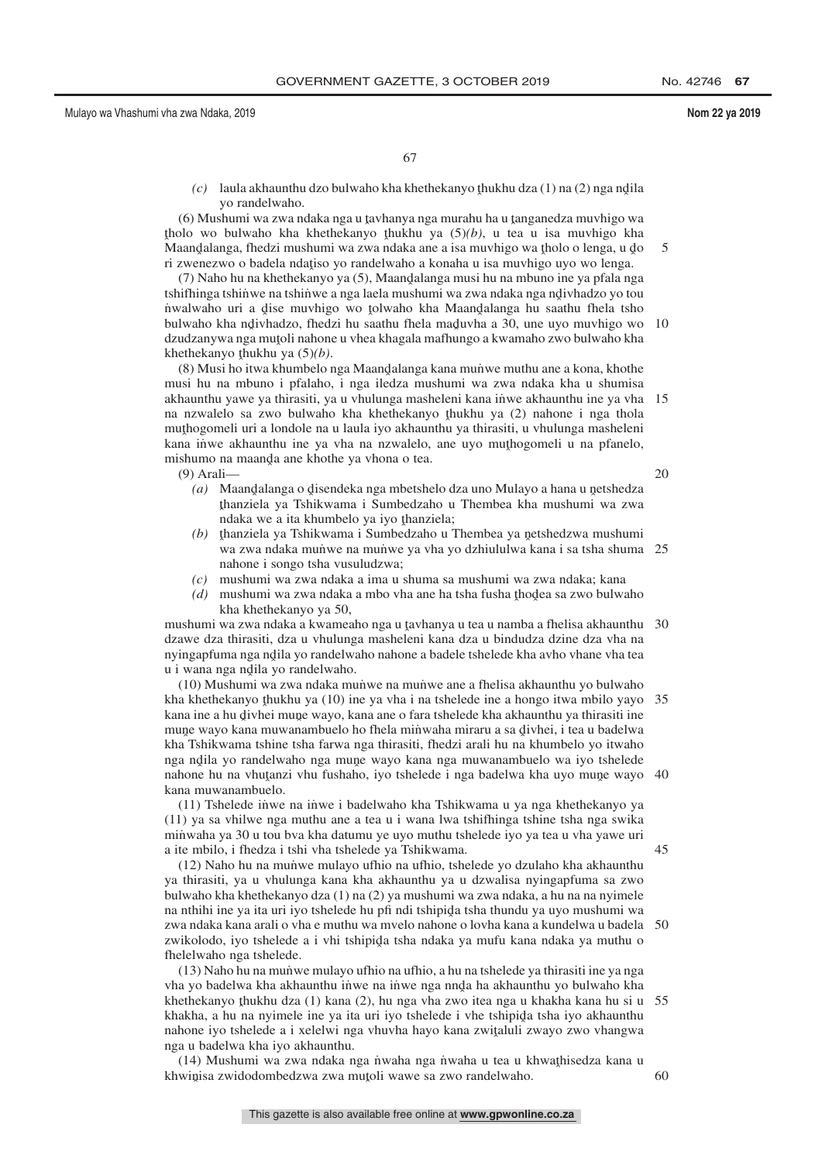*(c)* laula akhaunthu dzo bulwaho kha khethekanyo thukhu dza (1) na (2) nga ndila<br>wa randalwaho yo randelwaho.

 $(6)$  Mushumi wa zwa ndaka nga u tavhanya nga murahu ha u tanganedza muvhigo wa<br>plo wo bulwaho kha khathakanyo thukhu ya  $(5)(h)$  u taa u jisa muvhigo kha Maandalanga, fhedzi mushumi wa zwa ndaka ane a isa muvhigo wa tholo o lenga, u do<br>Maandalanga, thedzi mushumi wa zwa ndaka ane a isa muvhigo wa tholo o lenga, u do tholo wo bulwaho kha khethekanyo thukhu ya  $(5)(b)$ , u tea u isa muvhigo kha ri zwenezwo o badela ndațiso yo randelwaho a konaha u isa muvhigo uyo wo lenga.<br>(7) Naho hu na khethekanyo ya (5) Maandalanga musi hu na mbuno ine ya nfala ne

(7) Naho hu na khethekanyo ya (5), Maandalanga musi hu na mbuno ine ya pfala nga<br>uifhinga tshinwe na tshinwe a nga laela mushumi wa zwa ndaka nga ndiyhadzo yo tou tshifhinga tshin̆we na tshiňwe a nga laela mushumi wa zwa ndaka nga ndivhadzo yo tou<br>nwalwaho uri a dise muyhigo wo tolwaho kha Maandalanga hu saathu fhela tsho nwalwaho uri a dise muvhigo wo tolwaho kha Maandalanga hu saathu fhela tsho<br>bulwaho kha ndiyhadzo, fhedzi hu saathu fhela maduyha a 30 une uvo muyhigo wo bulwaho kha ndivhadzo, fhedzi hu saathu fhela maduvha a 30, une uyo muvhigo wo<br>dzudzanywa nga mutoli nabone u yhea khaqala mafhungo a kwamabo zwo hulwaho kha dzudzanywa nga muţoli nahone u vhea khagala mafhungo a kwamaho zwo bulwaho kha<br>khathakanyo thukhu ya (5)(b) khethekanyo <u>thukhu ya (5)</u> $(b)$ .<br>(8) Musi bo itwa khumbelo t 10

(8) Musi ho itwa khumbelo nga Maandalanga kana muniwe muthu ane a kona, khothe<br>usi hu na mbuno i pfalabo, i nga iladza mushumi wa zwa ndaka kha u shumica musi hu na mbuno i pfalaho, i nga iledza mushumi wa zwa ndaka kha u shumisa akhaunthu yawe ya thirasiti, ya u vhulunga masheleni kana inwe akhaunthu ine ya vha 15 na nzwalelo sa zwo bulwaho kha khethekanyo thukhu ya (2) nahone i nga thola<br>muthogomeli uri a londole na u laula iyo akhaunthu ya thirasiti u yhulunga masheleni muthogomeli uri a londole na u laula iyo akhaunthu ya thirasiti, u vhulunga masheleni<br>kana inwe akhaunthu ina va yha na nzwelelo, ana uvo muthogomeli u na nfanelo kana inwe akhaunthu ine ya vha na nzwalelo, ane uyo muthogomeli u na pfanelo, mishumo na maanda ane khothe ya vhona o tea mishumo na maanda ane khothe ya vhona o tea.<br>(9) Arali—

(9) Arali—

- (a) Maandalanga o disendeka nga mbetshelo dza uno Mulayo a hana u netshedza<br>thanziela ya Tshikwama i Sumbedzaho u Thembea kha mushumi wa zwa ndaka we a ita khumbelo ya iyo thanziela;<br>thanziela ya Tshikwama i Sumbedzabo u thanziela ya Tshikwama i Sumbedzaho u Thembea kha mushumi wa zwa
- *(b)* thanziela ya Tshikwama i Sumbedzaho u Thembea ya netshedzwa mushumi wa zwa ndaka munve na munwe ya vha yo dzhiululwa kana i sa tsha shuma 25 nahone i songo tsha vusuludzwa;
- *(c)* mushumi wa zwa ndaka a ima u shuma sa mushumi wa zwa ndaka; kana
- (d) mushumi wa zwa ndaka a mbo vha ane ha tsha fusha thodea sa zwo bulwaho<br>kha khathakanyo ya 50 kha khethekanyo ya 50,

mushumi wa zwa ndaka a kwameaho nga u tavhanya u tea u namba a fhelisa akhaunthu 30<br>dzawe dza thirasiti, dza u ybulunga masheleni kana dza u hindudza dzine dza yba na dzawe dza thirasiti, dza u vhulunga masheleni kana dza u bindudza dzine dza vha na nyingapfuma nga ndila yo randelwaho nahone a badele tshelede kha avho vhane vha tea<br>u i wana nga ndila yo randelwaho u i wana nga ndila yo randelwaho.<br>(10) Mushumi wa zwa ndaka mu

(10) Mushumi wa zwa ndaka munwe na munwe ane a fhelisa akhaunthu yo bulwaho kha khethekanyo thukhu ya (10) ine ya vha i na tshelede ine a hongo itwa mbilo yayo 35<br>kana ine a bu divhej mune wayo, kana ane o fara tshelede kha akhaunthu ya thirasiti ine kana ine a hu divhei mune wayo, kana ane o fara tshelede kha akhaunthu ya thirasiti ine<br>muna wayo kana muwanambuelo bo fhela minyaha miraru a sa diyhei, i tea u badelwa mune wayo kana muwanambuelo ho fhela minwaha miraru a sa divhei, i tea u badelwa<br>kha Tshikwama tshine tsha farwa nga thirasiti, fhedzi arali hu na khumbelo yo itwaho kha Tshikwama tshine tsha farwa nga thirasiti, fhedzi arali hu na khumbelo yo itwaho nga ndila yo randelwaho nga mune wayo kana nga muwanambuelo wa iyo tshelede<br>nabone hu na yhutanzi yhu fushaho, iyo tshelede i nga hadelwa kha uyo mune wayo nahone hu na vhutanzi vhu fushaho, iyo tshelede i nga badelwa kha uyo mune wayo 40<br>kana muwanambualo kana muwanambuelo.

(11) Tshelede inwe na inwe i badelwaho kha Tshikwama u ya nga khethekanyo ya (11) ya sa vhilwe nga muthu ane a tea u i wana lwa tshifhinga tshine tsha nga swika min˙ waha ya 30 u tou bva kha datumu ye uyo muthu tshelede iyo ya tea u vha yawe uri a ite mbilo, i fhedza i tshi vha tshelede ya Tshikwama.

(12) Naho hu na mun˙ we mulayo ufhio na ufhio, tshelede yo dzulaho kha akhaunthu ya thirasiti, ya u vhulunga kana kha akhaunthu ya u dzwalisa nyingapfuma sa zwo bulwaho kha khethekanyo dza (1) na (2) ya mushumi wa zwa ndaka, a hu na na nyimele na nthihi ine ya ita uri iyo tshelede hu pfi ndi tshipida tsha thundu ya uyo mushumi wa<br>zwa ndaka kana arali o yha e muthu wa myelo nabone o loyha kana a kundelwa u badela zwa ndaka kana arali o vha e muthu wa mvelo nahone o lovha kana a kundelwa u badela 50 zwikolodo, iyo tshelede a i vhi tshipida tsha ndaka ya mufu kana ndaka ya muthu o<br>fhelelwaho nga tshelede fhelelwaho nga tshelede.

(13) Naho hu na mun˙ we mulayo ufhio na ufhio, a hu na tshelede ya thirasiti ine ya nga vha yo badelwa kha akhaunthu in̈we na in̈we nga nnd̄a ha akhaunthu yo bulwaho kha<br>khathakanyo thukhu dza (1) kana (2), bu nga yha zwo itaa nga u khakha kana hu si u khethekanyo thukhu dza (1) kana (2), hu nga vha zwo itea nga u khakha kana hu si u 55<br>khakha ,a hu na nyimala ina ya ita uri iyo tshalada i yha tshinida tsha iyo akhaunthu khakha, a hu na nyimele ine ya ita uri iyo tshelede i vhe tshipida tsha iyo akhaunthu<br>nabone iyo tshelede a i xelelwi nga yhuyba hayo kana zwitaluli zwayo zwo yhangwa nahone iyo tshelede a i xelelwi nga vhuvha hayo kana zwiţaluli zwayo zwo vhangwa<br>nga u badelwa kha iyo akhaunthu nga u badelwa kha iyo akhaunthu.

(14) Mushumi wa zwa ndaka nga nwaha nga nwaha u tea u khwathisedza kana u<br>winisa zwidodombedzwa zwa mutoli wawe sa zwo randelwaho khwinisa zwidodombedzwa zwa mutoli wawe sa zwo randelwaho.

20

45

60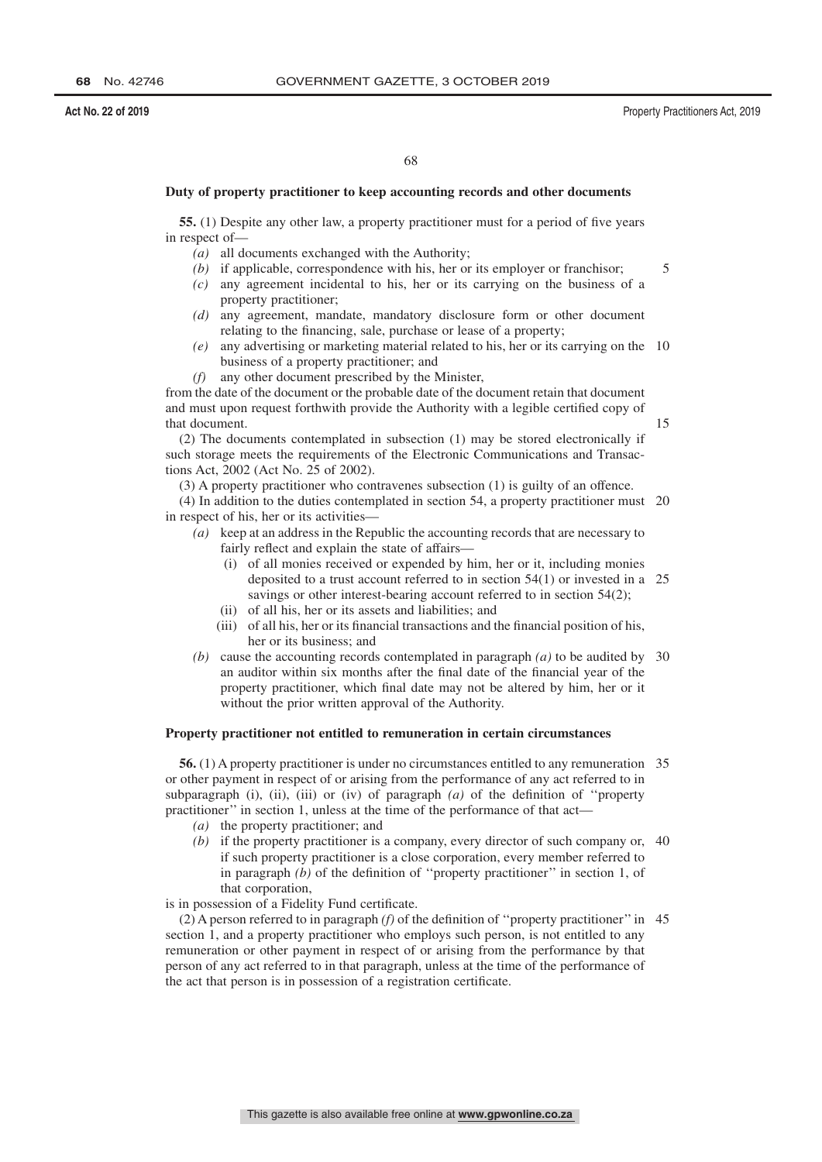# **Duty of property practitioner to keep accounting records and other documents**

**55.** (1) Despite any other law, a property practitioner must for a period of five years in respect of—

- *(a)* all documents exchanged with the Authority;
- *(b)* if applicable, correspondence with his, her or its employer or franchisor;
- *(c)* any agreement incidental to his, her or its carrying on the business of a property practitioner;
- *(d)* any agreement, mandate, mandatory disclosure form or other document relating to the financing, sale, purchase or lease of a property;
- *(e)* any advertising or marketing material related to his, her or its carrying on the 10 business of a property practitioner; and
- *(f)* any other document prescribed by the Minister,

from the date of the document or the probable date of the document retain that document and must upon request forthwith provide the Authority with a legible certified copy of that document.

15

5

(2) The documents contemplated in subsection (1) may be stored electronically if such storage meets the requirements of the Electronic Communications and Transactions Act, 2002 (Act No. 25 of 2002).

(3) A property practitioner who contravenes subsection (1) is guilty of an offence.

(4) In addition to the duties contemplated in section 54, a property practitioner must 20 in respect of his, her or its activities—

- *(a)* keep at an address in the Republic the accounting records that are necessary to fairly reflect and explain the state of affairs-
	- (i) of all monies received or expended by him, her or it, including monies deposited to a trust account referred to in section 54(1) or invested in a 25 savings or other interest-bearing account referred to in section 54(2);
	- (ii) of all his, her or its assets and liabilities; and
	- (iii) of all his, her or its financial transactions and the financial position of his, her or its business; and
- *(b)* cause the accounting records contemplated in paragraph *(a)* to be audited by 30 an auditor within six months after the final date of the financial year of the property practitioner, which final date may not be altered by him, her or it without the prior written approval of the Authority.

# **Property practitioner not entitled to remuneration in certain circumstances**

**56.** (1) A property practitioner is under no circumstances entitled to any remuneration 35 or other payment in respect of or arising from the performance of any act referred to in subparagraph (i), (ii), (iii) or (iv) of paragraph *(a)* of the definition of ''property practitioner" in section 1, unless at the time of the performance of that act-

- *(a)* the property practitioner; and
- *(b)* if the property practitioner is a company, every director of such company or, 40 if such property practitioner is a close corporation, every member referred to in paragraph *(b)* of the definition of ''property practitioner'' in section 1, of that corporation,

is in possession of a Fidelity Fund certificate.

(2) A person referred to in paragraph *(f)* of the definition of ''property practitioner'' in 45section 1, and a property practitioner who employs such person, is not entitled to any remuneration or other payment in respect of or arising from the performance by that person of any act referred to in that paragraph, unless at the time of the performance of the act that person is in possession of a registration certificate.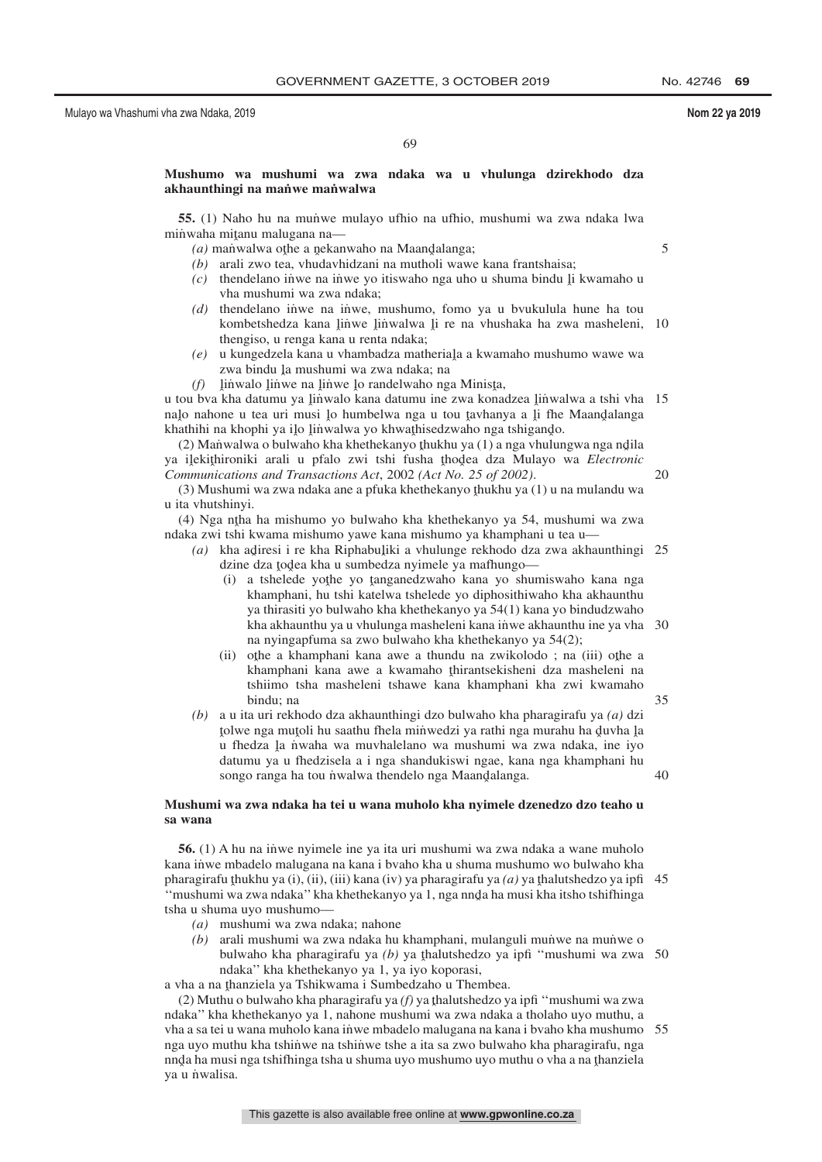5

20

35

# **Mushumo wa mushumi wa zwa ndaka wa u vhulunga dzirekhodo dza akhaunthingi na man˙ we man˙ walwa**

**55.** (1) Naho hu na munwe mulayo ufhio na ufhio, mushumi wa zwa ndaka lwa minwaha mitanu malugana na—<br> $(a)$  manwalwa othe a nekan

- $(a)$  manwalwa othe a nekanwaho na Maandalanga;<br> $(b)$  arali zwo tea whudayhidzani na mutholi waw
- *(b)* arali zwo tea, vhudavhidzani na mutholi wawe kana frantshaisa;
- (c) thendelano inve na inve yo itiswaho nga uho u shuma bindu <u>l</u>i kwamaho u sha mushumi wa zwa ndaka: vha mushumi wa zwa ndaka;
- *(d)* thendelano inve na inwe, mushumo, fomo ya u bvukulula hune ha tou kombetshedza kana linwe linwalwa li re na vhushaka ha zwa masheleni,<br>thangiso u ranga kana u ranta ndaka: thengiso, u renga kana u renta ndaka; 10
- *(e)* u kungedzela kana u vhambadza matheriaļa a kwamaho mushumo wawe wa<br>zwa bindu la mushumi wa zwa ndaka: na zwa bindu la mushumi wa zwa ndaka; na<br>linyelo linye na linye lo randalyebo na
- $(f)$  linvalo linwe na linwe lo randelwaho nga Minista, kata akang wana kata akang kana akang kana

u tou bva kha datumu ya linwalo kana datumu ine zwa konadzea linwalwa a tshi vha 15<br>nalo nabone u tea uri musi lo humbelwa nga u tou taybanya a li the Maandalanga nalo nahone u tea uri musi lo humbelwa nga u tou tavhanya a li fhe Maandalanga<br>khathihi na khophi va ilo linwalwa vo khwathisedzwaho nga tshigando khathihi na khophi ya ilo linwalwa yo khwathisedzwaho nga tshigando.<br>(2) Manwalwa o bulwaho kha khethekanyo thukhu ya (1) a nga yhulun

(2) Manwalwa o bulwaho kha khethekanyo thukhu ya (1) a nga vhulungwa nga ndila<br>ilekithironiki arali u pfalo, zwi tshi fusha thodea dza Mulavo wa *Electronic* ya iļekithironiki arali u pfalo zwi tshi fusha thodea dza Mulayo wa *Electronic*<br>Communications and Transactions Act 2002 (Act No. 25 of 2002) *Communications and Transactions Act*, 2002 *(Act No. 25 of 2002)*.

(3) Mushumi wa zwa ndaka ane a pfuka khethekanyo ţhukhu ya (1) u na mulandu wa<br>ta yhutshinyi u ita vhutshinyi.

(4) Nga ntha ha mishumo yo bulwaho kha khethekanyo ya 54, mushumi wa zwa<br>aka zwi tshi kwama mishumo yawe kana mishumo ya khamphani u taa u ndaka zwi tshi kwama mishumo yawe kana mishumo ya khamphani u tea u—

(a) kha adiresi i re kha Riphabuliki a vhulunge rekhodo dza zwa akhaunthingi 25<br>dzina dza todaa kha u sumbedza nyimele ya mafhungo dzine dza <u>tod</u>ea kha u sumbedza nyimele ya mafhungo—<br> $\overrightarrow{a}$  toheleda wothe yo tanganedzwaho kana yo shu

- (i) a tshelede yoţhe yo ţanganedzwaho kana yo shumiswaho kana nga<br>khamphani bu tshi katalwa tshelede yo diphosithiwaho kha akhaunthu khamphani, hu tshi katelwa tshelede yo diphosithiwaho kha akhaunthu ya thirasiti yo bulwaho kha khethekanyo ya 54(1) kana yo bindudzwaho kha akhaunthu ya u vhulunga masheleni kana inwe akhaunthu ine ya vha 30 na nyingapfuma sa zwo bulwaho kha khethekanyo ya 54(2);
- (ii) othe a khamphani kana awe a thundu na zwikolodo ; na (iii) othe a khamphani kana awe a kwamabo thirantsekisheni dza masheleni na khamphani kana awe a kwamaho thirantsekisheni dza masheleni na<br>tshimo tsha masheleni tshawe kana khamphani kha zwi kwamaho tshiimo tsha masheleni tshawe kana khamphani kha zwi kwamaho bindu; na
- *(b)* a u ita uri rekhodo dza akhaunthingi dzo bulwaho kha pharagirafu ya *(a)* dzi xorie nga maxon na saanna mena miniwegzi ya raan nga marana na yavita ya<br>u fhedza la niwaha wa muvhalelano wa mushumi wa zwa ndaka, ine iyo tolwe nga mutoli hu saathu fhela minwedzi ya rathi nga murahu ha duvha la<br>u fhedza la nwaha wa muyhalelano wa mushumi wa zwa ndaka, ine iyo datumu ya u fhedzisela a i nga shandukiswi ngae, kana nga khamphani hu songo ranga ha tou n˙walwa thendelo nga Maand̪alanga. 40

# **Mushumi wa zwa ndaka ha tei u wana muholo kha nyimele dzenedzo dzo teaho u sa wana**

**56.** (1) A hu na inve nyimele ine ya ita uri mushumi wa zwa ndaka a wane muholo kana inwe mbadelo malugana na kana i bvaho kha u shuma mushumo wo bulwaho kha pharagirafu thukhu ya (i), (ii), (iii) kana (iv) ya pharagirafu ya *(a)* ya thalutshedzo ya ipfi 45<br>"mushumi wa zwa ndaka" kha khathakanyo ya 1, nga nnda ha musi kha itshe tshifhinga "mushumi wa zwa ndaka" kha khethekanyo ya 1, nga nnd̯̄a ha musi kha itsho tshifhinga<br>tsha u shuma uyo mushumo tsha u shuma uyo mushumo—

- *(a)* mushumi wa zwa ndaka; nahone
- *(b)* arali mushumi wa zwa ndaka hu khamphani, mulanguli munive na munive o bulwaho kha pharagirafu ya *(b)* ya thalutshedzo ya ipfi "mushumi wa zwa 50<br>ndaka" kha khathakanyo ya 1 ya iyo konorasi ndaka'' kha khethekanyo ya 1, ya iyo koporasi,

a vha a na thanziela ya Tshikwama i Sumbedzaho u Thembea.<br>(2) Muthu o bulwaho kha pharagirafu ya (f) ya thalutshedzo y

(2) Muthu o bulwaho kha pharagirafu ya  $(f)$  ya thalutshedzo ya ipfi ''mushumi wa zwa<br>aka'' kha khathakanyo ya 1, nabone mushumi wa zwa ndaka a tholabo uvo muthu. ndaka'' kha khethekanyo ya 1, nahone mushumi wa zwa ndaka a tholaho uyo muthu, a vha a sa tei u wana muholo kana in˙ we mbadelo malugana na kana i bvaho kha mushumo 55nga uyo muthu kha tshinwe na tshinwe tshe a ita sa zwo bulwaho kha pharagirafu, nga nnd្ a ha musi nga tshifhinga tsha u shuma uyo mushumo uyo muthu o vha a na thanziela<br>va u nwalisa ya u nwalisa.

This gazette is also available free online at **www.gpwonline.co.za**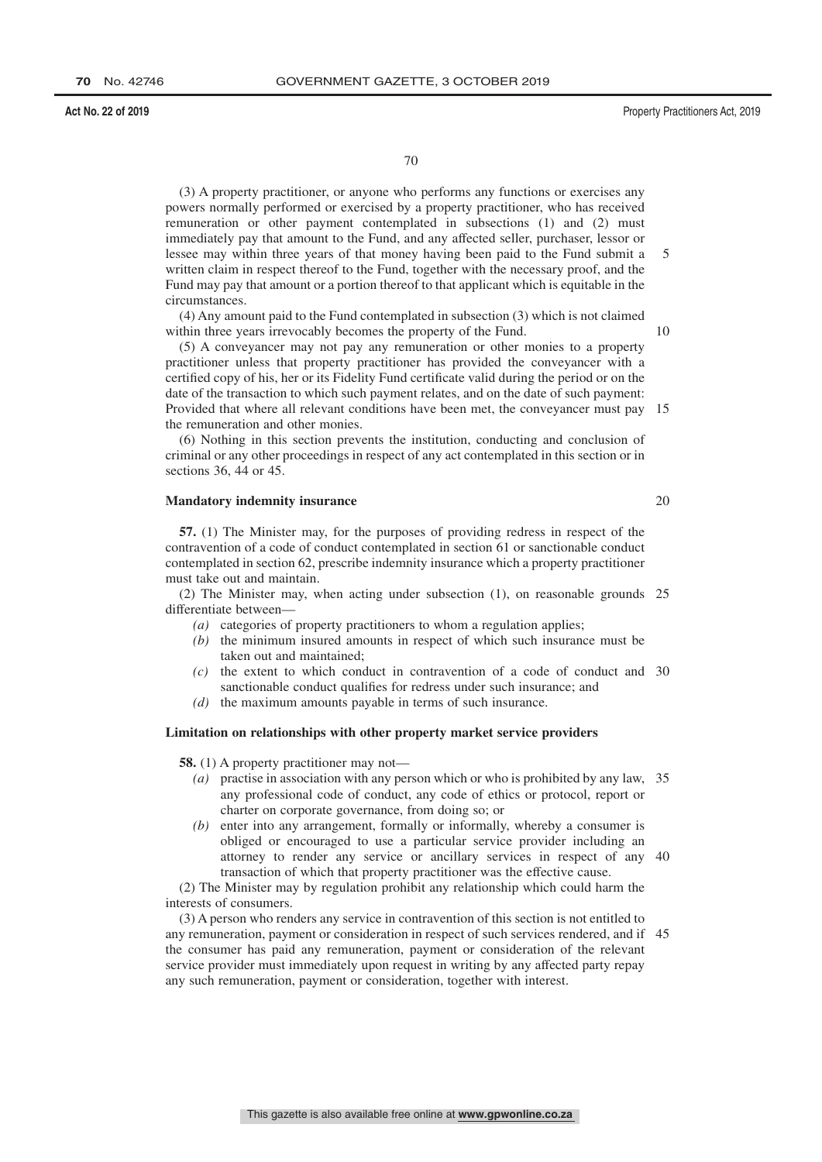(3) A property practitioner, or anyone who performs any functions or exercises any powers normally performed or exercised by a property practitioner, who has received remuneration or other payment contemplated in subsections (1) and (2) must immediately pay that amount to the Fund, and any affected seller, purchaser, lessor or lessee may within three years of that money having been paid to the Fund submit a written claim in respect thereof to the Fund, together with the necessary proof, and the Fund may pay that amount or a portion thereof to that applicant which is equitable in the circumstances.

(4) Any amount paid to the Fund contemplated in subsection (3) which is not claimed within three years irrevocably becomes the property of the Fund.

(5) A conveyancer may not pay any remuneration or other monies to a property practitioner unless that property practitioner has provided the conveyancer with a certified copy of his, her or its Fidelity Fund certificate valid during the period or on the date of the transaction to which such payment relates, and on the date of such payment: Provided that where all relevant conditions have been met, the conveyancer must pay 15 the remuneration and other monies.

(6) Nothing in this section prevents the institution, conducting and conclusion of criminal or any other proceedings in respect of any act contemplated in this section or in sections 36, 44 or 45.

#### **Mandatory indemnity insurance**

**57.** (1) The Minister may, for the purposes of providing redress in respect of the contravention of a code of conduct contemplated in section 61 or sanctionable conduct contemplated in section 62, prescribe indemnity insurance which a property practitioner must take out and maintain.

(2) The Minister may, when acting under subsection (1), on reasonable grounds 25 differentiate between—

- *(a)* categories of property practitioners to whom a regulation applies;
- *(b)* the minimum insured amounts in respect of which such insurance must be taken out and maintained;
- *(c)* the extent to which conduct in contravention of a code of conduct and 30 sanctionable conduct qualifies for redress under such insurance; and
- *(d)* the maximum amounts payable in terms of such insurance.

# **Limitation on relationships with other property market service providers**

**58.** (1) A property practitioner may not—

- *(a)* practise in association with any person which or who is prohibited by any law, 35 any professional code of conduct, any code of ethics or protocol, report or charter on corporate governance, from doing so; or
- *(b)* enter into any arrangement, formally or informally, whereby a consumer is obliged or encouraged to use a particular service provider including an attorney to render any service or ancillary services in respect of any 40 transaction of which that property practitioner was the effective cause.

(2) The Minister may by regulation prohibit any relationship which could harm the interests of consumers.

(3) A person who renders any service in contravention of this section is not entitled to any remuneration, payment or consideration in respect of such services rendered, and if 45the consumer has paid any remuneration, payment or consideration of the relevant service provider must immediately upon request in writing by any affected party repay any such remuneration, payment or consideration, together with interest.

20

5

 $1<sub>0</sub>$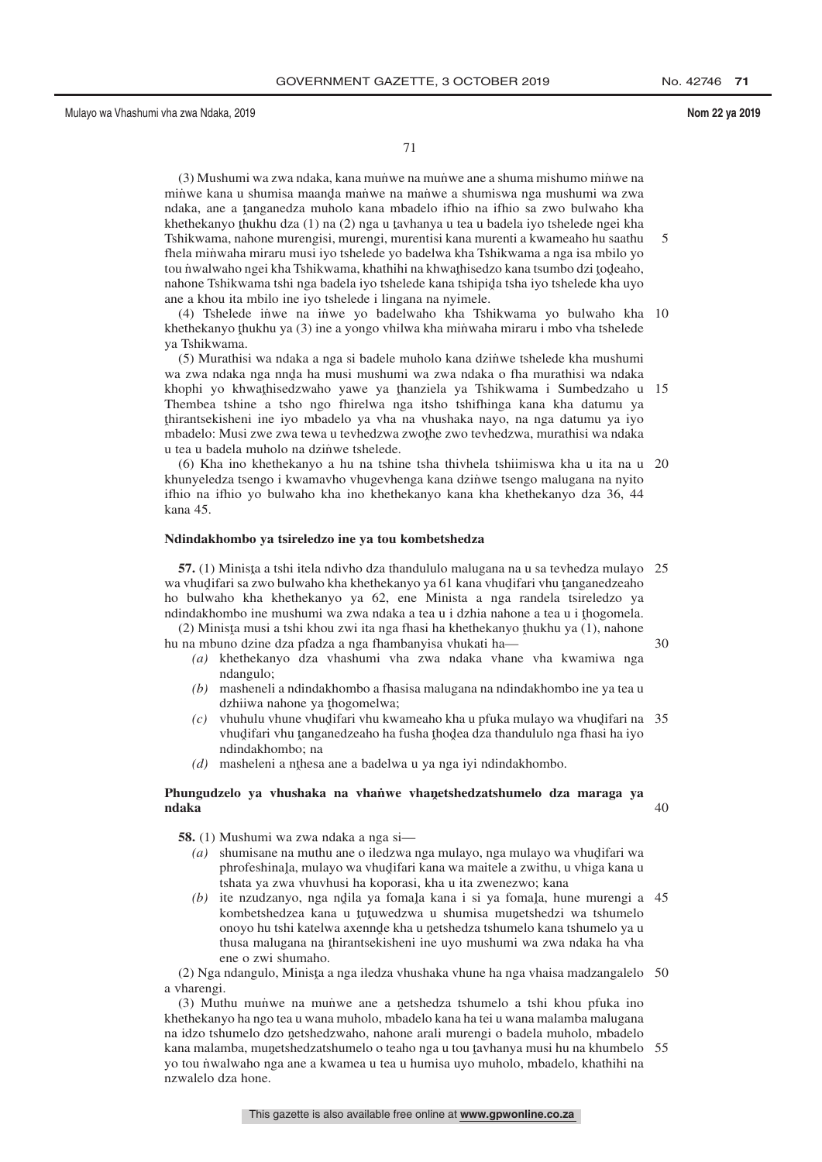71

(3) Mushumi wa zwa ndaka, kana mun˙ we na mun˙ we ane a shuma mishumo min˙ we na minwe kana u shumisa maanda manwe na manwe a shumiswa nga mushumi wa zwa<br>ndaka lane a tanganedza muholo kana mbadelo ifhio na ifhio sa zwo hulwaho kha ndaka, ane a tanganedza muholo kana mbadelo ifhio na ifhio sa zwo bulwaho kha<br>khethekanyo thukhu dza (1) na (2) nga u taybanya u tea u badela iyo tshelede ngei kha khethekanyo thukhu dza (1) na (2) nga u tavhanya u tea u badela iyo tshelede ngei kha<br>Tshikwama, nabone murengisi, murengi, murentisi kana murenti a kwameabo bu saathu Tshikwama, nahone murengisi, murengi, murentisi kana murenti a kwameaho hu saathu fhela minwaha miraru musi iyo tshelede yo badelwa kha Tshikwama a nga isa mbilo yo tou nwalwaho ngei kha Tshikwama, khathihi na khwaṭhisedzo kana tsumbo dzi todeaho,<br>nabone Tshikwama tshi nga badela iyo tshelede kana tshinida tsha iyo tshelede kha uyo nahone Tshikwama tshi nga badela iyo tshelede kana tshipida tsha iyo tshelede kha uyo ang a khou ita mbilo ing iyo tshelede i lingana na nyimele ane a khou ita mbilo ine iyo tshelede i lingana na nyimele. 5

(4) Tshelede inwe na inwe yo badelwaho kha Tshikwama yo bulwaho kha 10 khethekanyo thukhu ya (3) ine a yongo vhilwa kha minwaha miraru i mbo vha tshelede<br>va Tshikwama ya Tshikwama.

(5) Murathisi wa ndaka a nga si badele muholo kana dzinwe tshelede kha mushumi wa zwa ndaka nga nnda ha musi mushumi wa zwa ndaka o fha murathisi wa ndaka<br>khonbi wa khwathisedzwaho yawe ya thanziela ya Tshikwama i Sumbedzaho u khophi yo khwathisedzwaho yawe ya thanziela ya Tshikwama i Sumbedzaho u 15<br>Thembes tshine a tsho ngo fhirelwa nga itsho tshifhinga kana kha datumu ya Thembea tshine a tsho ngo fhirelwa nga itsho tshifhinga kana kha datumu ya ˆ mbadelo: Musi zwe zwa tewa u tevhedzwa zwoˆ the zwo tevhedzwa, murathisi wa ndaka thirantsekisheni ine iyo mbadelo ya vha na vhushaka nayo, na nga datumu ya iyo u tea u badela muholo na dzinwe tshelede.

(6) Kha ino khethekanyo a hu na tshine tsha thivhela tshiimiswa kha u ita na u 20 khunyeledza tsengo i kwamavho vhugevhenga kana dzinwe tsengo malugana na nyito ifhio na ifhio yo bulwaho kha ino khethekanyo kana kha khethekanyo dza 36, 44 kana 45.

# **Ndindakhombo ya tsireledzo ine ya tou kombetshedza**

**57.** (1) Minista a tshi itela ndivho dza thandululo malugana na u sa tevhedza mulayo 25<br>s ybudifari sa zwo bulwabo kha khathakanyo ya 61 kana ybudifari ybu tanganadzaabo wa vhudifari sa zwo bulwaho kha khethekanyo ya 61 kana vhudifari vhu tanganedzeaho<br>ho, bulwaho, kha, khethekanyo, ya 62, ana. Minista, a, nga, randela, tsireledzo, ya ho bulwaho kha khethekanyo ya 62, ene Minista a nga randela tsireledzo ya ndindakhombo ine mushumi wa zwa ndaka a tea u i dzhia nahone a tea u i thogomela.<br>(2) Minista musi a tebi khou zwi ita nga fhasi ha khathakanyo thukhu ya (1) nahone

(2) Minista musi a tshi khou zwi ita nga fhasi ha khethekanyo thukhu ya (1), nahone<br>na mbuno dzina dza pfadza a nga fhambanyisa yhukati ha hu na mbuno dzine dza pfadza a nga fhambanyisa vhukati ha— 30

- *(a)* khethekanyo dza vhashumi vha zwa ndaka vhane vha kwamiwa nga ndangulo;
- *(b)* masheneli a ndindakhombo a fhasisa malugana na ndindakhombo ine ya tea u dzhiiwa nahone ya thogomelwa;<br>vhuhulu yhune yhudifari yhu kw
- *(c)* vhuhulu vhune vhudifari vhu kwameaho kha u pfuka mulayo wa vhudifari na 35<br>vhudifari vhu tanganedzeaho ha fusha thodaa dza thandululo nga fhasi ha iyo vhudifari vhu tanganedzeaho ha fusha thodea dza thandululo nga fhasi ha iyo<br>ndindakbombo: na ndindakhombo; na
- (d) masheleni a nthesa ane a badelwa u ya nga iyi ndindakhombo.

# Phungudzelo ya vhushaka na vhaṅwe vhan̯etshedzatshumelo dza maraga ya<br>ndaka **ndaka**

**58.** (1) Mushumi wa zwa ndaka a nga si—

- *(a)* shumisane na muthu ane o iledzwa nga mulayo, nga mulayo wa vhudifari wa<br>phrofeshinala mulayo wa yhudifari kana wa maitele a zwithu, u yhiga kana u phrofeshinala, mulayo wa vhudifari kana wa maitele a zwithu, u vhiga kana u<br>tshata ya zwa vhuyhusi ha konorasi, kha u ita zwenezwo: kana tshata ya zwa vhuvhusi ha koporasi, kha u ita zwenezwo; kana
- *(b)* ite nzudzanyo, nga ndila ya fomala kana i si ya fomala, hune murengi a 45<br>kombetshedzea kana u tutuwedzwa u shumica munetshedzi wa tshumelo kombetshedzea kana u tutuwedzwa u shumisa munetshedzi wa tshumelo<br>onovo bu tshi katelwa axannda kha u natshedza tshumelo kana tshumelo va u onoyo hu tshi katelwa axennde kha u netshedza tshumelo kana tshumelo ya u<br>thuga malugana na thiranteekisheni ine uyo mushumi wa zwa ndaka ha yha thusa malugana na thirantsekisheni ine uyo mushumi wa zwa ndaka ha vha<br>ene o zwi shumabo ene o zwi shumaho.

(2) Nga ndangulo, Minista a nga iledza vhushaka vhune ha nga vhaisa madzangalelo 50<br><sup>tharenoi</sup> a vharengi.

 $(3)$  Muthu munve na munve ane a netshedza tshumelo a tshi khou pfuka ino athekanyo ha noo tea u wana muholo mbadelo kana ha tei u wana malamba malugana khethekanyo ha ngo tea u wana muholo, mbadelo kana ha tei u wana malamba malugana na idzo tshumelo dzo netshedzwaho, nahone arali murengi o badela muholo, mbadelo<br>kana malamba, munetshedzatshumelo o teabo nga u tou taybanya musi bu na khumbelo kana malamba, munetshedzatshumelo o teaho nga u tou tavhanya musi hu na khumbelo 55<br>vo tou nwelwebo nga ane a kwamea u tea u humisa uvo muholo, mbadelo, khathihi na yo tou n˙ walwaho nga ane a kwamea u tea u humisa uyo muholo, mbadelo, khathihi na nzwalelo dza hone.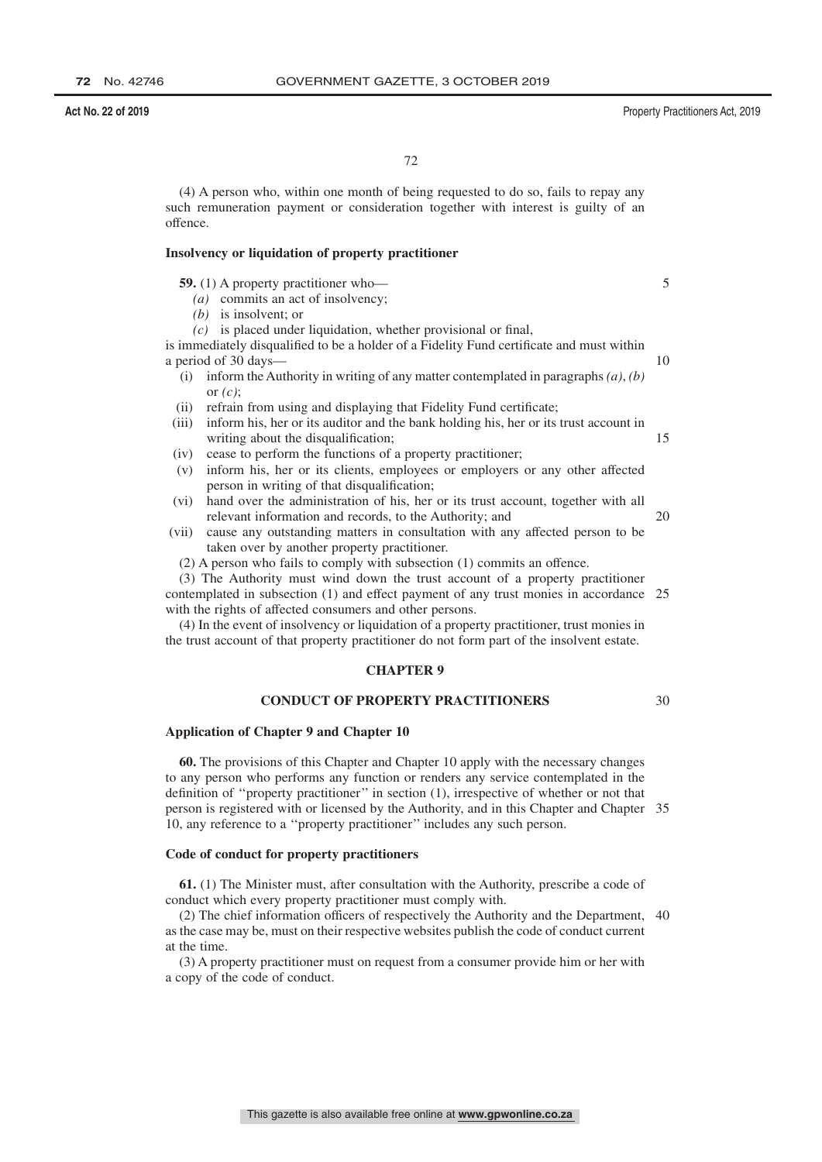(4) A person who, within one month of being requested to do so, fails to repay any such remuneration payment or consideration together with interest is guilty of an offence.

# **Insolvency or liquidation of property practitioner**

**59.** (1) A property practitioner who—

- *(a)* commits an act of insolvency;
- *(b)* is insolvent; or
- *(c)* is placed under liquidation, whether provisional or final,

is immediately disqualified to be a holder of a Fidelity Fund certificate and must within a period of 30 days—

- (i) inform the Authority in writing of any matter contemplated in paragraphs *(a)*, *(b)* or *(c)*;
- (ii) refrain from using and displaying that Fidelity Fund certificate;
- (iii) inform his, her or its auditor and the bank holding his, her or its trust account in writing about the disqualification;
- (iv) cease to perform the functions of a property practitioner;
- (v) inform his, her or its clients, employees or employers or any other affected person in writing of that disqualification;
- (vi) hand over the administration of his, her or its trust account, together with all relevant information and records, to the Authority; and 20
- (vii) cause any outstanding matters in consultation with any affected person to be taken over by another property practitioner.
	- (2) A person who fails to comply with subsection (1) commits an offence.
- (3) The Authority must wind down the trust account of a property practitioner

contemplated in subsection (1) and effect payment of any trust monies in accordance 25 with the rights of affected consumers and other persons.

(4) In the event of insolvency or liquidation of a property practitioner, trust monies in the trust account of that property practitioner do not form part of the insolvent estate.

# **CHAPTER 9**

# **CONDUCT OF PROPERTY PRACTITIONERS**

30

## **Application of Chapter 9 and Chapter 10**

**60.** The provisions of this Chapter and Chapter 10 apply with the necessary changes to any person who performs any function or renders any service contemplated in the definition of ''property practitioner'' in section (1), irrespective of whether or not that person is registered with or licensed by the Authority, and in this Chapter and Chapter 35 10, any reference to a ''property practitioner'' includes any such person.

### **Code of conduct for property practitioners**

**61.** (1) The Minister must, after consultation with the Authority, prescribe a code of conduct which every property practitioner must comply with.

(2) The chief information officers of respectively the Authority and the Department, 40as the case may be, must on their respective websites publish the code of conduct current at the time.

(3) A property practitioner must on request from a consumer provide him or her with a copy of the code of conduct.

10

15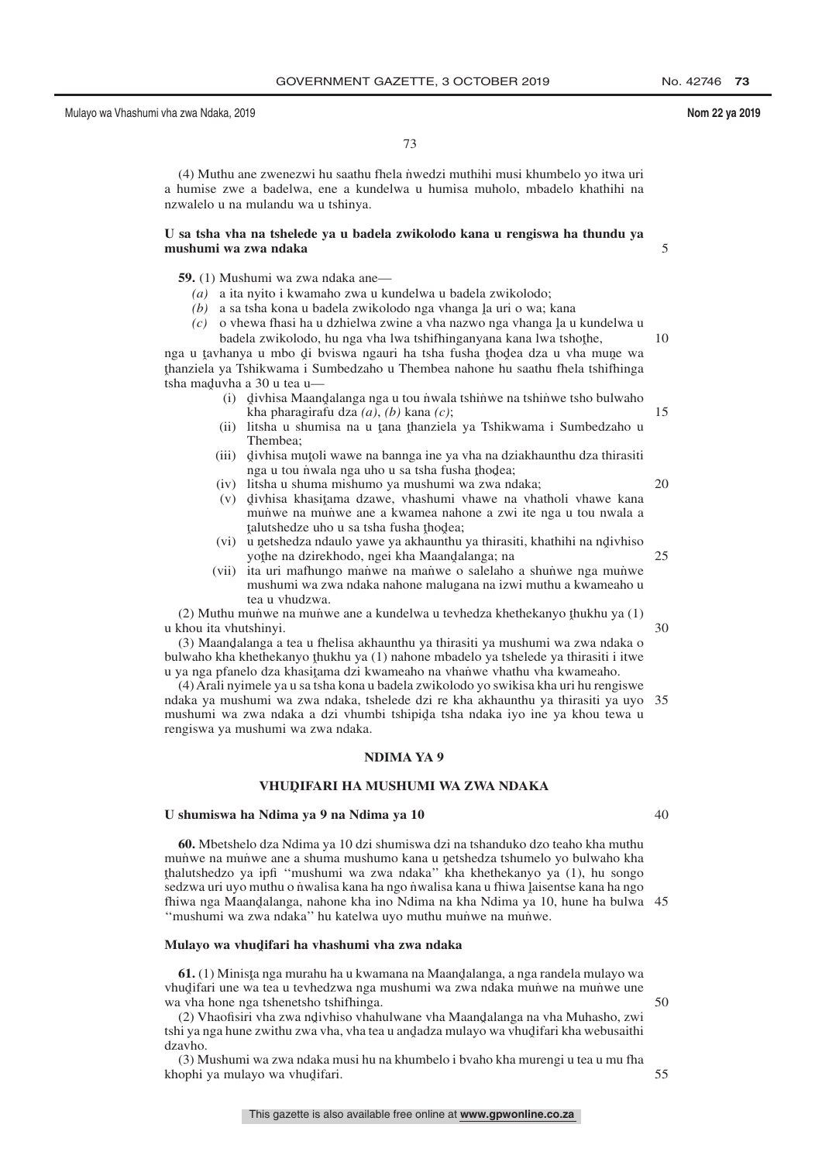5

15

20

30

73

(4) Muthu ane zwenezwi hu saathu fhela n˙ wedzi muthihi musi khumbelo yo itwa uri a humise zwe a badelwa, ene a kundelwa u humisa muholo, mbadelo khathihi na nzwalelo u na mulandu wa u tshinya.

# **U sa tsha vha na tshelede ya u badela zwikolodo kana u rengiswa ha thundu ya mushumi wa zwa ndaka**

**59.** (1) Mushumi wa zwa ndaka ane—

- *(a)* a ita nyito i kwamaho zwa u kundelwa u badela zwikolodo;
- $(a)$  a sa tsha kona u badela zwikolodo nga vhanga la uri o wa; kana<br> $(a)$  o yhewa fhasi ha u dzhielwa zwine a yha nazwo nga yhanga la u
- $(c)$  o vhewa fhasi ha u dzhielwa zwine a vha nazwo nga vhanga la u kundelwa u hadela zwikolodo, hu nga yha lwa tshifhinganyana kana lwa tshothe badela zwikolodo, hu nga vha lwa tshifhinganyana kana lwa tshoţhe,<br>hanya u mbo di hyiswa ngauri ha tsha fusha thodea dza u yha m 10

nga u tavhanya u mbo di bviswa ngauri ha tsha fusha thodea dza u vha mune wa<br>thorziela va Tshikwama i Sumbedzaho u Thembea nabore bu saathu fhela tshifhinga <sup>t</sup><br>
tsha maduvha a 30 u tea u—<br>
(i) divhisa Maan thanziela ya Tshikwama i Sumbedzaho u Thembea nahone hu saathu fhela tshifhinga

- (i) divhisa Maandalanga nga u tou nwala tshinwe na tshinwe tsho bulwaho<br>kha pharagirafu dza (a) (b) kana (c); kha pharagirafu dza *(a)*, *(b)* kana *(c)*;
- (ii) litsha u shumisa na u tana thanziela ya Tshikwama i Sumbedzaho u<br>Thembea: Thembea;
- (iii) divhisa mutoli wawe na bannga ine ya vha na dziakhaunthu dza thirasiti<br>nga u tou nwala nga uho u sa tsha fusha thodea: nga u tou nwala nga uho u sa tsha fusha thodea;<br>litsha u shuma mishumo ya mushumi wa zwa ng
- (iv) litsha u shuma mishumo ya mushumi wa zwa ndaka;
- (v) divhisa khasitama dzawe, vhashumi vhawe na vhatholi vhawe kana<br>munwe na munwe ane a kwamea nabone a zwi ite nga u tou nwala a munve na munve ane a kwamea nahone a zwi ite nga u tou nwala a talutshedze uho u sa tsha fusha thodea;<br>u netshedza ndaulo yawe ya akhaunthu
- ˆ (vi) u nˆ etshedza ndaulo yawe ya akhaunthu ya thirasiti, khathihi na ndˆ ivhiso yothe na dzirekhodo, ngei kha Maandalanga; na<br>ita uri mafbungo manwe na manwe o salelaho 25
- (vii) ita uri mafhungo manwe na manwe o salelaho a shunwe nga munwe mushumi wa zwa ndaka nahone malugana na izwi muthu a kwameaho u tea u vhudzwa.

(2) Muthu mun˙ we na mun˙ we ane a kundelwa u tevhedza khethekanyo thukhu ya (1)<br>chou ita yhutshinyi u khou ita vhutshinyi.

(3) Maandalanga a tea u fhelisa akhaunthu ya thirasiti ya mushumi wa zwa ndaka o<br>Jwaho kha khethekanyo thukhu ya (1) nahone mbadelo ya tshelede ya thirasiti i itwe bulwaho kha khethekanyo thukhu ya (1) nahone mbadelo ya tshelede ya thirasiti i itwe<br>u ya nga pfanelo dza khasitama dzi kwameaho na yhanwe yhathu yha kwameaho u ya nga pfanelo dza khasiţama dzi kwameaho na vhanwe vhathu vha kwameaho.<br>(4) Arali nyimele ya u sa tsha kona u badela zwikolodo yo swikisa kha uri hu reng

(4) Arali nyimele ya u sa tsha kona u badela zwikolodo yo swikisa kha uri hu rengiswe ndaka ya mushumi wa zwa ndaka, tshelede dzi re kha akhaunthu ya thirasiti ya uyo 35 mushumi wa zwa ndaka a dzi vhumbi tshipida tsha ndaka iyo ine ya khou tewa u<br>rengiswa ya mushumi wa zwa ndaka rengiswa ya mushumi wa zwa ndaka.

# **NDIMA YA 9**

# **VHUDˆ IFARI HA MUSHUMI WA ZWA NDAKA**

# **U shumiswa ha Ndima ya 9 na Ndima ya 10**

**60.** Mbetshelo dza Ndima ya 10 dzi shumiswa dzi na tshanduko dzo teaho kha muthu munu na munuve ane a shuma mushumo kana u netshedza tshumelo yo bulwaho kha<br>thalutshedzo ya infi "mushumi wa zwa ndaka" kha khethekanyo ya (1) hu songo sedzwa uri uyo muthu o nwalisa kana ha ngo nwalisa kana u fhiwa Jaisentse kana ha ngo<br>sedzwa uri uyo muthu o nwalisa kana ha ngo nwalisa kana u fhiwa Jaisentse kana ha ngo thalutshedzo ya ipfi ''mushumi wa zwa ndaka'' kha khethekanyo ya (1), hu songo fhiwa nga Maandalanga, nahone kha ino Ndima na kha Ndima ya 10, hune ha bulwa 45<br>"mushumi wa zwa ndaka" bu katelwa uvo muthu munwe na munwe "mushumi wa zwa ndaka" hu katelwa uyo muthu munwe na munwe.

# **Mulayo wa vhudˆ ifari ha vhashumi vha zwa ndaka**

**61.** (1) Minista nga murahu ha u kwamana na Maandalanga, a nga randela mulayo wa<br>udifari une wa tea u teyhedzwa nga mushumi wa zwa ndaka munwe na munwe une vhudifari une wa tea u tevhedzwa nga mushumi wa zwa ndaka muniwe na muniwe une<br>wa yha hone nga tshenetsho tshifhinga wa vha hone nga tshenetsho tshifhinga.

(2) Vhaofisiri vha zwa ndivhiso vhahulwane vha Maandalanga na vha Muhasho, zwi<br>ii va nga hune zwithu zwa vha .vha tea u andadza mulayo wa yhudifari kha webusaithi tshi ya nga hune zwithu zwa vha, vha tea u and̯adza mulayo wa vhud̯ifari kha webusaithi<br>dzaybo dzavho.

(3) Mushumi wa zwa ndaka musi hu na khumbelo i bvaho kha murengi u tea u mu fha khophi ya mulayo wa vhu<mark>d</mark>ifari. 55

40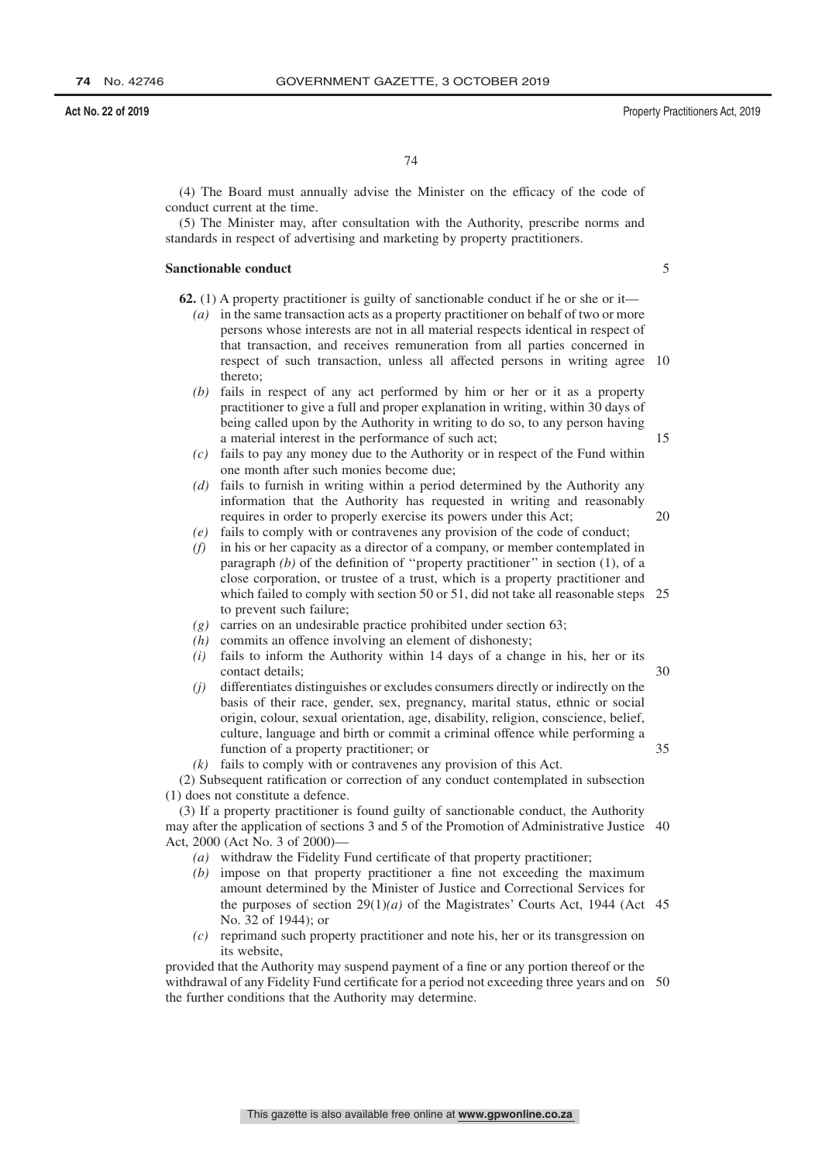(4) The Board must annually advise the Minister on the efficacy of the code of conduct current at the time.

(5) The Minister may, after consultation with the Authority, prescribe norms and standards in respect of advertising and marketing by property practitioners.

### **Sanctionable conduct**

5

15

**62.** (1) A property practitioner is guilty of sanctionable conduct if he or she or it—

- *(a)* in the same transaction acts as a property practitioner on behalf of two or more persons whose interests are not in all material respects identical in respect of that transaction, and receives remuneration from all parties concerned in respect of such transaction, unless all affected persons in writing agree 10 thereto;
- *(b)* fails in respect of any act performed by him or her or it as a property practitioner to give a full and proper explanation in writing, within 30 days of being called upon by the Authority in writing to do so, to any person having a material interest in the performance of such act;
- *(c)* fails to pay any money due to the Authority or in respect of the Fund within one month after such monies become due;
- *(d)* fails to furnish in writing within a period determined by the Authority any information that the Authority has requested in writing and reasonably requires in order to properly exercise its powers under this Act; 20
- *(e)* fails to comply with or contravenes any provision of the code of conduct;
- *(f)* in his or her capacity as a director of a company, or member contemplated in paragraph *(b)* of the definition of "property practitioner" in section (1), of a close corporation, or trustee of a trust, which is a property practitioner and which failed to comply with section 50 or 51, did not take all reasonable steps 25 to prevent such failure;
- *(g)* carries on an undesirable practice prohibited under section 63;
- *(h)* commits an offence involving an element of dishonesty;
- *(i)* fails to inform the Authority within 14 days of a change in his, her or its contact details; 30
- *(j)* differentiates distinguishes or excludes consumers directly or indirectly on the basis of their race, gender, sex, pregnancy, marital status, ethnic or social origin, colour, sexual orientation, age, disability, religion, conscience, belief, culture, language and birth or commit a criminal offence while performing a function of a property practitioner; or 35
- *(k)* fails to comply with or contravenes any provision of this Act.

(2) Subsequent ratification or correction of any conduct contemplated in subsection (1) does not constitute a defence.

(3) If a property practitioner is found guilty of sanctionable conduct, the Authority may after the application of sections 3 and 5 of the Promotion of Administrative Justice 40 Act, 2000 (Act No. 3 of 2000)—

- *(a)* withdraw the Fidelity Fund certificate of that property practitioner;
- *(b)* impose on that property practitioner a fine not exceeding the maximum amount determined by the Minister of Justice and Correctional Services for the purposes of section  $29(1)(a)$  of the Magistrates' Courts Act, 1944 (Act 45) No. 32 of 1944); or
- *(c)* reprimand such property practitioner and note his, her or its transgression on its website,

provided that the Authority may suspend payment of a fine or any portion thereof or the withdrawal of any Fidelity Fund certificate for a period not exceeding three years and on 50the further conditions that the Authority may determine.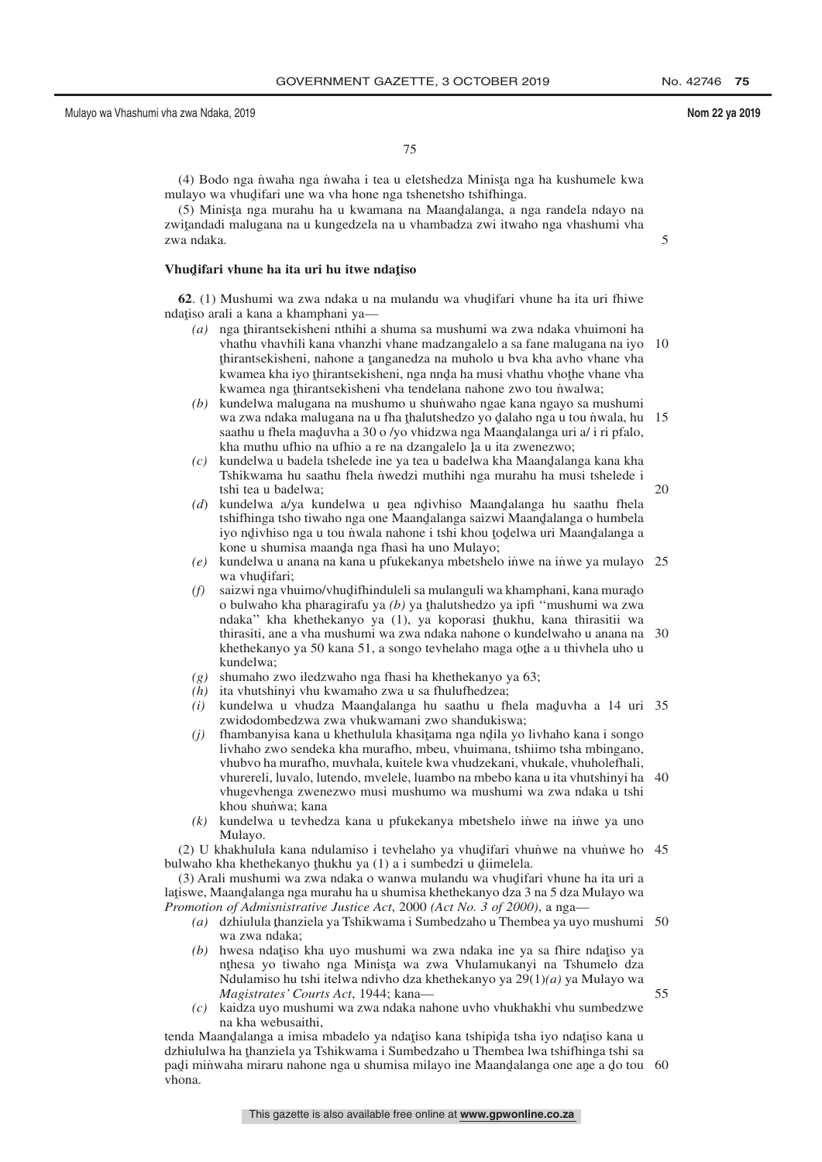20

55

75

(4) Bodo nga nwaha nga n˙ waha i tea u eletshedza Minisţa nga ha kushumele kwa<br>ulayo wa yhudifari una wa yha bona nga tshanatsho tshifhinga mulayo wa vhudifari une wa vha hone nga tshenetsho tshifhinga.<br>(5) Minista nga murabu ba u kwamana na Maandalanga a n

(5) Minista nga murahu ha u kwamana na Maandalanga, a nga randela ndayo na<br>sitandadi malugana na u kungedzela na u yhambadza zwi itusaho nga yhashumi yha zwiţandadi malugana na u kungedzela na u vhambadza zwi itwaho nga vhashumi vha<br>zwa ndaka zwa ndaka.

# **Vhudifari vhune ha ita uri hu itwe ndațiso**

**62**. (1) Mushumi wa zwa ndaka u na mulandu wa vhudifari vhune ha ita uri fhiwe atiso arali a kana a khamphani va ndațiso arali a kana a khamphani ya—

- *(a)* nga thirantsekisheni nthihi a shuma sa mushumi wa zwa ndaka vhuimoni ha<br>whathu yhaybili kana yharzhi yhane madzangalelo a sa fane malugana na iyo vhathu vhavhili kana vhanzhi vhane madzangalelo a sa fane malugana na iyo 10 finantsekisheni, nanone a ganganeaza na manoro a ova kha avno vhane vha<br>kwamea kha iyo thirantsekisheni, nga nnda ha musi vhathu vhote vhane vha<br>kwamea nga thirantsekisheni vha tendelana nahone zwo tou nwalwa: thirantsekisheni, nahone a tanganedza na muholo u bva kha avho vhane vhane.<br>kwamea kha iyo thirantsekisheni, nga ngda ha musi yhathu yhothe yhane yha kwamea nga thirantsekisheni vha tendelana nahone zwo tou nwalwa;<br>kundelwa malugana na mushumo u shunwabo ngae kana ngayo sa m
- *(b)* kundelwa malugana na mushumo u shun˙ waho ngae kana ngayo sa mushumi wa zwa ndaka malugana na u fha thalutshedzo yo dalaho nga u tou nwala, hu<br>saathu u fhela maduyba a 30 o /yo yhidzwa nga Maandalanga uri a/ i ri pfalo saathu u fhela maduvha a 30 o /yo vhidzwa nga Maandalanga uri a/ i ri pfalo,<br>kha muthu ufhio na ufhio a re na dzangalelo la u ita zwenezwo: kha muthu ufhio na ufhio a re na dzangalelo ļa u ita zwenezwo;<br>kundeļwa u badela tshelede ine va tea u badeļwa kha Maandalar 15
- *(c)* kundelwa u badela tshelede ine ya tea u badelwa kha Maandalanga kana kha Tshikwama hu saathu fhela nwedzi muthibi nga murahu ha musi tshelede i Tshikwama hu saathu fhela nwedzi muthihi nga murahu ha musi tshelede i tshi tea u badelwa;
- *(d)* kundelwa a/ya kundelwa u nea ndivhiso Maandalanga hu saathu fhela<br>tshifhinga tsho tiwaho nga one Maandalanga saizwi Maandalanga o humbela tshifhinga tsho tiwaho nga one Maandalanga saizwi Maandalanga o humbela<br>iyo ndiyhiso nga u tou nwala nabone i tshi khou todelwa uri Maandalanga a iyo ndivhiso nga u tou nwala nahone i tshi khou todelwa uri Maandalanga a<br>kone u shumisa maanda nga fhasi ha uno Mulayo: kone u shumisa maanda nga fhasi ha uno Mulayo;<br>kundelwa u anana na kana u pfukekanya mbetshele
- (e) kundelwa u anana na kana u pfukekanya mbetshelo inwe na inwe ya mulayo 25 wa vhudifari;<br>saizwi nga vh
- (f) saizwi nga vhuimo/vhudifhinduleli sa mulanguli wa khamphani, kana murado) o bulwabo kha pharagirafu wa (h) ya thalutshedzo ya infi o bulwaho kha pharagirafu ya *(b)* ya thalutshedzo ya ipfi "mushumi wa zwa<br>ndaka" kha khethekanyo ya (1), ya konorasi thukhu, kana thirasitii wa ndaka'' kha khethekanyo ya (1), ya koporasi thukhu, kana thirasitii wa<br>thirasiti ane a yha mushumi wa zwa ndaka nahone o kundelwaho u anana na thirasiti, ane a vha mushumi wa zwa ndaka nahone o kundelwaho u anana na khethekanyo ya 50 kana 51, a songo tevhelaho maga othe a u thivhela uho u<br>kundelwa: kundelwa; 30
- *(g)* shumaho zwo iledzwaho nga fhasi ha khethekanyo ya 63;
- *(h)* ita vhutshinyi vhu kwamaho zwa u sa fhulufhedzea;
- *(i)* kundelwa u vhudza Maand̄alanga hu saathu u fhela mad̄uvha a 14 uri 35 zwidodomhedzwa zwa vhukwamani zwo shandukiswa: zwidodombedzwa zwa vhukwamani zwo shandukiswa;
- (*j*) fhambanyisa kana u khethulula khasiţama nga nd̥ila yo livhaho kana i songo<br>livhaho zwo sendeka kha murafho, mbeu, yhuimana, tshiimo tsha mbingano livhaho zwo sendeka kha murafho, mbeu, vhuimana, tshiimo tsha mbingano, vhubvo ha murafho, muvhala, kuitele kwa vhudzekani, vhukale, vhuholefhali, vhurereli, luvalo, lutendo, mvelele, luambo na mbebo kana u ita vhutshinyi ha 40 vhugevhenga zwenezwo musi mushumo wa mushumi wa zwa ndaka u tshi khou shunwa; kana
- $(k)$  kundelwa u tevhedza kana u pfukekanya mbetshelo in $i$ we na in $i$ we ya uno Mulayo.

 $(2)$  U khakhulula kana ndulamiso i tevhelaho ya vhudifari vhunve na vhunve ho 45<br>Iwaho kha khethekanyo thukhu ya (1) a i sumbedzi u diimelela bulwaho kha khethekanyo thukhu ya  $(1)$  a i sumbedzi u diimelela.<br> $(3)$  Arali mushumi wa zwa ndaka o wanya mulandu wa yhudifa

(3) Arali mushumi wa zwa ndaka o wanwa mulandu wa vhudifari vhune ha ita uri a<br>iswe. Maandalanga nga murahu ha u shumisa khethekanyo dza 3 na 5 dza Mulayo wa lațiswe, Maandalanga nga murahu ha u shumisa khethekanyo dza 3 na 5 dza Mulayo wa<br>Promotion of Admispistrative Justice Act 2000 (Act No. 3 of 2000), a nga *Promotion of Admisnistrative Justice Act*, 2000 *(Act No. 3 of 2000)*, a nga—

- (a) dzhiulula thanziela ya Tshikwama i Sumbedzaho u Thembea ya uyo mushumi 50<br>wa zwa ndaka: wa zwa ndaka;
- *(b)* hwesa ndațiso kha uyo mushumi wa zwa ndaka ine ya sa fhire ndațiso ya nthesa yo tiwaho nga Minista wa zwa Vhulamukanyi na Tshumelo dza nthesa yo tiwaho nga Minista wa zwa Vhulamukanyi na Tshumelo dza<br>Ndulamiso bu tshi itelwa ndivbo dza khethekanyo ya 20(1)(a) ya Mulayo wa ˆ Ndulamiso hu tshi itelwa ndivho dza khethekanyo ya 29(1)*(a)* ya Mulayo wa *Magistrates' Courts Act*, 1944; kana—
- *(c)* kaidza uyo mushumi wa zwa ndaka nahone uvho vhukhakhi vhu sumbedzwe na kha webusaithi,

tenda Maandalanga a imisa mbadelo ya ndatiso kana tshipida tsha iyo ndatiso kana u<br>dzbiululwa na thanziela ya Tshikwama i Sumbedzaho u Thembea lwa tshifhinga tshi sa dzhiululwa ha thanziela ya Tshikwama i Sumbedzaho u Thembea lwa tshifhinga tshi sa<br>padi minwaha miraru nabone nga u shumisa milayo ine Maandalanga one ane a do tou padi minwaha miraru nahone nga u shumisa milayo ine Maandalanga one ane a do tou 60<br>vhona vhona.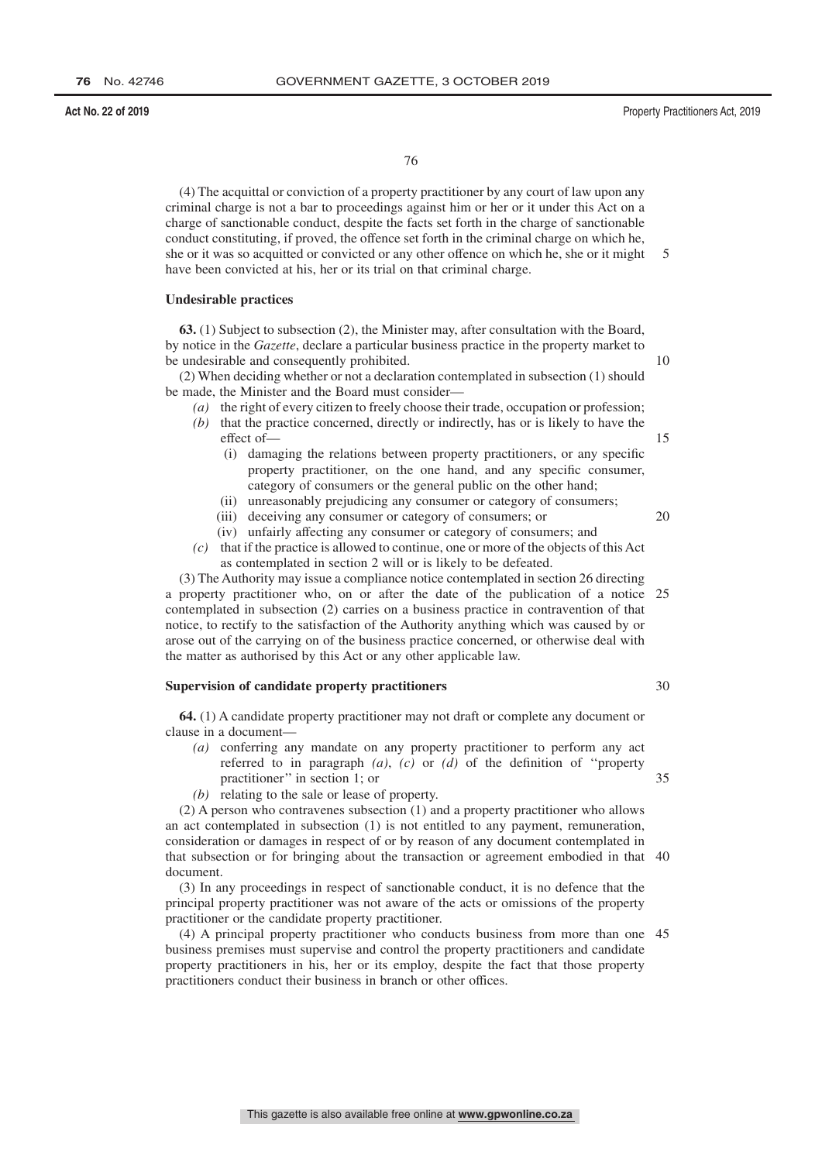(4) The acquittal or conviction of a property practitioner by any court of law upon any criminal charge is not a bar to proceedings against him or her or it under this Act on a charge of sanctionable conduct, despite the facts set forth in the charge of sanctionable conduct constituting, if proved, the offence set forth in the criminal charge on which he, she or it was so acquitted or convicted or any other offence on which he, she or it might have been convicted at his, her or its trial on that criminal charge. 5

#### **Undesirable practices**

**63.** (1) Subject to subsection (2), the Minister may, after consultation with the Board, by notice in the *Gazette*, declare a particular business practice in the property market to be undesirable and consequently prohibited.

(2) When deciding whether or not a declaration contemplated in subsection (1) should be made, the Minister and the Board must consider—

- *(a)* the right of every citizen to freely choose their trade, occupation or profession;
- *(b)* that the practice concerned, directly or indirectly, has or is likely to have the effect of—
	- (i) damaging the relations between property practitioners, or any specific property practitioner, on the one hand, and any specific consumer, category of consumers or the general public on the other hand;
	- (ii) unreasonably prejudicing any consumer or category of consumers;
	- (iii) deceiving any consumer or category of consumers; or
	- (iv) unfairly affecting any consumer or category of consumers; and
- *(c)* that if the practice is allowed to continue, one or more of the objects of this Act as contemplated in section 2 will or is likely to be defeated.

(3) The Authority may issue a compliance notice contemplated in section 26 directing a property practitioner who, on or after the date of the publication of a notice 25 contemplated in subsection (2) carries on a business practice in contravention of that notice, to rectify to the satisfaction of the Authority anything which was caused by or arose out of the carrying on of the business practice concerned, or otherwise deal with the matter as authorised by this Act or any other applicable law.

### **Supervision of candidate property practitioners**

**64.** (1) A candidate property practitioner may not draft or complete any document or clause in a document—

- *(a)* conferring any mandate on any property practitioner to perform any act referred to in paragraph *(a)*, *(c)* or *(d)* of the definition of ''property practitioner'' in section 1; or
- *(b)* relating to the sale or lease of property.

(2) A person who contravenes subsection (1) and a property practitioner who allows an act contemplated in subsection (1) is not entitled to any payment, remuneration, consideration or damages in respect of or by reason of any document contemplated in that subsection or for bringing about the transaction or agreement embodied in that 40 document.

(3) In any proceedings in respect of sanctionable conduct, it is no defence that the principal property practitioner was not aware of the acts or omissions of the property practitioner or the candidate property practitioner.

(4) A principal property practitioner who conducts business from more than one 45business premises must supervise and control the property practitioners and candidate property practitioners in his, her or its employ, despite the fact that those property practitioners conduct their business in branch or other offices.

10

15

20

30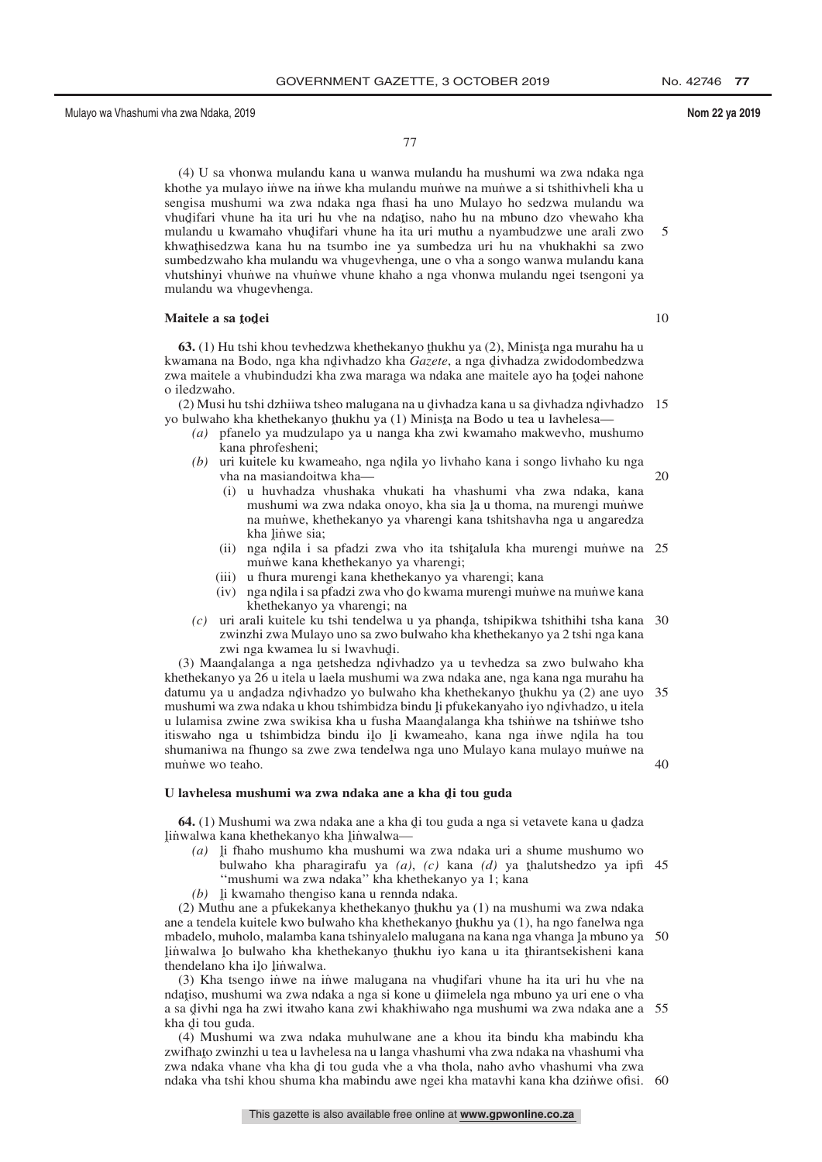77

(4) U sa vhonwa mulandu kana u wanwa mulandu ha mushumi wa zwa ndaka nga khothe ya mulayo inwe na inwe kha mulandu munwe na munwe a si tshithivheli kha u sengisa mushumi wa zwa ndaka nga fhasi ha uno Mulayo ho sedzwa mulandu wa vhudifari vhune ha ita uri hu vhe na ndațiso, naho hu na mbuno dzo vhewaho kha<br>mulandu u kwamaho vhudifari vhune ha ita uri muthu a nyambudzwe une arali zwo mulandu u kwamaho vhudifari vhune ha ita uri muthu a nyambudzwe une arali zwo<br>khwathisedzwa kana hu na tsumbo ine ya sumbedza uri hu na vhukhakhi sa zwo khwathisedzwa kana hu na tsumbo ine ya sumbedza uri hu na vhukhakhi sa zwo<br>sumbedzwaho kha mulandu wa vhugeyhenga une o yha a songo wanwa mulandu kana sumbedzwaho kha mulandu wa vhugevhenga, une o vha a songo wanwa mulandu kana vhutshinyi vhunwe na vhunwe vhune khaho a nga vhonwa mulandu ngei tsengoni ya mulandu wa vhugevhenga. 5

# **Maitele a sa <sup>ˆ</sup> todˆ ei**

**63.** (1) Hu tshi khou tevhedzwa khethekanyo thukhu ya (2), Minista nga murahu ha u<br>zamana na Bodo, nga kha ndiyhadzo kha *Gazete*, a nga diyhadza zwidodombedzwa kwamana na Bodo, nga kha ndivhadzo kha *Gazete*, a nga divhadza zwidodombedzwa<br>zwa maitele a vhuhindudzi kha zwa maraga wa ndaka ane maitele avo ha todei nahone zwa maitele a vhubindudzi kha zwa maraga wa ndaka ane maitele ayo ha todei nahone<br>o iledzwaho o iledzwaho.

(2) Musi hu tshi dzhiiwa tsheo malugana na u divhadza kana u sa divhadza ndivhadzo 15<br>hulwaho kha khethekanyo thukhu ya (1) Minista na Bodo u tea u layhelesa yo bulwaho kha khethekanyo thukhu ya  $(1)$  Minista na Bodo u tea u lavhelesa—<br> $(a)$ , pfanelo ya mudzulano ya u nanga kha zwi kwamaho makweyho, mus

- *(a)* pfanelo ya mudzulapo ya u nanga kha zwi kwamaho makwevho, mushumo kana phrofesheni;
- *(b)* uri kuitele ku kwameaho, nga ndila yo livhaho kana i songo livhaho ku nga wha na masiandoitwa kha vha na masiandoitwa kha— 20
	- (i) u huvhadza vhushaka vhukati ha vhashumi vha zwa ndaka, kana mushumi wa zwa ndaka onoyo, kha sia la u thoma, na murengi munwe<br>na munwe, khethekanyo ya yharengi kana tshitshayha nga u angaredza na munwe, khethekanyo ya vharengi kana tshitshavha nga u angaredza kha linwe sia;<br>nga ndila i sa
	- (ii) nga ndila i sa pfadzi zwa vho ita tshitalula kha murengi muniwe na 25<br>munwe kana khethekanyo ya yharengi: munwe kana khethekanyo ya vharengi;
	- (iii) u fhura murengi kana khethekanyo ya vharengi; kana
	- (iv) nga ndila i sa pfadzi zwa vho do kwama murengi muniwe na muniwe kana<br>khethekanyo ya yharengi: na khethekanyo ya vharengi; na
- *(c)* uri arali kuitele ku tshi tendelwa u ya phanda, tshipikwa tshithihi tsha kana 30<br>zwinzhi zwa Mulayo uno sa zwo bulwaho kha khethekanyo ya 2 tshi nga kana zwinzhi zwa Mulayo uno sa zwo bulwaho kha khethekanyo ya 2 tshi nga kana zwi nga kwamea lu si lwavhudi.<br>andalanga a nga netshedza ndiy

(3) Maandalanga a nga netshedza ndivhadzo ya u tevhedza sa zwo bulwaho kha<br>ethekanyo ya 26 u itela u laela mushumi wa zwa ndaka ane, nga kana nga murahu ha khethekanyo ya 26 u itela u laela mushumi wa zwa ndaka ane, nga kana nga murahu ha datumu ya u andadza ndivhadzo yo bulwaho kha khethekanyo thukhu ya (2) ane uyo 35<br>mushumi wa zwa ndaka u khou tshimbidza bindu li nfukekanyaho iyo ndivhadzo, u itela mushumi wa zwa ndaka u khou tshimbidza bindu li pfukekanyaho iyo ndivhadzo, u itela<br>u lulamisa zwine zwa swikisa kha u fusha Maandalanga kha tshinwe na tshinwe tsho u lulamisa zwine zwa swikisa kha u fusha Maandalanga kha tshinwe na tshinwe tsho<br>itiswaho nga u tshimbidza bindu ilo li kwameaho, kana nga jiwe ndila ha tou itiswaho nga u tshimbidza bindu ilo li kwameaho, kana nga inwe ndila ha tou<br>shumaniwa na fhungo sa zwe zwa tendelwa nga uno Mulayo kana mulayo munwe na shumaniwa na fhungo sa zwe zwa tendelwa nga uno Mulayo kana mulayo munwe na munwe wo teaho. 40

# U lavhelesa mushumi wa zwa ndaka ane a kha <mark>d</mark>i tou guda

**64.** (1) Mushumi wa zwa ndaka ane a kha di tou guda a nga si vetavete kana u dadza<br>walwa kana khethekanyo kha linwalwa—  $\lim_{a \to a}$  kana khethekanyo kha  $\lim_{a \to a}$  (a) ii fhaho mushumo kha mushumi y

- (a)  $\mu$  fhaho mushumo kha mushumi wa zwa ndaka uri a shume mushumo wo hulwaho kha pharagirafu ya (a) (c) kana (d) ya thalutshedzo ya infi bulwaho kha pharagirafu ya  $(a)$ ,  $(c)$  kana  $(d)$  ya thalutshedzo ya ipfi 45<br>"mushumi wa zwa ndaka" kha khethekanyo ya 1: kana ''mushumi wa zwa ndaka'' kha khethekanyo ya 1; kana
- (b) li kwamaho thengiso kana u rennda ndaka.<br>
Muthu ane a pfukekanya khethekanyo thukhu

(2) Muthu ane a pfukekanya khethekanyo thukhu ya  $(1)$  na mushumi wa zwa ndaka<br>e a tendela kuitele kwo bulwaho kha khethekanyo thukhu ya  $(1)$  ha ngo fanelwa nga ane a tendela kuitele kwo bulwaho kha khethekanyo ţhukhu ya (1), ha ngo fanelwa nga<br>mbadelo, muholo, malamba kana tshinyalelo malugana na kana nga yhanga la mbuno ya mbadelo, muholo, malamba kana tshinyalelo malugana na kana nga vhanga la mbuno ya 50<br>linwalwa Jo bulwaho kha khethekanyo thukhu iyo kana u ita thirantsekisheni kana  $\frac{1}{2}$  thendelano kha ilo linwalwa. lin˙ walwa lo bulwaho kha khethekanyo thukhu iyo kana u ita thirantsekisheni kana<br>thendelano kha ilo linwalwa

 $(3)$  Kha tsengo in<code>we na in</code> we malugana na vhudifari vhune ha ita uri hu vhe na stiso, mushumi wa zwa ndaka a nga si kone u diimelela nga mbuno ya uri ene o yha ndațiso, mushumi wa zwa ndaka a nga si kone u diimelela nga mbuno ya uri ene o vha<br>a sa divhi nga ha zwi itwaho kana zwi khakhiwaho nga mushumi wa zwa ndaka ane a a sa divhi nga ha zwi itwaho kana zwi khakhiwaho nga mushumi wa zwa ndaka ane a 55<br>kha di tou guda kha di tou guda.<br>(4) Mushumi

(4) Mushumi wa zwa ndaka muhulwane ane a khou ita bindu kha mabindu kha zwifhato zwinzhi u tea u lavhelesa na u langa vhashumi vha zwa ndaka na vhashumi vha<br>zwa ndaka vhane vha kha di tou guda vhe a vha thola, nabo avho vhashumi vha zwa zwa ndaka vhane vha kha di tou guda vhe a vha thola, naho avho vhashumi vha zwa<br>ndaka vha tshi khou shuma kha mabindu awe ngei kha matavhi kana kha dzinwe ofisi ndaka vha tshi khou shuma kha mabindu awe ngei kha matavhi kana kha dzin˙ we ofisi. 60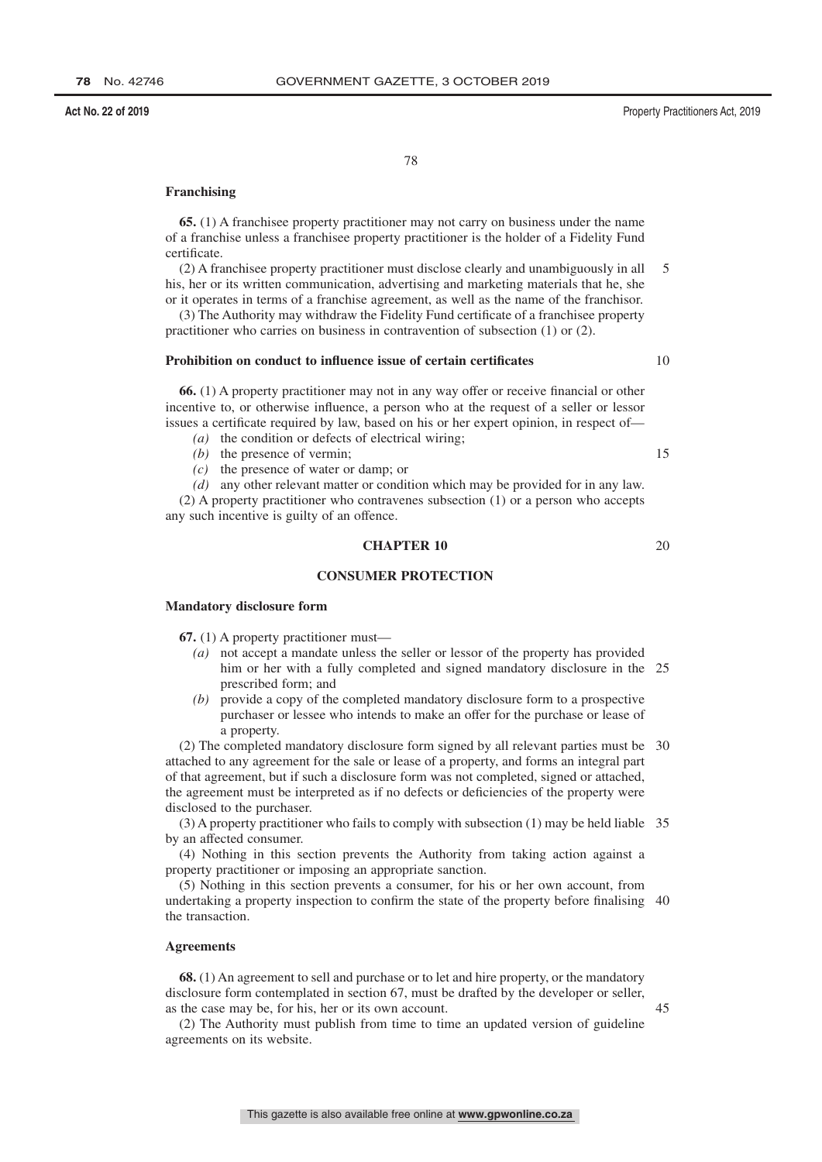**Act No. 22 of 2019** Property Practitioners Act, 2019

10

15

78

#### **Franchising**

**65.** (1) A franchisee property practitioner may not carry on business under the name of a franchise unless a franchisee property practitioner is the holder of a Fidelity Fund certificate.

(2) A franchisee property practitioner must disclose clearly and unambiguously in all his, her or its written communication, advertising and marketing materials that he, she or it operates in terms of a franchise agreement, as well as the name of the franchisor. 5

(3) The Authority may withdraw the Fidelity Fund certificate of a franchisee property practitioner who carries on business in contravention of subsection (1) or (2).

#### **Prohibition on conduct to influence issue of certain certificates**

**66.** (1) A property practitioner may not in any way offer or receive financial or other incentive to, or otherwise influence, a person who at the request of a seller or lessor issues a certificate required by law, based on his or her expert opinion, in respect of—

- *(a)* the condition or defects of electrical wiring;
- *(b)* the presence of vermin;
- *(c)* the presence of water or damp; or

*(d)* any other relevant matter or condition which may be provided for in any law. (2) A property practitioner who contravenes subsection (1) or a person who accepts any such incentive is guilty of an offence.

#### **CHAPTER 10** 20

#### **CONSUMER PROTECTION**

#### **Mandatory disclosure form**

**67.** (1) A property practitioner must—

- *(a)* not accept a mandate unless the seller or lessor of the property has provided him or her with a fully completed and signed mandatory disclosure in the 25 prescribed form; and
- *(b)* provide a copy of the completed mandatory disclosure form to a prospective purchaser or lessee who intends to make an offer for the purchase or lease of a property.

(2) The completed mandatory disclosure form signed by all relevant parties must be 30 attached to any agreement for the sale or lease of a property, and forms an integral part of that agreement, but if such a disclosure form was not completed, signed or attached, the agreement must be interpreted as if no defects or deficiencies of the property were disclosed to the purchaser.

(3) A property practitioner who fails to comply with subsection (1) may be held liable 35 by an affected consumer.

(4) Nothing in this section prevents the Authority from taking action against a property practitioner or imposing an appropriate sanction.

(5) Nothing in this section prevents a consumer, for his or her own account, from undertaking a property inspection to confirm the state of the property before finalising 40 the transaction.

### **Agreements**

**68.** (1) An agreement to sell and purchase or to let and hire property, or the mandatory disclosure form contemplated in section 67, must be drafted by the developer or seller, as the case may be, for his, her or its own account.

(2) The Authority must publish from time to time an updated version of guideline agreements on its website.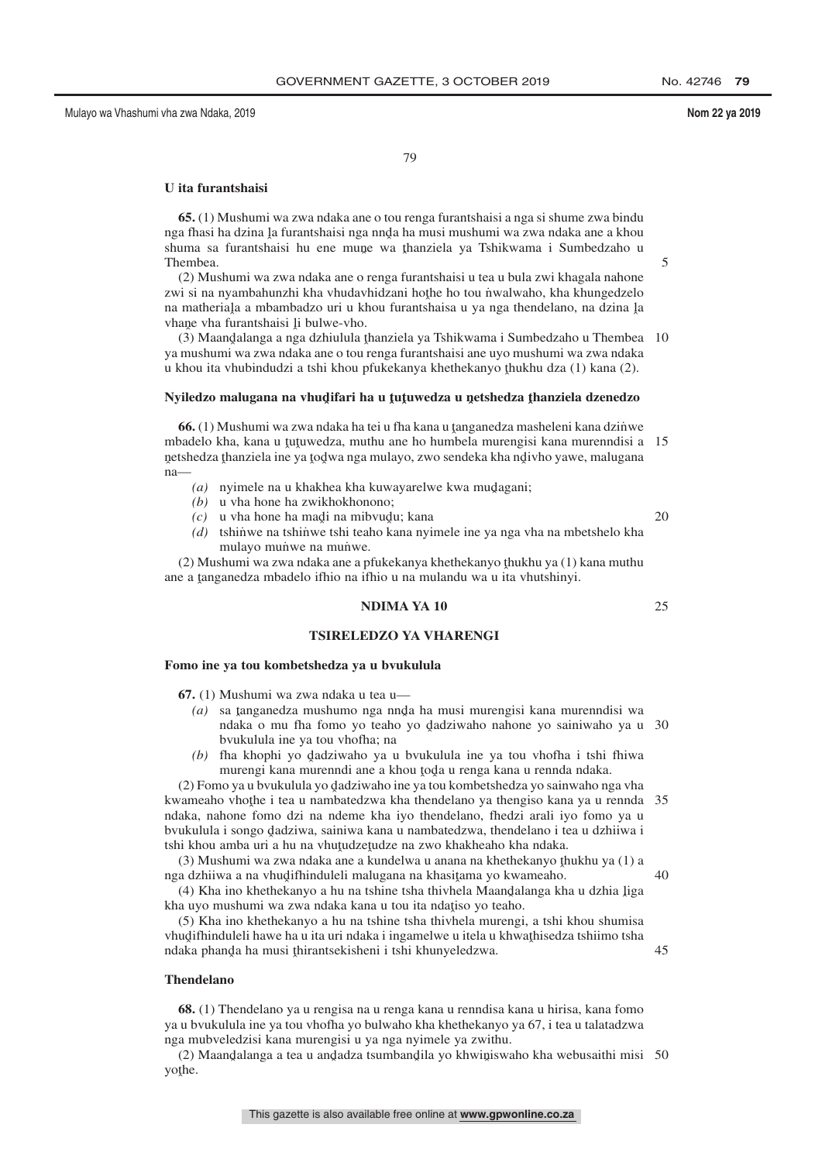20

25

79

#### **U ita furantshaisi**

**65.** (1) Mushumi wa zwa ndaka ane o tou renga furantshaisi a nga si shume zwa bindu nga fhasi ha dzina la furantshaisi nga nnda ha musi mushumi wa zwa ndaka ane a khou<br>shuma sa furantshaisi hu ane mune wa thanziela ya Tshikwama i Sumbedzaho u shuma sa furantshaisi hu ene mune wa thanziela ya Tshikwama i Sumbedzaho u<br>Thambaa Thembea.

(2) Mushumi wa zwa ndaka ane o renga furantshaisi u tea u bula zwi khagala nahone zwi si na nyambahunzhi kha vhudavhidzani hothe ho tou nwalwaho, kha khungedzelo<br>na matheriala a mbambadzo uri u khou furantshaisa u va nga thendelano, na dzina la na matheriaļa a mbambadzo uri u khou furantshaisa u ya nga thendelano, na dzina ļa<br>vhane vha furantshaisi li bulwe-ybo vhane vha furantshaisi li bulwe-vho.<br>(3) Maandalanga a nga dzhiulula t

(3) Maandalanga a nga dzhiulula thanziela ya Tshikwama i Sumbedzaho u Thembea 10<br>mushumi wa zwa ndaka ane o tou renga furantshaisi ane uyo mushumi wa zwa ndaka ya mushumi wa zwa ndaka ane o tou renga furantshaisi ane uyo mushumi wa zwa ndaka u khou ita vhubindudzi a tshi khou pfukekanya khethekanyo ţhukhu dza (1) kana (2).

# **Nyiledzo malugana na vhudˆ ifari ha u <sup>ˆ</sup> tuˆ tuwedza u nˆ etshedza <sup>ˆ</sup> thanziela dzenedzo**

**66.** (1) Mushumi wa zwa ndaka ha tei u fha kana u tanganedza masheleni kana dzinwe<br>padelo kha, kana u tutuwedza, muthu ane ho humbela murengisi kana murengisi a mbadelo kha, kana u tutuwedza, muthu ane ho humbela murengisi kana murenndisi a 15<br>netshedza thanziela ine va todwa nga mulayo, zwo sendeka kha ndiybo yawe malugana netshedza thanziela ine ya todwa nga mulayo, zwo sendeka kha ndivho yawe, malugana<br>na— ˆ na—

- $(a)$  nyimele na u khakhea kha kuwayarelwe kwa mudagani;<br> $(b)$  u yha hona ha zwikhokhonono:
- *(b)* u vha hone ha zwikhokhonono;
- $(c)$  u vha hone ha madi na mibvudu; kana  $(d)$  tehinwa na tehinya tehi teabo kana nyi

*(d)* tshinwe na tshinwe tshi teaho kana nyimele ine ya nga vha na mbetshelo kha mulayo munwe na munwe.

(2) Mushumi wa zwa ndaka ane a pfukekanya khethekanyo thukhu ya (1) kana muthu<br>a a tanganedza mbadelo ifhio na ifhio u na mulandu wa ujita yhutshinyi ane a ţanganedza mbadelo ifhio na ifhio u na mulandu wa u ita vhutshinyi.

#### **NDIMA YA 10**

#### **TSIRELEDZO YA VHARENGI**

#### **Fomo ine ya tou kombetshedza ya u bvukulula**

**67.** (1) Mushumi wa zwa ndaka u tea u—

- *(a)* sa tanganedza mushumo nga nnda ha musi murengisi kana murenndisi wa<br>ndaka o mu fha fomo yo taabo yo dadziwaho nabona yo sainiwaho ya y ndaka o mu fha fomo yo teaho yo dadziwaho nahone yo sainiwaho ya u 30<br>hyukulula ina ya tou yhofha: na bvukulula ine ya tou vhofha; na
- *(b)* fha khophi yo dadziwaho ya u bvukulula ine ya tou vhofha i tshi fhiwa<br>murangi kana murangi ane a khou toda u ranga kana u ranga ndaka murengi kana murenndi ane a khou toda u renga kana u rennda ndaka.<br>no ya u hyukulula vo dadziwaho ine ya tou kombetshedza vo sainwaho ne

(2) Fomo ya u bvukulula yo dadziwaho ine ya tou kombetshedza yo sainwaho nga vha<br>zamaabo yhotha i taa u nambatedzwa kha thandalano ya thangiso kana ya u rannda kwameaho vhothe i tea u nambatedzwa kha thendelano ya thengiso kana ya u rennda 35<br>ndaka , nabone fomo dzi na ndeme kha ivo thendelano, fhedzi arali ivo fomo ya u ndaka, nahone fomo dzi na ndeme kha iyo thendelano, fhedzi arali iyo fomo ya u bvukulula i songo dadziwa, sainiwa kana u nambatedzwa, thendelano i tea u dzhiiwa i<br>tshi khou amba uri a bu na yhutudzetudze na zwo khakheabo kha ndaka tshi khou amba uri a hu na vhutudzetudze na zwo khakheaho kha ndaka.<br>(3) Mushumi wa zwa ndaka ana a kundelwa u anana na khethekanyo the

(3) Mushumi wa zwa ndaka ane a kundelwa u anana na khethekanyo thukhu ya (1) a<br>a dzhijwa a na yhudifhinduleli malugana na khasitama yo kwameaho. nga dzhiiwa a na vhudifhinduleli malugana na khasitama yo kwameaho.<br>(4) Kha ino khathakanyo a bu na tshina tsha thiybela Maandalanga kh

40

45

(4) Kha ino khethekanyo a hu na tshine tsha thivhela Maandalanga kha u dzhia liga<br>a uvo mushumi wa zwa ndaka kana u tou ita ndatiso yo taabo kha uyo mushumi wa zwa ndaka kana u tou ita ndatiso yo teaho.<br>(5) Kha ina khathakanyo a bu na tshine tsha thiyhela murangi

(5) Kha ino khethekanyo a hu na tshine tsha thivhela murengi, a tshi khou shumisa vhudifhinduleli hawe ha u ita uri ndaka i ingamelwe u itela u khwathisedza tshiimo tsha<br>ndaka phanda ha musi thiranteekisheni i tshi khunyeledzwa ndaka phanda ha musi thirantsekisheni i tshi khunyeledzwa.

#### **Thendelano**

**68.** (1) Thendelano ya u rengisa na u renga kana u renndisa kana u hirisa, kana fomo ya u bvukulula ine ya tou vhofha yo bulwaho kha khethekanyo ya 67, i tea u talatadzwa nga mubveledzisi kana murengisi u ya nga nyimele ya zwithu.

(2) Maandalanga a tea u andadza tsumbandila yo khwiniswaho kha webusaithi misi 50<br>the yothe.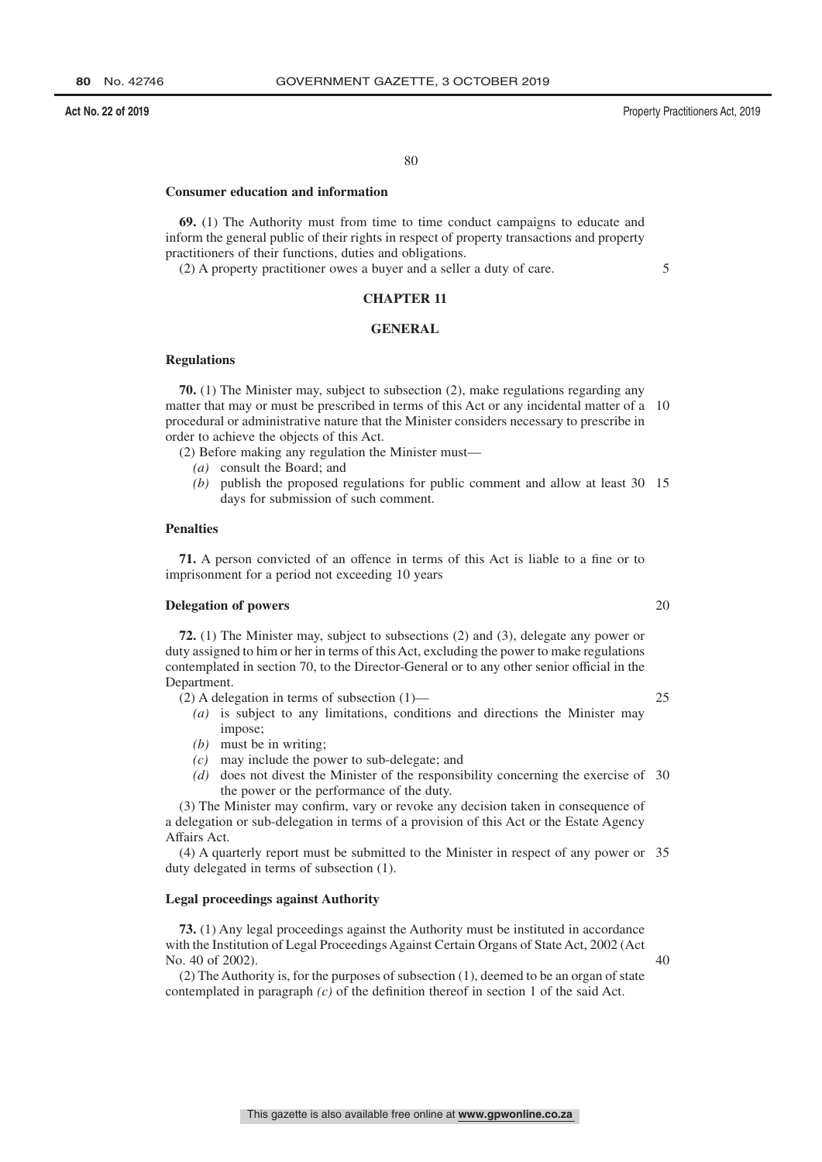#### **Act No. 22 of 2019** Property Practitioners Act, 2019

80

### **Consumer education and information**

**69.** (1) The Authority must from time to time conduct campaigns to educate and inform the general public of their rights in respect of property transactions and property practitioners of their functions, duties and obligations.

(2) A property practitioner owes a buyer and a seller a duty of care.

#### 5

### **CHAPTER 11**

### **GENERAL**

#### **Regulations**

**70.** (1) The Minister may, subject to subsection (2), make regulations regarding any matter that may or must be prescribed in terms of this Act or any incidental matter of a 10 procedural or administrative nature that the Minister considers necessary to prescribe in order to achieve the objects of this Act.

(2) Before making any regulation the Minister must—

- *(a)* consult the Board; and
- *(b)* publish the proposed regulations for public comment and allow at least 30 15 days for submission of such comment.

#### **Penalties**

**71.** A person convicted of an offence in terms of this Act is liable to a fine or to imprisonment for a period not exceeding 10 years

#### **Delegation of powers**

**72.** (1) The Minister may, subject to subsections (2) and (3), delegate any power or duty assigned to him or her in terms of this Act, excluding the power to make regulations contemplated in section 70, to the Director-General or to any other senior official in the Department.

(2) A delegation in terms of subsection (1)—

- *(a)* is subject to any limitations, conditions and directions the Minister may impose;
- *(b)* must be in writing;
- *(c)* may include the power to sub-delegate; and
- *(d)* does not divest the Minister of the responsibility concerning the exercise of 30 the power or the performance of the duty.

(3) The Minister may confirm, vary or revoke any decision taken in consequence of a delegation or sub-delegation in terms of a provision of this Act or the Estate Agency Affairs Act.

(4) A quarterly report must be submitted to the Minister in respect of any power or 35 duty delegated in terms of subsection (1).

#### **Legal proceedings against Authority**

**73.** (1) Any legal proceedings against the Authority must be instituted in accordance with the Institution of Legal Proceedings Against Certain Organs of State Act, 2002 (Act No. 40 of 2002).

(2) The Authority is, for the purposes of subsection (1), deemed to be an organ of state contemplated in paragraph *(c)* of the definition thereof in section 1 of the said Act.

20

25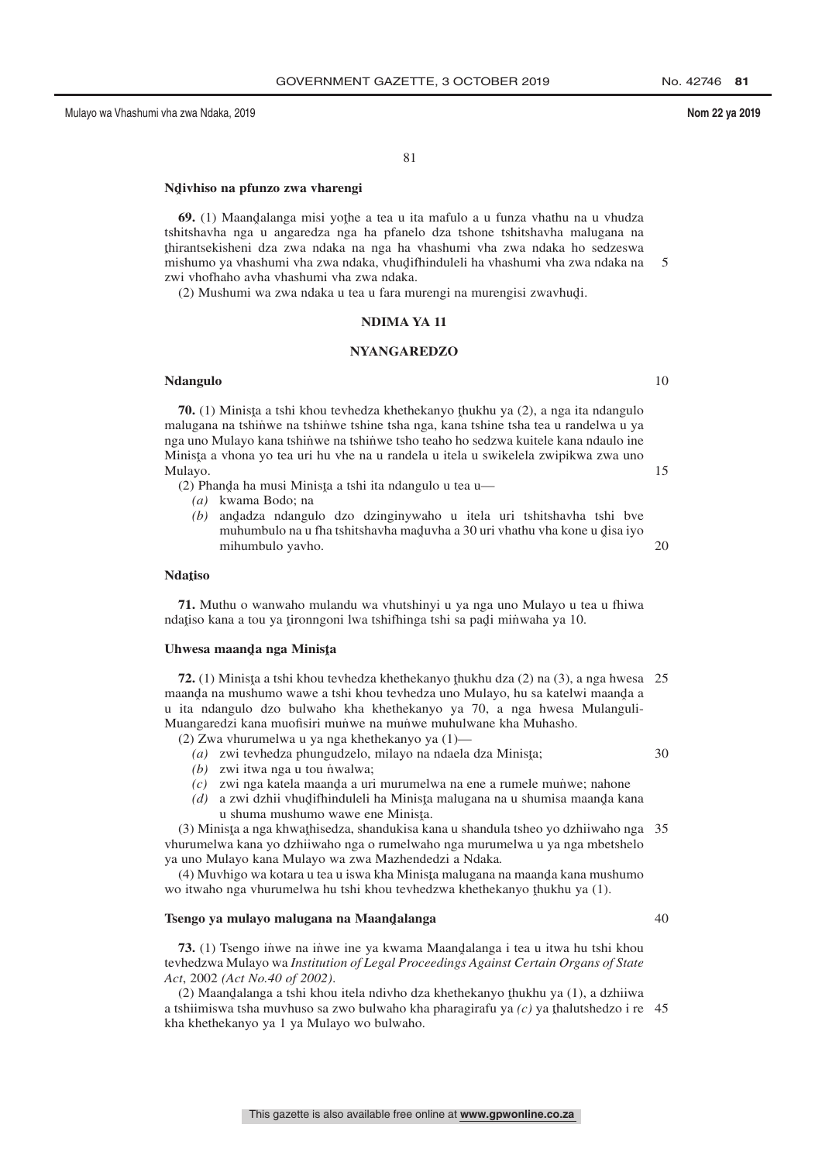81

# **Ndˆ ivhiso na pfunzo zwa vharengi**

**69.** (1) Maandalanga misi yothe a tea u ita mafulo a u funza vhathu na u vhudza<br>hitebayba nga u anggredza nga ba pfanelo dza tebore tehitebayba malugana na tshitshavha nga u angaredza nga ha pfanelo dza tshone tshitshavha malugana na ˆ mishumo ya vhashumi vha zwa ndaka, vhudˆ ifhinduleli ha vhashumi vha zwa ndaka na thirantsekisheni dza zwa ndaka na nga ha vhashumi vha zwa ndaka ho sedzeswa zwi vhofhaho avha vhashumi vha zwa ndaka. 5

(2) Mushumi wa zwa ndaka u tea u fara murengi na murengisi zwavhud្i.

#### **NDIMA YA 11**

#### **NYANGAREDZO**

#### **Ndangulo**

**70.** (1) Minista a tshi khou tevhedza khethekanyo thukhu ya (2), a nga ita ndangulo lugana na tshinwe na tshinwe tshine tsha nga kana tshine tsha nga kana tshine tsha nga kana tshine tsha nga kana tshine tsha nga kana tsh malugana na tshinwe na tshinwe tshine tsha nga, kana tshine tsha tea u randelwa u ya nga uno Mulayo kana tshinwe na tshinwe tsho teaho ho sedzwa kuitele kana ndaulo ine Minista a vhona yo tea uri hu vhe na u randela u itela u swikelela zwipikwa zwa uno<br>Mulayo Mulayo.

(2) Phanda ha musi Minista a tshi ita ndangulo u tea u—<br> $(a)$  kwama Bodo: na

- *(a)* kwama Bodo; na
- *(b)* and adza ndangulo dzo dzinginywaho u itela uri tshitshavha tshi bve muhumbulo na u fha tshitshavha maduvha a 30 uri yhathu yha kone u disa iyo muhumbulo na u fha tshitshavha maduvha a 30 uri vhathu vha kone u disa iyo<br>mihumbulo yaybo mihumbulo yavho. 20

# **Ndaˆ tiso**

**71.** Muthu o wanwaho mulandu wa vhutshinyi u ya nga uno Mulayo u tea u fhiwa ndatiso kana a tou ya tironngoni lwa tshifhinga tshi sa padi minwaha ya 10.

# Uhwesa maanda nga Minista

**72.** (1) Minista a tshi khou tevhedza khethekanyo thukhu dza (2) na (3), a nga hwesa 25<br>panda na mushumo wawe a tshi khou tevhedza uno Mulayo, bu sa katelwi maanda a maanda na mushumo wawe a tshi khou tevhedza uno Mulayo, hu sa katelwi maanda a<br>u ita ndangula dzo bulwaho, kha khethekanyo ya 70, a nga hwesa Mulanguli u ita ndangulo dzo bulwaho kha khethekanyo ya 70, a nga hwesa Mulanguli-Muangaredzi kana muofisiri munwe na munwe muhulwane kha Muhasho.

- (2) Zwa vhurumelwa u ya nga khethekanyo ya (1)—
	- $(a)$  zwi tevhedza phungudzelo, milayo na ndaela dza Minisţa;<br>(b) zwi itwa nga u tou nwalwa;
	- *(b)* zwi itwa nga u tou nvalwa;
	- $(c)$  zwi nga katela maanda a uri murumelwa na ene a rumele mun̆we; nahone
	- (d) a zwi dzhii vhudifhinduleli ha Minista malugana na u shumisa maanda kana<br>u shuma mushumo wawa ana Minista u shuma mushumo wawe ene Minista.<br>takina nga khwathisadza, shandukisa ka

(3) Minista a nga khwathisedza, shandukisa kana u shandula tsheo yo dzhiiwaho nga 35<br>urumalwa kana yo dzhiiwaho nga o rumalwaho nga murumalwa u ya nga mbatshalo vhurumelwa kana yo dzhiiwaho nga o rumelwaho nga murumelwa u ya nga mbetshelo ya uno Mulayo kana Mulayo wa zwa Mazhendedzi a Ndaka*.*

(4) Muvhigo wa kotara u tea u iswa kha Minista malugana na maanda kana mushumo<br>bitwaho nga yhurumelwa hu tshi khou tayhedzwa khathekanyo thukhu ya (1) wo itwaho nga vhurumelwa hu tshi khou tevhedzwa khethekanyo thukhu ya (1).

# Tsengo ya mulayo malugana na M<mark>aand</mark>alanga

**73.** (1) Tsengo iṅ̀we na in̈we ine ya kwama Maandalanga i tea u itwa hu tshi khou<br>shedawa Mulayo wa Institution of Leagl Proceedings Agginst Certain Organs of State tevhedzwa Mulayo wa *Institution of Legal Proceedings Against Certain Organs of State Act*, 2002 *(Act No.40 of 2002)*.

(2) Maandalanga a tshi khou itela ndivho dza khethekanyo thukhu ya  $(1)$ , a dzhiiwa<br>shiimiswa tsha muyhuso sa zwo bulwaho kha pharagirafu ya  $(c)$  ya thalutshedzo i re a tshiimiswa tsha muvhuso sa zwo bulwaho kha pharagirafu ya  $(c)$  ya thalutshedzo i re 45<br>kha khethekanyo ya 1 ya Mulayo wo bulwaho kha khethekanyo ya 1 ya Mulayo wo bulwaho.

This gazette is also available free online at **www.gpwonline.co.za**

10

15

30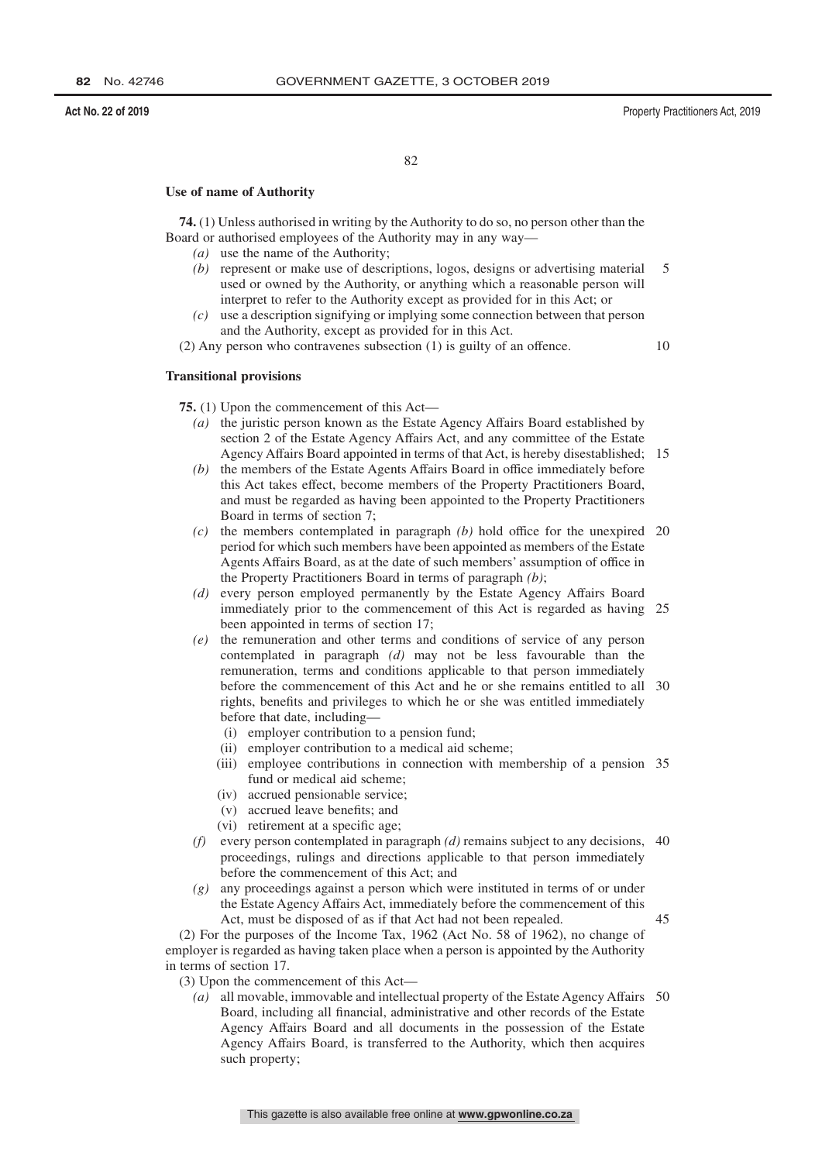#### **Act No. 22 of 2019** Property Practitioners Act, 2019

82

#### **Use of name of Authority**

**74.** (1) Unless authorised in writing by the Authority to do so, no person other than the Board or authorised employees of the Authority may in any way—

- *(a)* use the name of the Authority;
- *(b)* represent or make use of descriptions, logos, designs or advertising material used or owned by the Authority, or anything which a reasonable person will interpret to refer to the Authority except as provided for in this Act; or 5
- *(c)* use a description signifying or implying some connection between that person and the Authority, except as provided for in this Act.

(2) Any person who contravenes subsection (1) is guilty of an offence.

10

#### **Transitional provisions**

**75.** (1) Upon the commencement of this Act—

- *(a)* the juristic person known as the Estate Agency Affairs Board established by section 2 of the Estate Agency Affairs Act, and any committee of the Estate Agency Affairs Board appointed in terms of that Act, is hereby disestablished; 15
- *(b)* the members of the Estate Agents Affairs Board in office immediately before this Act takes effect, become members of the Property Practitioners Board, and must be regarded as having been appointed to the Property Practitioners Board in terms of section 7;
- *(c)* the members contemplated in paragraph *(b)* hold office for the unexpired 20 period for which such members have been appointed as members of the Estate Agents Affairs Board, as at the date of such members' assumption of office in the Property Practitioners Board in terms of paragraph *(b)*;
- *(d)* every person employed permanently by the Estate Agency Affairs Board immediately prior to the commencement of this Act is regarded as having 25 been appointed in terms of section 17;
- *(e)* the remuneration and other terms and conditions of service of any person contemplated in paragraph *(d)* may not be less favourable than the remuneration, terms and conditions applicable to that person immediately before the commencement of this Act and he or she remains entitled to all 30 rights, benefits and privileges to which he or she was entitled immediately before that date, including—
	- (i) employer contribution to a pension fund;
	- (ii) employer contribution to a medical aid scheme;
	- (iii) employee contributions in connection with membership of a pension 35 fund or medical aid scheme;
	- (iv) accrued pensionable service;
	- (v) accrued leave benefits; and
	- (vi) retirement at a specific age;
- *(f)* every person contemplated in paragraph *(d)* remains subject to any decisions, 40 proceedings, rulings and directions applicable to that person immediately before the commencement of this Act; and
- *(g)* any proceedings against a person which were instituted in terms of or under the Estate Agency Affairs Act, immediately before the commencement of this Act, must be disposed of as if that Act had not been repealed.

45

(2) For the purposes of the Income Tax, 1962 (Act No. 58 of 1962), no change of employer is regarded as having taken place when a person is appointed by the Authority in terms of section 17.

- (3) Upon the commencement of this Act—
	- *(a)* all movable, immovable and intellectual property of the Estate Agency Affairs 50Board, including all financial, administrative and other records of the Estate Agency Affairs Board and all documents in the possession of the Estate Agency Affairs Board, is transferred to the Authority, which then acquires such property;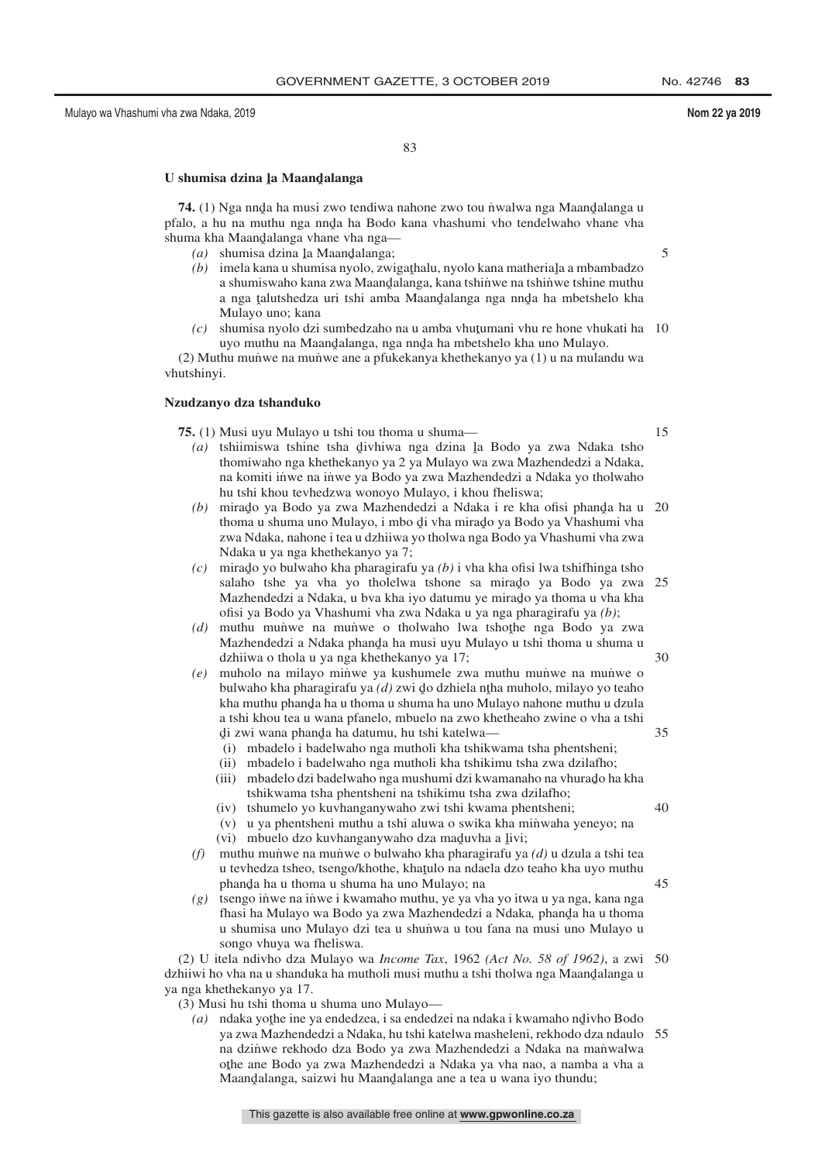83

# U shumisa dzina <u>la</u> Maandalanga

**74.** (1) Nga nnda ha musi zwo tendiwa nahone zwo tou niwalwa nga Maandalanga u<br>alanga hu na muthu nga nnda ha Bodo kana yhashumi yho tendelwaho yhane yha pfalo, a hu na muthu nga nnda ha Bodo kana vhashumi vho tendelwaho vhane vha<br>shuma kha Maandalanga yhane yha ngashuma kha Maandalanga vhane vha nga—<br>(a) shumisa dzina la Maandalanga:

- $(a)$  shumisa dzina ļa Maand̄alanga;
- (b) imela kana u shumisa nyolo, zwigathalu, nyolo kana matheriala a mbambadzo a shumiswaho kana zwa Maandalanga, kana tshin̈we na tshin̆we tshine muthu<br>a nga talutshedza uri tshi amba Maandalanga nga nnda ha mbetshelo kha a nga ţalutshedza uri tshi amba Maand̥alanga nga nnd̥a ha mbetshelo kha<br>Mulayo uno: kana Mulayo uno; kana
- $(c)$  shumisa nyolo dzi sumbedzaho na u amba vhutumani vhu re hone vhukati ha 10 uyo muthu na Maandalanga, nga nnda ha mbetshelo kha uno Mulayo.<br>Alu muniye na muniye ang a nfukakanya khathakanyo ya (1) u na mular

(2) Muthu mun˙ we na mun˙ we ane a pfukekanya khethekanyo ya (1) u na mulandu wa vhutshinyi.

#### **Nzudzanyo dza tshanduko**

**75.** (1) Musi uyu Mulayo u tshi tou thoma u shuma—

- *(a)* tshiimiswa tshine tsha divhiwa nga dzina la Bodo ya zwa Ndaka tsho<br>thomiwaho nga khathakanyo ya 2 ya Mulayo wa zwa Mazhandedzi a Ndaka thomiwaho nga khethekanyo ya 2 ya Mulayo wa zwa Mazhendedzi a Ndaka, na komiti inwe na inwe ya Bodo ya zwa Mazhendedzi a Ndaka yo tholwaho hu tshi khou tevhedzwa wonoyo Mulayo, i khou fheliswa;
- *(b)* mirado ya Bodo ya zwa Mazhendedzi a Ndaka i re kha ofisi phanda ha u 20<br>thoma u shuma uno Mulayo i mbo di yha mirado ya Bodo ya Vhashumi yha thoma u shuma uno Mulayo, i mbo di vha mirado ya Bodo ya Vhashumi vha<br>zwa Ndaka, nabone i tea u dzhijwa vo tholwa nga Bodo ya Vhashumi vha zwa zwa Ndaka, nahone i tea u dzhiiwa yo tholwa nga Bodo ya Vhashumi vha zwa Ndaka u ya nga khethekanyo ya 7;
- *(c)* mirado yo bulwaho kha pharagirafu ya *(b)* i vha kha ofisi lwa tshifhinga tsho<br>salaho, tshe ya yaka yo tholelwa tshone sa mirado ya Bodo ya zwa salaho tshe ya vha yo tholelwa tshone sa mirado ya Bodo ya zwa 25<br>Mazhandadzia Ndaka u hya kha iyo datumu ya mirado ya thoma u yha kha Mazhendedzi a Ndaka, u bva kha iyo datumu ye mirado ya thoma u vha kha<br>ofisi ya Bodo ya Vhashumi yha zwa Ndaka u ya nga pharagirafu ya (b); ofisi ya Bodo ya Vhashumi vha zwa Ndaka u ya nga pharagirafu ya *(b)*;
- *(d)* muthu munwe na munwe o tholwaho lwa tshothe nga Bodo ya zwa<br>Mazhandadzi a Ndaka phanda ha musi wai Mulayo u tshi thoma u shuma u Mazhendedzi a Ndaka phanda ha musi uyu Mulayo u tshi thoma u shuma u<br>dzhijwa o thola u va nga khathekanyo ya 17: dzhiiwa o thola u ya nga khethekanyo ya 17;
- *(e)* muholo na milayo min˙ we ya kushumele zwa muthu mun˙ we na mun˙ we o bulwaho kha pharagirafu ya *(d)* zwi do dzhiela ntha muholo, milayo yo teaho<br>kha muthu phanda ha u thoma u shuma ha uno Mulayo nabone muthu u dzula kha muthu phanda ha u thoma u shuma ha uno Mulayo nahone muthu u dzula<br>a tshi khou taa u wana pfanalo, mbualo na zwo khathaabo zwina o yha a tshi a tshi khou tea u wana pfanelo, mbuelo na zwo khetheaho zwine o vha a tshi di zwi wana phanda ha datumu, hu tshi katelwa—
	- ˆ (i) mbadelo i badelwaho nga mutholi kha tshikwama tsha phentsheni;
	- (ii) mbadelo i badelwaho nga mutholi kha tshikimu tsha zwa dzilafho;
	- (iii) mbadelo dzi badelwaho nga mushumi dzi kwamanaho na vhurado ha kha<br>tehikwama tsha phentebeni na tehikimu tsha zwa dzilatho: tshikwama tsha phentsheni na tshikimu tsha zwa dzilafho;
	- (iv) tshumelo yo kuvhanganywaho zwi tshi kwama phentsheni;
	- (v) u ya phentsheni muthu a tshi aluwa o swika kha minwaha yeneyo; na
	- (vi) mbuelo dzo kuvhanganywaho dza maduvha a livi;<br>muthu munwa na munwa o bulwaho kha pharaqirafu ya
- *(f)* muthu mun˙ we na mun˙ we o bulwaho kha pharagirafu ya *(d)* u dzula a tshi tea u tevhedza tsheo, tsengo/khothe, khatulo na ndaela dzo teaho kha uyo muthu<br>phanda ha u thoma u shuma ha uno Mulayo: na phanda ha u thoma u shuma ha uno Mulayo; na<br>tsango inwa na inwa i kwamabo muthu, ya ya vi
- *(g)* tsengo in˙ we na in˙ we i kwamaho muthu, ye ya vha yo itwa u ya nga, kana nga fhasi ha Mulayo wa Bodo ya zwa Mazhendedzi a Ndaka, phanda ha u thoma<br>u shumica uno Mulayo dzi tea u shunwa u tou fana na musi uno Mulayo u u shumisa uno Mulayo dzi tea u shunwa u tou fana na musi uno Mulayo u songo vhuya wa fheliswa.

(2) U itela ndivho dza Mulayo wa *Income Tax*, 1962 *(Act No. 58 of 1962)*, a zwi 50 dzhiiwi ho vha na u shanduka ha mutholi musi muthu a tshi tholwa nga Maandalanga u<br>va nga khathakanyo ya 17 ya nga khethekanyo ya 17.

(3) Musi hu tshi thoma u shuma uno Mulayo—

(a) ndaka yothe ine ya endedzea, i sa endedzei na ndaka i kwamaho ndivho Bodo<br>wa zwa Mazhandadzi a Ndaka, hu tshi katelwa masheleni, rekhodo dza ndaulo ya zwa Mazhendedzi a Ndaka, hu tshi katelwa masheleni, rekhodo dza ndaulo 55na dzinwe rekhodo dza Bodo ya zwa Mazhendedzi a Ndaka na manwalwa o the ane Bodo ya zwa Mazhendedzi a Ndaka ya vha nao, a namba a vha a ˆ Maandˆ alanga, saizwi hu Maandˆ alanga ane a tea u wana iyo thundu;

15

5

35

40

45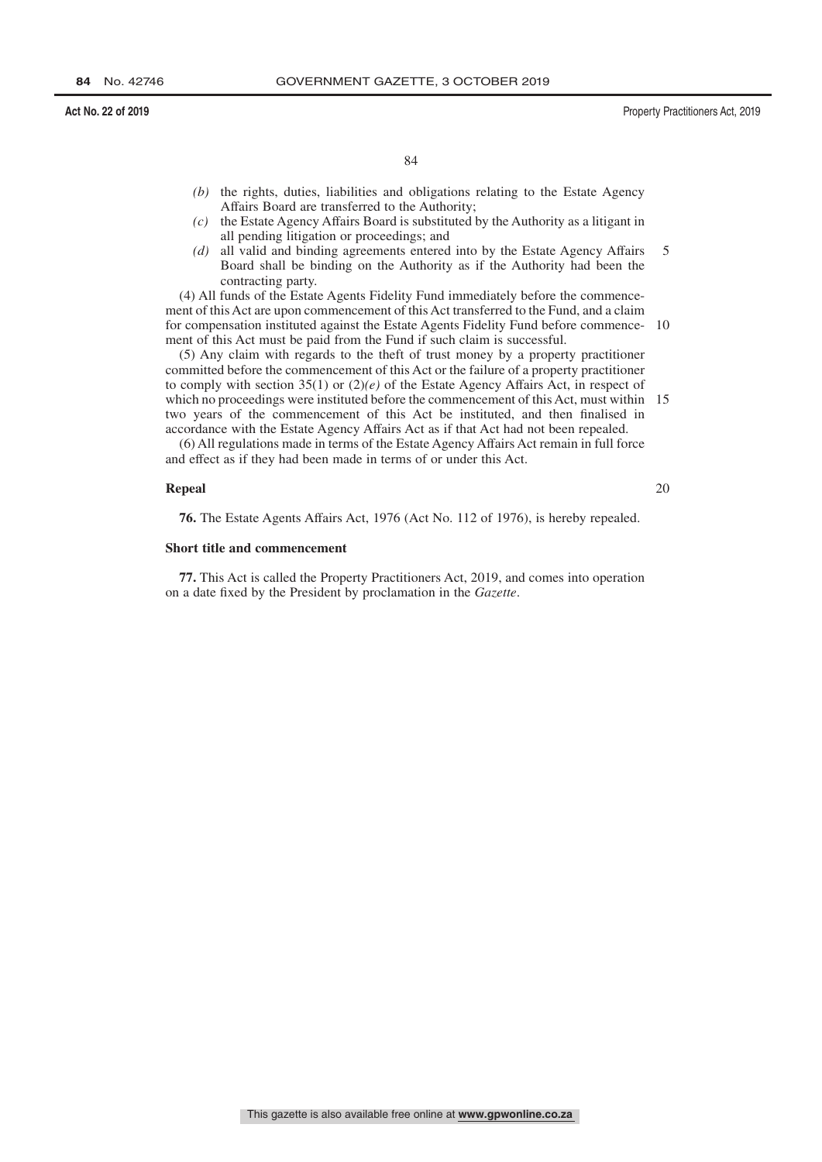- *(b)* the rights, duties, liabilities and obligations relating to the Estate Agency Affairs Board are transferred to the Authority;
- *(c)* the Estate Agency Affairs Board is substituted by the Authority as a litigant in all pending litigation or proceedings; and
- *(d)* all valid and binding agreements entered into by the Estate Agency Affairs Board shall be binding on the Authority as if the Authority had been the contracting party. 5

(4) All funds of the Estate Agents Fidelity Fund immediately before the commencement of this Act are upon commencement of this Act transferred to the Fund, and a claim for compensation instituted against the Estate Agents Fidelity Fund before commence-10 ment of this Act must be paid from the Fund if such claim is successful.

(5) Any claim with regards to the theft of trust money by a property practitioner committed before the commencement of this Act or the failure of a property practitioner to comply with section 35(1) or (2)*(e)* of the Estate Agency Affairs Act, in respect of which no proceedings were instituted before the commencement of this Act, must within 15 two years of the commencement of this Act be instituted, and then finalised in accordance with the Estate Agency Affairs Act as if that Act had not been repealed.

(6) All regulations made in terms of the Estate Agency Affairs Act remain in full force and effect as if they had been made in terms of or under this Act.

#### **Repeal**

20

**76.** The Estate Agents Affairs Act, 1976 (Act No. 112 of 1976), is hereby repealed.

#### **Short title and commencement**

**77.** This Act is called the Property Practitioners Act, 2019, and comes into operation on a date fixed by the President by proclamation in the *Gazette*.